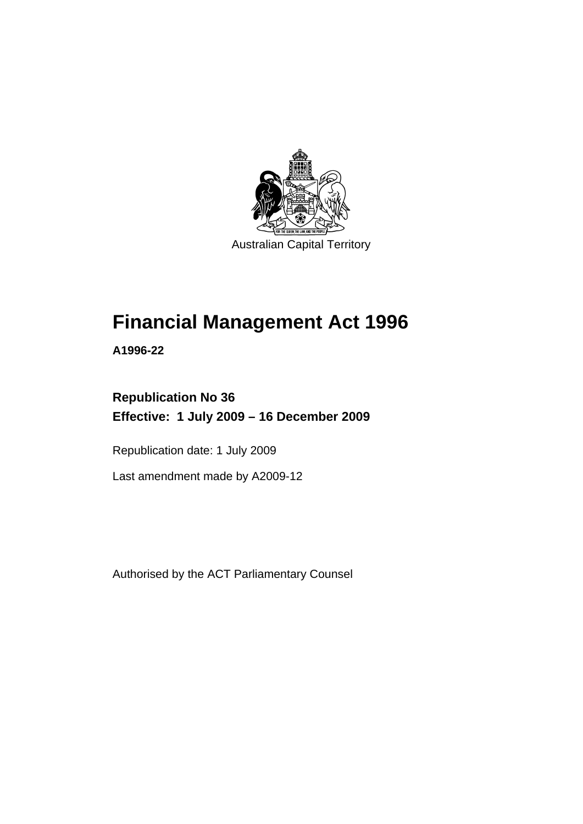

# **[Financial Management Act 1996](#page-10-0)**

**A1996-22** 

# **Republication No 36 Effective: 1 July 2009 – 16 December 2009**

Republication date: 1 July 2009

Last amendment made by A2009-12

Authorised by the ACT Parliamentary Counsel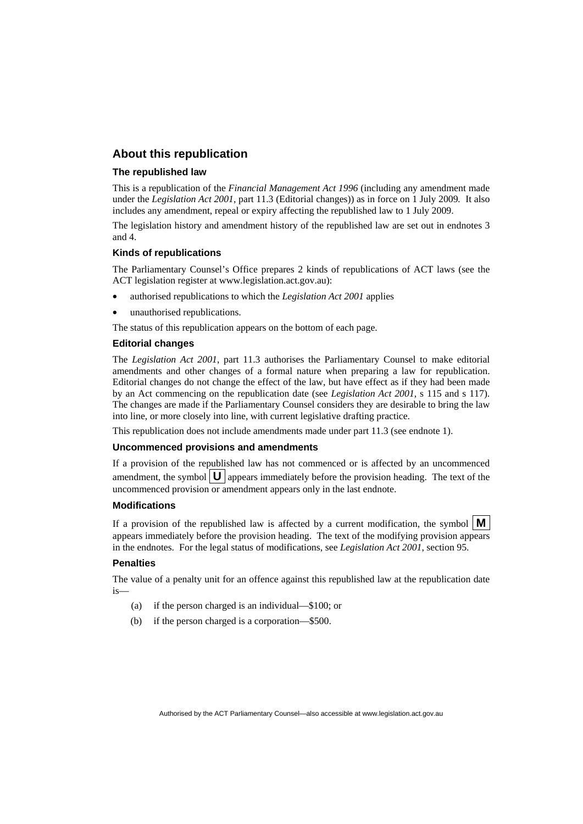#### **About this republication**

#### **The republished law**

This is a republication of the *Financial Management Act 1996* (including any amendment made under the *Legislation Act 2001*, part 11.3 (Editorial changes)) as in force on 1 July 2009*.* It also includes any amendment, repeal or expiry affecting the republished law to 1 July 2009.

The legislation history and amendment history of the republished law are set out in endnotes 3 and 4.

#### **Kinds of republications**

The Parliamentary Counsel's Office prepares 2 kinds of republications of ACT laws (see the ACT legislation register at www.legislation.act.gov.au):

- authorised republications to which the *Legislation Act 2001* applies
- unauthorised republications.

The status of this republication appears on the bottom of each page.

#### **Editorial changes**

The *Legislation Act 2001*, part 11.3 authorises the Parliamentary Counsel to make editorial amendments and other changes of a formal nature when preparing a law for republication. Editorial changes do not change the effect of the law, but have effect as if they had been made by an Act commencing on the republication date (see *Legislation Act 2001*, s 115 and s 117). The changes are made if the Parliamentary Counsel considers they are desirable to bring the law into line, or more closely into line, with current legislative drafting practice.

This republication does not include amendments made under part 11.3 (see endnote 1).

#### **Uncommenced provisions and amendments**

If a provision of the republished law has not commenced or is affected by an uncommenced amendment, the symbol  $\mathbf{U}$  appears immediately before the provision heading. The text of the uncommenced provision or amendment appears only in the last endnote.

#### **Modifications**

If a provision of the republished law is affected by a current modification, the symbol  $\mathbf{M}$ appears immediately before the provision heading. The text of the modifying provision appears in the endnotes. For the legal status of modifications, see *Legislation Act 2001*, section 95.

#### **Penalties**

The value of a penalty unit for an offence against this republished law at the republication date is—

- (a) if the person charged is an individual—\$100; or
- (b) if the person charged is a corporation—\$500.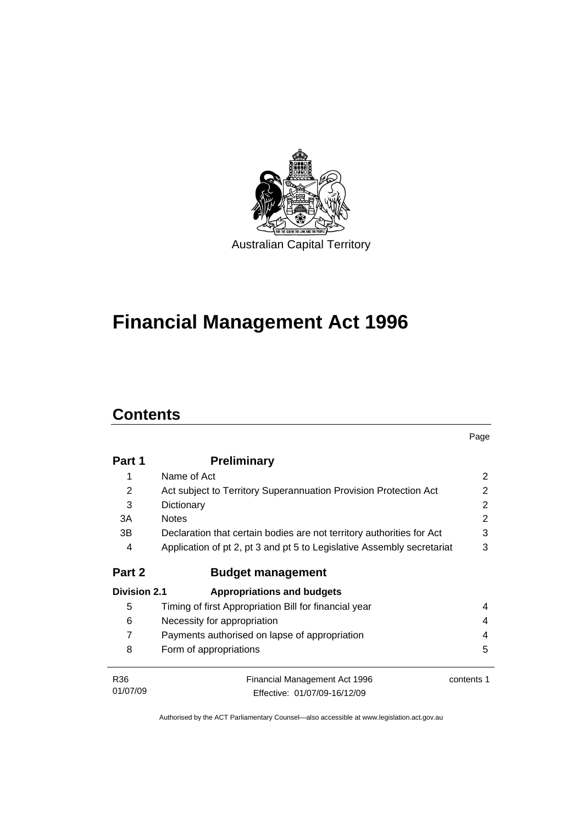

# **[Financial Management Act 1996](#page-10-0)**

# **Contents**

|                     |                                                                        | Page       |
|---------------------|------------------------------------------------------------------------|------------|
| Part 1              | <b>Preliminary</b>                                                     |            |
| 1                   | Name of Act                                                            | 2          |
| 2                   | Act subject to Territory Superannuation Provision Protection Act       | 2          |
| 3                   | Dictionary                                                             |            |
| 3A                  | <b>Notes</b>                                                           | 2          |
| 3В                  | Declaration that certain bodies are not territory authorities for Act  | 3          |
| 4                   | Application of pt 2, pt 3 and pt 5 to Legislative Assembly secretariat | 3          |
| Part 2              | <b>Budget management</b>                                               |            |
| <b>Division 2.1</b> | <b>Appropriations and budgets</b>                                      |            |
| 5                   | Timing of first Appropriation Bill for financial year                  | 4          |
| 6                   | Necessity for appropriation                                            | 4          |
| 7                   | Payments authorised on lapse of appropriation                          | 4          |
| 8                   | Form of appropriations                                                 | 5          |
| R <sub>36</sub>     | Financial Management Act 1996                                          | contents 1 |
| 01/07/09            | Effective: 01/07/09-16/12/09                                           |            |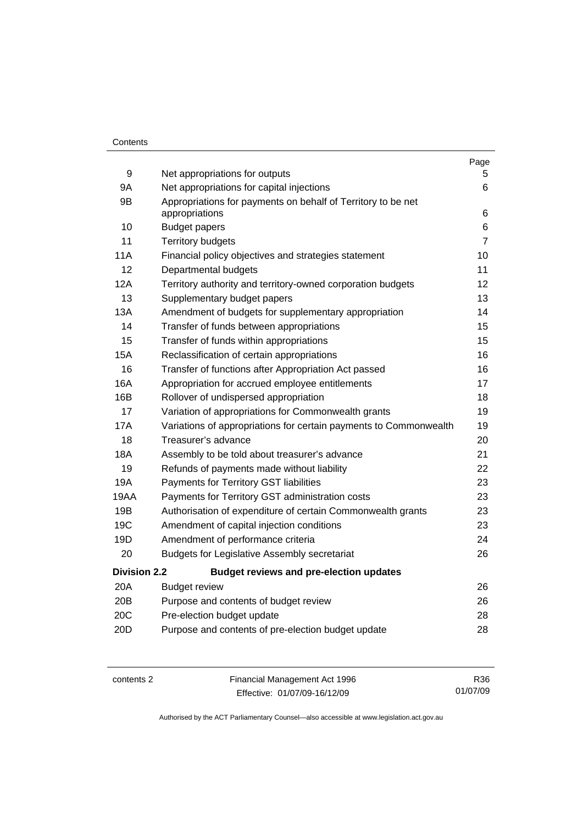#### **Contents**

|                                                                   | Page                                                                                                                                                               |
|-------------------------------------------------------------------|--------------------------------------------------------------------------------------------------------------------------------------------------------------------|
|                                                                   | 5.<br>6                                                                                                                                                            |
|                                                                   |                                                                                                                                                                    |
| appropriations                                                    | 6                                                                                                                                                                  |
| <b>Budget papers</b>                                              | 6                                                                                                                                                                  |
| <b>Territory budgets</b>                                          | $\overline{7}$                                                                                                                                                     |
| Financial policy objectives and strategies statement              | 10                                                                                                                                                                 |
| Departmental budgets                                              | 11                                                                                                                                                                 |
| Territory authority and territory-owned corporation budgets       | 12                                                                                                                                                                 |
| Supplementary budget papers                                       | 13                                                                                                                                                                 |
| Amendment of budgets for supplementary appropriation              | 14                                                                                                                                                                 |
| Transfer of funds between appropriations                          | 15                                                                                                                                                                 |
| Transfer of funds within appropriations                           | 15                                                                                                                                                                 |
| Reclassification of certain appropriations                        | 16                                                                                                                                                                 |
| Transfer of functions after Appropriation Act passed              | 16                                                                                                                                                                 |
| Appropriation for accrued employee entitlements                   | 17                                                                                                                                                                 |
| Rollover of undispersed appropriation                             | 18                                                                                                                                                                 |
| Variation of appropriations for Commonwealth grants               | 19                                                                                                                                                                 |
| Variations of appropriations for certain payments to Commonwealth | 19                                                                                                                                                                 |
| Treasurer's advance                                               | 20                                                                                                                                                                 |
| Assembly to be told about treasurer's advance                     | 21                                                                                                                                                                 |
| Refunds of payments made without liability                        | 22                                                                                                                                                                 |
| Payments for Territory GST liabilities                            | 23                                                                                                                                                                 |
| Payments for Territory GST administration costs                   | 23                                                                                                                                                                 |
| Authorisation of expenditure of certain Commonwealth grants       | 23                                                                                                                                                                 |
| Amendment of capital injection conditions                         | 23                                                                                                                                                                 |
| Amendment of performance criteria                                 | 24                                                                                                                                                                 |
| <b>Budgets for Legislative Assembly secretariat</b>               | 26                                                                                                                                                                 |
| <b>Budget reviews and pre-election updates</b>                    |                                                                                                                                                                    |
| <b>Budget review</b>                                              | 26                                                                                                                                                                 |
| Purpose and contents of budget review                             | 26                                                                                                                                                                 |
| Pre-election budget update                                        | 28                                                                                                                                                                 |
| Purpose and contents of pre-election budget update                | 28                                                                                                                                                                 |
|                                                                   | Net appropriations for outputs<br>Net appropriations for capital injections<br>Appropriations for payments on behalf of Territory to be net<br><b>Division 2.2</b> |

contents 2 Financial Management Act 1996 Effective: 01/07/09-16/12/09

R36 01/07/09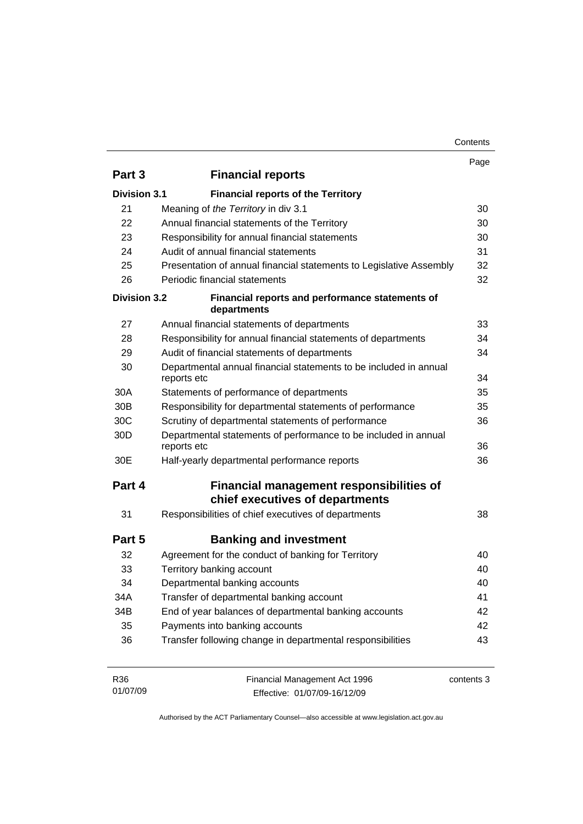| Contents |
|----------|
|----------|

|                     |                                                                                  | Page       |
|---------------------|----------------------------------------------------------------------------------|------------|
| Part 3              | <b>Financial reports</b>                                                         |            |
| <b>Division 3.1</b> | <b>Financial reports of the Territory</b>                                        |            |
| 21                  | Meaning of the Territory in div 3.1                                              |            |
| 22                  | Annual financial statements of the Territory                                     | 30         |
| 23                  | Responsibility for annual financial statements                                   |            |
| 24                  | Audit of annual financial statements                                             |            |
| 25                  | Presentation of annual financial statements to Legislative Assembly              |            |
| 26                  | Periodic financial statements                                                    |            |
| <b>Division 3.2</b> | Financial reports and performance statements of<br>departments                   |            |
| 27                  | Annual financial statements of departments                                       | 33         |
| 28                  | Responsibility for annual financial statements of departments                    | 34         |
| 29                  | Audit of financial statements of departments                                     |            |
| 30                  | Departmental annual financial statements to be included in annual<br>reports etc |            |
| 30A                 | Statements of performance of departments                                         | 35         |
| 30 <sub>B</sub>     | Responsibility for departmental statements of performance                        |            |
| 30 <sub>C</sub>     | Scrutiny of departmental statements of performance                               | 36         |
| 30 <sub>D</sub>     | Departmental statements of performance to be included in annual<br>reports etc   |            |
| 30E                 | Half-yearly departmental performance reports                                     | 36         |
| Part 4              | Financial management responsibilities of<br>chief executives of departments      |            |
| 31                  | Responsibilities of chief executives of departments                              | 38         |
| Part 5              | <b>Banking and investment</b>                                                    |            |
| 32                  | Agreement for the conduct of banking for Territory                               | 40         |
| 33                  | Territory banking account                                                        | 40         |
| 34                  | Departmental banking accounts                                                    | 40         |
| 34A                 | Transfer of departmental banking account                                         | 41         |
| 34B                 | End of year balances of departmental banking accounts                            | 42         |
| 35                  | Payments into banking accounts                                                   | 42         |
| 36                  | Transfer following change in departmental responsibilities                       | 43         |
| R36<br>01/07/09     | Financial Management Act 1996<br>Effective: 01/07/09-16/12/09                    | contents 3 |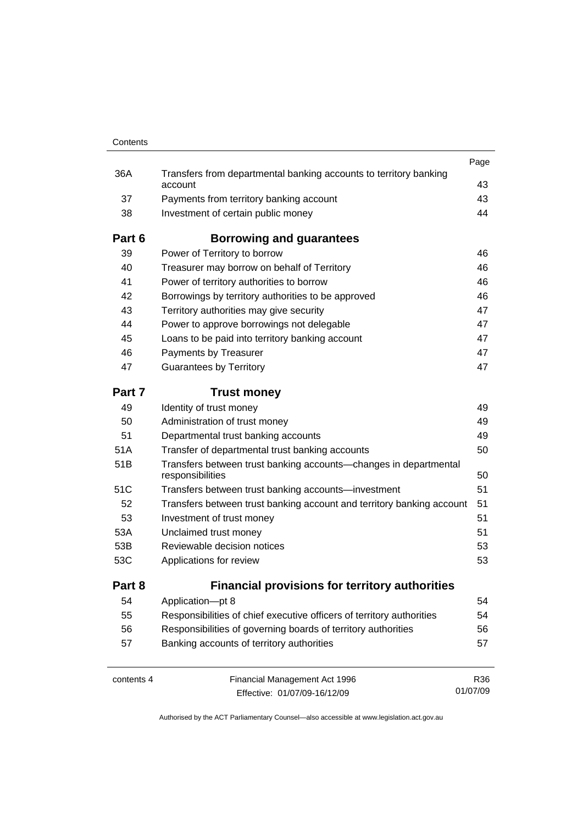| Contents   |                                                                                      |          |
|------------|--------------------------------------------------------------------------------------|----------|
|            |                                                                                      | Page     |
| 36A        | Transfers from departmental banking accounts to territory banking<br>account         | 43       |
| 37         | Payments from territory banking account                                              | 43       |
| 38         | Investment of certain public money                                                   | 44       |
| Part 6     | Borrowing and guarantees                                                             |          |
| 39         | Power of Territory to borrow                                                         | 46       |
| 40         | Treasurer may borrow on behalf of Territory                                          | 46       |
| 41         | Power of territory authorities to borrow                                             | 46       |
| 42         | Borrowings by territory authorities to be approved                                   | 46       |
| 43         | Territory authorities may give security                                              | 47       |
| 44         | Power to approve borrowings not delegable                                            | 47       |
| 45         | Loans to be paid into territory banking account                                      | 47       |
| 46         | Payments by Treasurer                                                                | 47       |
| 47         | <b>Guarantees by Territory</b>                                                       | 47       |
| Part 7     | <b>Trust money</b>                                                                   |          |
| 49         | Identity of trust money                                                              | 49       |
| 50         | Administration of trust money                                                        | 49       |
| 51         | Departmental trust banking accounts                                                  | 49       |
| 51A        | Transfer of departmental trust banking accounts                                      | 50       |
| 51B        | Transfers between trust banking accounts-changes in departmental<br>responsibilities | 50       |
| 51C        | Transfers between trust banking accounts—investment                                  | 51       |
| 52         | Transfers between trust banking account and territory banking account                | 51       |
| 53         | Investment of trust money                                                            | 51       |
| 53A        | Unclaimed trust money                                                                | 51       |
| 53B        | Reviewable decision notices                                                          | 53       |
| 53C        | Applications for review                                                              | 53       |
| Part 8     | <b>Financial provisions for territory authorities</b>                                |          |
| 54         | Application-pt 8                                                                     | 54       |
| 55         | Responsibilities of chief executive officers of territory authorities                | 54       |
| 56         | Responsibilities of governing boards of territory authorities                        | 56       |
| 57         | Banking accounts of territory authorities                                            | 57       |
| contents 4 | Financial Management Act 1996                                                        | R36      |
|            | Effective: 01/07/09-16/12/09                                                         | 01/07/09 |

Effective: 01/07/09-16/12/09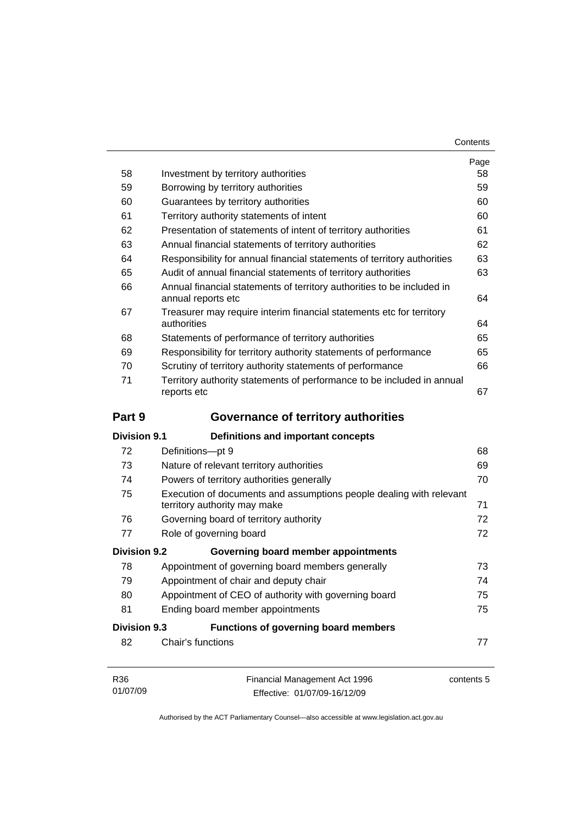| Contents |
|----------|
|----------|

|                     |                                                                                                           | Page<br>58 |  |  |
|---------------------|-----------------------------------------------------------------------------------------------------------|------------|--|--|
| 58                  | Investment by territory authorities                                                                       |            |  |  |
| 59                  | Borrowing by territory authorities                                                                        |            |  |  |
| 60                  | Guarantees by territory authorities                                                                       |            |  |  |
| 61                  | Territory authority statements of intent<br>Presentation of statements of intent of territory authorities |            |  |  |
| 62                  |                                                                                                           |            |  |  |
| 63                  | Annual financial statements of territory authorities                                                      |            |  |  |
| 64                  | Responsibility for annual financial statements of territory authorities                                   |            |  |  |
| 65                  | Audit of annual financial statements of territory authorities                                             |            |  |  |
| 66                  | Annual financial statements of territory authorities to be included in<br>annual reports etc              |            |  |  |
| 67                  | Treasurer may require interim financial statements etc for territory<br>authorities                       |            |  |  |
| 68                  | Statements of performance of territory authorities                                                        | 65         |  |  |
| 69                  | Responsibility for territory authority statements of performance                                          | 65         |  |  |
| 70                  | Scrutiny of territory authority statements of performance                                                 | 66         |  |  |
| 71                  | Territory authority statements of performance to be included in annual<br>reports etc                     | 67         |  |  |
| Part 9              | <b>Governance of territory authorities</b>                                                                |            |  |  |
| <b>Division 9.1</b> | Definitions and important concepts                                                                        |            |  |  |
| 72                  | Definitions-pt 9                                                                                          | 68         |  |  |
| 73                  | Nature of relevant territory authorities                                                                  | 69         |  |  |
| 74                  | Powers of territory authorities generally                                                                 |            |  |  |
| 75                  | Execution of documents and assumptions people dealing with relevant<br>territory authority may make       | 71         |  |  |
| 76                  | Governing board of territory authority                                                                    | 72         |  |  |
| 77                  | Role of governing board                                                                                   | 72         |  |  |
| <b>Division 9.2</b> | Governing board member appointments                                                                       |            |  |  |
| 78                  | Appointment of governing board members generally                                                          | 73         |  |  |
| 79                  | Appointment of chair and deputy chair                                                                     | 74         |  |  |
| 80                  | Appointment of CEO of authority with governing board                                                      | 75         |  |  |
| 81                  | Ending board member appointments                                                                          | 75         |  |  |
| <b>Division 9.3</b> | <b>Functions of governing board members</b>                                                               |            |  |  |
| 82                  | Chair's functions                                                                                         | 77         |  |  |
| R36<br>01/07/09     | Financial Management Act 1996<br>Fffective: 01/07/09-16/12/09                                             | contents 5 |  |  |

Authorised by the ACT Parliamentary Counsel—also accessible at www.legislation.act.gov.au

Effective: 01/07/09-16/12/09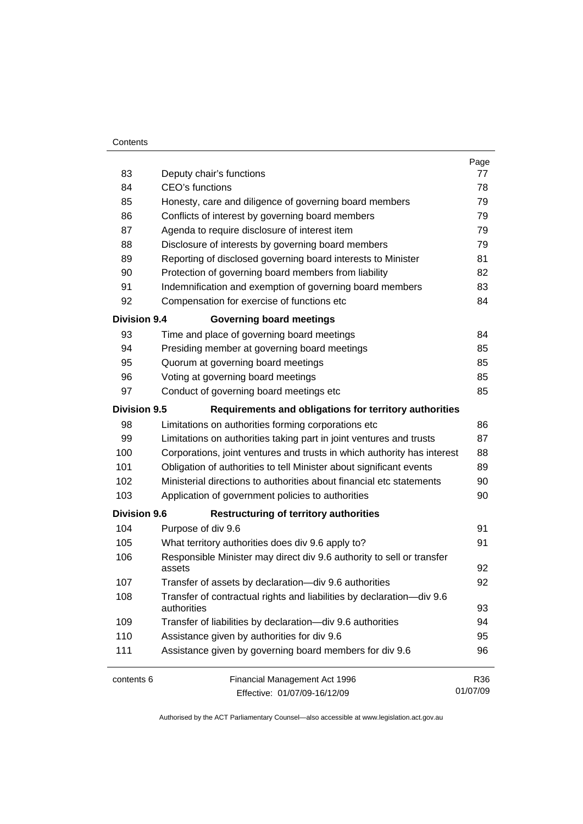#### **Contents**

| 83                  | Deputy chair's functions                                                             | Page<br>77 |  |  |
|---------------------|--------------------------------------------------------------------------------------|------------|--|--|
| 84                  | CEO's functions                                                                      |            |  |  |
| 85                  | Honesty, care and diligence of governing board members                               |            |  |  |
| 86                  | Conflicts of interest by governing board members                                     |            |  |  |
| 87                  | Agenda to require disclosure of interest item                                        |            |  |  |
| 88                  | Disclosure of interests by governing board members                                   |            |  |  |
| 89                  | Reporting of disclosed governing board interests to Minister                         |            |  |  |
| 90                  | Protection of governing board members from liability                                 |            |  |  |
| 91                  | Indemnification and exemption of governing board members                             |            |  |  |
| 92                  | Compensation for exercise of functions etc                                           |            |  |  |
| <b>Division 9.4</b> | <b>Governing board meetings</b>                                                      |            |  |  |
| 93                  | Time and place of governing board meetings                                           | 84         |  |  |
| 94                  | Presiding member at governing board meetings                                         | 85         |  |  |
| 95                  | Quorum at governing board meetings                                                   | 85         |  |  |
| 96                  | Voting at governing board meetings                                                   | 85         |  |  |
| 97                  | Conduct of governing board meetings etc                                              | 85         |  |  |
| <b>Division 9.5</b> | Requirements and obligations for territory authorities                               |            |  |  |
| 98                  | Limitations on authorities forming corporations etc                                  | 86         |  |  |
| 99                  | Limitations on authorities taking part in joint ventures and trusts                  | 87         |  |  |
| 100                 | Corporations, joint ventures and trusts in which authority has interest              |            |  |  |
| 101                 | Obligation of authorities to tell Minister about significant events                  |            |  |  |
| 102                 | Ministerial directions to authorities about financial etc statements                 |            |  |  |
| 103                 | Application of government policies to authorities                                    |            |  |  |
| <b>Division 9.6</b> | <b>Restructuring of territory authorities</b>                                        |            |  |  |
| 104                 | Purpose of div 9.6                                                                   | 91         |  |  |
| 105                 | What territory authorities does div 9.6 apply to?                                    |            |  |  |
| 106                 | Responsible Minister may direct div 9.6 authority to sell or transfer<br>assets      |            |  |  |
| 107                 | Transfer of assets by declaration-div 9.6 authorities                                | 92         |  |  |
| 108                 | Transfer of contractual rights and liabilities by declaration-div 9.6<br>authorities |            |  |  |
| 109                 | Transfer of liabilities by declaration-div 9.6 authorities                           |            |  |  |
| 110                 | Assistance given by authorities for div 9.6                                          |            |  |  |
| 111                 | Assistance given by governing board members for div 9.6                              |            |  |  |
| contents 6          | Financial Management Act 1996                                                        | R36        |  |  |
|                     | Effective: 01/07/09-16/12/09                                                         | 01/07/09   |  |  |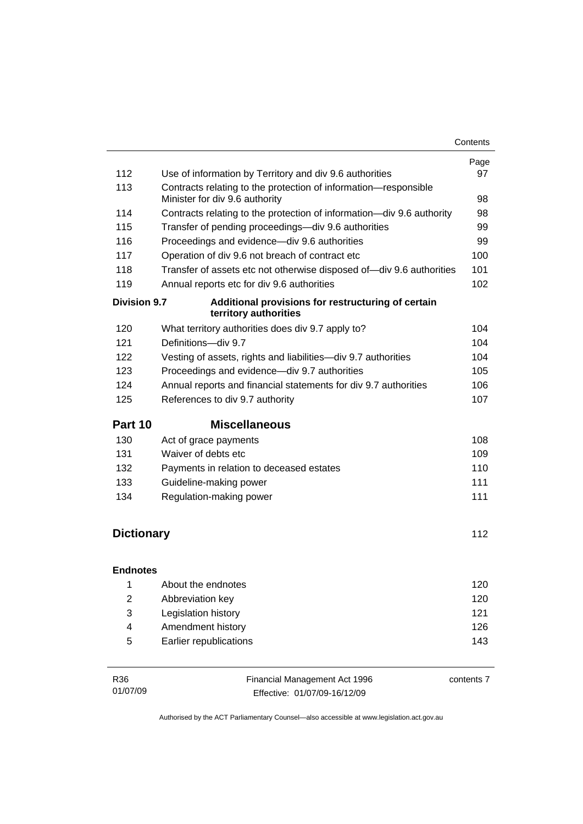|                                                                                                   | Page<br>97          |  |
|---------------------------------------------------------------------------------------------------|---------------------|--|
| Use of information by Territory and div 9.6 authorities                                           |                     |  |
| Contracts relating to the protection of information-responsible<br>Minister for div 9.6 authority |                     |  |
| Contracts relating to the protection of information-div 9.6 authority                             |                     |  |
| Transfer of pending proceedings—div 9.6 authorities                                               |                     |  |
| Proceedings and evidence-div 9.6 authorities                                                      |                     |  |
| Operation of div 9.6 not breach of contract etc                                                   |                     |  |
| Transfer of assets etc not otherwise disposed of-div 9.6 authorities                              | 101                 |  |
| Annual reports etc for div 9.6 authorities                                                        |                     |  |
| Additional provisions for restructuring of certain<br>territory authorities                       |                     |  |
| What territory authorities does div 9.7 apply to?                                                 | 104                 |  |
| Definitions-div 9.7                                                                               | 104                 |  |
| Vesting of assets, rights and liabilities-div 9.7 authorities                                     | 104                 |  |
| Proceedings and evidence-div 9.7 authorities                                                      | 105                 |  |
| Annual reports and financial statements for div 9.7 authorities                                   | 106                 |  |
| References to div 9.7 authority                                                                   | 107                 |  |
|                                                                                                   |                     |  |
| <b>Miscellaneous</b><br>Part 10                                                                   |                     |  |
| Act of grace payments                                                                             | 108                 |  |
| Waiver of debts etc                                                                               | 109                 |  |
| Payments in relation to deceased estates                                                          | 110                 |  |
| Guideline-making power                                                                            | 111                 |  |
| Regulation-making power                                                                           | 111                 |  |
|                                                                                                   |                     |  |
| <b>Dictionary</b>                                                                                 | 112                 |  |
| <b>Endnotes</b>                                                                                   |                     |  |
| About the endnotes                                                                                | 120                 |  |
| Abbreviation key                                                                                  | 120                 |  |
| Legislation history                                                                               | 121                 |  |
| Amendment history                                                                                 | 126                 |  |
|                                                                                                   | <b>Division 9.7</b> |  |

| R <sub>36</sub> | Financial Management Act 1996 | contents 7 |
|-----------------|-------------------------------|------------|
| 01/07/09        | Effective: 01/07/09-16/12/09  |            |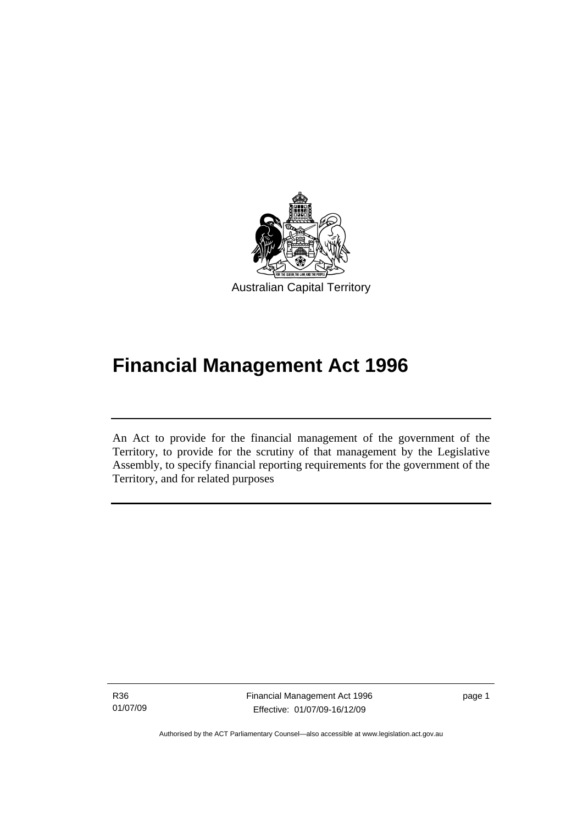<span id="page-10-0"></span>

# **Financial Management Act 1996**

An Act to provide for the financial management of the government of the Territory, to provide for the scrutiny of that management by the Legislative Assembly, to specify financial reporting requirements for the government of the Territory, and for related purposes

R36 01/07/09

I

Financial Management Act 1996 Effective: 01/07/09-16/12/09

page 1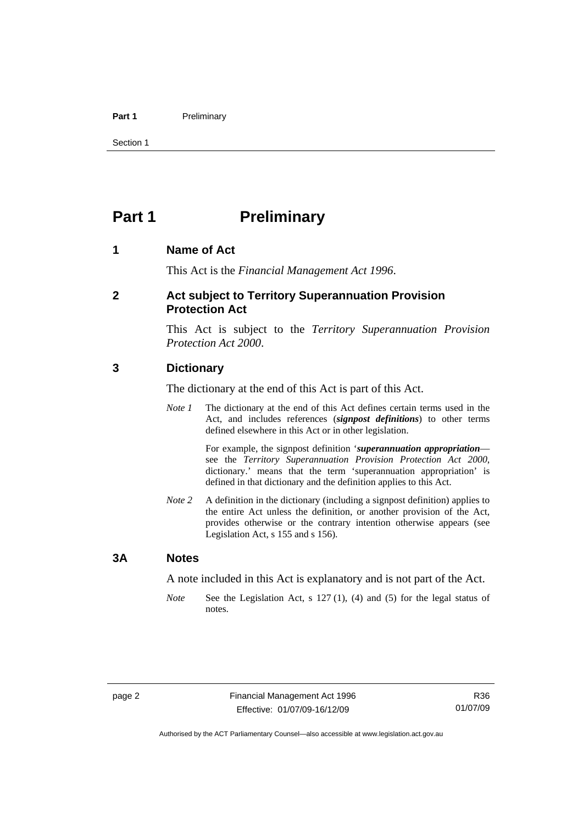#### <span id="page-11-0"></span>Part 1 **Preliminary**

Section 1

# **Part 1** Preliminary

#### **1 Name of Act**

This Act is the *Financial Management Act 1996*.

#### **2 Act subject to Territory Superannuation Provision Protection Act**

This Act is subject to the *Territory Superannuation Provision Protection Act 2000*.

#### **3 Dictionary**

The dictionary at the end of this Act is part of this Act.

*Note 1* The dictionary at the end of this Act defines certain terms used in the Act, and includes references (*signpost definitions*) to other terms defined elsewhere in this Act or in other legislation.

> For example, the signpost definition '*superannuation appropriation* see the *Territory Superannuation Provision Protection Act 2000*, dictionary.' means that the term 'superannuation appropriation' is defined in that dictionary and the definition applies to this Act.

*Note 2* A definition in the dictionary (including a signpost definition) applies to the entire Act unless the definition, or another provision of the Act, provides otherwise or the contrary intention otherwise appears (see Legislation Act, s 155 and s 156).

#### **3A Notes**

A note included in this Act is explanatory and is not part of the Act.

*Note* See the Legislation Act, s 127 (1), (4) and (5) for the legal status of notes.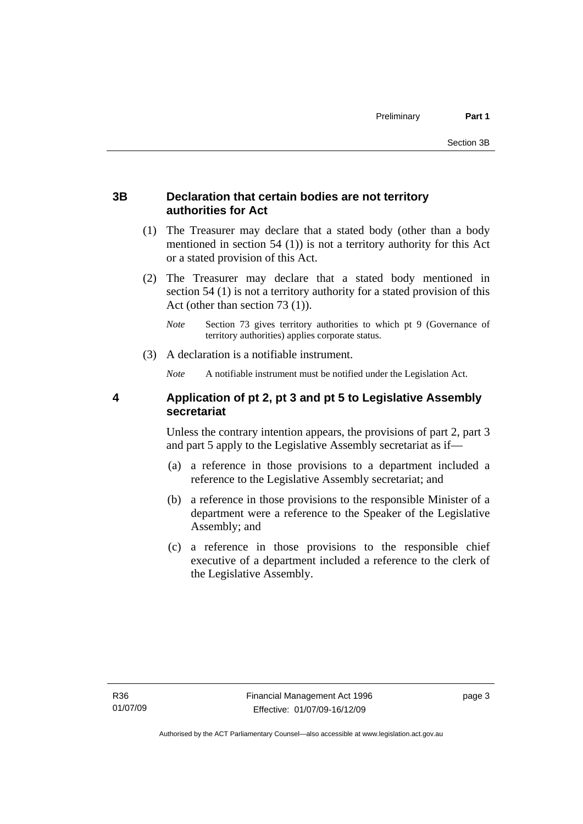#### <span id="page-12-0"></span>**3B Declaration that certain bodies are not territory authorities for Act**

- (1) The Treasurer may declare that a stated body (other than a body mentioned in section 54 (1)) is not a territory authority for this Act or a stated provision of this Act.
- (2) The Treasurer may declare that a stated body mentioned in section 54 (1) is not a territory authority for a stated provision of this Act (other than section 73 (1)).
	- *Note* Section 73 gives territory authorities to which pt 9 (Governance of territory authorities) applies corporate status.
- (3) A declaration is a notifiable instrument.

*Note* A notifiable instrument must be notified under the Legislation Act.

#### **4 Application of pt 2, pt 3 and pt 5 to Legislative Assembly secretariat**

Unless the contrary intention appears, the provisions of part 2, part 3 and part 5 apply to the Legislative Assembly secretariat as if—

- (a) a reference in those provisions to a department included a reference to the Legislative Assembly secretariat; and
- (b) a reference in those provisions to the responsible Minister of a department were a reference to the Speaker of the Legislative Assembly; and
- (c) a reference in those provisions to the responsible chief executive of a department included a reference to the clerk of the Legislative Assembly.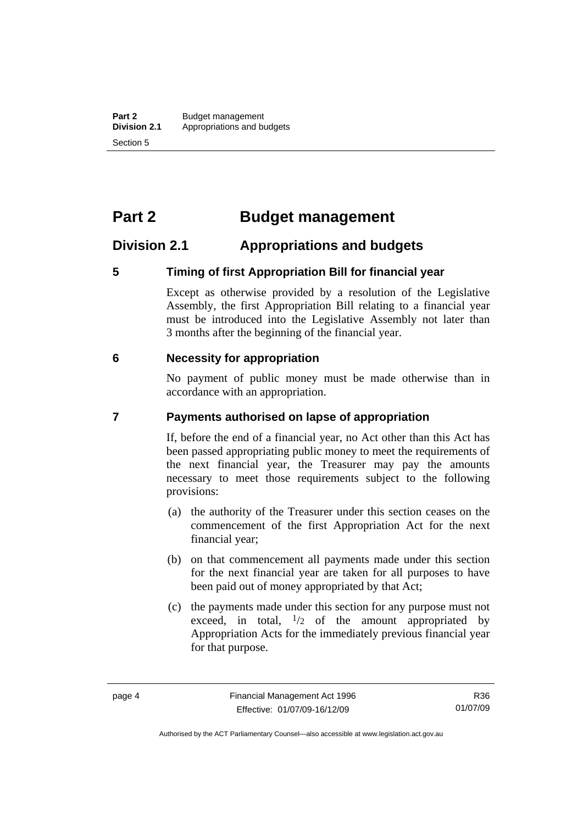# <span id="page-13-0"></span>**Part 2 Budget management**

# **Division 2.1 Appropriations and budgets**

#### **5 Timing of first Appropriation Bill for financial year**

Except as otherwise provided by a resolution of the Legislative Assembly, the first Appropriation Bill relating to a financial year must be introduced into the Legislative Assembly not later than 3 months after the beginning of the financial year.

#### **6 Necessity for appropriation**

No payment of public money must be made otherwise than in accordance with an appropriation.

#### **7 Payments authorised on lapse of appropriation**

If, before the end of a financial year, no Act other than this Act has been passed appropriating public money to meet the requirements of the next financial year, the Treasurer may pay the amounts necessary to meet those requirements subject to the following provisions:

- (a) the authority of the Treasurer under this section ceases on the commencement of the first Appropriation Act for the next financial year;
- (b) on that commencement all payments made under this section for the next financial year are taken for all purposes to have been paid out of money appropriated by that Act;
- (c) the payments made under this section for any purpose must not exceed, in total,  $\frac{1}{2}$  of the amount appropriated by Appropriation Acts for the immediately previous financial year for that purpose.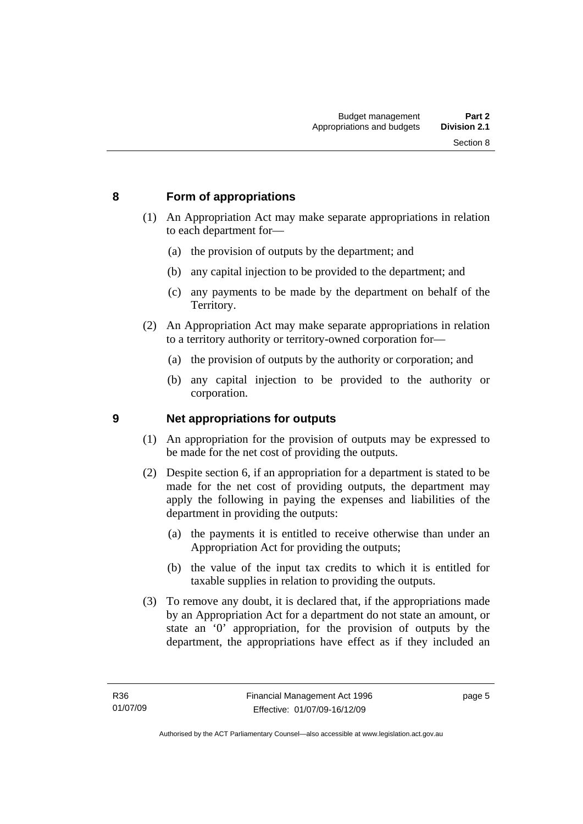#### <span id="page-14-0"></span>**8 Form of appropriations**

- (1) An Appropriation Act may make separate appropriations in relation to each department for—
	- (a) the provision of outputs by the department; and
	- (b) any capital injection to be provided to the department; and
	- (c) any payments to be made by the department on behalf of the Territory.
- (2) An Appropriation Act may make separate appropriations in relation to a territory authority or territory-owned corporation for—
	- (a) the provision of outputs by the authority or corporation; and
	- (b) any capital injection to be provided to the authority or corporation.

#### **9 Net appropriations for outputs**

- (1) An appropriation for the provision of outputs may be expressed to be made for the net cost of providing the outputs.
- (2) Despite section 6, if an appropriation for a department is stated to be made for the net cost of providing outputs, the department may apply the following in paying the expenses and liabilities of the department in providing the outputs:
	- (a) the payments it is entitled to receive otherwise than under an Appropriation Act for providing the outputs;
	- (b) the value of the input tax credits to which it is entitled for taxable supplies in relation to providing the outputs.
- (3) To remove any doubt, it is declared that, if the appropriations made by an Appropriation Act for a department do not state an amount, or state an '0' appropriation, for the provision of outputs by the department, the appropriations have effect as if they included an

page 5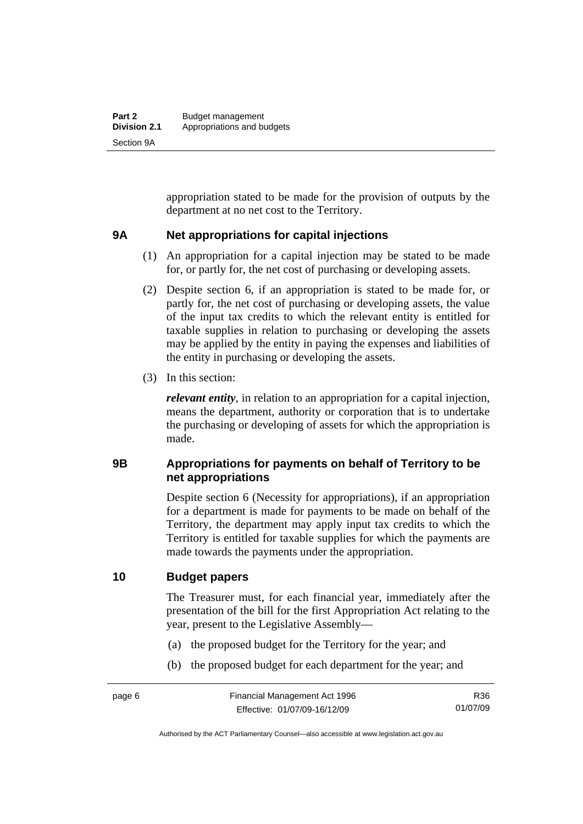<span id="page-15-0"></span>appropriation stated to be made for the provision of outputs by the department at no net cost to the Territory.

#### **9A Net appropriations for capital injections**

- (1) An appropriation for a capital injection may be stated to be made for, or partly for, the net cost of purchasing or developing assets.
- (2) Despite section 6, if an appropriation is stated to be made for, or partly for, the net cost of purchasing or developing assets, the value of the input tax credits to which the relevant entity is entitled for taxable supplies in relation to purchasing or developing the assets may be applied by the entity in paying the expenses and liabilities of the entity in purchasing or developing the assets.
- (3) In this section:

*relevant entity*, in relation to an appropriation for a capital injection, means the department, authority or corporation that is to undertake the purchasing or developing of assets for which the appropriation is made.

#### **9B Appropriations for payments on behalf of Territory to be net appropriations**

Despite section 6 (Necessity for appropriations), if an appropriation for a department is made for payments to be made on behalf of the Territory, the department may apply input tax credits to which the Territory is entitled for taxable supplies for which the payments are made towards the payments under the appropriation.

#### **10 Budget papers**

The Treasurer must, for each financial year, immediately after the presentation of the bill for the first Appropriation Act relating to the year, present to the Legislative Assembly—

- (a) the proposed budget for the Territory for the year; and
- (b) the proposed budget for each department for the year; and

Authorised by the ACT Parliamentary Counsel—also accessible at www.legislation.act.gov.au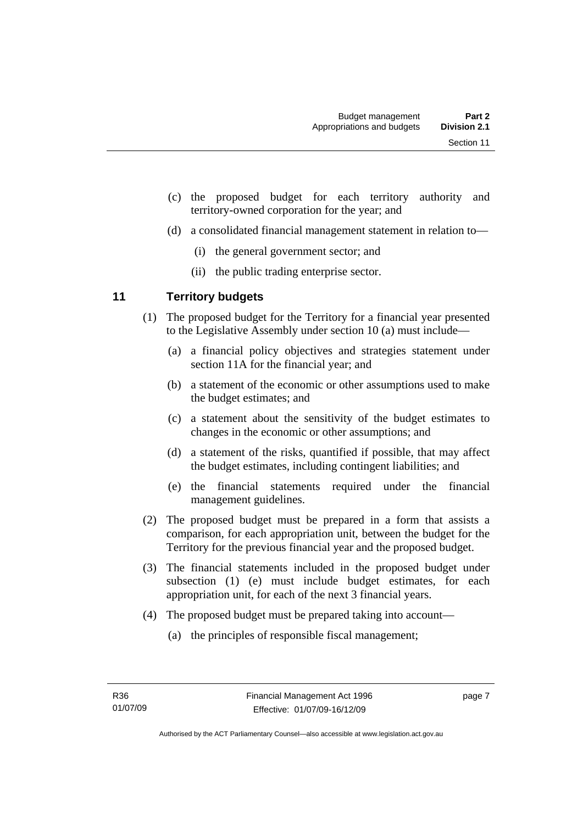- <span id="page-16-0"></span> (c) the proposed budget for each territory authority and territory-owned corporation for the year; and
- (d) a consolidated financial management statement in relation to—
	- (i) the general government sector; and
	- (ii) the public trading enterprise sector.

### **11 Territory budgets**

- (1) The proposed budget for the Territory for a financial year presented to the Legislative Assembly under section 10 (a) must include—
	- (a) a financial policy objectives and strategies statement under section 11A for the financial year; and
	- (b) a statement of the economic or other assumptions used to make the budget estimates; and
	- (c) a statement about the sensitivity of the budget estimates to changes in the economic or other assumptions; and
	- (d) a statement of the risks, quantified if possible, that may affect the budget estimates, including contingent liabilities; and
	- (e) the financial statements required under the financial management guidelines.
- (2) The proposed budget must be prepared in a form that assists a comparison, for each appropriation unit, between the budget for the Territory for the previous financial year and the proposed budget.
- (3) The financial statements included in the proposed budget under subsection (1) (e) must include budget estimates, for each appropriation unit, for each of the next 3 financial years.
- (4) The proposed budget must be prepared taking into account—
	- (a) the principles of responsible fiscal management;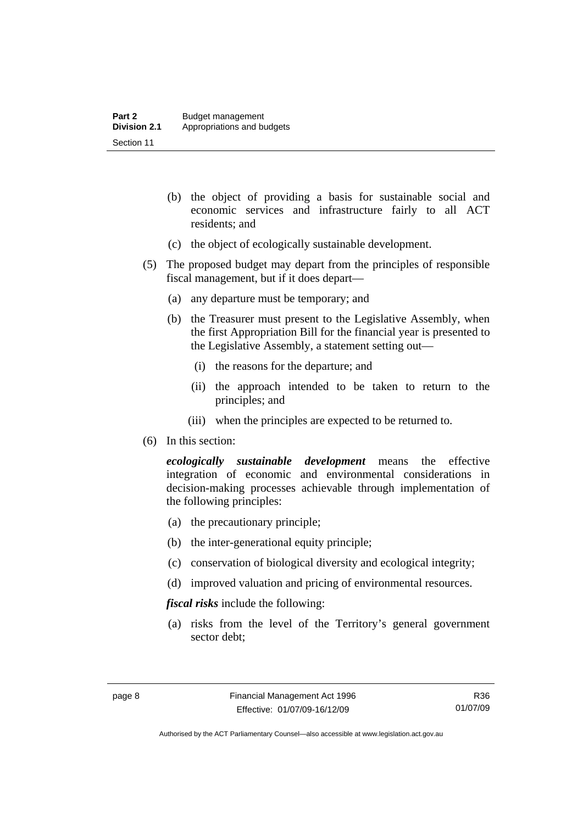- (b) the object of providing a basis for sustainable social and economic services and infrastructure fairly to all ACT residents; and
- (c) the object of ecologically sustainable development.
- (5) The proposed budget may depart from the principles of responsible fiscal management, but if it does depart—
	- (a) any departure must be temporary; and
	- (b) the Treasurer must present to the Legislative Assembly, when the first Appropriation Bill for the financial year is presented to the Legislative Assembly, a statement setting out—
		- (i) the reasons for the departure; and
		- (ii) the approach intended to be taken to return to the principles; and
		- (iii) when the principles are expected to be returned to.
- (6) In this section:

*ecologically sustainable development* means the effective integration of economic and environmental considerations in decision-making processes achievable through implementation of the following principles:

- (a) the precautionary principle;
- (b) the inter-generational equity principle;
- (c) conservation of biological diversity and ecological integrity;
- (d) improved valuation and pricing of environmental resources.

*fiscal risks* include the following:

 (a) risks from the level of the Territory's general government sector debt;

R36 01/07/09

Authorised by the ACT Parliamentary Counsel—also accessible at www.legislation.act.gov.au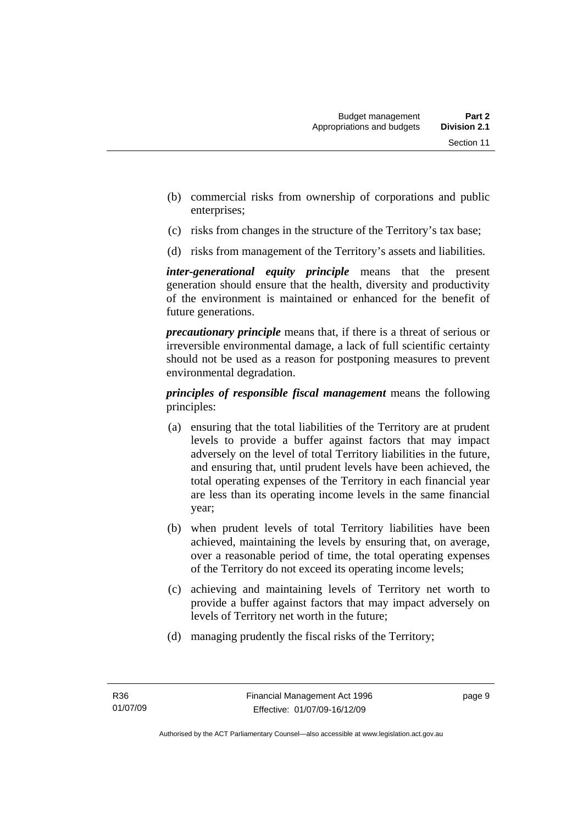- (b) commercial risks from ownership of corporations and public enterprises;
- (c) risks from changes in the structure of the Territory's tax base;
- (d) risks from management of the Territory's assets and liabilities.

*inter-generational equity principle* means that the present generation should ensure that the health, diversity and productivity of the environment is maintained or enhanced for the benefit of future generations.

*precautionary principle* means that, if there is a threat of serious or irreversible environmental damage, a lack of full scientific certainty should not be used as a reason for postponing measures to prevent environmental degradation.

*principles of responsible fiscal management* means the following principles:

- (a) ensuring that the total liabilities of the Territory are at prudent levels to provide a buffer against factors that may impact adversely on the level of total Territory liabilities in the future, and ensuring that, until prudent levels have been achieved, the total operating expenses of the Territory in each financial year are less than its operating income levels in the same financial year;
- (b) when prudent levels of total Territory liabilities have been achieved, maintaining the levels by ensuring that, on average, over a reasonable period of time, the total operating expenses of the Territory do not exceed its operating income levels;
- (c) achieving and maintaining levels of Territory net worth to provide a buffer against factors that may impact adversely on levels of Territory net worth in the future;
- (d) managing prudently the fiscal risks of the Territory;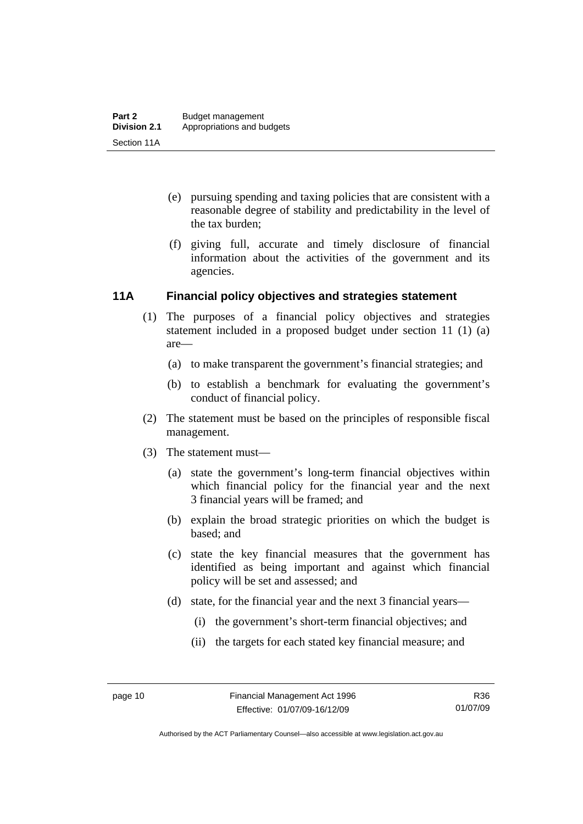- <span id="page-19-0"></span> (e) pursuing spending and taxing policies that are consistent with a reasonable degree of stability and predictability in the level of the tax burden;
- (f) giving full, accurate and timely disclosure of financial information about the activities of the government and its agencies.

#### **11A Financial policy objectives and strategies statement**

- (1) The purposes of a financial policy objectives and strategies statement included in a proposed budget under section 11 (1) (a) are—
	- (a) to make transparent the government's financial strategies; and
	- (b) to establish a benchmark for evaluating the government's conduct of financial policy.
- (2) The statement must be based on the principles of responsible fiscal management.
- (3) The statement must—
	- (a) state the government's long-term financial objectives within which financial policy for the financial year and the next 3 financial years will be framed; and
	- (b) explain the broad strategic priorities on which the budget is based; and
	- (c) state the key financial measures that the government has identified as being important and against which financial policy will be set and assessed; and
	- (d) state, for the financial year and the next 3 financial years—
		- (i) the government's short-term financial objectives; and
		- (ii) the targets for each stated key financial measure; and

R36 01/07/09

Authorised by the ACT Parliamentary Counsel—also accessible at www.legislation.act.gov.au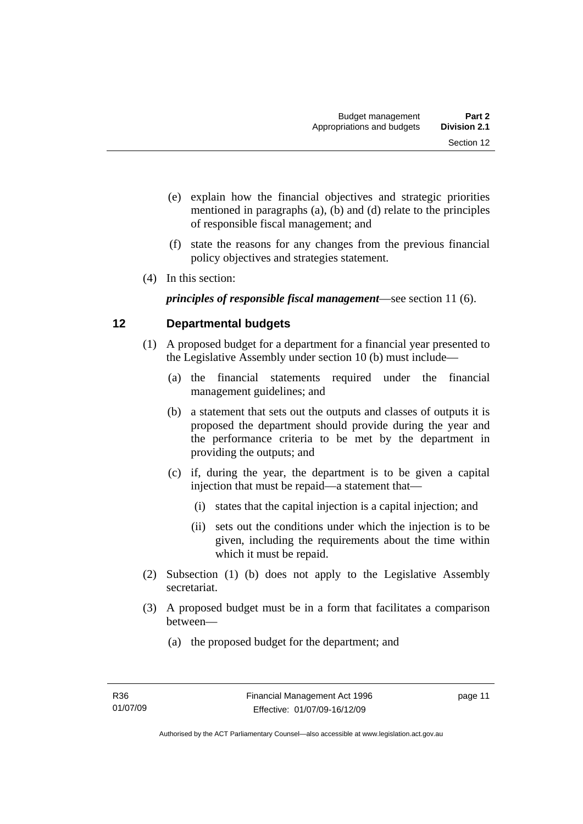- <span id="page-20-0"></span> (e) explain how the financial objectives and strategic priorities mentioned in paragraphs (a), (b) and (d) relate to the principles of responsible fiscal management; and
- (f) state the reasons for any changes from the previous financial policy objectives and strategies statement.
- (4) In this section:

*principles of responsible fiscal management*—see section 11 (6).

# **12 Departmental budgets**

- (1) A proposed budget for a department for a financial year presented to the Legislative Assembly under section 10 (b) must include—
	- (a) the financial statements required under the financial management guidelines; and
	- (b) a statement that sets out the outputs and classes of outputs it is proposed the department should provide during the year and the performance criteria to be met by the department in providing the outputs; and
	- (c) if, during the year, the department is to be given a capital injection that must be repaid—a statement that—
		- (i) states that the capital injection is a capital injection; and
		- (ii) sets out the conditions under which the injection is to be given, including the requirements about the time within which it must be repaid.
- (2) Subsection (1) (b) does not apply to the Legislative Assembly secretariat.
- (3) A proposed budget must be in a form that facilitates a comparison between—
	- (a) the proposed budget for the department; and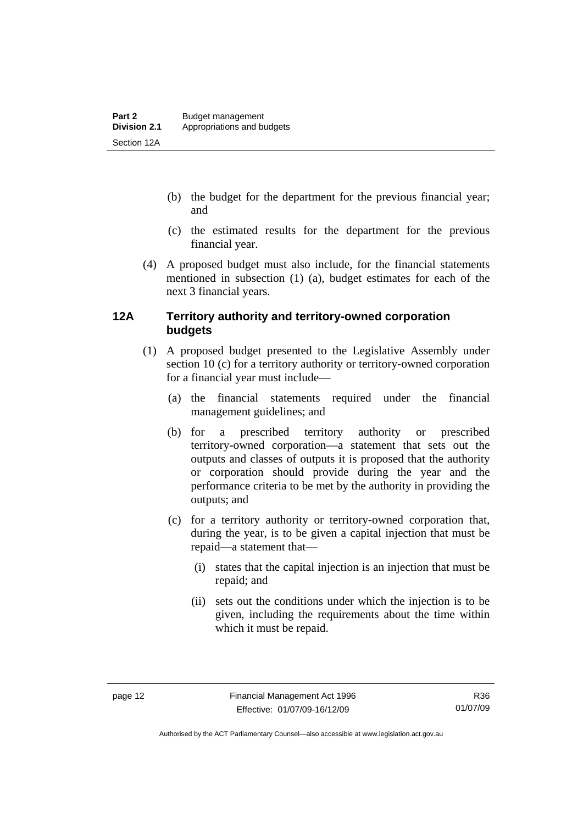- <span id="page-21-0"></span> (b) the budget for the department for the previous financial year; and
- (c) the estimated results for the department for the previous financial year.
- (4) A proposed budget must also include, for the financial statements mentioned in subsection (1) (a), budget estimates for each of the next 3 financial years.

#### **12A Territory authority and territory-owned corporation budgets**

- (1) A proposed budget presented to the Legislative Assembly under section 10 (c) for a territory authority or territory-owned corporation for a financial year must include—
	- (a) the financial statements required under the financial management guidelines; and
	- (b) for a prescribed territory authority or prescribed territory-owned corporation—a statement that sets out the outputs and classes of outputs it is proposed that the authority or corporation should provide during the year and the performance criteria to be met by the authority in providing the outputs; and
	- (c) for a territory authority or territory-owned corporation that, during the year, is to be given a capital injection that must be repaid—a statement that—
		- (i) states that the capital injection is an injection that must be repaid; and
		- (ii) sets out the conditions under which the injection is to be given, including the requirements about the time within which it must be repaid.

Authorised by the ACT Parliamentary Counsel—also accessible at www.legislation.act.gov.au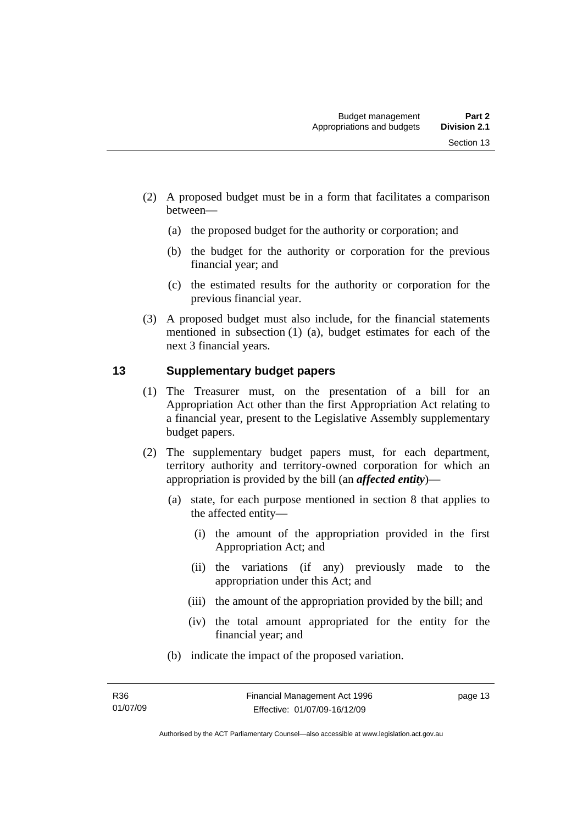- <span id="page-22-0"></span> (2) A proposed budget must be in a form that facilitates a comparison between—
	- (a) the proposed budget for the authority or corporation; and
	- (b) the budget for the authority or corporation for the previous financial year; and
	- (c) the estimated results for the authority or corporation for the previous financial year.
- (3) A proposed budget must also include, for the financial statements mentioned in subsection (1) (a), budget estimates for each of the next 3 financial years.

#### **13 Supplementary budget papers**

- (1) The Treasurer must, on the presentation of a bill for an Appropriation Act other than the first Appropriation Act relating to a financial year, present to the Legislative Assembly supplementary budget papers.
- (2) The supplementary budget papers must, for each department, territory authority and territory-owned corporation for which an appropriation is provided by the bill (an *affected entity*)—
	- (a) state, for each purpose mentioned in section 8 that applies to the affected entity—
		- (i) the amount of the appropriation provided in the first Appropriation Act; and
		- (ii) the variations (if any) previously made to the appropriation under this Act; and
		- (iii) the amount of the appropriation provided by the bill; and
		- (iv) the total amount appropriated for the entity for the financial year; and
	- (b) indicate the impact of the proposed variation.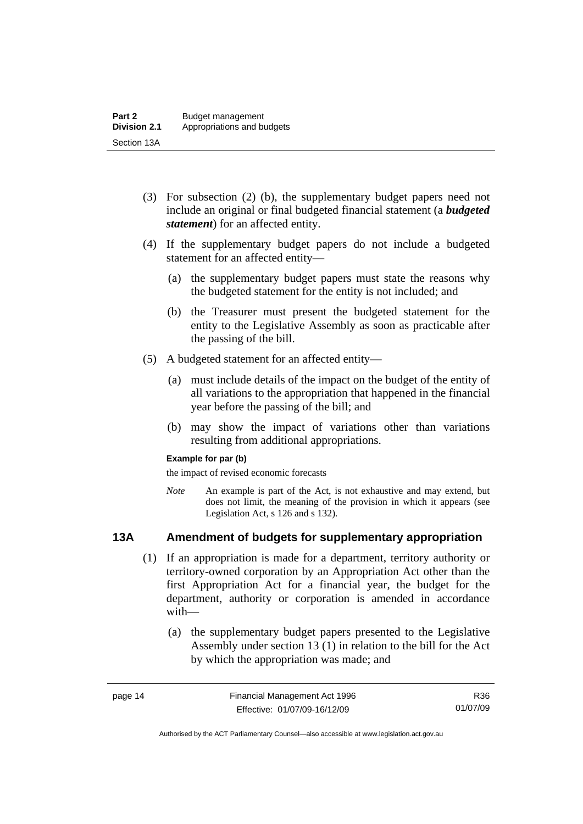- <span id="page-23-0"></span> (3) For subsection (2) (b), the supplementary budget papers need not include an original or final budgeted financial statement (a *budgeted statement*) for an affected entity.
- (4) If the supplementary budget papers do not include a budgeted statement for an affected entity—
	- (a) the supplementary budget papers must state the reasons why the budgeted statement for the entity is not included; and
	- (b) the Treasurer must present the budgeted statement for the entity to the Legislative Assembly as soon as practicable after the passing of the bill.
- (5) A budgeted statement for an affected entity—
	- (a) must include details of the impact on the budget of the entity of all variations to the appropriation that happened in the financial year before the passing of the bill; and
	- (b) may show the impact of variations other than variations resulting from additional appropriations.

#### **Example for par (b)**

the impact of revised economic forecasts

*Note* An example is part of the Act, is not exhaustive and may extend, but does not limit, the meaning of the provision in which it appears (see Legislation Act, s 126 and s 132).

#### **13A Amendment of budgets for supplementary appropriation**

- (1) If an appropriation is made for a department, territory authority or territory-owned corporation by an Appropriation Act other than the first Appropriation Act for a financial year, the budget for the department, authority or corporation is amended in accordance with—
	- (a) the supplementary budget papers presented to the Legislative Assembly under section 13 (1) in relation to the bill for the Act by which the appropriation was made; and

R36 01/07/09

Authorised by the ACT Parliamentary Counsel—also accessible at www.legislation.act.gov.au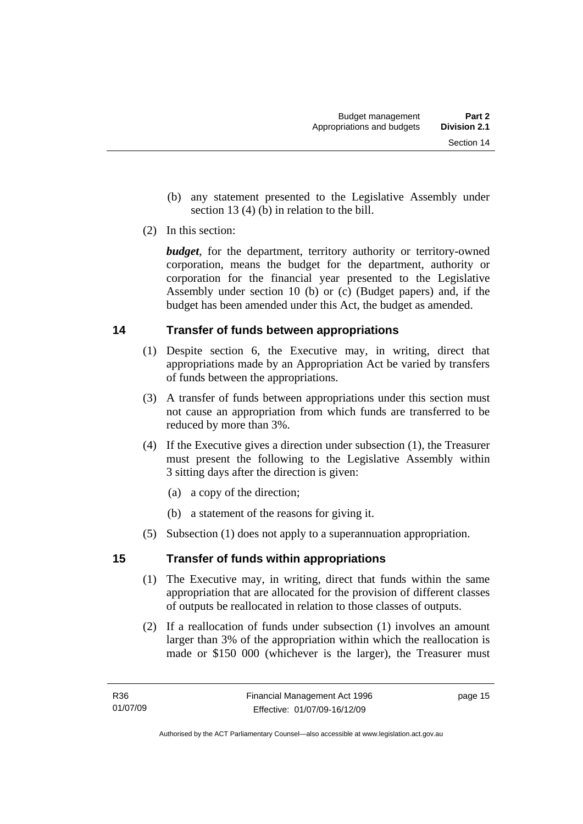- <span id="page-24-0"></span> (b) any statement presented to the Legislative Assembly under section 13 (4) (b) in relation to the bill.
- (2) In this section:

*budget*, for the department, territory authority or territory-owned corporation, means the budget for the department, authority or corporation for the financial year presented to the Legislative Assembly under section 10 (b) or (c) (Budget papers) and, if the budget has been amended under this Act, the budget as amended.

### **14 Transfer of funds between appropriations**

- (1) Despite section 6, the Executive may, in writing, direct that appropriations made by an Appropriation Act be varied by transfers of funds between the appropriations.
- (3) A transfer of funds between appropriations under this section must not cause an appropriation from which funds are transferred to be reduced by more than 3%.
- (4) If the Executive gives a direction under subsection (1), the Treasurer must present the following to the Legislative Assembly within 3 sitting days after the direction is given:
	- (a) a copy of the direction;
	- (b) a statement of the reasons for giving it.
- (5) Subsection (1) does not apply to a superannuation appropriation.

### **15 Transfer of funds within appropriations**

- (1) The Executive may, in writing, direct that funds within the same appropriation that are allocated for the provision of different classes of outputs be reallocated in relation to those classes of outputs.
- (2) If a reallocation of funds under subsection (1) involves an amount larger than 3% of the appropriation within which the reallocation is made or \$150 000 (whichever is the larger), the Treasurer must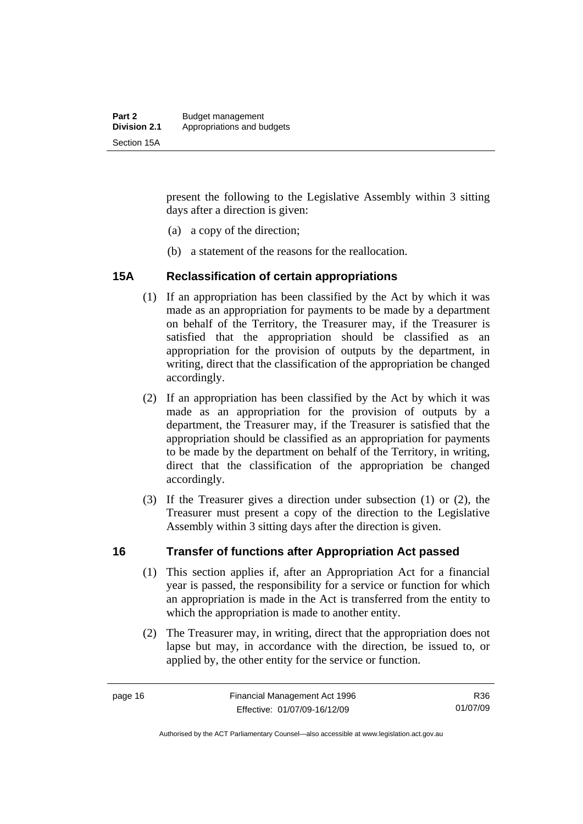<span id="page-25-0"></span>present the following to the Legislative Assembly within 3 sitting days after a direction is given:

- (a) a copy of the direction;
- (b) a statement of the reasons for the reallocation.

#### **15A Reclassification of certain appropriations**

- (1) If an appropriation has been classified by the Act by which it was made as an appropriation for payments to be made by a department on behalf of the Territory, the Treasurer may, if the Treasurer is satisfied that the appropriation should be classified as an appropriation for the provision of outputs by the department, in writing, direct that the classification of the appropriation be changed accordingly.
- (2) If an appropriation has been classified by the Act by which it was made as an appropriation for the provision of outputs by a department, the Treasurer may, if the Treasurer is satisfied that the appropriation should be classified as an appropriation for payments to be made by the department on behalf of the Territory, in writing, direct that the classification of the appropriation be changed accordingly.
- (3) If the Treasurer gives a direction under subsection (1) or (2), the Treasurer must present a copy of the direction to the Legislative Assembly within 3 sitting days after the direction is given.

#### **16 Transfer of functions after Appropriation Act passed**

- (1) This section applies if, after an Appropriation Act for a financial year is passed, the responsibility for a service or function for which an appropriation is made in the Act is transferred from the entity to which the appropriation is made to another entity.
- (2) The Treasurer may, in writing, direct that the appropriation does not lapse but may, in accordance with the direction, be issued to, or applied by, the other entity for the service or function.

Authorised by the ACT Parliamentary Counsel—also accessible at www.legislation.act.gov.au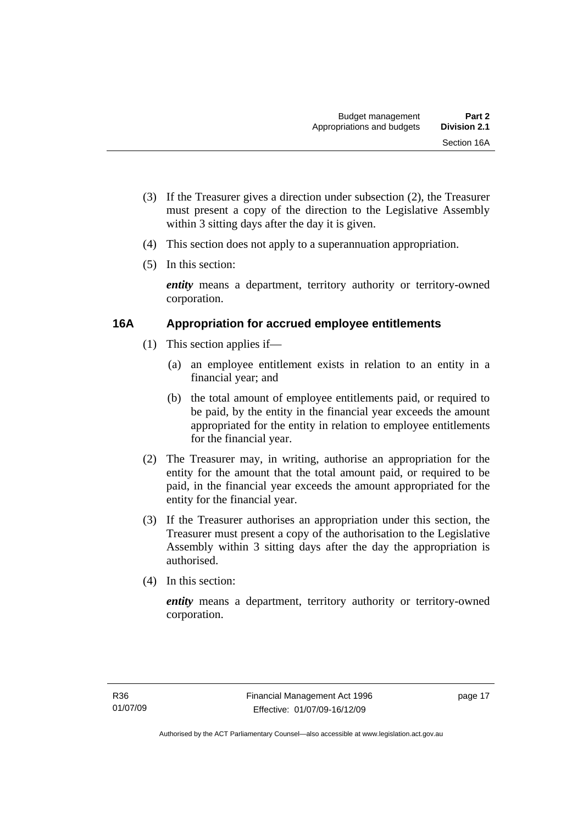- <span id="page-26-0"></span> (3) If the Treasurer gives a direction under subsection (2), the Treasurer must present a copy of the direction to the Legislative Assembly within 3 sitting days after the day it is given.
- (4) This section does not apply to a superannuation appropriation.
- (5) In this section:

*entity* means a department, territory authority or territory-owned corporation.

#### **16A Appropriation for accrued employee entitlements**

- (1) This section applies if—
	- (a) an employee entitlement exists in relation to an entity in a financial year; and
	- (b) the total amount of employee entitlements paid, or required to be paid, by the entity in the financial year exceeds the amount appropriated for the entity in relation to employee entitlements for the financial year.
- (2) The Treasurer may, in writing, authorise an appropriation for the entity for the amount that the total amount paid, or required to be paid, in the financial year exceeds the amount appropriated for the entity for the financial year.
- (3) If the Treasurer authorises an appropriation under this section, the Treasurer must present a copy of the authorisation to the Legislative Assembly within 3 sitting days after the day the appropriation is authorised.
- (4) In this section:

*entity* means a department, territory authority or territory-owned corporation.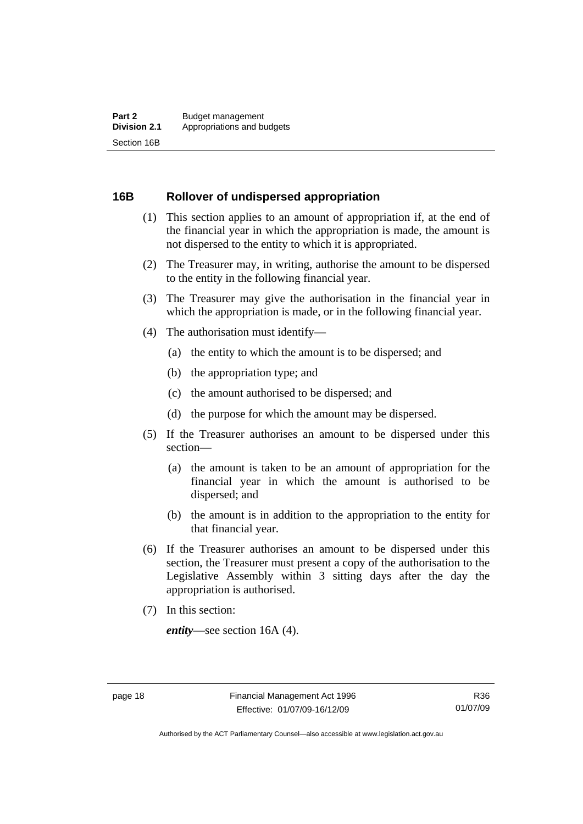#### <span id="page-27-0"></span>**16B Rollover of undispersed appropriation**

- (1) This section applies to an amount of appropriation if, at the end of the financial year in which the appropriation is made, the amount is not dispersed to the entity to which it is appropriated.
- (2) The Treasurer may, in writing, authorise the amount to be dispersed to the entity in the following financial year.
- (3) The Treasurer may give the authorisation in the financial year in which the appropriation is made, or in the following financial year.
- (4) The authorisation must identify—
	- (a) the entity to which the amount is to be dispersed; and
	- (b) the appropriation type; and
	- (c) the amount authorised to be dispersed; and
	- (d) the purpose for which the amount may be dispersed.
- (5) If the Treasurer authorises an amount to be dispersed under this section—
	- (a) the amount is taken to be an amount of appropriation for the financial year in which the amount is authorised to be dispersed; and
	- (b) the amount is in addition to the appropriation to the entity for that financial year.
- (6) If the Treasurer authorises an amount to be dispersed under this section, the Treasurer must present a copy of the authorisation to the Legislative Assembly within 3 sitting days after the day the appropriation is authorised.
- (7) In this section:

*entity*—see section 16A (4).

Authorised by the ACT Parliamentary Counsel—also accessible at www.legislation.act.gov.au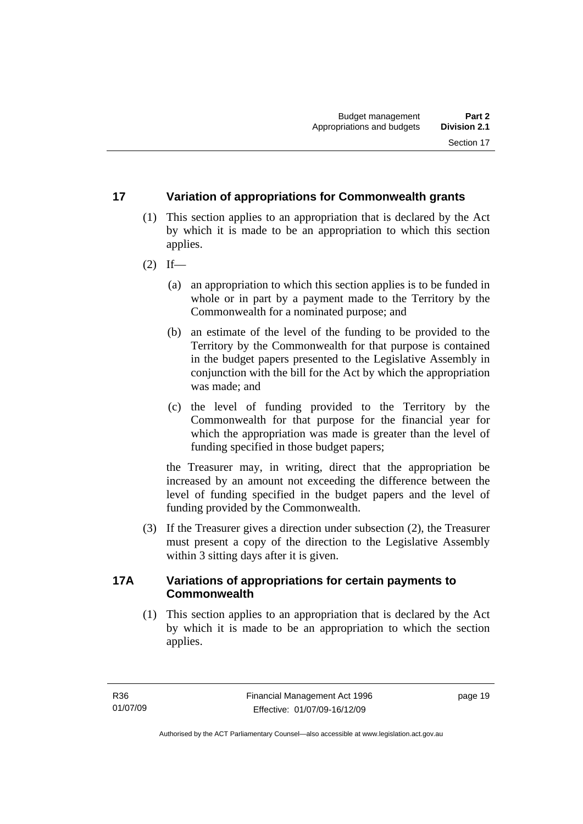#### <span id="page-28-0"></span>**17 Variation of appropriations for Commonwealth grants**

- (1) This section applies to an appropriation that is declared by the Act by which it is made to be an appropriation to which this section applies.
- $(2)$  If—
	- (a) an appropriation to which this section applies is to be funded in whole or in part by a payment made to the Territory by the Commonwealth for a nominated purpose; and
	- (b) an estimate of the level of the funding to be provided to the Territory by the Commonwealth for that purpose is contained in the budget papers presented to the Legislative Assembly in conjunction with the bill for the Act by which the appropriation was made; and
	- (c) the level of funding provided to the Territory by the Commonwealth for that purpose for the financial year for which the appropriation was made is greater than the level of funding specified in those budget papers;

the Treasurer may, in writing, direct that the appropriation be increased by an amount not exceeding the difference between the level of funding specified in the budget papers and the level of funding provided by the Commonwealth.

 (3) If the Treasurer gives a direction under subsection (2), the Treasurer must present a copy of the direction to the Legislative Assembly within 3 sitting days after it is given.

#### **17A Variations of appropriations for certain payments to Commonwealth**

 (1) This section applies to an appropriation that is declared by the Act by which it is made to be an appropriation to which the section applies.

page 19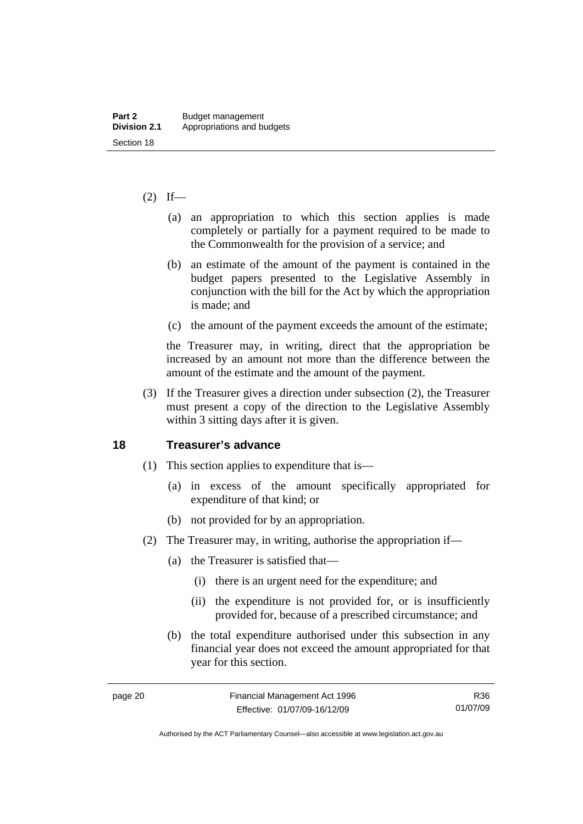#### <span id="page-29-0"></span> $(2)$  If—

- (a) an appropriation to which this section applies is made completely or partially for a payment required to be made to the Commonwealth for the provision of a service; and
- (b) an estimate of the amount of the payment is contained in the budget papers presented to the Legislative Assembly in conjunction with the bill for the Act by which the appropriation is made; and
- (c) the amount of the payment exceeds the amount of the estimate;

the Treasurer may, in writing, direct that the appropriation be increased by an amount not more than the difference between the amount of the estimate and the amount of the payment.

 (3) If the Treasurer gives a direction under subsection (2), the Treasurer must present a copy of the direction to the Legislative Assembly within 3 sitting days after it is given.

#### **18 Treasurer's advance**

- (1) This section applies to expenditure that is—
	- (a) in excess of the amount specifically appropriated for expenditure of that kind; or
	- (b) not provided for by an appropriation.
- (2) The Treasurer may, in writing, authorise the appropriation if—
	- (a) the Treasurer is satisfied that—
		- (i) there is an urgent need for the expenditure; and
		- (ii) the expenditure is not provided for, or is insufficiently provided for, because of a prescribed circumstance; and
	- (b) the total expenditure authorised under this subsection in any financial year does not exceed the amount appropriated for that year for this section.

R36 01/07/09

Authorised by the ACT Parliamentary Counsel—also accessible at www.legislation.act.gov.au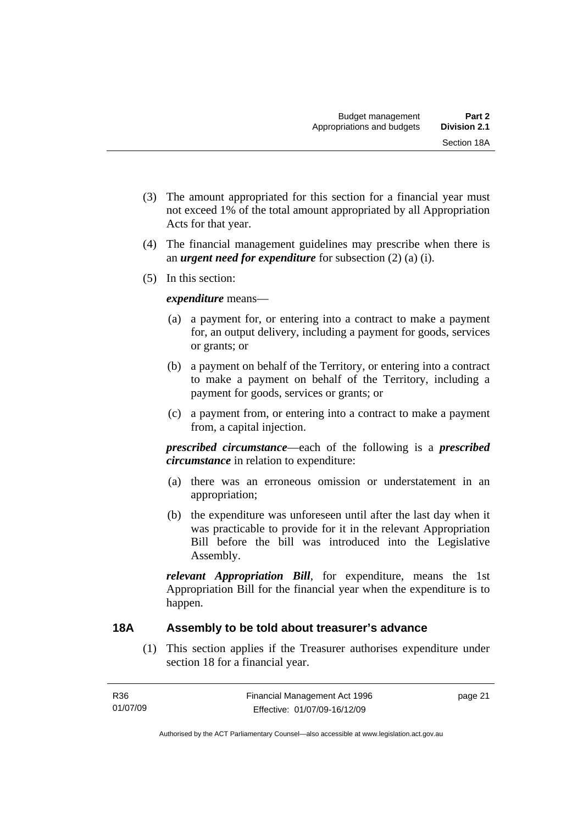- <span id="page-30-0"></span> (3) The amount appropriated for this section for a financial year must not exceed 1% of the total amount appropriated by all Appropriation Acts for that year.
- (4) The financial management guidelines may prescribe when there is an *urgent need for expenditure* for subsection (2) (a) (i).
- (5) In this section:

#### *expenditure* means—

- (a) a payment for, or entering into a contract to make a payment for, an output delivery, including a payment for goods, services or grants; or
- (b) a payment on behalf of the Territory, or entering into a contract to make a payment on behalf of the Territory, including a payment for goods, services or grants; or
- (c) a payment from, or entering into a contract to make a payment from, a capital injection.

*prescribed circumstance*—each of the following is a *prescribed circumstance* in relation to expenditure:

- (a) there was an erroneous omission or understatement in an appropriation;
- (b) the expenditure was unforeseen until after the last day when it was practicable to provide for it in the relevant Appropriation Bill before the bill was introduced into the Legislative Assembly.

*relevant Appropriation Bill*, for expenditure, means the 1st Appropriation Bill for the financial year when the expenditure is to happen.

#### **18A Assembly to be told about treasurer's advance**

 (1) This section applies if the Treasurer authorises expenditure under section 18 for a financial year.

page 21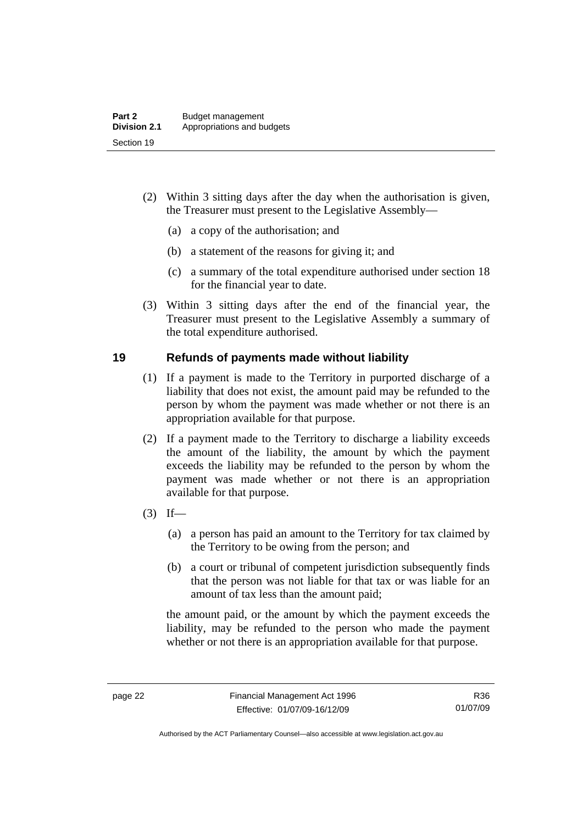- <span id="page-31-0"></span> (2) Within 3 sitting days after the day when the authorisation is given, the Treasurer must present to the Legislative Assembly—
	- (a) a copy of the authorisation; and
	- (b) a statement of the reasons for giving it; and
	- (c) a summary of the total expenditure authorised under section 18 for the financial year to date.
- (3) Within 3 sitting days after the end of the financial year, the Treasurer must present to the Legislative Assembly a summary of the total expenditure authorised.

#### **19 Refunds of payments made without liability**

- (1) If a payment is made to the Territory in purported discharge of a liability that does not exist, the amount paid may be refunded to the person by whom the payment was made whether or not there is an appropriation available for that purpose.
- (2) If a payment made to the Territory to discharge a liability exceeds the amount of the liability, the amount by which the payment exceeds the liability may be refunded to the person by whom the payment was made whether or not there is an appropriation available for that purpose.
- $(3)$  If—
	- (a) a person has paid an amount to the Territory for tax claimed by the Territory to be owing from the person; and
	- (b) a court or tribunal of competent jurisdiction subsequently finds that the person was not liable for that tax or was liable for an amount of tax less than the amount paid;

the amount paid, or the amount by which the payment exceeds the liability, may be refunded to the person who made the payment whether or not there is an appropriation available for that purpose.

Authorised by the ACT Parliamentary Counsel—also accessible at www.legislation.act.gov.au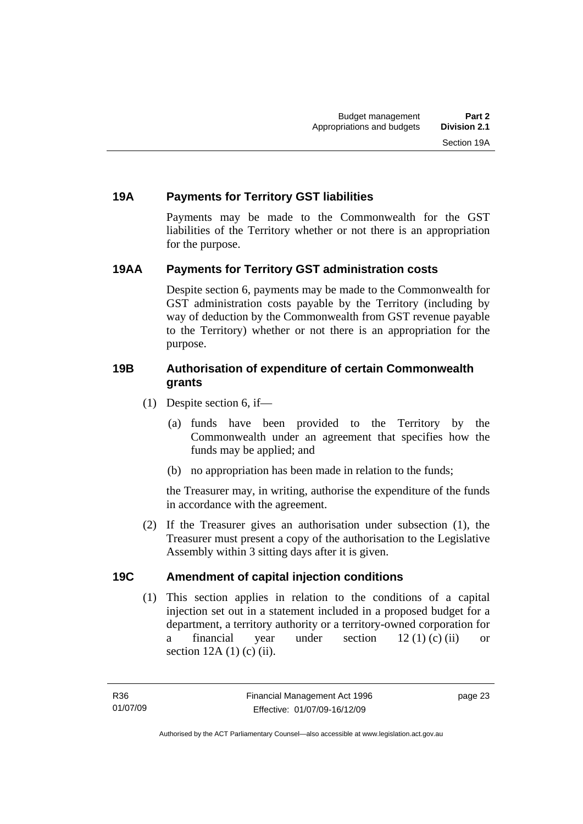### <span id="page-32-0"></span>**19A Payments for Territory GST liabilities**

Payments may be made to the Commonwealth for the GST liabilities of the Territory whether or not there is an appropriation for the purpose.

#### **19AA Payments for Territory GST administration costs**

Despite section 6, payments may be made to the Commonwealth for GST administration costs payable by the Territory (including by way of deduction by the Commonwealth from GST revenue payable to the Territory) whether or not there is an appropriation for the purpose.

#### **19B Authorisation of expenditure of certain Commonwealth grants**

- (1) Despite section 6, if—
	- (a) funds have been provided to the Territory by the Commonwealth under an agreement that specifies how the funds may be applied; and
	- (b) no appropriation has been made in relation to the funds;

the Treasurer may, in writing, authorise the expenditure of the funds in accordance with the agreement.

 (2) If the Treasurer gives an authorisation under subsection (1), the Treasurer must present a copy of the authorisation to the Legislative Assembly within 3 sitting days after it is given.

#### **19C Amendment of capital injection conditions**

 (1) This section applies in relation to the conditions of a capital injection set out in a statement included in a proposed budget for a department, a territory authority or a territory-owned corporation for a financial year under section 12 (1) (c) (ii) or section  $12A(1)$  (c) (ii).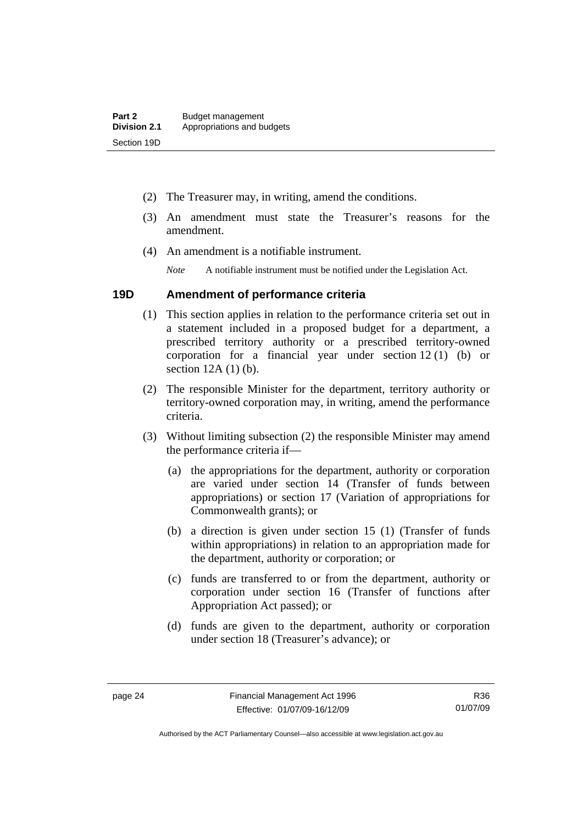- <span id="page-33-0"></span>(2) The Treasurer may, in writing, amend the conditions.
- (3) An amendment must state the Treasurer's reasons for the amendment.
- (4) An amendment is a notifiable instrument.

*Note* A notifiable instrument must be notified under the Legislation Act.

#### **19D Amendment of performance criteria**

- (1) This section applies in relation to the performance criteria set out in a statement included in a proposed budget for a department, a prescribed territory authority or a prescribed territory-owned corporation for a financial year under section 12 (1) (b) or section 12A (1) (b).
- (2) The responsible Minister for the department, territory authority or territory-owned corporation may, in writing, amend the performance criteria.
- (3) Without limiting subsection (2) the responsible Minister may amend the performance criteria if—
	- (a) the appropriations for the department, authority or corporation are varied under section 14 (Transfer of funds between appropriations) or section 17 (Variation of appropriations for Commonwealth grants); or
	- (b) a direction is given under section 15 (1) (Transfer of funds within appropriations) in relation to an appropriation made for the department, authority or corporation; or
	- (c) funds are transferred to or from the department, authority or corporation under section 16 (Transfer of functions after Appropriation Act passed); or
	- (d) funds are given to the department, authority or corporation under section 18 (Treasurer's advance); or

Authorised by the ACT Parliamentary Counsel—also accessible at www.legislation.act.gov.au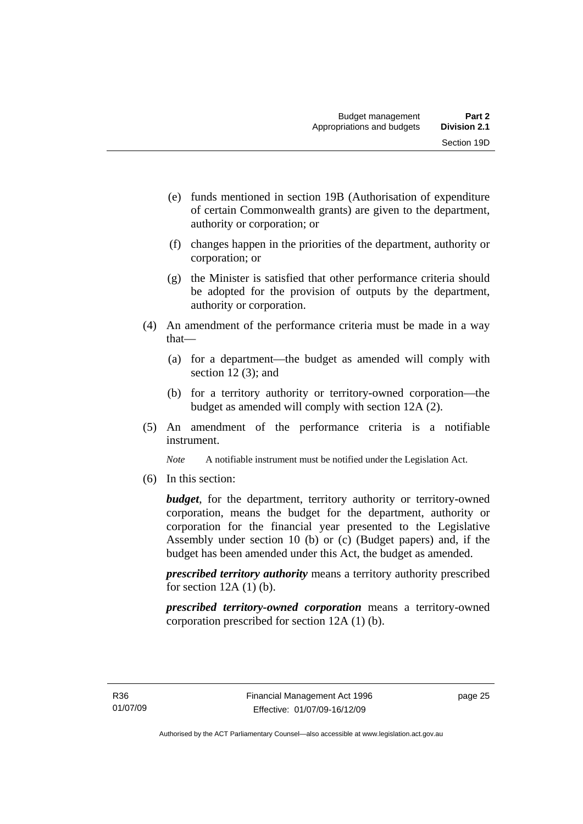- (e) funds mentioned in section 19B (Authorisation of expenditure of certain Commonwealth grants) are given to the department, authority or corporation; or
- (f) changes happen in the priorities of the department, authority or corporation; or
- (g) the Minister is satisfied that other performance criteria should be adopted for the provision of outputs by the department, authority or corporation.
- (4) An amendment of the performance criteria must be made in a way that—
	- (a) for a department—the budget as amended will comply with section 12(3); and
	- (b) for a territory authority or territory-owned corporation—the budget as amended will comply with section 12A (2).
- (5) An amendment of the performance criteria is a notifiable instrument.

*Note* A notifiable instrument must be notified under the Legislation Act.

(6) In this section:

*budget*, for the department, territory authority or territory-owned corporation, means the budget for the department, authority or corporation for the financial year presented to the Legislative Assembly under section 10 (b) or (c) (Budget papers) and, if the budget has been amended under this Act, the budget as amended.

*prescribed territory authority* means a territory authority prescribed for section  $12A(1)$  (b).

*prescribed territory-owned corporation* means a territory-owned corporation prescribed for section 12A (1) (b).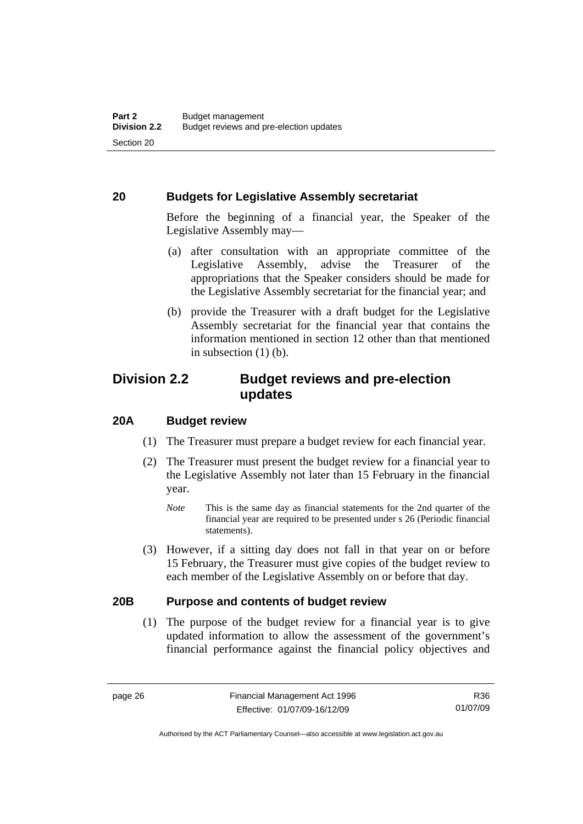#### <span id="page-35-0"></span>**20 Budgets for Legislative Assembly secretariat**

Before the beginning of a financial year, the Speaker of the Legislative Assembly may—

- (a) after consultation with an appropriate committee of the Legislative Assembly, advise the Treasurer of the appropriations that the Speaker considers should be made for the Legislative Assembly secretariat for the financial year; and
- (b) provide the Treasurer with a draft budget for the Legislative Assembly secretariat for the financial year that contains the information mentioned in section 12 other than that mentioned in subsection  $(1)$  (b).

# **Division 2.2 Budget reviews and pre-election updates**

#### **20A Budget review**

- (1) The Treasurer must prepare a budget review for each financial year.
- (2) The Treasurer must present the budget review for a financial year to the Legislative Assembly not later than 15 February in the financial year.
	- *Note* This is the same day as financial statements for the 2nd quarter of the financial year are required to be presented under s 26 (Periodic financial statements).
- (3) However, if a sitting day does not fall in that year on or before 15 February, the Treasurer must give copies of the budget review to each member of the Legislative Assembly on or before that day.

#### **20B Purpose and contents of budget review**

 (1) The purpose of the budget review for a financial year is to give updated information to allow the assessment of the government's financial performance against the financial policy objectives and

R36 01/07/09

Authorised by the ACT Parliamentary Counsel—also accessible at www.legislation.act.gov.au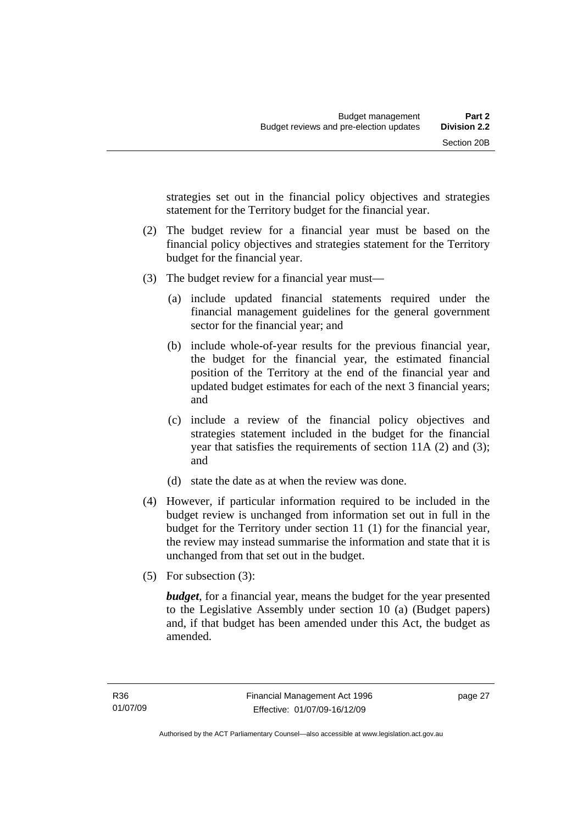strategies set out in the financial policy objectives and strategies statement for the Territory budget for the financial year.

- (2) The budget review for a financial year must be based on the financial policy objectives and strategies statement for the Territory budget for the financial year.
- (3) The budget review for a financial year must—
	- (a) include updated financial statements required under the financial management guidelines for the general government sector for the financial year; and
	- (b) include whole-of-year results for the previous financial year, the budget for the financial year, the estimated financial position of the Territory at the end of the financial year and updated budget estimates for each of the next 3 financial years; and
	- (c) include a review of the financial policy objectives and strategies statement included in the budget for the financial year that satisfies the requirements of section 11A (2) and (3); and
	- (d) state the date as at when the review was done.
- (4) However, if particular information required to be included in the budget review is unchanged from information set out in full in the budget for the Territory under section 11 (1) for the financial year, the review may instead summarise the information and state that it is unchanged from that set out in the budget.
- (5) For subsection (3):

*budget*, for a financial year, means the budget for the year presented to the Legislative Assembly under section 10 (a) (Budget papers) and, if that budget has been amended under this Act, the budget as amended.

page 27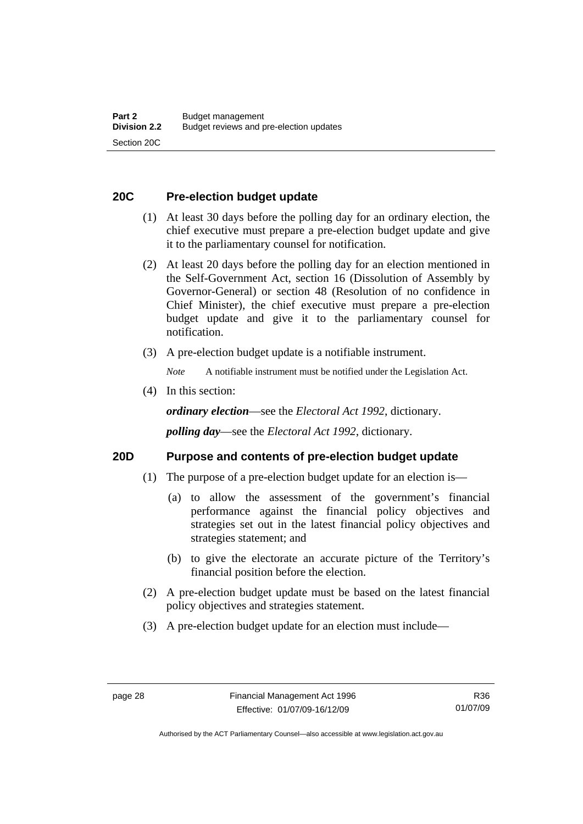### **20C Pre-election budget update**

- (1) At least 30 days before the polling day for an ordinary election, the chief executive must prepare a pre-election budget update and give it to the parliamentary counsel for notification.
- (2) At least 20 days before the polling day for an election mentioned in the Self-Government Act, section 16 (Dissolution of Assembly by Governor-General) or section 48 (Resolution of no confidence in Chief Minister), the chief executive must prepare a pre-election budget update and give it to the parliamentary counsel for notification.
- (3) A pre-election budget update is a notifiable instrument.

*Note* A notifiable instrument must be notified under the Legislation Act.

(4) In this section:

*ordinary election*—see the *Electoral Act 1992*, dictionary.

*polling day*—see the *Electoral Act 1992*, dictionary.

#### **20D Purpose and contents of pre-election budget update**

- (1) The purpose of a pre-election budget update for an election is—
	- (a) to allow the assessment of the government's financial performance against the financial policy objectives and strategies set out in the latest financial policy objectives and strategies statement; and
	- (b) to give the electorate an accurate picture of the Territory's financial position before the election.
- (2) A pre-election budget update must be based on the latest financial policy objectives and strategies statement.
- (3) A pre-election budget update for an election must include—

Authorised by the ACT Parliamentary Counsel—also accessible at www.legislation.act.gov.au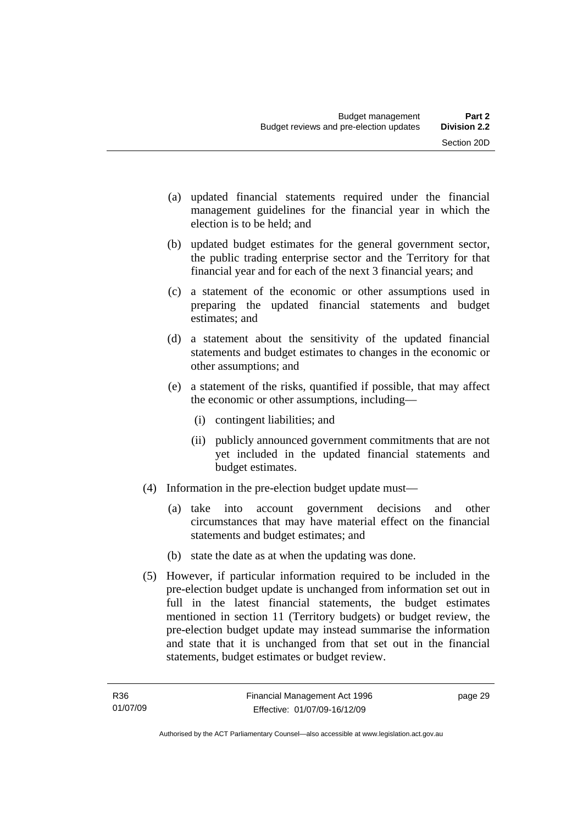- (a) updated financial statements required under the financial management guidelines for the financial year in which the election is to be held; and
- (b) updated budget estimates for the general government sector, the public trading enterprise sector and the Territory for that financial year and for each of the next 3 financial years; and
- (c) a statement of the economic or other assumptions used in preparing the updated financial statements and budget estimates; and
- (d) a statement about the sensitivity of the updated financial statements and budget estimates to changes in the economic or other assumptions; and
- (e) a statement of the risks, quantified if possible, that may affect the economic or other assumptions, including—
	- (i) contingent liabilities; and
	- (ii) publicly announced government commitments that are not yet included in the updated financial statements and budget estimates.
- (4) Information in the pre-election budget update must—
	- (a) take into account government decisions and other circumstances that may have material effect on the financial statements and budget estimates; and
	- (b) state the date as at when the updating was done.
- (5) However, if particular information required to be included in the pre-election budget update is unchanged from information set out in full in the latest financial statements, the budget estimates mentioned in section 11 (Territory budgets) or budget review, the pre-election budget update may instead summarise the information and state that it is unchanged from that set out in the financial statements, budget estimates or budget review.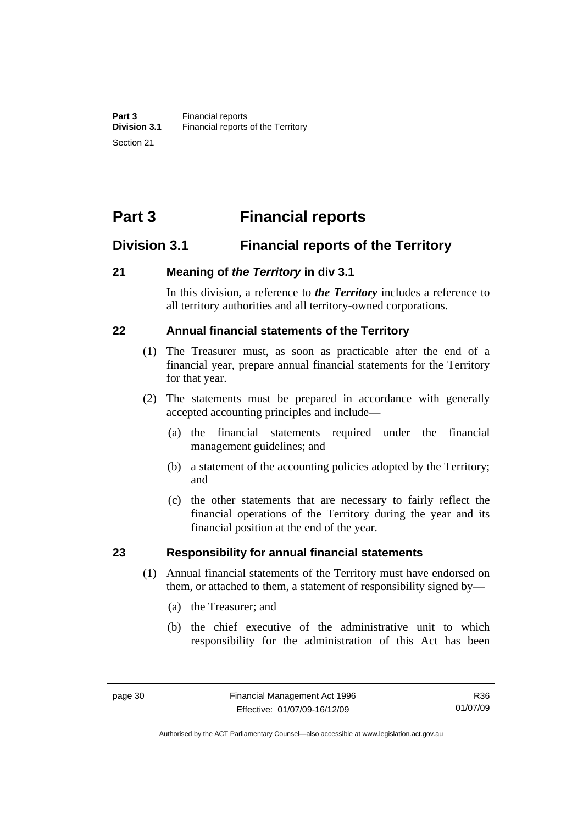# **Part 3 Financial reports**

# **Division 3.1 Financial reports of the Territory**

### **21 Meaning of** *the Territory* **in div 3.1**

In this division, a reference to *the Territory* includes a reference to all territory authorities and all territory-owned corporations.

# **22 Annual financial statements of the Territory**

- (1) The Treasurer must, as soon as practicable after the end of a financial year, prepare annual financial statements for the Territory for that year.
- (2) The statements must be prepared in accordance with generally accepted accounting principles and include—
	- (a) the financial statements required under the financial management guidelines; and
	- (b) a statement of the accounting policies adopted by the Territory; and
	- (c) the other statements that are necessary to fairly reflect the financial operations of the Territory during the year and its financial position at the end of the year.

#### **23 Responsibility for annual financial statements**

- (1) Annual financial statements of the Territory must have endorsed on them, or attached to them, a statement of responsibility signed by—
	- (a) the Treasurer; and
	- (b) the chief executive of the administrative unit to which responsibility for the administration of this Act has been

R36 01/07/09

Authorised by the ACT Parliamentary Counsel—also accessible at www.legislation.act.gov.au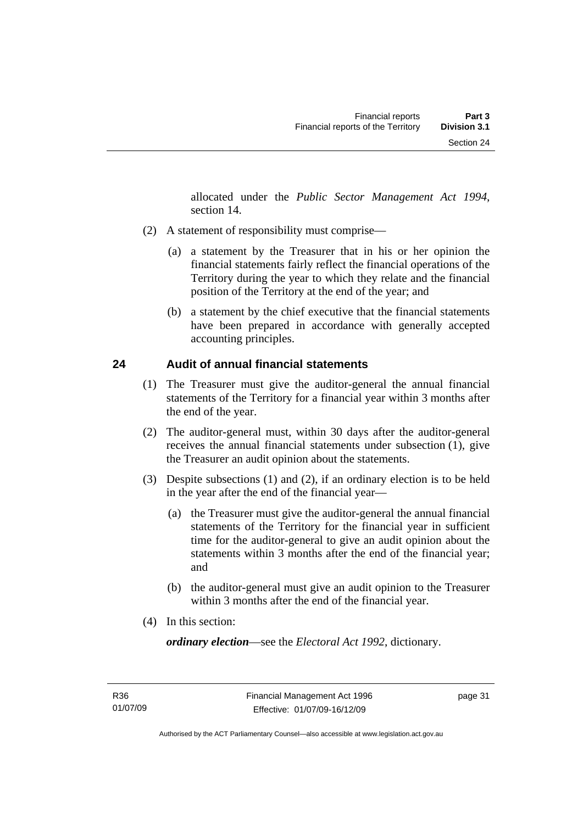allocated under the *Public Sector Management Act 1994*, section 14.

- (2) A statement of responsibility must comprise—
	- (a) a statement by the Treasurer that in his or her opinion the financial statements fairly reflect the financial operations of the Territory during the year to which they relate and the financial position of the Territory at the end of the year; and
	- (b) a statement by the chief executive that the financial statements have been prepared in accordance with generally accepted accounting principles.

# **24 Audit of annual financial statements**

- (1) The Treasurer must give the auditor-general the annual financial statements of the Territory for a financial year within 3 months after the end of the year.
- (2) The auditor-general must, within 30 days after the auditor-general receives the annual financial statements under subsection (1), give the Treasurer an audit opinion about the statements.
- (3) Despite subsections (1) and (2), if an ordinary election is to be held in the year after the end of the financial year—
	- (a) the Treasurer must give the auditor-general the annual financial statements of the Territory for the financial year in sufficient time for the auditor-general to give an audit opinion about the statements within 3 months after the end of the financial year; and
	- (b) the auditor-general must give an audit opinion to the Treasurer within 3 months after the end of the financial year.
- (4) In this section:

*ordinary election*—see the *Electoral Act 1992*, dictionary.

page 31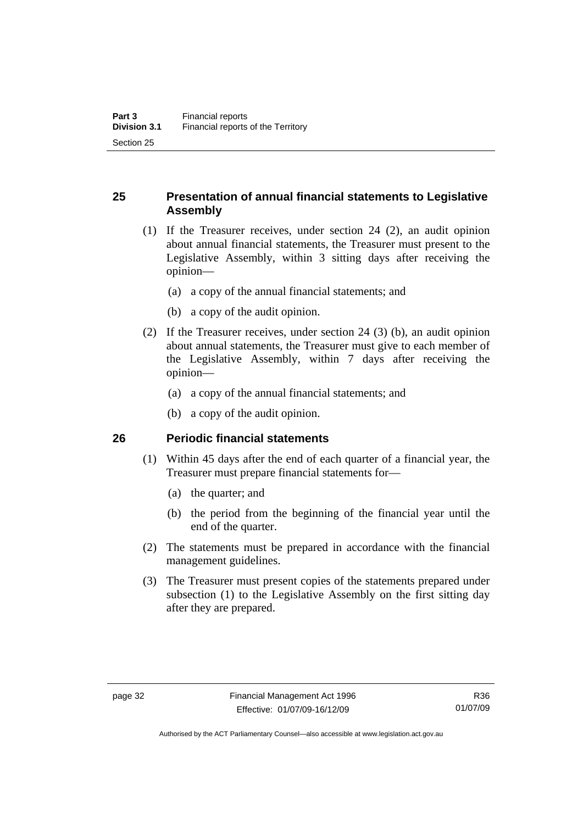# **25 Presentation of annual financial statements to Legislative Assembly**

- (1) If the Treasurer receives, under section 24 (2), an audit opinion about annual financial statements, the Treasurer must present to the Legislative Assembly, within 3 sitting days after receiving the opinion—
	- (a) a copy of the annual financial statements; and
	- (b) a copy of the audit opinion.
- (2) If the Treasurer receives, under section 24 (3) (b), an audit opinion about annual statements, the Treasurer must give to each member of the Legislative Assembly, within 7 days after receiving the opinion—
	- (a) a copy of the annual financial statements; and
	- (b) a copy of the audit opinion.

#### **26 Periodic financial statements**

- (1) Within 45 days after the end of each quarter of a financial year, the Treasurer must prepare financial statements for—
	- (a) the quarter; and
	- (b) the period from the beginning of the financial year until the end of the quarter.
- (2) The statements must be prepared in accordance with the financial management guidelines.
- (3) The Treasurer must present copies of the statements prepared under subsection (1) to the Legislative Assembly on the first sitting day after they are prepared.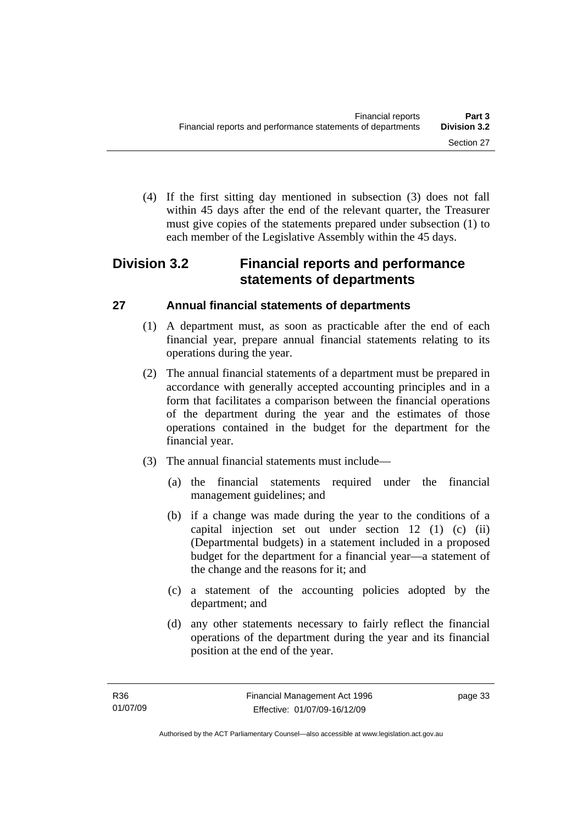(4) If the first sitting day mentioned in subsection (3) does not fall within 45 days after the end of the relevant quarter, the Treasurer must give copies of the statements prepared under subsection (1) to each member of the Legislative Assembly within the 45 days.

# **Division 3.2 Financial reports and performance statements of departments**

# **27 Annual financial statements of departments**

- (1) A department must, as soon as practicable after the end of each financial year, prepare annual financial statements relating to its operations during the year.
- (2) The annual financial statements of a department must be prepared in accordance with generally accepted accounting principles and in a form that facilitates a comparison between the financial operations of the department during the year and the estimates of those operations contained in the budget for the department for the financial year.
- (3) The annual financial statements must include—
	- (a) the financial statements required under the financial management guidelines; and
	- (b) if a change was made during the year to the conditions of a capital injection set out under section 12 (1) (c) (ii) (Departmental budgets) in a statement included in a proposed budget for the department for a financial year—a statement of the change and the reasons for it; and
	- (c) a statement of the accounting policies adopted by the department; and
	- (d) any other statements necessary to fairly reflect the financial operations of the department during the year and its financial position at the end of the year.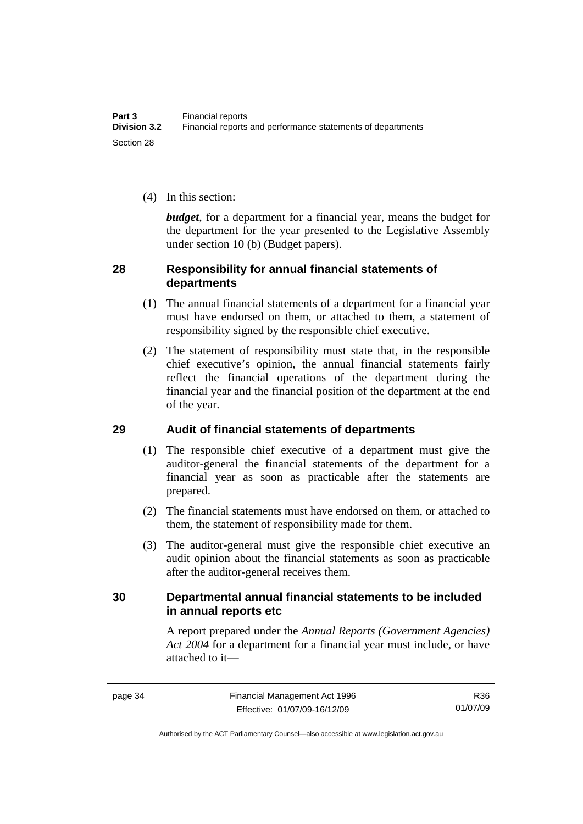(4) In this section:

*budget*, for a department for a financial year, means the budget for the department for the year presented to the Legislative Assembly under section 10 (b) (Budget papers).

### **28 Responsibility for annual financial statements of departments**

- (1) The annual financial statements of a department for a financial year must have endorsed on them, or attached to them, a statement of responsibility signed by the responsible chief executive.
- (2) The statement of responsibility must state that, in the responsible chief executive's opinion, the annual financial statements fairly reflect the financial operations of the department during the financial year and the financial position of the department at the end of the year.

# **29 Audit of financial statements of departments**

- (1) The responsible chief executive of a department must give the auditor-general the financial statements of the department for a financial year as soon as practicable after the statements are prepared.
- (2) The financial statements must have endorsed on them, or attached to them, the statement of responsibility made for them.
- (3) The auditor-general must give the responsible chief executive an audit opinion about the financial statements as soon as practicable after the auditor-general receives them.

# **30 Departmental annual financial statements to be included in annual reports etc**

A report prepared under the *Annual Reports (Government Agencies) Act 2004* for a department for a financial year must include, or have attached to it—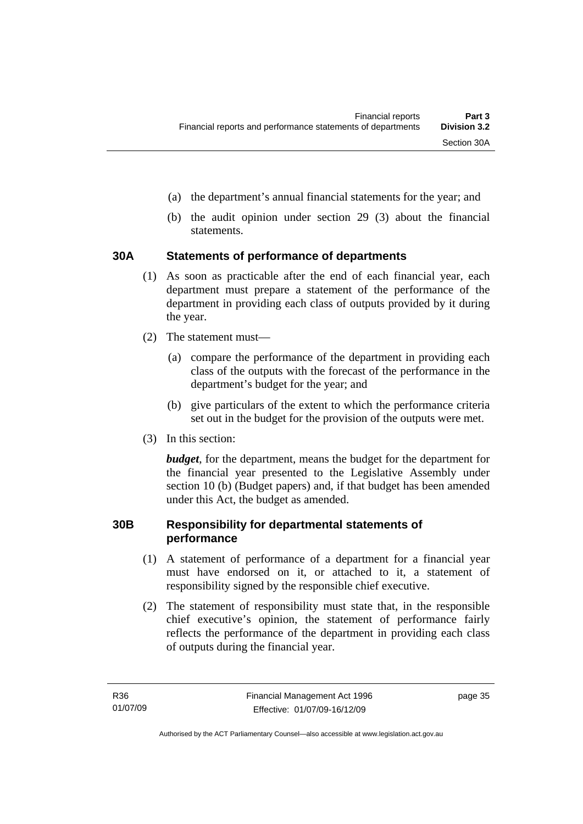- (a) the department's annual financial statements for the year; and
- (b) the audit opinion under section 29 (3) about the financial statements.

# **30A Statements of performance of departments**

- (1) As soon as practicable after the end of each financial year, each department must prepare a statement of the performance of the department in providing each class of outputs provided by it during the year.
- (2) The statement must—
	- (a) compare the performance of the department in providing each class of the outputs with the forecast of the performance in the department's budget for the year; and
	- (b) give particulars of the extent to which the performance criteria set out in the budget for the provision of the outputs were met.
- (3) In this section:

*budget*, for the department, means the budget for the department for the financial year presented to the Legislative Assembly under section 10 (b) (Budget papers) and, if that budget has been amended under this Act, the budget as amended.

### **30B Responsibility for departmental statements of performance**

- (1) A statement of performance of a department for a financial year must have endorsed on it, or attached to it, a statement of responsibility signed by the responsible chief executive.
- (2) The statement of responsibility must state that, in the responsible chief executive's opinion, the statement of performance fairly reflects the performance of the department in providing each class of outputs during the financial year.

page 35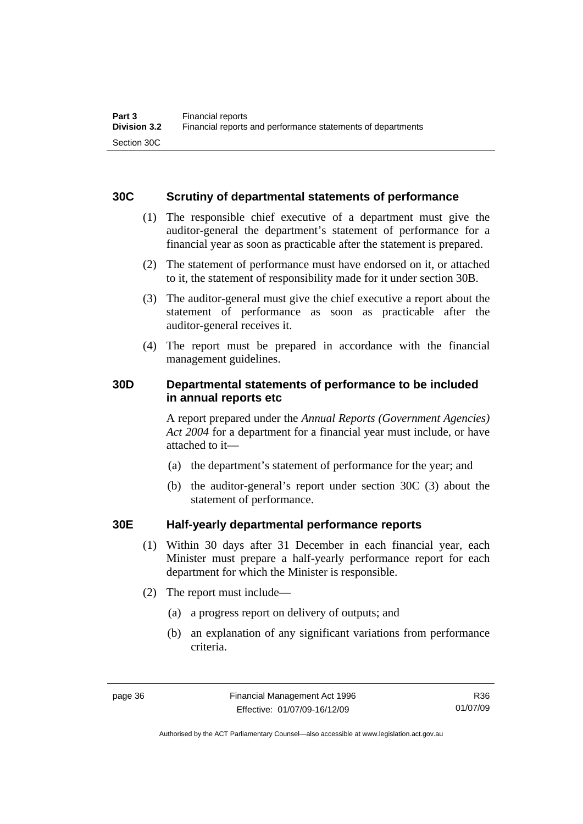### **30C Scrutiny of departmental statements of performance**

- (1) The responsible chief executive of a department must give the auditor-general the department's statement of performance for a financial year as soon as practicable after the statement is prepared.
- (2) The statement of performance must have endorsed on it, or attached to it, the statement of responsibility made for it under section 30B.
- (3) The auditor-general must give the chief executive a report about the statement of performance as soon as practicable after the auditor-general receives it.
- (4) The report must be prepared in accordance with the financial management guidelines.

# **30D Departmental statements of performance to be included in annual reports etc**

A report prepared under the *Annual Reports (Government Agencies) Act 2004* for a department for a financial year must include, or have attached to it—

- (a) the department's statement of performance for the year; and
- (b) the auditor-general's report under section 30C (3) about the statement of performance.

# **30E Half-yearly departmental performance reports**

- (1) Within 30 days after 31 December in each financial year, each Minister must prepare a half-yearly performance report for each department for which the Minister is responsible.
- (2) The report must include—
	- (a) a progress report on delivery of outputs; and
	- (b) an explanation of any significant variations from performance criteria.

R36 01/07/09

Authorised by the ACT Parliamentary Counsel—also accessible at www.legislation.act.gov.au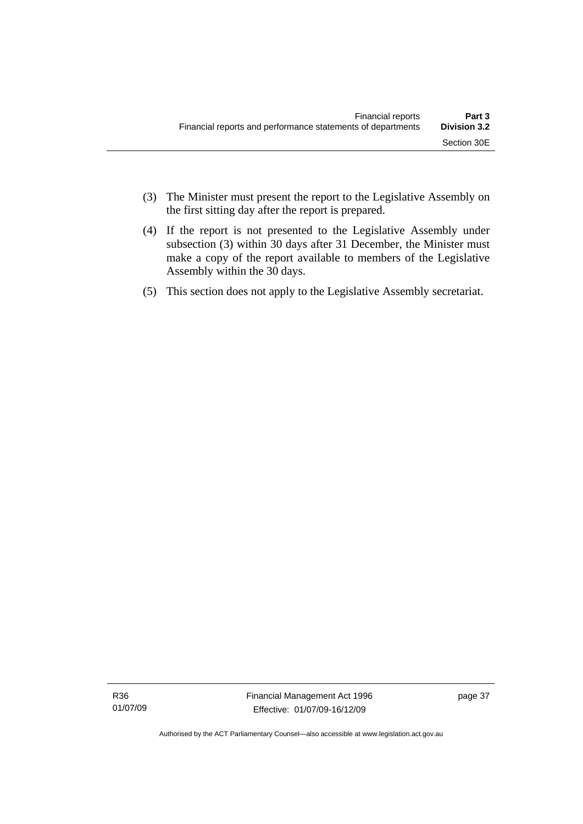- (3) The Minister must present the report to the Legislative Assembly on the first sitting day after the report is prepared.
- (4) If the report is not presented to the Legislative Assembly under subsection (3) within 30 days after 31 December, the Minister must make a copy of the report available to members of the Legislative Assembly within the 30 days.
- (5) This section does not apply to the Legislative Assembly secretariat.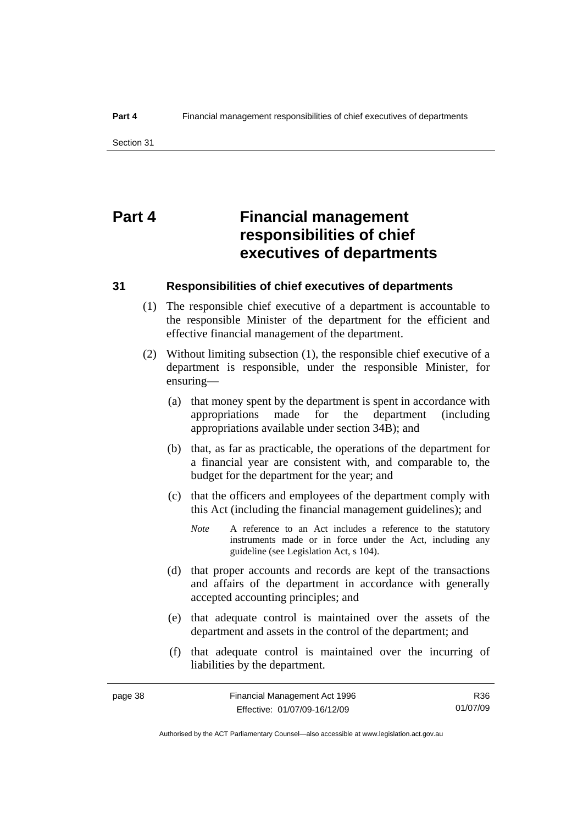# **Part 4 Financial management responsibilities of chief executives of departments**

#### **31 Responsibilities of chief executives of departments**

- (1) The responsible chief executive of a department is accountable to the responsible Minister of the department for the efficient and effective financial management of the department.
- (2) Without limiting subsection (1), the responsible chief executive of a department is responsible, under the responsible Minister, for ensuring—
	- (a) that money spent by the department is spent in accordance with appropriations made for the department (including appropriations available under section 34B); and
	- (b) that, as far as practicable, the operations of the department for a financial year are consistent with, and comparable to, the budget for the department for the year; and
	- (c) that the officers and employees of the department comply with this Act (including the financial management guidelines); and
		- *Note* A reference to an Act includes a reference to the statutory instruments made or in force under the Act, including any guideline (see Legislation Act, s 104).
	- (d) that proper accounts and records are kept of the transactions and affairs of the department in accordance with generally accepted accounting principles; and
	- (e) that adequate control is maintained over the assets of the department and assets in the control of the department; and
	- (f) that adequate control is maintained over the incurring of liabilities by the department.

R36 01/07/09

Authorised by the ACT Parliamentary Counsel—also accessible at www.legislation.act.gov.au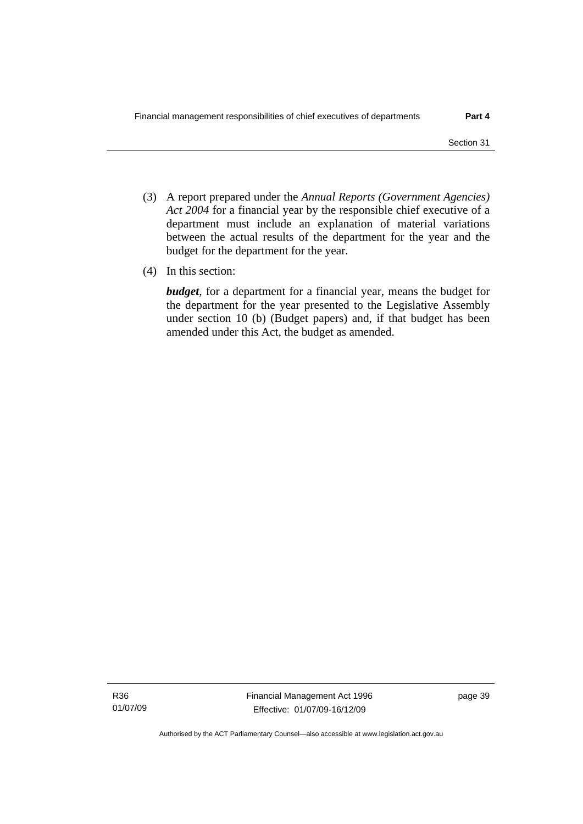- (3) A report prepared under the *Annual Reports (Government Agencies) Act 2004* for a financial year by the responsible chief executive of a department must include an explanation of material variations between the actual results of the department for the year and the budget for the department for the year.
- (4) In this section:

*budget*, for a department for a financial year, means the budget for the department for the year presented to the Legislative Assembly under section 10 (b) (Budget papers) and, if that budget has been amended under this Act, the budget as amended.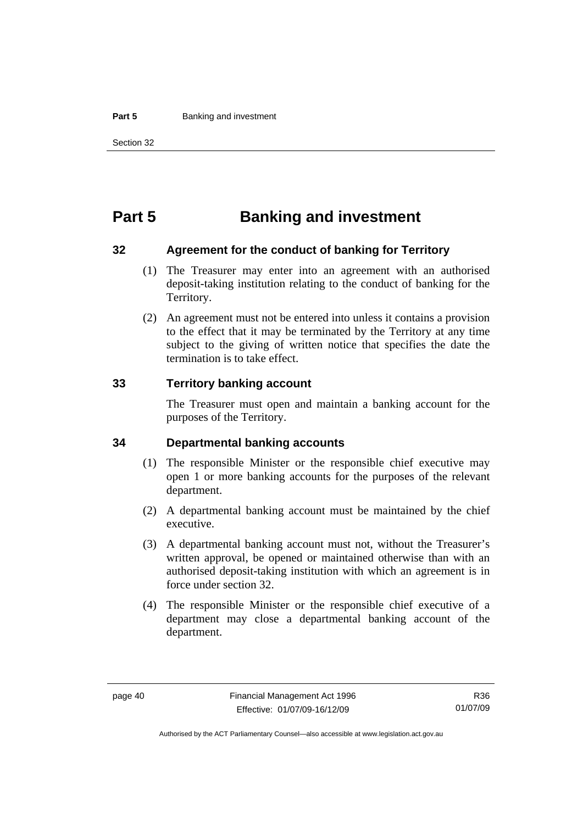#### **Part 5 Banking and investment**

# **Part 5 Banking and investment**

#### **32 Agreement for the conduct of banking for Territory**

- (1) The Treasurer may enter into an agreement with an authorised deposit-taking institution relating to the conduct of banking for the Territory.
- (2) An agreement must not be entered into unless it contains a provision to the effect that it may be terminated by the Territory at any time subject to the giving of written notice that specifies the date the termination is to take effect.

#### **33 Territory banking account**

The Treasurer must open and maintain a banking account for the purposes of the Territory.

#### **34 Departmental banking accounts**

- (1) The responsible Minister or the responsible chief executive may open 1 or more banking accounts for the purposes of the relevant department.
- (2) A departmental banking account must be maintained by the chief executive.
- (3) A departmental banking account must not, without the Treasurer's written approval, be opened or maintained otherwise than with an authorised deposit-taking institution with which an agreement is in force under section 32.
- (4) The responsible Minister or the responsible chief executive of a department may close a departmental banking account of the department.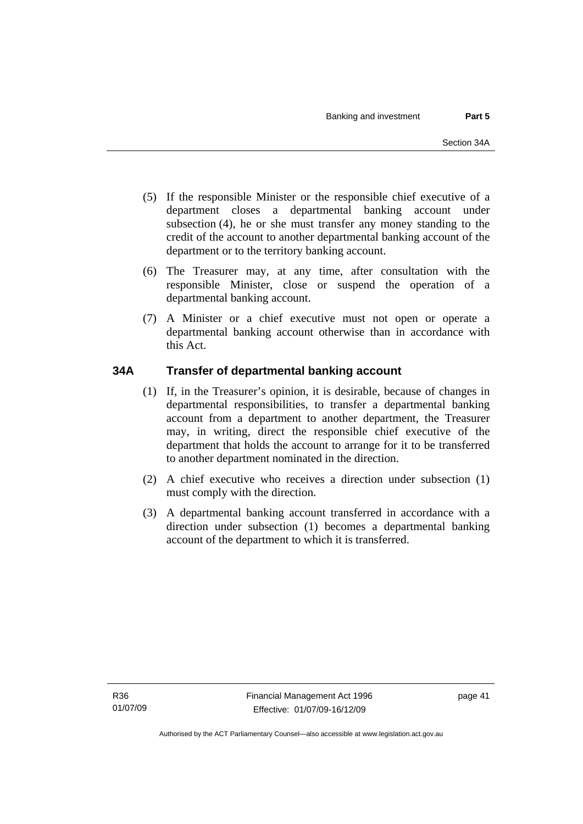- (5) If the responsible Minister or the responsible chief executive of a department closes a departmental banking account under subsection (4), he or she must transfer any money standing to the credit of the account to another departmental banking account of the department or to the territory banking account.
- (6) The Treasurer may, at any time, after consultation with the responsible Minister, close or suspend the operation of a departmental banking account.
- (7) A Minister or a chief executive must not open or operate a departmental banking account otherwise than in accordance with this Act.

# **34A Transfer of departmental banking account**

- (1) If, in the Treasurer's opinion, it is desirable, because of changes in departmental responsibilities, to transfer a departmental banking account from a department to another department, the Treasurer may, in writing, direct the responsible chief executive of the department that holds the account to arrange for it to be transferred to another department nominated in the direction.
- (2) A chief executive who receives a direction under subsection (1) must comply with the direction.
- (3) A departmental banking account transferred in accordance with a direction under subsection (1) becomes a departmental banking account of the department to which it is transferred.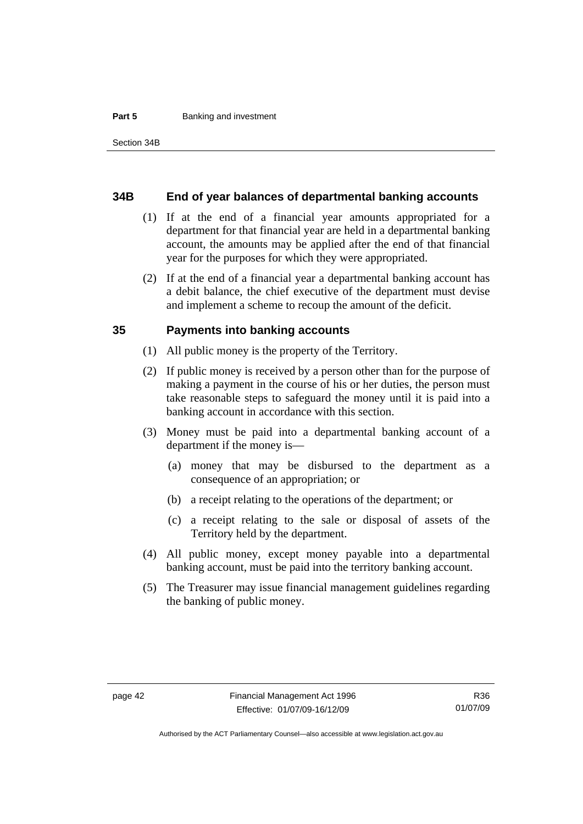#### **Part 5 Banking and investment**

#### **34B End of year balances of departmental banking accounts**

- (1) If at the end of a financial year amounts appropriated for a department for that financial year are held in a departmental banking account, the amounts may be applied after the end of that financial year for the purposes for which they were appropriated.
- (2) If at the end of a financial year a departmental banking account has a debit balance, the chief executive of the department must devise and implement a scheme to recoup the amount of the deficit.

#### **35 Payments into banking accounts**

- (1) All public money is the property of the Territory.
- (2) If public money is received by a person other than for the purpose of making a payment in the course of his or her duties, the person must take reasonable steps to safeguard the money until it is paid into a banking account in accordance with this section.
- (3) Money must be paid into a departmental banking account of a department if the money is—
	- (a) money that may be disbursed to the department as a consequence of an appropriation; or
	- (b) a receipt relating to the operations of the department; or
	- (c) a receipt relating to the sale or disposal of assets of the Territory held by the department.
- (4) All public money, except money payable into a departmental banking account, must be paid into the territory banking account.
- (5) The Treasurer may issue financial management guidelines regarding the banking of public money.

Authorised by the ACT Parliamentary Counsel—also accessible at www.legislation.act.gov.au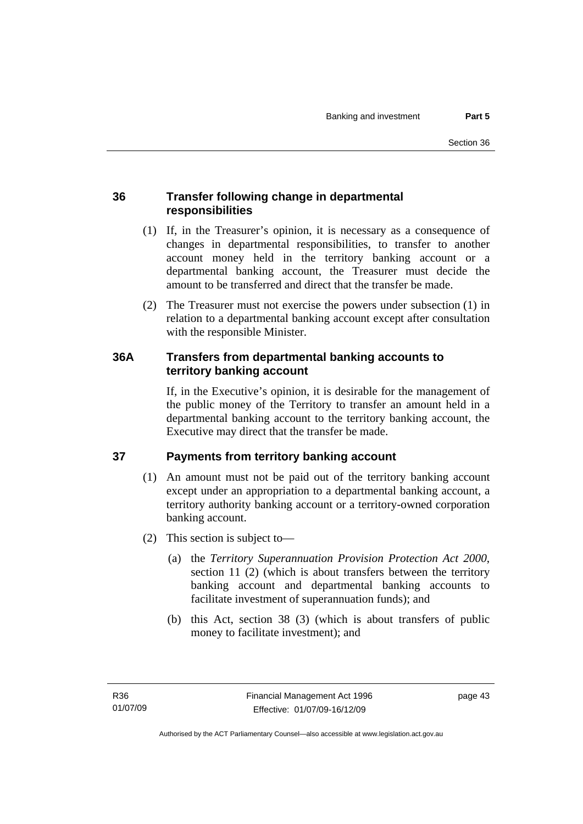# **36 Transfer following change in departmental responsibilities**

- (1) If, in the Treasurer's opinion, it is necessary as a consequence of changes in departmental responsibilities, to transfer to another account money held in the territory banking account or a departmental banking account, the Treasurer must decide the amount to be transferred and direct that the transfer be made.
- (2) The Treasurer must not exercise the powers under subsection (1) in relation to a departmental banking account except after consultation with the responsible Minister.

# **36A Transfers from departmental banking accounts to territory banking account**

If, in the Executive's opinion, it is desirable for the management of the public money of the Territory to transfer an amount held in a departmental banking account to the territory banking account, the Executive may direct that the transfer be made.

# **37 Payments from territory banking account**

- (1) An amount must not be paid out of the territory banking account except under an appropriation to a departmental banking account, a territory authority banking account or a territory-owned corporation banking account.
- (2) This section is subject to—
	- (a) the *Territory Superannuation Provision Protection Act 2000*, section 11 (2) (which is about transfers between the territory banking account and departmental banking accounts to facilitate investment of superannuation funds); and
	- (b) this Act, section 38 (3) (which is about transfers of public money to facilitate investment); and

page 43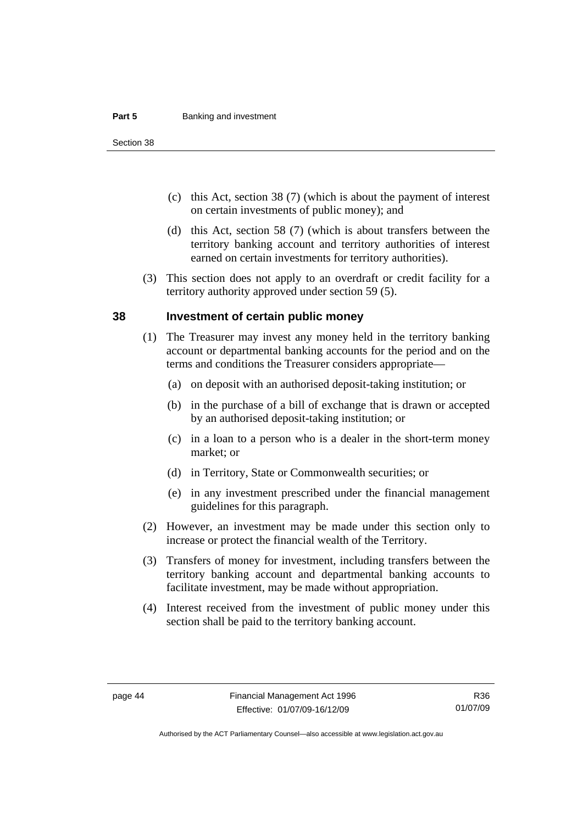#### **Part 5 Banking and investment**

Section 38

- (c) this Act, section 38 (7) (which is about the payment of interest on certain investments of public money); and
- (d) this Act, section 58 (7) (which is about transfers between the territory banking account and territory authorities of interest earned on certain investments for territory authorities).
- (3) This section does not apply to an overdraft or credit facility for a territory authority approved under section 59 (5).

#### **38 Investment of certain public money**

- (1) The Treasurer may invest any money held in the territory banking account or departmental banking accounts for the period and on the terms and conditions the Treasurer considers appropriate—
	- (a) on deposit with an authorised deposit-taking institution; or
	- (b) in the purchase of a bill of exchange that is drawn or accepted by an authorised deposit-taking institution; or
	- (c) in a loan to a person who is a dealer in the short-term money market; or
	- (d) in Territory, State or Commonwealth securities; or
	- (e) in any investment prescribed under the financial management guidelines for this paragraph.
- (2) However, an investment may be made under this section only to increase or protect the financial wealth of the Territory.
- (3) Transfers of money for investment, including transfers between the territory banking account and departmental banking accounts to facilitate investment, may be made without appropriation.
- (4) Interest received from the investment of public money under this section shall be paid to the territory banking account.

Authorised by the ACT Parliamentary Counsel—also accessible at www.legislation.act.gov.au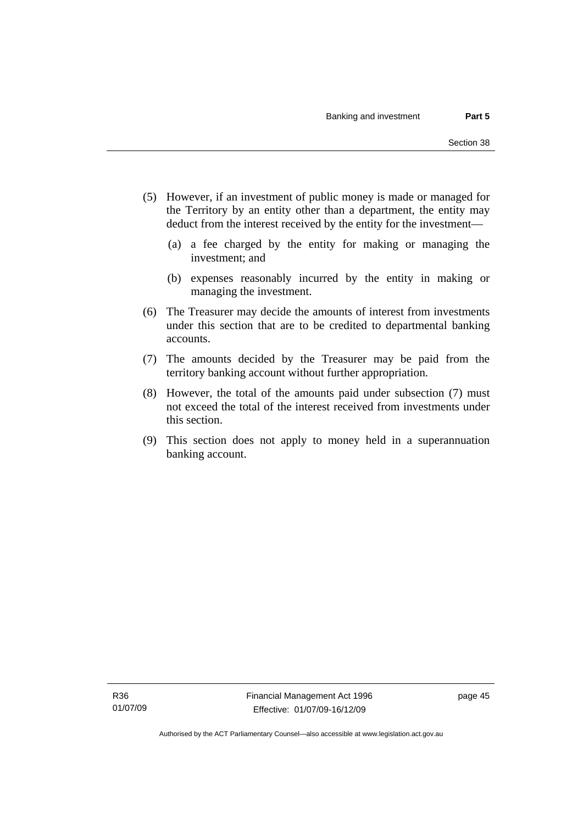- (5) However, if an investment of public money is made or managed for the Territory by an entity other than a department, the entity may deduct from the interest received by the entity for the investment—
	- (a) a fee charged by the entity for making or managing the investment; and
	- (b) expenses reasonably incurred by the entity in making or managing the investment.
- (6) The Treasurer may decide the amounts of interest from investments under this section that are to be credited to departmental banking accounts.
- (7) The amounts decided by the Treasurer may be paid from the territory banking account without further appropriation.
- (8) However, the total of the amounts paid under subsection (7) must not exceed the total of the interest received from investments under this section.
- (9) This section does not apply to money held in a superannuation banking account.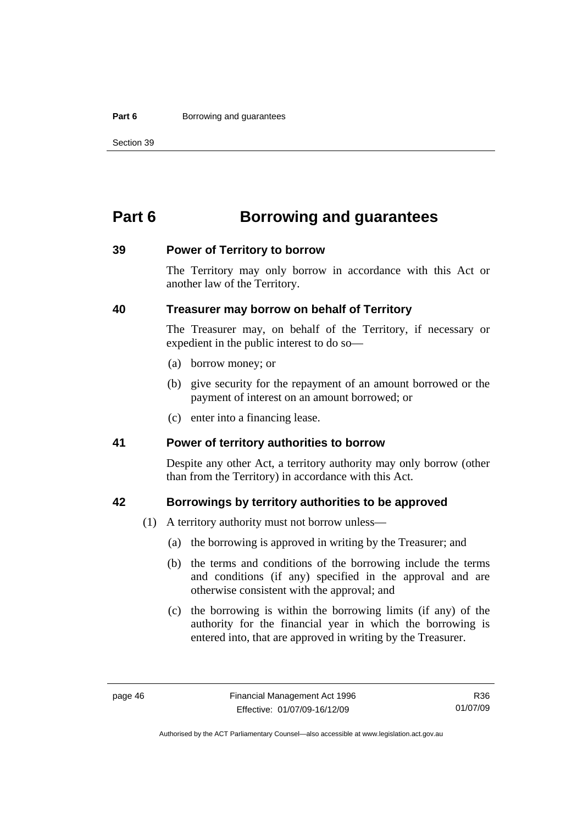#### **Part 6 Borrowing and guarantees**

Section 39

# **Part 6 Borrowing and guarantees**

#### **39 Power of Territory to borrow**

The Territory may only borrow in accordance with this Act or another law of the Territory.

### **40 Treasurer may borrow on behalf of Territory**

The Treasurer may, on behalf of the Territory, if necessary or expedient in the public interest to do so—

- (a) borrow money; or
- (b) give security for the repayment of an amount borrowed or the payment of interest on an amount borrowed; or
- (c) enter into a financing lease.

#### **41 Power of territory authorities to borrow**

Despite any other Act, a territory authority may only borrow (other than from the Territory) in accordance with this Act.

#### **42 Borrowings by territory authorities to be approved**

- (1) A territory authority must not borrow unless—
	- (a) the borrowing is approved in writing by the Treasurer; and
	- (b) the terms and conditions of the borrowing include the terms and conditions (if any) specified in the approval and are otherwise consistent with the approval; and
	- (c) the borrowing is within the borrowing limits (if any) of the authority for the financial year in which the borrowing is entered into, that are approved in writing by the Treasurer.

Authorised by the ACT Parliamentary Counsel—also accessible at www.legislation.act.gov.au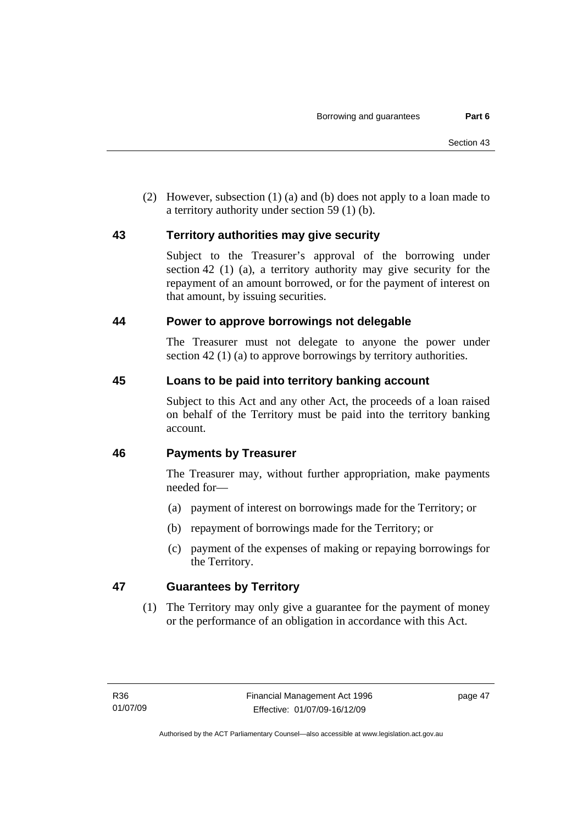(2) However, subsection (1) (a) and (b) does not apply to a loan made to a territory authority under section 59 (1) (b).

# **43 Territory authorities may give security**

Subject to the Treasurer's approval of the borrowing under section 42 (1) (a), a territory authority may give security for the repayment of an amount borrowed, or for the payment of interest on that amount, by issuing securities.

### **44 Power to approve borrowings not delegable**

The Treasurer must not delegate to anyone the power under section 42 (1) (a) to approve borrowings by territory authorities.

# **45 Loans to be paid into territory banking account**

Subject to this Act and any other Act, the proceeds of a loan raised on behalf of the Territory must be paid into the territory banking account.

# **46 Payments by Treasurer**

The Treasurer may, without further appropriation, make payments needed for—

- (a) payment of interest on borrowings made for the Territory; or
- (b) repayment of borrowings made for the Territory; or
- (c) payment of the expenses of making or repaying borrowings for the Territory.

# **47 Guarantees by Territory**

 (1) The Territory may only give a guarantee for the payment of money or the performance of an obligation in accordance with this Act.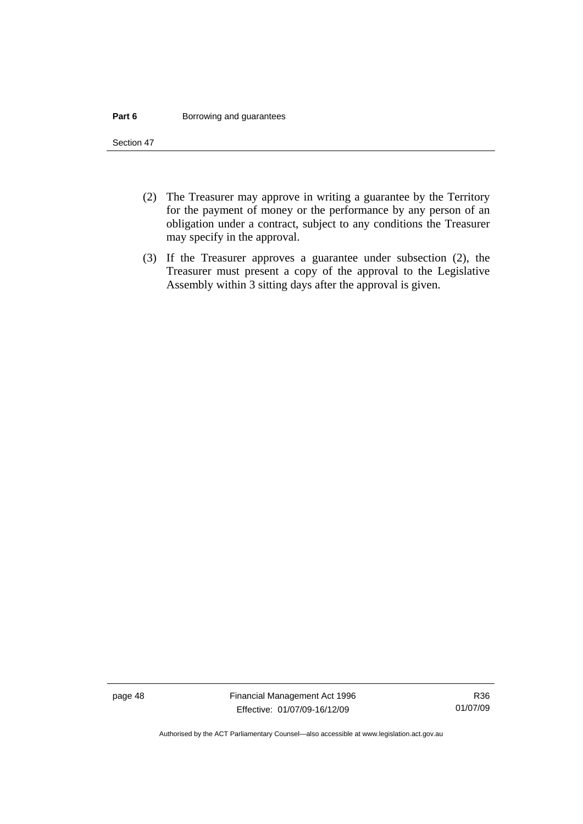#### **Part 6 Borrowing and guarantees**

Section 47

- (2) The Treasurer may approve in writing a guarantee by the Territory for the payment of money or the performance by any person of an obligation under a contract, subject to any conditions the Treasurer may specify in the approval.
- (3) If the Treasurer approves a guarantee under subsection (2), the Treasurer must present a copy of the approval to the Legislative Assembly within 3 sitting days after the approval is given.

page 48 Financial Management Act 1996 Effective: 01/07/09-16/12/09

Authorised by the ACT Parliamentary Counsel—also accessible at www.legislation.act.gov.au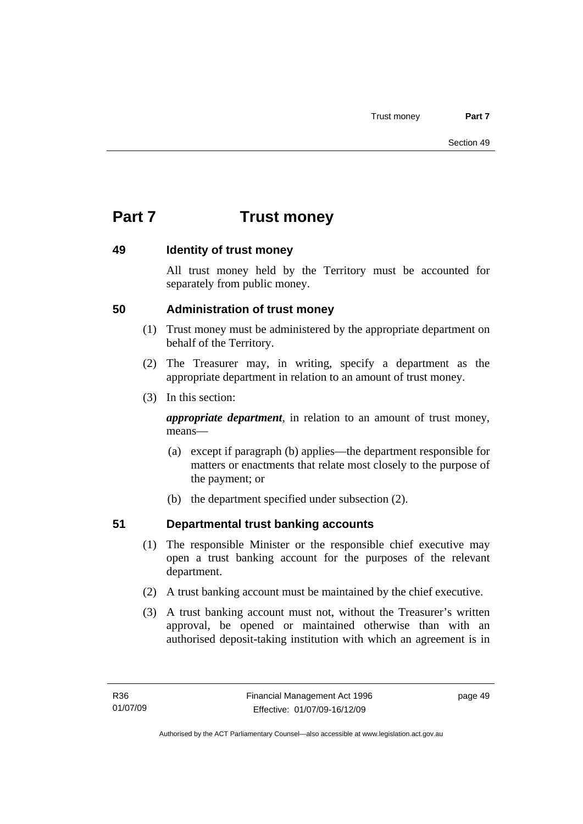# **Part 7 Trust money**

### **49 Identity of trust money**

All trust money held by the Territory must be accounted for separately from public money.

# **50 Administration of trust money**

- (1) Trust money must be administered by the appropriate department on behalf of the Territory.
- (2) The Treasurer may, in writing, specify a department as the appropriate department in relation to an amount of trust money.
- (3) In this section:

*appropriate department*, in relation to an amount of trust money, means—

- (a) except if paragraph (b) applies—the department responsible for matters or enactments that relate most closely to the purpose of the payment; or
- (b) the department specified under subsection (2).

# **51 Departmental trust banking accounts**

- (1) The responsible Minister or the responsible chief executive may open a trust banking account for the purposes of the relevant department.
- (2) A trust banking account must be maintained by the chief executive.
- (3) A trust banking account must not, without the Treasurer's written approval, be opened or maintained otherwise than with an authorised deposit-taking institution with which an agreement is in

page 49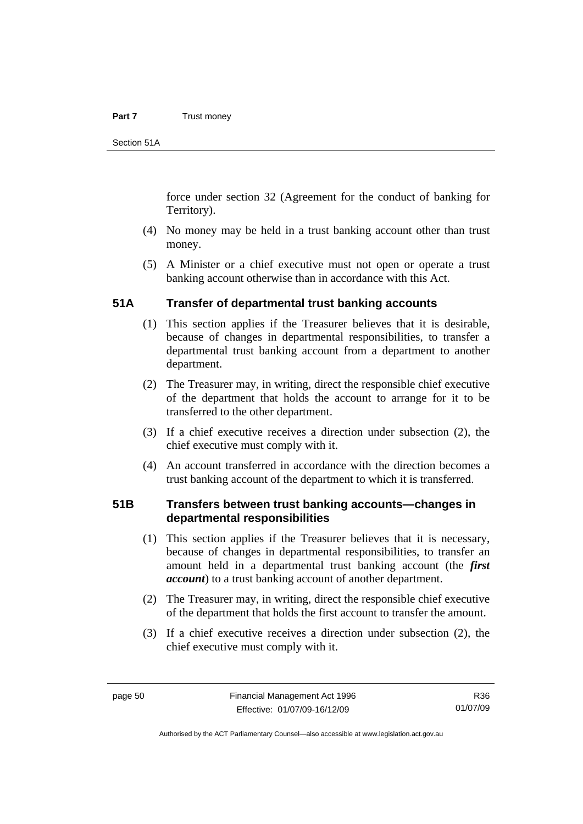#### **Part 7** Trust money

Section 51A

force under section 32 (Agreement for the conduct of banking for Territory).

- (4) No money may be held in a trust banking account other than trust money.
- (5) A Minister or a chief executive must not open or operate a trust banking account otherwise than in accordance with this Act.

#### **51A Transfer of departmental trust banking accounts**

- (1) This section applies if the Treasurer believes that it is desirable, because of changes in departmental responsibilities, to transfer a departmental trust banking account from a department to another department.
- (2) The Treasurer may, in writing, direct the responsible chief executive of the department that holds the account to arrange for it to be transferred to the other department.
- (3) If a chief executive receives a direction under subsection (2), the chief executive must comply with it.
- (4) An account transferred in accordance with the direction becomes a trust banking account of the department to which it is transferred.

#### **51B Transfers between trust banking accounts—changes in departmental responsibilities**

- (1) This section applies if the Treasurer believes that it is necessary, because of changes in departmental responsibilities, to transfer an amount held in a departmental trust banking account (the *first account*) to a trust banking account of another department.
- (2) The Treasurer may, in writing, direct the responsible chief executive of the department that holds the first account to transfer the amount.
- (3) If a chief executive receives a direction under subsection (2), the chief executive must comply with it.

R36 01/07/09

Authorised by the ACT Parliamentary Counsel—also accessible at www.legislation.act.gov.au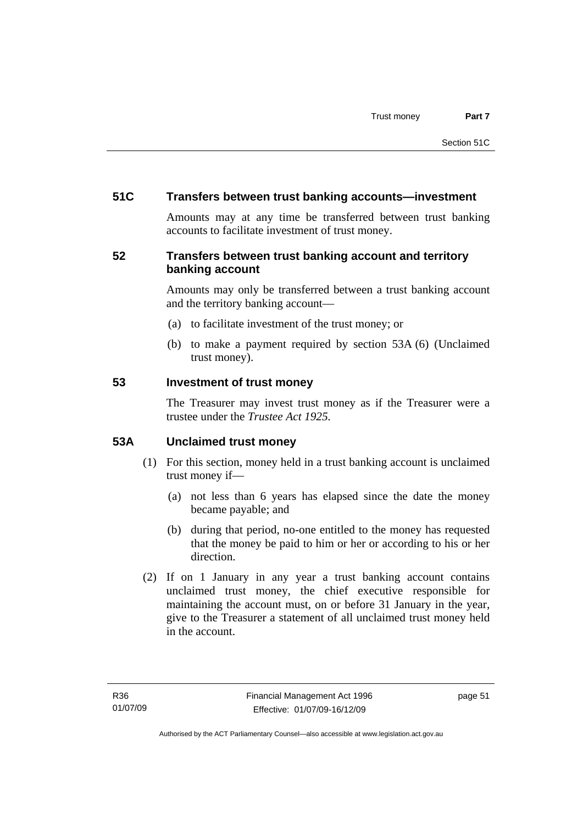### **51C Transfers between trust banking accounts—investment**

Amounts may at any time be transferred between trust banking accounts to facilitate investment of trust money.

# **52 Transfers between trust banking account and territory banking account**

Amounts may only be transferred between a trust banking account and the territory banking account—

- (a) to facilitate investment of the trust money; or
- (b) to make a payment required by section 53A (6) (Unclaimed trust money).

#### **53 Investment of trust money**

The Treasurer may invest trust money as if the Treasurer were a trustee under the *Trustee Act 1925.*

# **53A Unclaimed trust money**

- (1) For this section, money held in a trust banking account is unclaimed trust money if—
	- (a) not less than 6 years has elapsed since the date the money became payable; and
	- (b) during that period, no-one entitled to the money has requested that the money be paid to him or her or according to his or her direction.
- (2) If on 1 January in any year a trust banking account contains unclaimed trust money, the chief executive responsible for maintaining the account must, on or before 31 January in the year, give to the Treasurer a statement of all unclaimed trust money held in the account.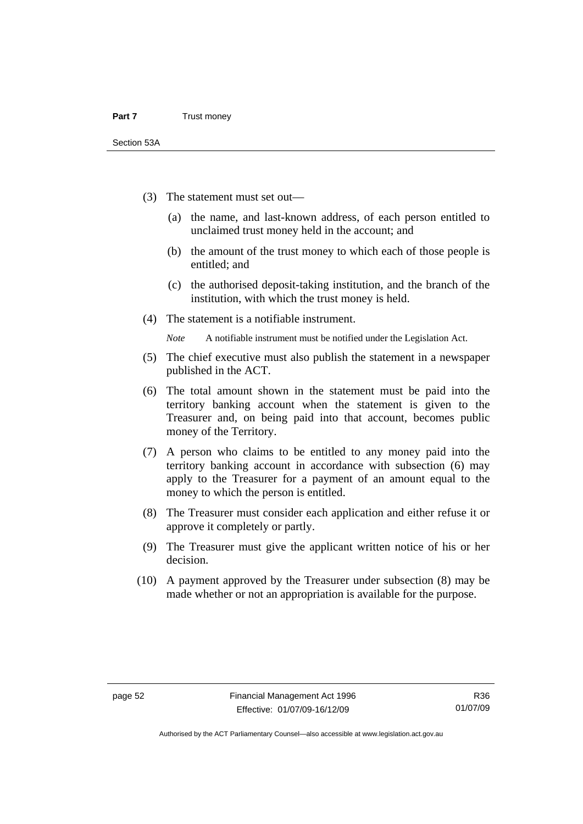- (3) The statement must set out—
	- (a) the name, and last-known address, of each person entitled to unclaimed trust money held in the account; and
	- (b) the amount of the trust money to which each of those people is entitled; and
	- (c) the authorised deposit-taking institution, and the branch of the institution, with which the trust money is held.
- (4) The statement is a notifiable instrument.

*Note* A notifiable instrument must be notified under the Legislation Act.

- (5) The chief executive must also publish the statement in a newspaper published in the ACT.
- (6) The total amount shown in the statement must be paid into the territory banking account when the statement is given to the Treasurer and, on being paid into that account, becomes public money of the Territory.
- (7) A person who claims to be entitled to any money paid into the territory banking account in accordance with subsection (6) may apply to the Treasurer for a payment of an amount equal to the money to which the person is entitled.
- (8) The Treasurer must consider each application and either refuse it or approve it completely or partly.
- (9) The Treasurer must give the applicant written notice of his or her decision.
- (10) A payment approved by the Treasurer under subsection (8) may be made whether or not an appropriation is available for the purpose.

Authorised by the ACT Parliamentary Counsel—also accessible at www.legislation.act.gov.au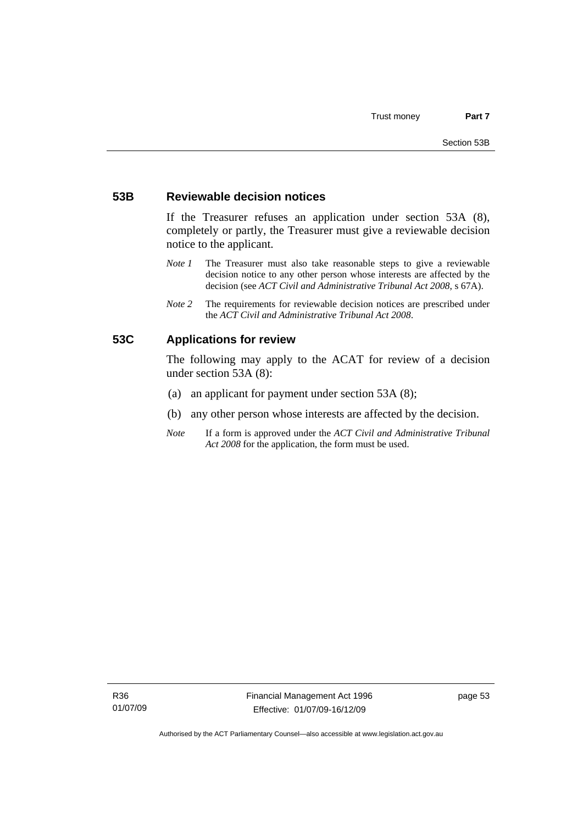#### **53B Reviewable decision notices**

If the Treasurer refuses an application under section 53A (8), completely or partly, the Treasurer must give a reviewable decision notice to the applicant.

- *Note 1* The Treasurer must also take reasonable steps to give a reviewable decision notice to any other person whose interests are affected by the decision (see *ACT Civil and Administrative Tribunal Act 2008*, s 67A).
- *Note 2* The requirements for reviewable decision notices are prescribed under the *ACT Civil and Administrative Tribunal Act 2008*.

### **53C Applications for review**

The following may apply to the ACAT for review of a decision under section 53A (8):

- (a) an applicant for payment under section 53A (8);
- (b) any other person whose interests are affected by the decision.
- *Note* If a form is approved under the *ACT Civil and Administrative Tribunal Act 2008* for the application, the form must be used.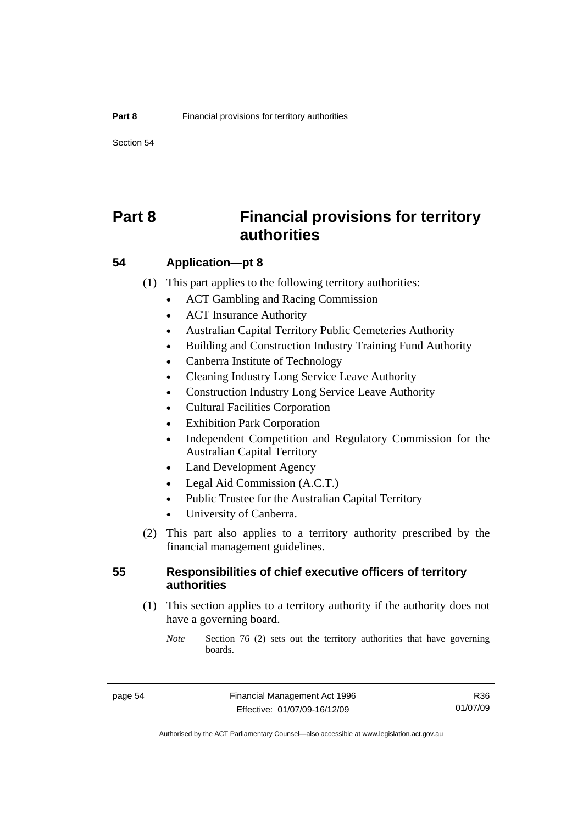Section 54

# **Part 8 Financial provisions for territory authorities**

#### **54 Application—pt 8**

(1) This part applies to the following territory authorities:

- ACT Gambling and Racing Commission
- ACT Insurance Authority
- Australian Capital Territory Public Cemeteries Authority
- Building and Construction Industry Training Fund Authority
- Canberra Institute of Technology
- Cleaning Industry Long Service Leave Authority
- Construction Industry Long Service Leave Authority
- Cultural Facilities Corporation
- Exhibition Park Corporation
- Independent Competition and Regulatory Commission for the Australian Capital Territory
- Land Development Agency
- Legal Aid Commission (A.C.T.)
- Public Trustee for the Australian Capital Territory
- University of Canberra.
- (2) This part also applies to a territory authority prescribed by the financial management guidelines.

#### **55 Responsibilities of chief executive officers of territory authorities**

- (1) This section applies to a territory authority if the authority does not have a governing board.
	- *Note* Section 76 (2) sets out the territory authorities that have governing boards.

R36 01/07/09

Authorised by the ACT Parliamentary Counsel—also accessible at www.legislation.act.gov.au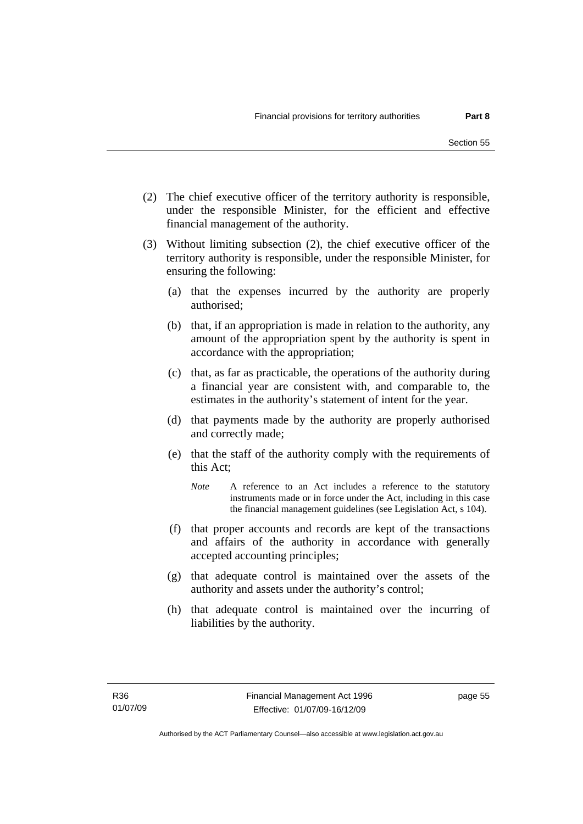- (2) The chief executive officer of the territory authority is responsible, under the responsible Minister, for the efficient and effective financial management of the authority.
- (3) Without limiting subsection (2), the chief executive officer of the territory authority is responsible, under the responsible Minister, for ensuring the following:
	- (a) that the expenses incurred by the authority are properly authorised;
	- (b) that, if an appropriation is made in relation to the authority, any amount of the appropriation spent by the authority is spent in accordance with the appropriation;
	- (c) that, as far as practicable, the operations of the authority during a financial year are consistent with, and comparable to, the estimates in the authority's statement of intent for the year.
	- (d) that payments made by the authority are properly authorised and correctly made;
	- (e) that the staff of the authority comply with the requirements of this Act;
		- *Note* A reference to an Act includes a reference to the statutory instruments made or in force under the Act, including in this case the financial management guidelines (see Legislation Act, s 104).
	- (f) that proper accounts and records are kept of the transactions and affairs of the authority in accordance with generally accepted accounting principles;
	- (g) that adequate control is maintained over the assets of the authority and assets under the authority's control;
	- (h) that adequate control is maintained over the incurring of liabilities by the authority.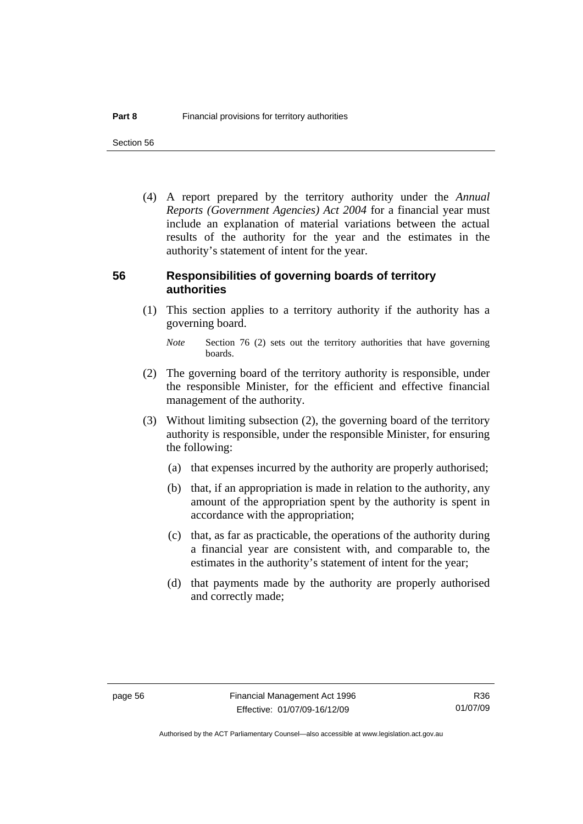Section 56

 (4) A report prepared by the territory authority under the *Annual Reports (Government Agencies) Act 2004* for a financial year must include an explanation of material variations between the actual results of the authority for the year and the estimates in the authority's statement of intent for the year.

#### **56 Responsibilities of governing boards of territory authorities**

 (1) This section applies to a territory authority if the authority has a governing board.

- (2) The governing board of the territory authority is responsible, under the responsible Minister, for the efficient and effective financial management of the authority.
- (3) Without limiting subsection (2), the governing board of the territory authority is responsible, under the responsible Minister, for ensuring the following:
	- (a) that expenses incurred by the authority are properly authorised;
	- (b) that, if an appropriation is made in relation to the authority, any amount of the appropriation spent by the authority is spent in accordance with the appropriation;
	- (c) that, as far as practicable, the operations of the authority during a financial year are consistent with, and comparable to, the estimates in the authority's statement of intent for the year;
	- (d) that payments made by the authority are properly authorised and correctly made;

*Note* Section 76 (2) sets out the territory authorities that have governing boards.

R36 01/07/09

Authorised by the ACT Parliamentary Counsel—also accessible at www.legislation.act.gov.au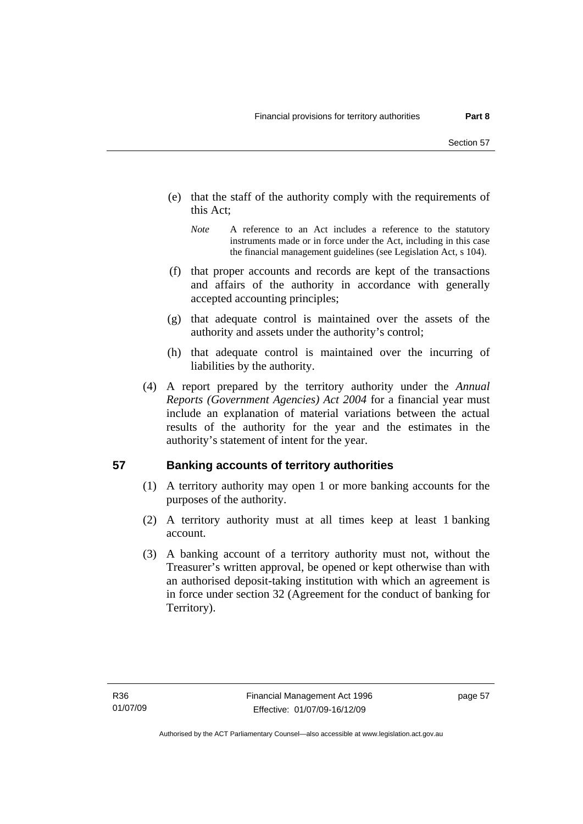- (e) that the staff of the authority comply with the requirements of this Act;
	- *Note* A reference to an Act includes a reference to the statutory instruments made or in force under the Act, including in this case the financial management guidelines (see Legislation Act, s 104).
- (f) that proper accounts and records are kept of the transactions and affairs of the authority in accordance with generally accepted accounting principles;
- (g) that adequate control is maintained over the assets of the authority and assets under the authority's control;
- (h) that adequate control is maintained over the incurring of liabilities by the authority.
- (4) A report prepared by the territory authority under the *Annual Reports (Government Agencies) Act 2004* for a financial year must include an explanation of material variations between the actual results of the authority for the year and the estimates in the authority's statement of intent for the year.

# **57 Banking accounts of territory authorities**

- (1) A territory authority may open 1 or more banking accounts for the purposes of the authority.
- (2) A territory authority must at all times keep at least 1 banking account.
- (3) A banking account of a territory authority must not, without the Treasurer's written approval, be opened or kept otherwise than with an authorised deposit-taking institution with which an agreement is in force under section 32 (Agreement for the conduct of banking for Territory).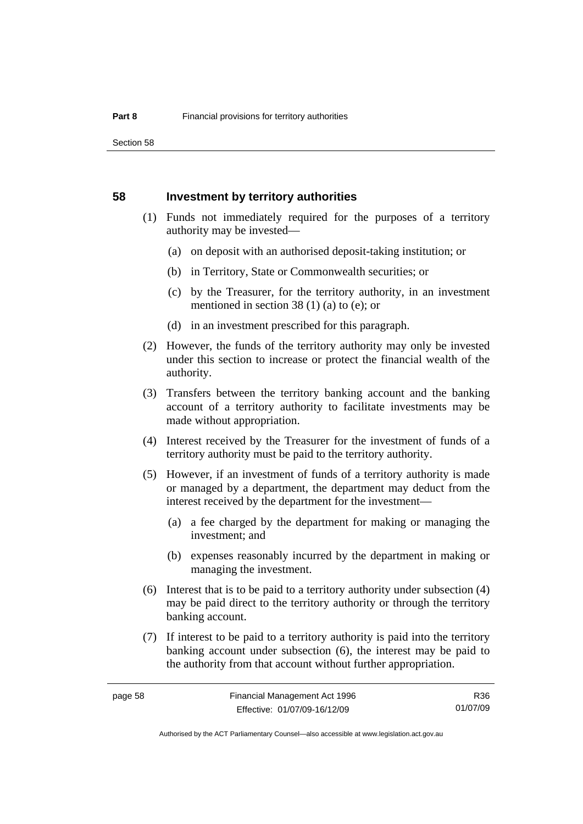#### **58 Investment by territory authorities**

- (1) Funds not immediately required for the purposes of a territory authority may be invested—
	- (a) on deposit with an authorised deposit-taking institution; or
	- (b) in Territory, State or Commonwealth securities; or
	- (c) by the Treasurer, for the territory authority, in an investment mentioned in section 38 (1) (a) to (e); or
	- (d) in an investment prescribed for this paragraph.
- (2) However, the funds of the territory authority may only be invested under this section to increase or protect the financial wealth of the authority.
- (3) Transfers between the territory banking account and the banking account of a territory authority to facilitate investments may be made without appropriation.
- (4) Interest received by the Treasurer for the investment of funds of a territory authority must be paid to the territory authority.
- (5) However, if an investment of funds of a territory authority is made or managed by a department, the department may deduct from the interest received by the department for the investment—
	- (a) a fee charged by the department for making or managing the investment; and
	- (b) expenses reasonably incurred by the department in making or managing the investment.
- (6) Interest that is to be paid to a territory authority under subsection (4) may be paid direct to the territory authority or through the territory banking account.
- (7) If interest to be paid to a territory authority is paid into the territory banking account under subsection (6), the interest may be paid to the authority from that account without further appropriation.

R36 01/07/09

Authorised by the ACT Parliamentary Counsel—also accessible at www.legislation.act.gov.au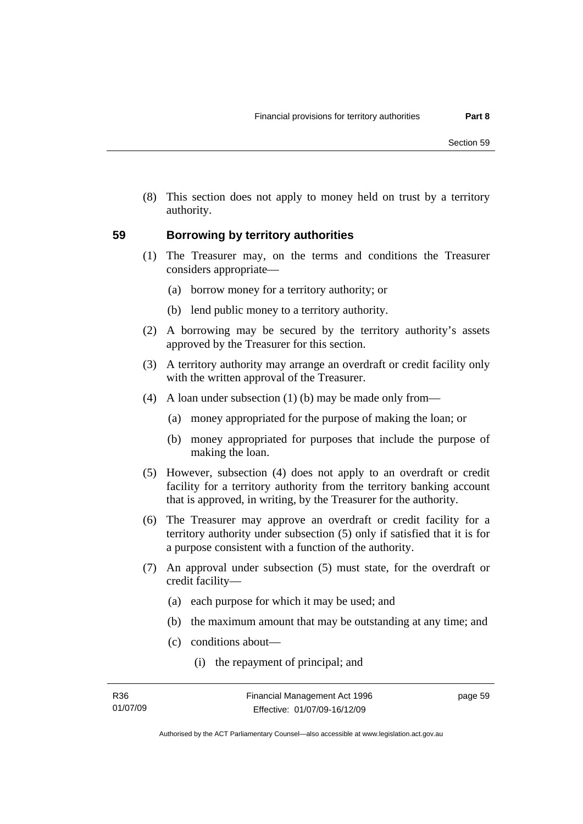(8) This section does not apply to money held on trust by a territory authority.

### **59 Borrowing by territory authorities**

- (1) The Treasurer may, on the terms and conditions the Treasurer considers appropriate—
	- (a) borrow money for a territory authority; or
	- (b) lend public money to a territory authority.
- (2) A borrowing may be secured by the territory authority's assets approved by the Treasurer for this section.
- (3) A territory authority may arrange an overdraft or credit facility only with the written approval of the Treasurer.
- (4) A loan under subsection (1) (b) may be made only from—
	- (a) money appropriated for the purpose of making the loan; or
	- (b) money appropriated for purposes that include the purpose of making the loan.
- (5) However, subsection (4) does not apply to an overdraft or credit facility for a territory authority from the territory banking account that is approved, in writing, by the Treasurer for the authority.
- (6) The Treasurer may approve an overdraft or credit facility for a territory authority under subsection (5) only if satisfied that it is for a purpose consistent with a function of the authority.
- (7) An approval under subsection (5) must state, for the overdraft or credit facility—
	- (a) each purpose for which it may be used; and
	- (b) the maximum amount that may be outstanding at any time; and
	- (c) conditions about—
		- (i) the repayment of principal; and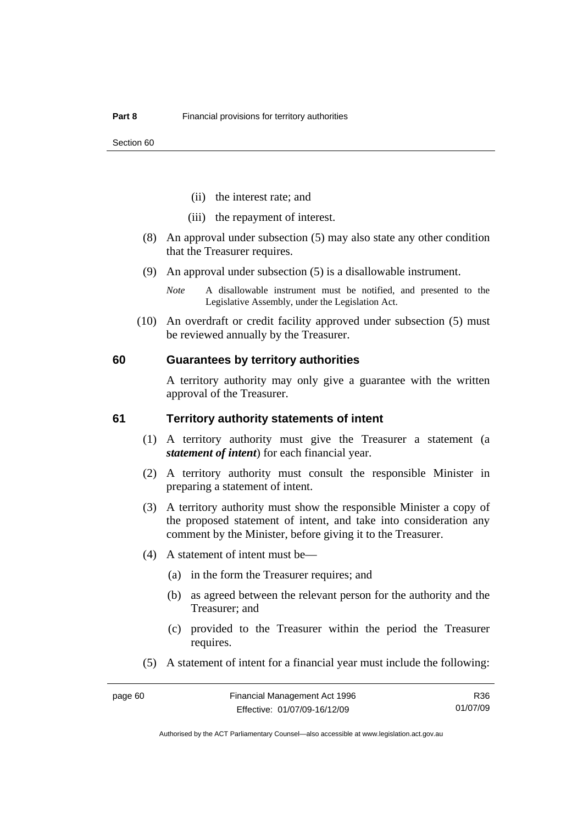- (ii) the interest rate; and
- (iii) the repayment of interest.
- (8) An approval under subsection (5) may also state any other condition that the Treasurer requires.
- (9) An approval under subsection (5) is a disallowable instrument.
	- *Note* A disallowable instrument must be notified, and presented to the Legislative Assembly, under the Legislation Act.
- (10) An overdraft or credit facility approved under subsection (5) must be reviewed annually by the Treasurer.

#### **60 Guarantees by territory authorities**

A territory authority may only give a guarantee with the written approval of the Treasurer.

#### **61 Territory authority statements of intent**

- (1) A territory authority must give the Treasurer a statement (a *statement of intent*) for each financial year.
- (2) A territory authority must consult the responsible Minister in preparing a statement of intent.
- (3) A territory authority must show the responsible Minister a copy of the proposed statement of intent, and take into consideration any comment by the Minister, before giving it to the Treasurer.
- (4) A statement of intent must be—
	- (a) in the form the Treasurer requires; and
	- (b) as agreed between the relevant person for the authority and the Treasurer; and
	- (c) provided to the Treasurer within the period the Treasurer requires.
- (5) A statement of intent for a financial year must include the following:

R36 01/07/09

Authorised by the ACT Parliamentary Counsel—also accessible at www.legislation.act.gov.au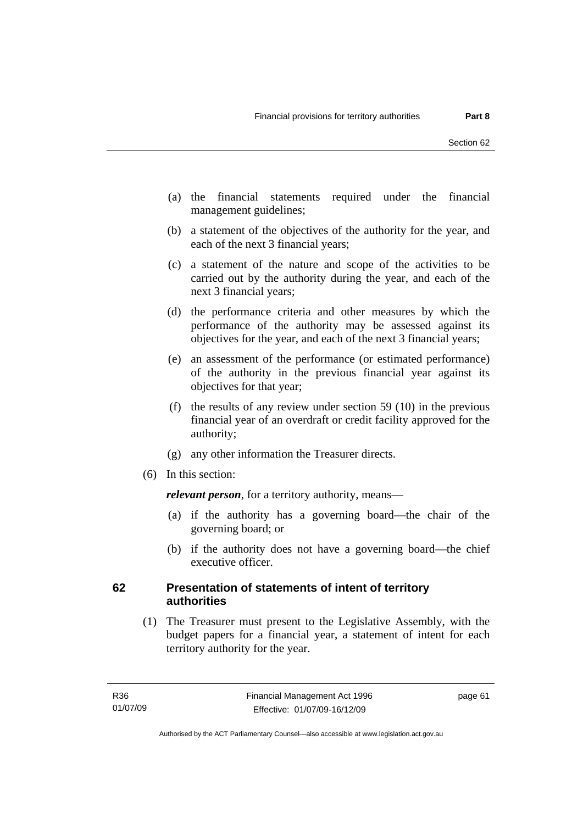- (a) the financial statements required under the financial management guidelines;
- (b) a statement of the objectives of the authority for the year, and each of the next 3 financial years;
- (c) a statement of the nature and scope of the activities to be carried out by the authority during the year, and each of the next 3 financial years;
- (d) the performance criteria and other measures by which the performance of the authority may be assessed against its objectives for the year, and each of the next 3 financial years;
- (e) an assessment of the performance (or estimated performance) of the authority in the previous financial year against its objectives for that year;
- (f) the results of any review under section 59 (10) in the previous financial year of an overdraft or credit facility approved for the authority;
- (g) any other information the Treasurer directs.
- (6) In this section:

*relevant person*, for a territory authority, means—

- (a) if the authority has a governing board—the chair of the governing board; or
- (b) if the authority does not have a governing board—the chief executive officer.

### **62 Presentation of statements of intent of territory authorities**

 (1) The Treasurer must present to the Legislative Assembly, with the budget papers for a financial year, a statement of intent for each territory authority for the year.

page 61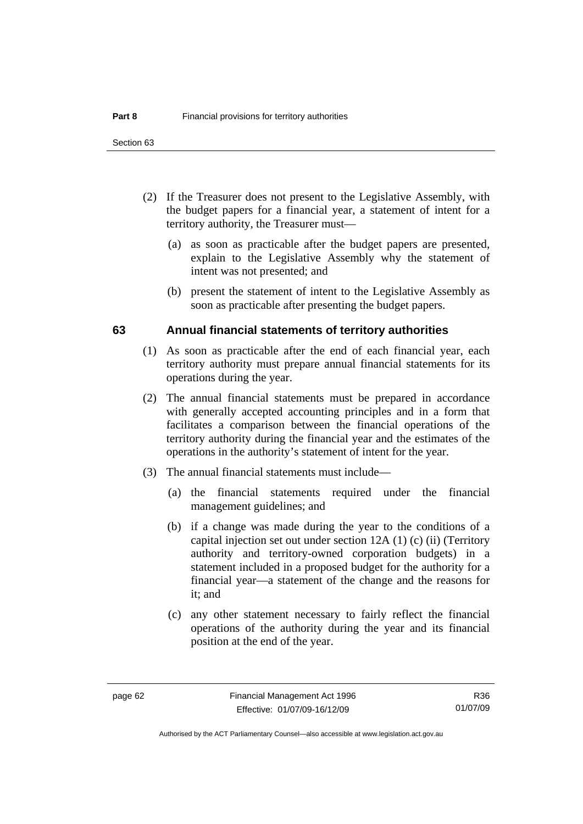- (2) If the Treasurer does not present to the Legislative Assembly, with the budget papers for a financial year, a statement of intent for a territory authority, the Treasurer must—
	- (a) as soon as practicable after the budget papers are presented, explain to the Legislative Assembly why the statement of intent was not presented; and
	- (b) present the statement of intent to the Legislative Assembly as soon as practicable after presenting the budget papers.

#### **63 Annual financial statements of territory authorities**

- (1) As soon as practicable after the end of each financial year, each territory authority must prepare annual financial statements for its operations during the year.
- (2) The annual financial statements must be prepared in accordance with generally accepted accounting principles and in a form that facilitates a comparison between the financial operations of the territory authority during the financial year and the estimates of the operations in the authority's statement of intent for the year.
- (3) The annual financial statements must include—
	- (a) the financial statements required under the financial management guidelines; and
	- (b) if a change was made during the year to the conditions of a capital injection set out under section 12A (1) (c) (ii) (Territory authority and territory-owned corporation budgets) in a statement included in a proposed budget for the authority for a financial year—a statement of the change and the reasons for it; and
	- (c) any other statement necessary to fairly reflect the financial operations of the authority during the year and its financial position at the end of the year.

R36 01/07/09

Authorised by the ACT Parliamentary Counsel—also accessible at www.legislation.act.gov.au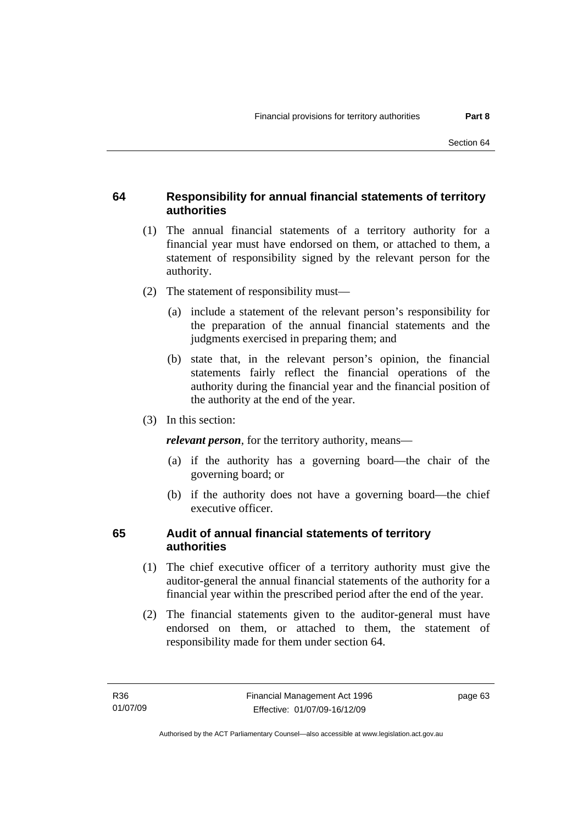# **64 Responsibility for annual financial statements of territory authorities**

- (1) The annual financial statements of a territory authority for a financial year must have endorsed on them, or attached to them, a statement of responsibility signed by the relevant person for the authority.
- (2) The statement of responsibility must—
	- (a) include a statement of the relevant person's responsibility for the preparation of the annual financial statements and the judgments exercised in preparing them; and
	- (b) state that, in the relevant person's opinion, the financial statements fairly reflect the financial operations of the authority during the financial year and the financial position of the authority at the end of the year.
- (3) In this section:

*relevant person*, for the territory authority, means—

- (a) if the authority has a governing board—the chair of the governing board; or
- (b) if the authority does not have a governing board—the chief executive officer.

# **65 Audit of annual financial statements of territory authorities**

- (1) The chief executive officer of a territory authority must give the auditor-general the annual financial statements of the authority for a financial year within the prescribed period after the end of the year.
- (2) The financial statements given to the auditor-general must have endorsed on them, or attached to them, the statement of responsibility made for them under section 64.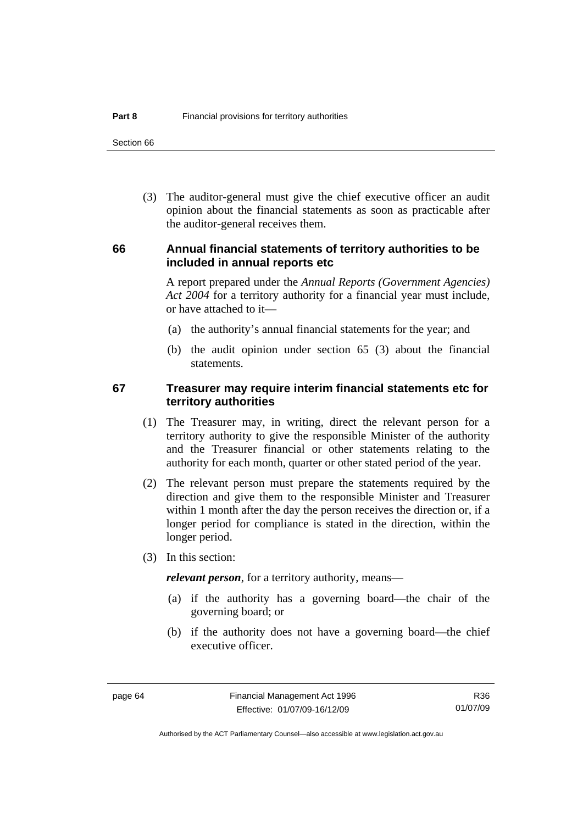Section 66

 (3) The auditor-general must give the chief executive officer an audit opinion about the financial statements as soon as practicable after the auditor-general receives them.

#### **66 Annual financial statements of territory authorities to be included in annual reports etc**

A report prepared under the *Annual Reports (Government Agencies) Act 2004* for a territory authority for a financial year must include, or have attached to it—

- (a) the authority's annual financial statements for the year; and
- (b) the audit opinion under section 65 (3) about the financial statements.

#### **67 Treasurer may require interim financial statements etc for territory authorities**

- (1) The Treasurer may, in writing, direct the relevant person for a territory authority to give the responsible Minister of the authority and the Treasurer financial or other statements relating to the authority for each month, quarter or other stated period of the year.
- (2) The relevant person must prepare the statements required by the direction and give them to the responsible Minister and Treasurer within 1 month after the day the person receives the direction or, if a longer period for compliance is stated in the direction, within the longer period.
- (3) In this section:

*relevant person*, for a territory authority, means—

- (a) if the authority has a governing board—the chair of the governing board; or
- (b) if the authority does not have a governing board—the chief executive officer.

R36 01/07/09

Authorised by the ACT Parliamentary Counsel—also accessible at www.legislation.act.gov.au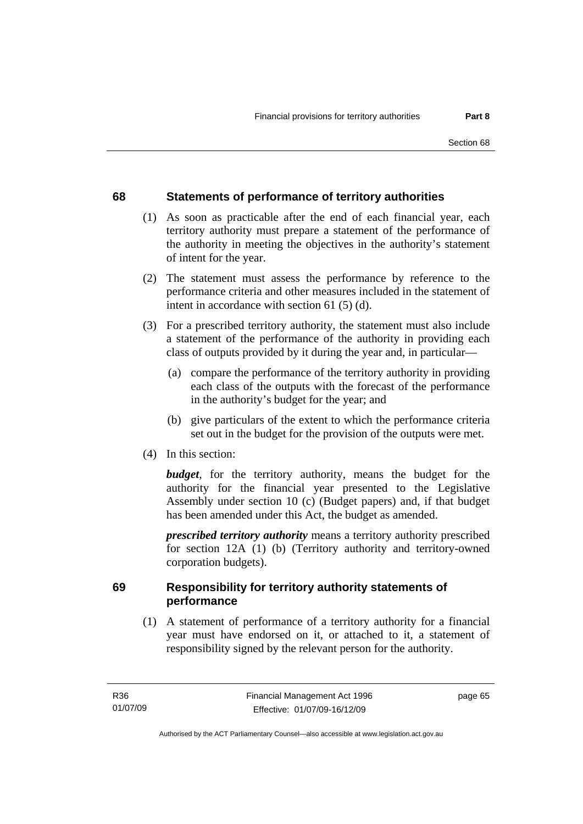# **68 Statements of performance of territory authorities**

- (1) As soon as practicable after the end of each financial year, each territory authority must prepare a statement of the performance of the authority in meeting the objectives in the authority's statement of intent for the year.
- (2) The statement must assess the performance by reference to the performance criteria and other measures included in the statement of intent in accordance with section 61 (5) (d).
- (3) For a prescribed territory authority, the statement must also include a statement of the performance of the authority in providing each class of outputs provided by it during the year and, in particular—
	- (a) compare the performance of the territory authority in providing each class of the outputs with the forecast of the performance in the authority's budget for the year; and
	- (b) give particulars of the extent to which the performance criteria set out in the budget for the provision of the outputs were met.
- (4) In this section:

*budget*, for the territory authority, means the budget for the authority for the financial year presented to the Legislative Assembly under section 10 (c) (Budget papers) and, if that budget has been amended under this Act, the budget as amended.

*prescribed territory authority* means a territory authority prescribed for section 12A (1) (b) (Territory authority and territory-owned corporation budgets).

# **69 Responsibility for territory authority statements of performance**

 (1) A statement of performance of a territory authority for a financial year must have endorsed on it, or attached to it, a statement of responsibility signed by the relevant person for the authority.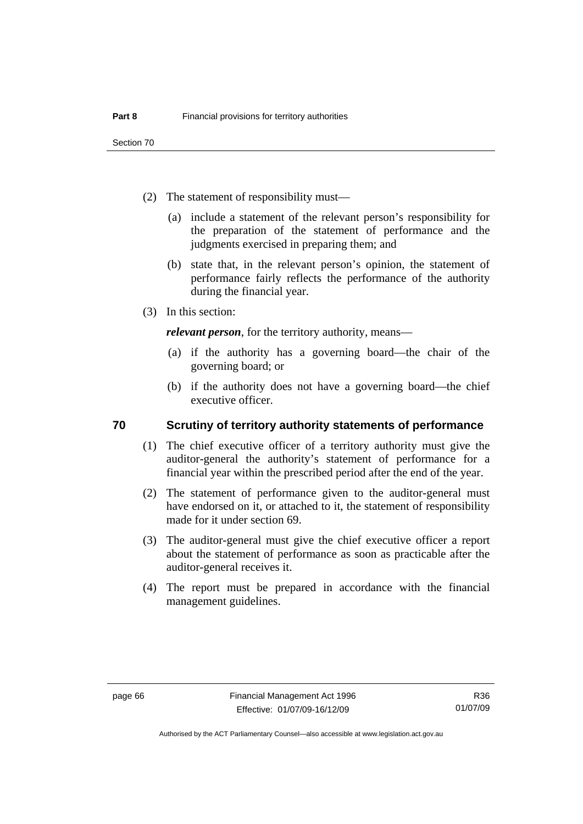Section 70

- (2) The statement of responsibility must—
	- (a) include a statement of the relevant person's responsibility for the preparation of the statement of performance and the judgments exercised in preparing them; and
	- (b) state that, in the relevant person's opinion, the statement of performance fairly reflects the performance of the authority during the financial year.
- (3) In this section:

*relevant person*, for the territory authority, means—

- (a) if the authority has a governing board—the chair of the governing board; or
- (b) if the authority does not have a governing board—the chief executive officer.

#### **70 Scrutiny of territory authority statements of performance**

- (1) The chief executive officer of a territory authority must give the auditor-general the authority's statement of performance for a financial year within the prescribed period after the end of the year.
- (2) The statement of performance given to the auditor-general must have endorsed on it, or attached to it, the statement of responsibility made for it under section 69.
- (3) The auditor-general must give the chief executive officer a report about the statement of performance as soon as practicable after the auditor-general receives it.
- (4) The report must be prepared in accordance with the financial management guidelines.

R36 01/07/09

Authorised by the ACT Parliamentary Counsel—also accessible at www.legislation.act.gov.au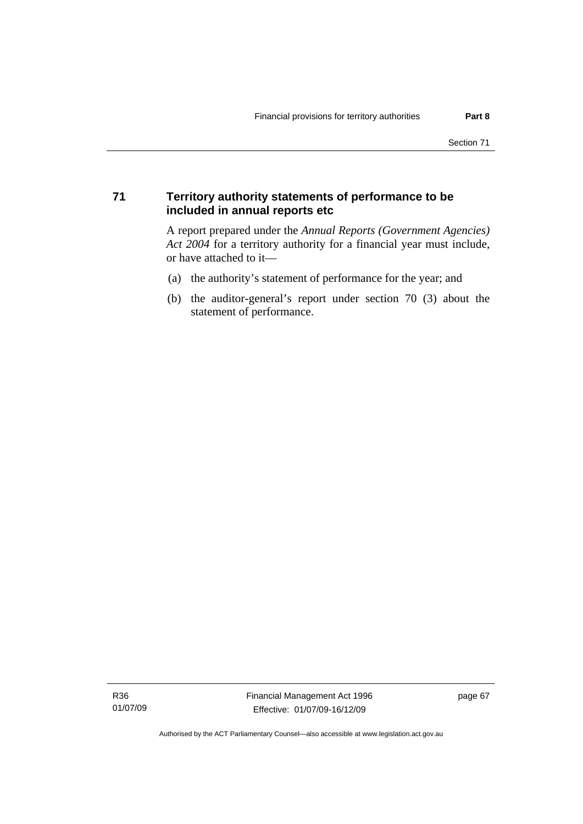#### **71 Territory authority statements of performance to be included in annual reports etc**

A report prepared under the *Annual Reports (Government Agencies) Act 2004* for a territory authority for a financial year must include, or have attached to it—

- (a) the authority's statement of performance for the year; and
- (b) the auditor-general's report under section 70 (3) about the statement of performance.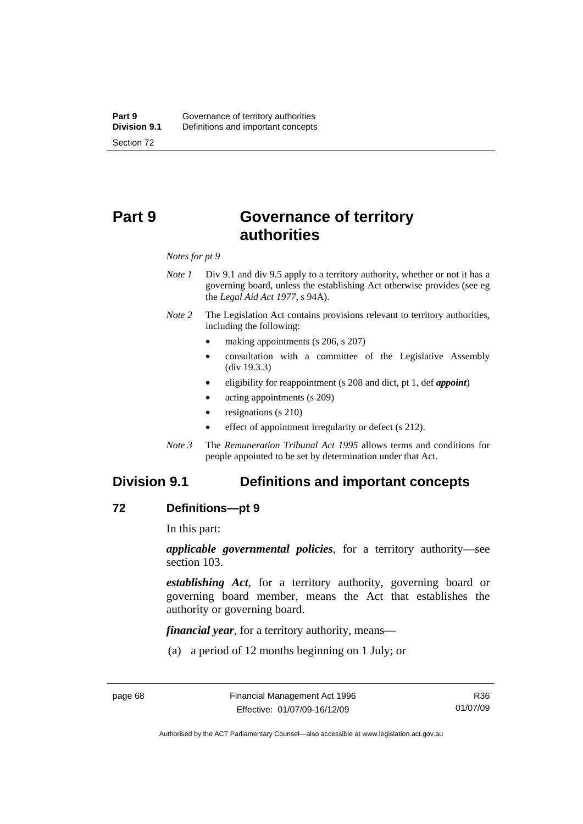# **Part 9 Governance of territory authorities**

*Notes for pt 9* 

- *Note 1* Div 9.1 and div 9.5 apply to a territory authority, whether or not it has a governing board, unless the establishing Act otherwise provides (see eg the *Legal Aid Act 1977*, s 94A).
- *Note 2* The Legislation Act contains provisions relevant to territory authorities, including the following:
	- making appointments (s 206, s 207)
	- consultation with a committee of the Legislative Assembly (div 19.3.3)
	- eligibility for reappointment (s 208 and dict, pt 1, def *appoint*)
	- acting appointments (s 209)
	- resignations (s 210)
	- effect of appointment irregularity or defect (s 212).
- *Note 3* The *Remuneration Tribunal Act 1995* allows terms and conditions for people appointed to be set by determination under that Act.

# **Division 9.1 Definitions and important concepts**

#### **72 Definitions—pt 9**

In this part:

*applicable governmental policies*, for a territory authority—see section 103.

*establishing Act*, for a territory authority, governing board or governing board member, means the Act that establishes the authority or governing board.

*financial year*, for a territory authority, means—

(a) a period of 12 months beginning on 1 July; or

Authorised by the ACT Parliamentary Counsel—also accessible at www.legislation.act.gov.au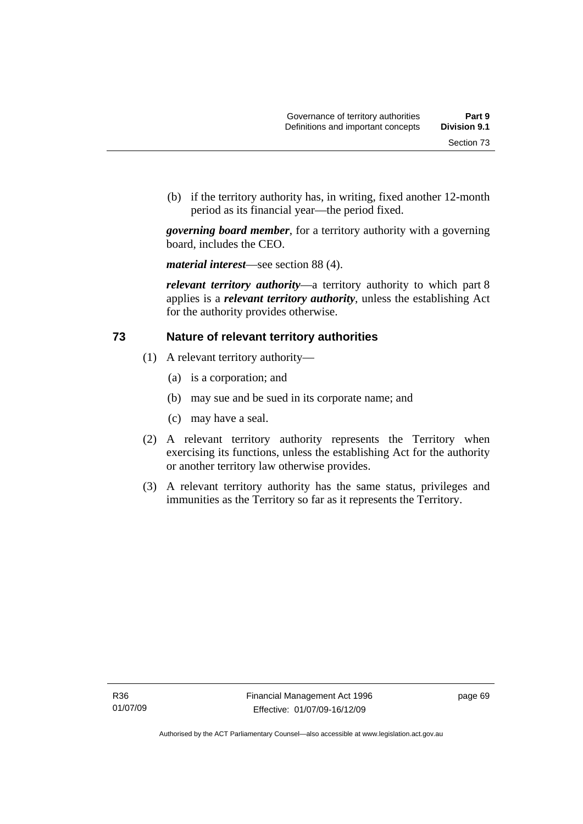(b) if the territory authority has, in writing, fixed another 12-month period as its financial year—the period fixed.

*governing board member*, for a territory authority with a governing board, includes the CEO.

*material interest*—see section 88 (4).

*relevant territory authority*—a territory authority to which part 8 applies is a *relevant territory authority*, unless the establishing Act for the authority provides otherwise.

#### **73 Nature of relevant territory authorities**

- (1) A relevant territory authority—
	- (a) is a corporation; and
	- (b) may sue and be sued in its corporate name; and
	- (c) may have a seal.
- (2) A relevant territory authority represents the Territory when exercising its functions, unless the establishing Act for the authority or another territory law otherwise provides.
- (3) A relevant territory authority has the same status, privileges and immunities as the Territory so far as it represents the Territory.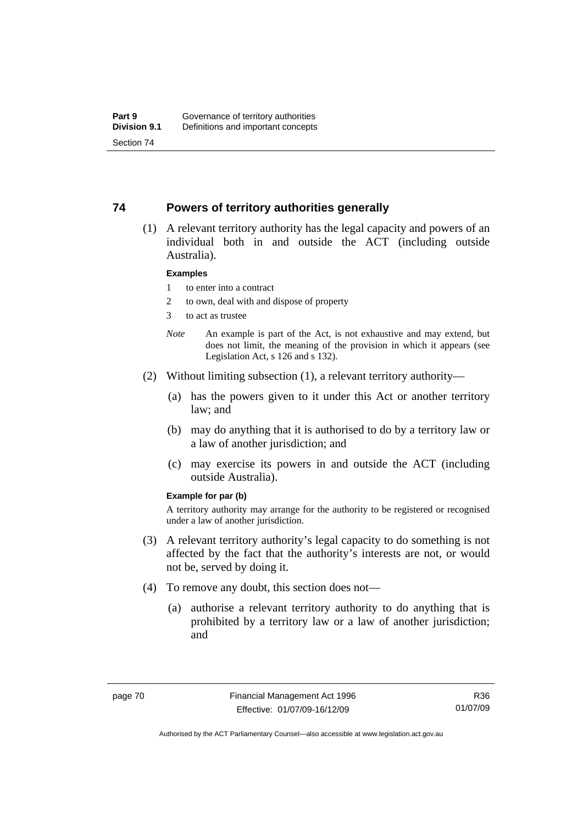#### **74 Powers of territory authorities generally**

 (1) A relevant territory authority has the legal capacity and powers of an individual both in and outside the ACT (including outside Australia).

#### **Examples**

- 1 to enter into a contract
- 2 to own, deal with and dispose of property
- 3 to act as trustee
- *Note* An example is part of the Act, is not exhaustive and may extend, but does not limit, the meaning of the provision in which it appears (see Legislation Act, s 126 and s 132).
- (2) Without limiting subsection (1), a relevant territory authority—
	- (a) has the powers given to it under this Act or another territory law; and
	- (b) may do anything that it is authorised to do by a territory law or a law of another jurisdiction; and
	- (c) may exercise its powers in and outside the ACT (including outside Australia).

#### **Example for par (b)**

A territory authority may arrange for the authority to be registered or recognised under a law of another jurisdiction.

- (3) A relevant territory authority's legal capacity to do something is not affected by the fact that the authority's interests are not, or would not be, served by doing it.
- (4) To remove any doubt, this section does not—
	- (a) authorise a relevant territory authority to do anything that is prohibited by a territory law or a law of another jurisdiction; and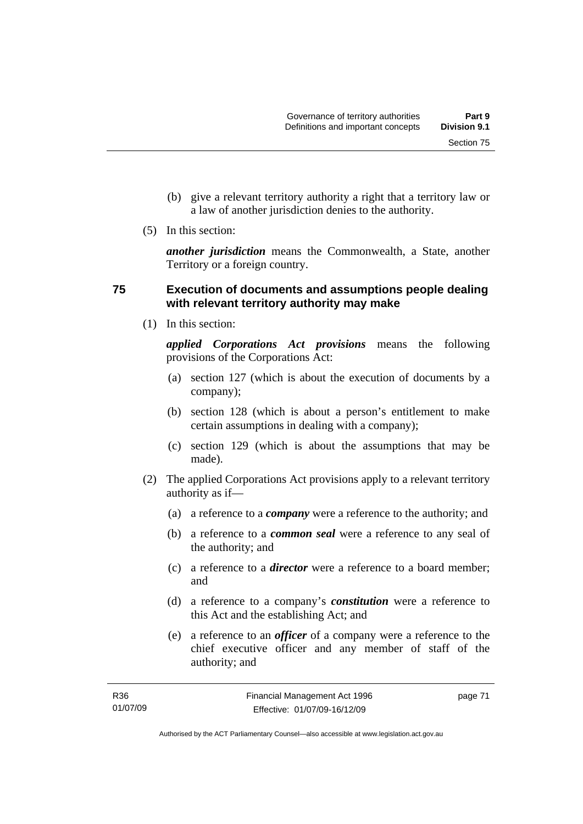Section 75

- a law of another jurisdiction denies to the authority.
- (5) In this section:

*another jurisdiction* means the Commonwealth, a State, another Territory or a foreign country.

# **75 Execution of documents and assumptions people dealing with relevant territory authority may make**

(1) In this section:

*applied Corporations Act provisions* means the following provisions of the Corporations Act:

- (a) section 127 (which is about the execution of documents by a company);
- (b) section 128 (which is about a person's entitlement to make certain assumptions in dealing with a company);
- (c) section 129 (which is about the assumptions that may be made).
- (2) The applied Corporations Act provisions apply to a relevant territory authority as if—
	- (a) a reference to a *company* were a reference to the authority; and
	- (b) a reference to a *common seal* were a reference to any seal of the authority; and
	- (c) a reference to a *director* were a reference to a board member; and
	- (d) a reference to a company's *constitution* were a reference to this Act and the establishing Act; and
	- (e) a reference to an *officer* of a company were a reference to the chief executive officer and any member of staff of the authority; and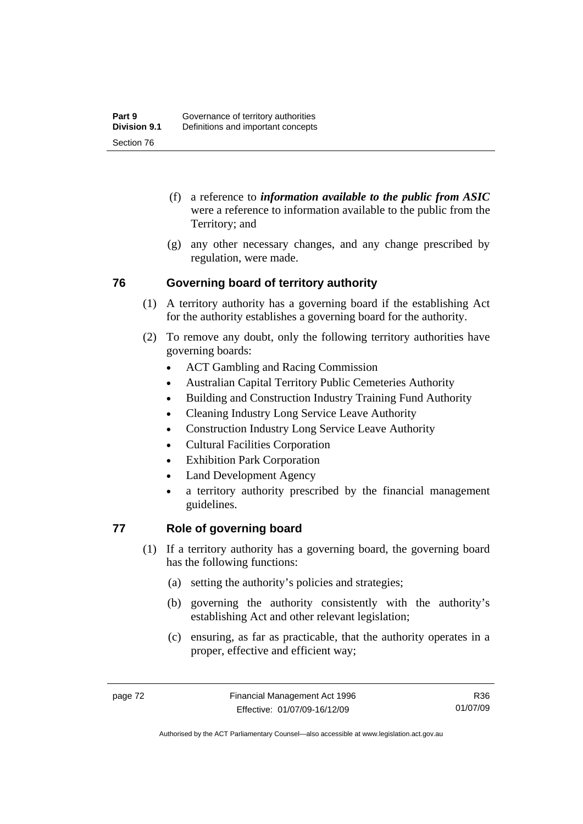- (f) a reference to *information available to the public from ASIC*  were a reference to information available to the public from the Territory; and
- (g) any other necessary changes, and any change prescribed by regulation, were made.

# **76 Governing board of territory authority**

- (1) A territory authority has a governing board if the establishing Act for the authority establishes a governing board for the authority.
- (2) To remove any doubt, only the following territory authorities have governing boards:
	- ACT Gambling and Racing Commission
	- Australian Capital Territory Public Cemeteries Authority
	- Building and Construction Industry Training Fund Authority
	- Cleaning Industry Long Service Leave Authority
	- Construction Industry Long Service Leave Authority
	- Cultural Facilities Corporation
	- **Exhibition Park Corporation**
	- Land Development Agency
	- a territory authority prescribed by the financial management guidelines.

# **77 Role of governing board**

- (1) If a territory authority has a governing board, the governing board has the following functions:
	- (a) setting the authority's policies and strategies;
	- (b) governing the authority consistently with the authority's establishing Act and other relevant legislation;
	- (c) ensuring, as far as practicable, that the authority operates in a proper, effective and efficient way;

R36 01/07/09

Authorised by the ACT Parliamentary Counsel—also accessible at www.legislation.act.gov.au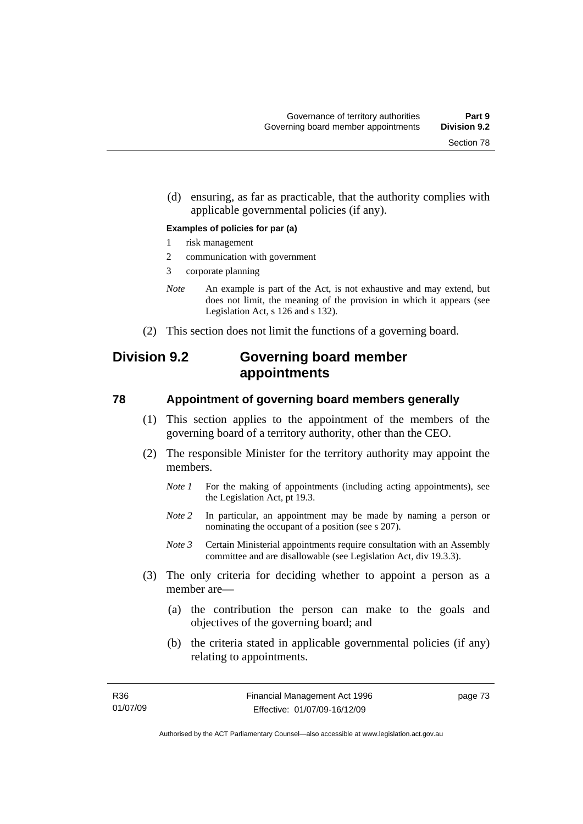(d) ensuring, as far as practicable, that the authority complies with applicable governmental policies (if any).

#### **Examples of policies for par (a)**

- 1 risk management
- 2 communication with government
- 3 corporate planning
- *Note* An example is part of the Act, is not exhaustive and may extend, but does not limit, the meaning of the provision in which it appears (see Legislation Act, s 126 and s 132).
- (2) This section does not limit the functions of a governing board.

# **Division 9.2 Governing board member appointments**

#### **78 Appointment of governing board members generally**

- (1) This section applies to the appointment of the members of the governing board of a territory authority, other than the CEO.
- (2) The responsible Minister for the territory authority may appoint the members.
	- *Note 1* For the making of appointments (including acting appointments), see the Legislation Act, pt 19.3.
	- *Note 2* In particular, an appointment may be made by naming a person or nominating the occupant of a position (see s 207).
	- *Note 3* Certain Ministerial appointments require consultation with an Assembly committee and are disallowable (see Legislation Act, div 19.3.3).
- (3) The only criteria for deciding whether to appoint a person as a member are—
	- (a) the contribution the person can make to the goals and objectives of the governing board; and
	- (b) the criteria stated in applicable governmental policies (if any) relating to appointments.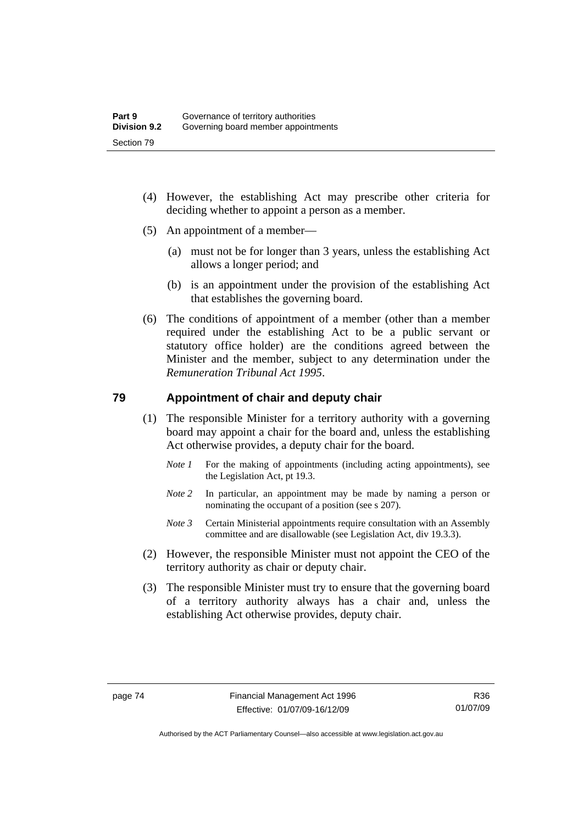- (4) However, the establishing Act may prescribe other criteria for deciding whether to appoint a person as a member.
- (5) An appointment of a member—
	- (a) must not be for longer than 3 years, unless the establishing Act allows a longer period; and
	- (b) is an appointment under the provision of the establishing Act that establishes the governing board.
- (6) The conditions of appointment of a member (other than a member required under the establishing Act to be a public servant or statutory office holder) are the conditions agreed between the Minister and the member, subject to any determination under the *Remuneration Tribunal Act 1995*.

#### **79 Appointment of chair and deputy chair**

- (1) The responsible Minister for a territory authority with a governing board may appoint a chair for the board and, unless the establishing Act otherwise provides, a deputy chair for the board.
	- *Note 1* For the making of appointments (including acting appointments), see the Legislation Act, pt 19.3.
	- *Note 2* In particular, an appointment may be made by naming a person or nominating the occupant of a position (see s 207).
	- *Note 3* Certain Ministerial appointments require consultation with an Assembly committee and are disallowable (see Legislation Act, div 19.3.3).
- (2) However, the responsible Minister must not appoint the CEO of the territory authority as chair or deputy chair.
- (3) The responsible Minister must try to ensure that the governing board of a territory authority always has a chair and, unless the establishing Act otherwise provides, deputy chair.

Authorised by the ACT Parliamentary Counsel—also accessible at www.legislation.act.gov.au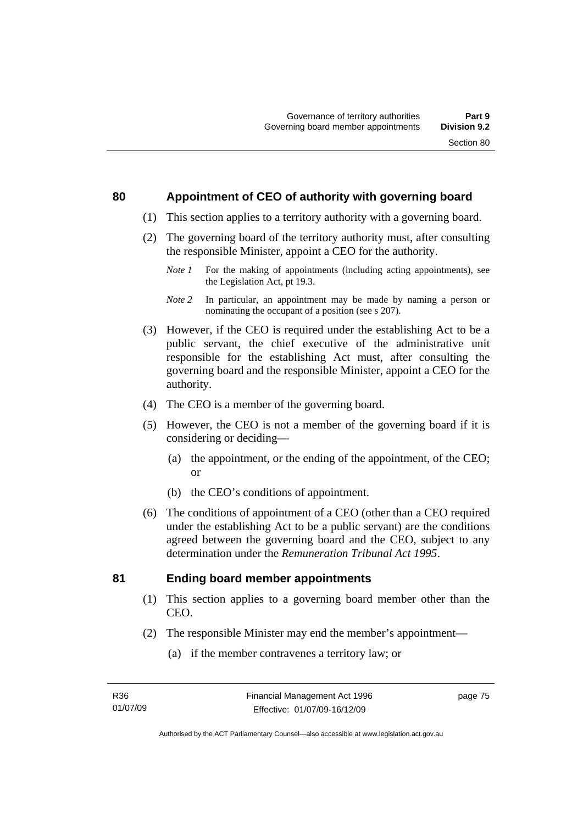#### **80 Appointment of CEO of authority with governing board**

- (1) This section applies to a territory authority with a governing board.
- (2) The governing board of the territory authority must, after consulting the responsible Minister, appoint a CEO for the authority.
	- *Note 1* For the making of appointments (including acting appointments), see the Legislation Act, pt 19.3.
	- *Note 2* In particular, an appointment may be made by naming a person or nominating the occupant of a position (see s 207).
- (3) However, if the CEO is required under the establishing Act to be a public servant, the chief executive of the administrative unit responsible for the establishing Act must, after consulting the governing board and the responsible Minister, appoint a CEO for the authority.
- (4) The CEO is a member of the governing board.
- (5) However, the CEO is not a member of the governing board if it is considering or deciding—
	- (a) the appointment, or the ending of the appointment, of the CEO; or
	- (b) the CEO's conditions of appointment.
- (6) The conditions of appointment of a CEO (other than a CEO required under the establishing Act to be a public servant) are the conditions agreed between the governing board and the CEO, subject to any determination under the *Remuneration Tribunal Act 1995*.

#### **81 Ending board member appointments**

- (1) This section applies to a governing board member other than the CEO.
- (2) The responsible Minister may end the member's appointment—
	- (a) if the member contravenes a territory law; or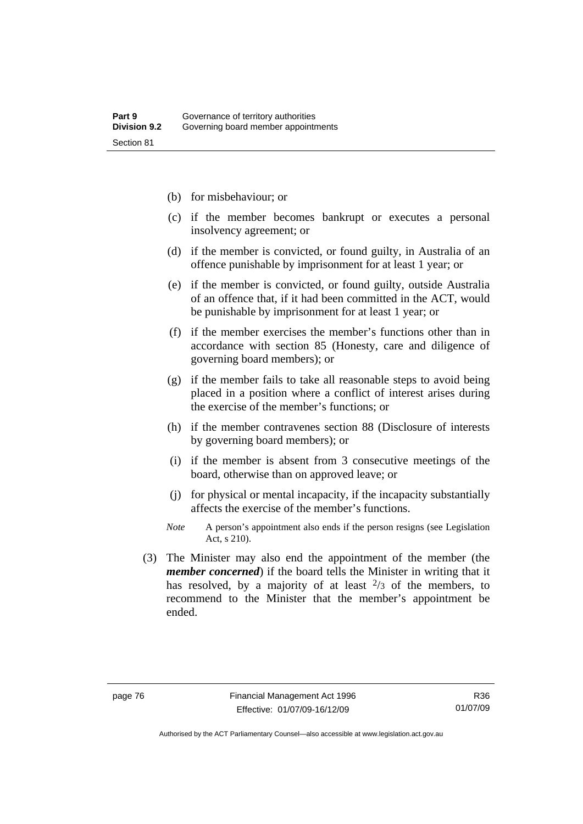- (b) for misbehaviour; or
- (c) if the member becomes bankrupt or executes a personal insolvency agreement; or
- (d) if the member is convicted, or found guilty, in Australia of an offence punishable by imprisonment for at least 1 year; or
- (e) if the member is convicted, or found guilty, outside Australia of an offence that, if it had been committed in the ACT, would be punishable by imprisonment for at least 1 year; or
- (f) if the member exercises the member's functions other than in accordance with section 85 (Honesty, care and diligence of governing board members); or
- (g) if the member fails to take all reasonable steps to avoid being placed in a position where a conflict of interest arises during the exercise of the member's functions; or
- (h) if the member contravenes section 88 (Disclosure of interests by governing board members); or
- (i) if the member is absent from 3 consecutive meetings of the board, otherwise than on approved leave; or
- (j) for physical or mental incapacity, if the incapacity substantially affects the exercise of the member's functions.
- *Note* A person's appointment also ends if the person resigns (see Legislation Act, s 210).
- (3) The Minister may also end the appointment of the member (the *member concerned*) if the board tells the Minister in writing that it has resolved, by a majority of at least  $\frac{2}{3}$  of the members, to recommend to the Minister that the member's appointment be ended.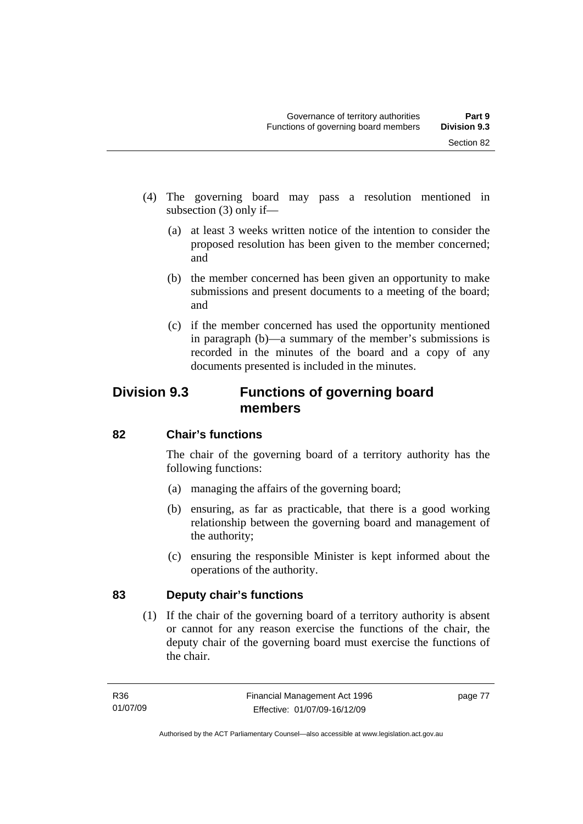- (4) The governing board may pass a resolution mentioned in subsection (3) only if—
	- (a) at least 3 weeks written notice of the intention to consider the proposed resolution has been given to the member concerned; and
	- (b) the member concerned has been given an opportunity to make submissions and present documents to a meeting of the board; and
	- (c) if the member concerned has used the opportunity mentioned in paragraph (b)—a summary of the member's submissions is recorded in the minutes of the board and a copy of any documents presented is included in the minutes.

# **Division 9.3 Functions of governing board members**

# **82 Chair's functions**

The chair of the governing board of a territory authority has the following functions:

- (a) managing the affairs of the governing board;
- (b) ensuring, as far as practicable, that there is a good working relationship between the governing board and management of the authority;
- (c) ensuring the responsible Minister is kept informed about the operations of the authority.

# **83 Deputy chair's functions**

 (1) If the chair of the governing board of a territory authority is absent or cannot for any reason exercise the functions of the chair, the deputy chair of the governing board must exercise the functions of the chair.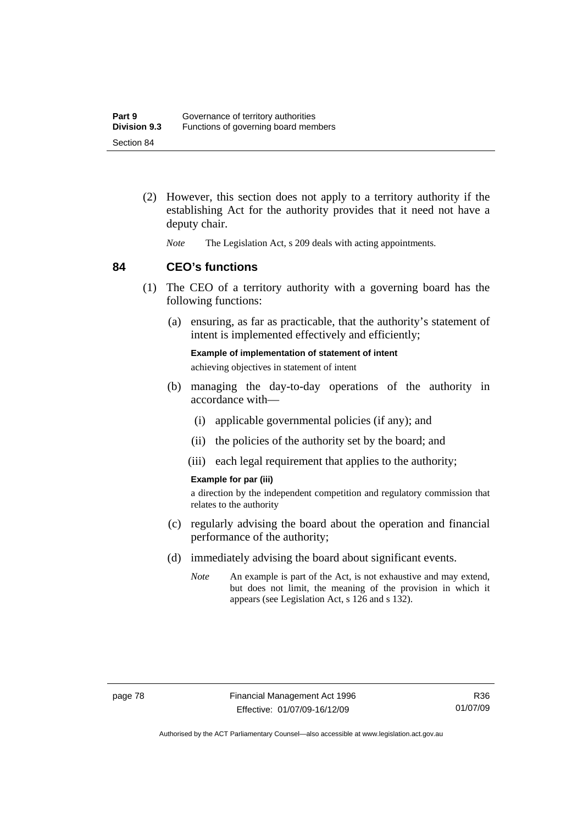- (2) However, this section does not apply to a territory authority if the establishing Act for the authority provides that it need not have a deputy chair.
	- *Note* The Legislation Act, s 209 deals with acting appointments.

#### **84 CEO's functions**

- (1) The CEO of a territory authority with a governing board has the following functions:
	- (a) ensuring, as far as practicable, that the authority's statement of intent is implemented effectively and efficiently;

**Example of implementation of statement of intent**  achieving objectives in statement of intent

- (b) managing the day-to-day operations of the authority in accordance with—
	- (i) applicable governmental policies (if any); and
	- (ii) the policies of the authority set by the board; and
	- (iii) each legal requirement that applies to the authority;

#### **Example for par (iii)**

a direction by the independent competition and regulatory commission that relates to the authority

- (c) regularly advising the board about the operation and financial performance of the authority;
- (d) immediately advising the board about significant events.
	- *Note* An example is part of the Act, is not exhaustive and may extend, but does not limit, the meaning of the provision in which it appears (see Legislation Act, s 126 and s 132).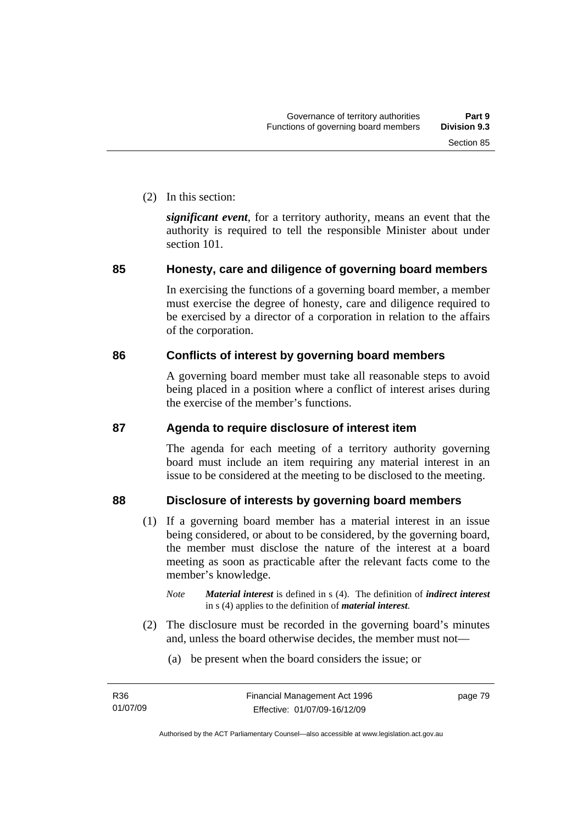(2) In this section:

*significant event*, for a territory authority, means an event that the authority is required to tell the responsible Minister about under section 101.

# **85 Honesty, care and diligence of governing board members**

In exercising the functions of a governing board member, a member must exercise the degree of honesty, care and diligence required to be exercised by a director of a corporation in relation to the affairs of the corporation.

# **86 Conflicts of interest by governing board members**

A governing board member must take all reasonable steps to avoid being placed in a position where a conflict of interest arises during the exercise of the member's functions.

# **87 Agenda to require disclosure of interest item**

The agenda for each meeting of a territory authority governing board must include an item requiring any material interest in an issue to be considered at the meeting to be disclosed to the meeting.

# **88 Disclosure of interests by governing board members**

- (1) If a governing board member has a material interest in an issue being considered, or about to be considered, by the governing board, the member must disclose the nature of the interest at a board meeting as soon as practicable after the relevant facts come to the member's knowledge.
	- *Note Material interest* is defined in s (4). The definition of *indirect interest* in s (4) applies to the definition of *material interest*.
- (2) The disclosure must be recorded in the governing board's minutes and, unless the board otherwise decides, the member must not—
	- (a) be present when the board considers the issue; or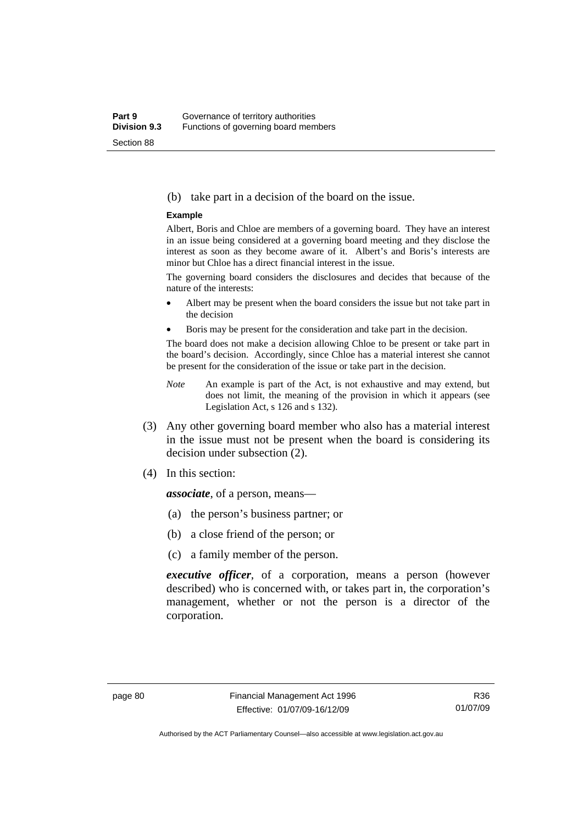#### (b) take part in a decision of the board on the issue.

#### **Example**

Albert, Boris and Chloe are members of a governing board. They have an interest in an issue being considered at a governing board meeting and they disclose the interest as soon as they become aware of it. Albert's and Boris's interests are minor but Chloe has a direct financial interest in the issue.

The governing board considers the disclosures and decides that because of the nature of the interests:

- Albert may be present when the board considers the issue but not take part in the decision
- Boris may be present for the consideration and take part in the decision.

The board does not make a decision allowing Chloe to be present or take part in the board's decision. Accordingly, since Chloe has a material interest she cannot be present for the consideration of the issue or take part in the decision.

- *Note* An example is part of the Act, is not exhaustive and may extend, but does not limit, the meaning of the provision in which it appears (see Legislation Act, s 126 and s 132).
- (3) Any other governing board member who also has a material interest in the issue must not be present when the board is considering its decision under subsection (2).
- (4) In this section:

*associate*, of a person, means—

- (a) the person's business partner; or
- (b) a close friend of the person; or
- (c) a family member of the person.

*executive officer*, of a corporation, means a person (however described) who is concerned with, or takes part in, the corporation's management, whether or not the person is a director of the corporation.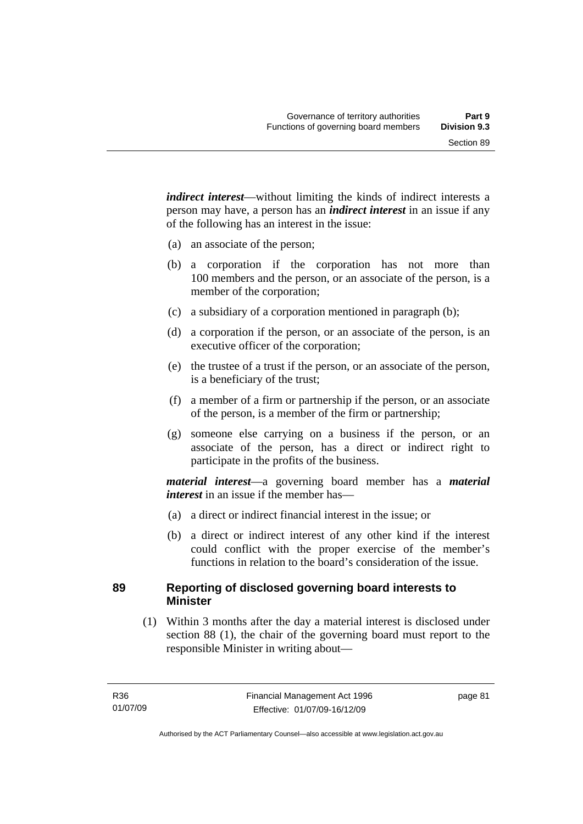*indirect interest*—without limiting the kinds of indirect interests a person may have, a person has an *indirect interest* in an issue if any of the following has an interest in the issue:

- (a) an associate of the person;
- (b) a corporation if the corporation has not more than 100 members and the person, or an associate of the person, is a member of the corporation;
- (c) a subsidiary of a corporation mentioned in paragraph (b);
- (d) a corporation if the person, or an associate of the person, is an executive officer of the corporation;
- (e) the trustee of a trust if the person, or an associate of the person, is a beneficiary of the trust;
- (f) a member of a firm or partnership if the person, or an associate of the person, is a member of the firm or partnership;
- (g) someone else carrying on a business if the person, or an associate of the person, has a direct or indirect right to participate in the profits of the business.

*material interest*—a governing board member has a *material interest* in an issue if the member has—

- (a) a direct or indirect financial interest in the issue; or
- (b) a direct or indirect interest of any other kind if the interest could conflict with the proper exercise of the member's functions in relation to the board's consideration of the issue.

#### **89 Reporting of disclosed governing board interests to Minister**

 (1) Within 3 months after the day a material interest is disclosed under section 88 (1), the chair of the governing board must report to the responsible Minister in writing about—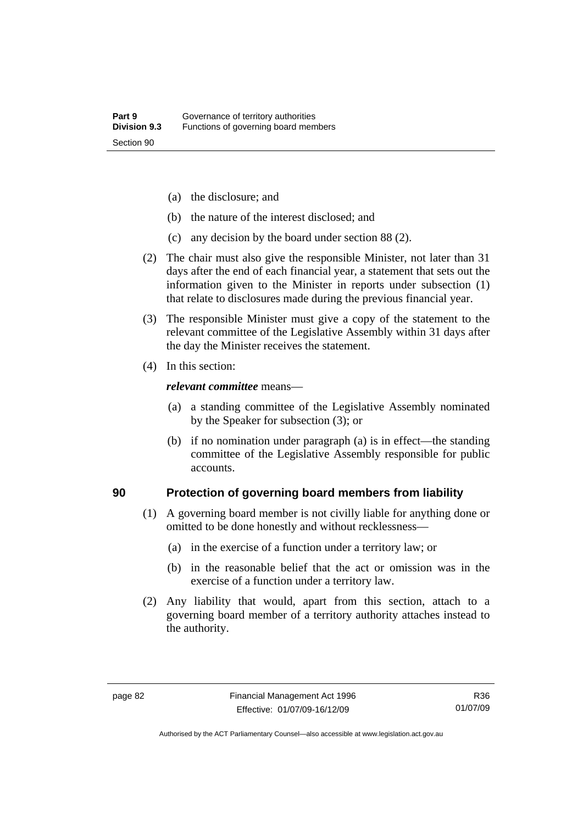- (a) the disclosure; and
- (b) the nature of the interest disclosed; and
- (c) any decision by the board under section 88 (2).
- (2) The chair must also give the responsible Minister, not later than 31 days after the end of each financial year, a statement that sets out the information given to the Minister in reports under subsection (1) that relate to disclosures made during the previous financial year.
- (3) The responsible Minister must give a copy of the statement to the relevant committee of the Legislative Assembly within 31 days after the day the Minister receives the statement.
- (4) In this section:

#### *relevant committee* means—

- (a) a standing committee of the Legislative Assembly nominated by the Speaker for subsection (3); or
- (b) if no nomination under paragraph (a) is in effect—the standing committee of the Legislative Assembly responsible for public accounts.

#### **90 Protection of governing board members from liability**

- (1) A governing board member is not civilly liable for anything done or omitted to be done honestly and without recklessness—
	- (a) in the exercise of a function under a territory law; or
	- (b) in the reasonable belief that the act or omission was in the exercise of a function under a territory law.
- (2) Any liability that would, apart from this section, attach to a governing board member of a territory authority attaches instead to the authority.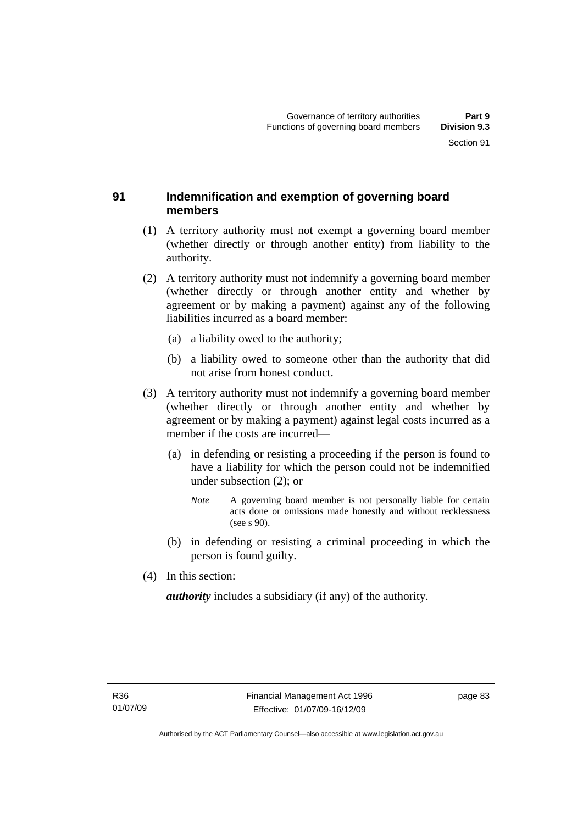#### **91 Indemnification and exemption of governing board members**

- (1) A territory authority must not exempt a governing board member (whether directly or through another entity) from liability to the authority.
- (2) A territory authority must not indemnify a governing board member (whether directly or through another entity and whether by agreement or by making a payment) against any of the following liabilities incurred as a board member:
	- (a) a liability owed to the authority;
	- (b) a liability owed to someone other than the authority that did not arise from honest conduct.
- (3) A territory authority must not indemnify a governing board member (whether directly or through another entity and whether by agreement or by making a payment) against legal costs incurred as a member if the costs are incurred—
	- (a) in defending or resisting a proceeding if the person is found to have a liability for which the person could not be indemnified under subsection (2); or
		- *Note* A governing board member is not personally liable for certain acts done or omissions made honestly and without recklessness (see s 90).
	- (b) in defending or resisting a criminal proceeding in which the person is found guilty.
- (4) In this section:

*authority* includes a subsidiary (if any) of the authority.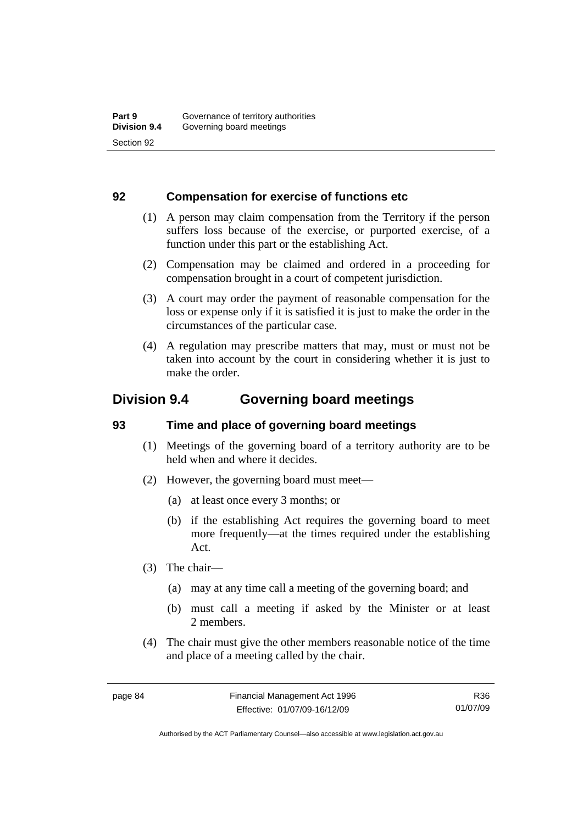#### **92 Compensation for exercise of functions etc**

- (1) A person may claim compensation from the Territory if the person suffers loss because of the exercise, or purported exercise, of a function under this part or the establishing Act.
- (2) Compensation may be claimed and ordered in a proceeding for compensation brought in a court of competent jurisdiction.
- (3) A court may order the payment of reasonable compensation for the loss or expense only if it is satisfied it is just to make the order in the circumstances of the particular case.
- (4) A regulation may prescribe matters that may, must or must not be taken into account by the court in considering whether it is just to make the order.

# **Division 9.4 Governing board meetings**

# **93 Time and place of governing board meetings**

- (1) Meetings of the governing board of a territory authority are to be held when and where it decides.
- (2) However, the governing board must meet—
	- (a) at least once every 3 months; or
	- (b) if the establishing Act requires the governing board to meet more frequently—at the times required under the establishing Act.
- (3) The chair—
	- (a) may at any time call a meeting of the governing board; and
	- (b) must call a meeting if asked by the Minister or at least 2 members.
- (4) The chair must give the other members reasonable notice of the time and place of a meeting called by the chair.

R36 01/07/09

Authorised by the ACT Parliamentary Counsel—also accessible at www.legislation.act.gov.au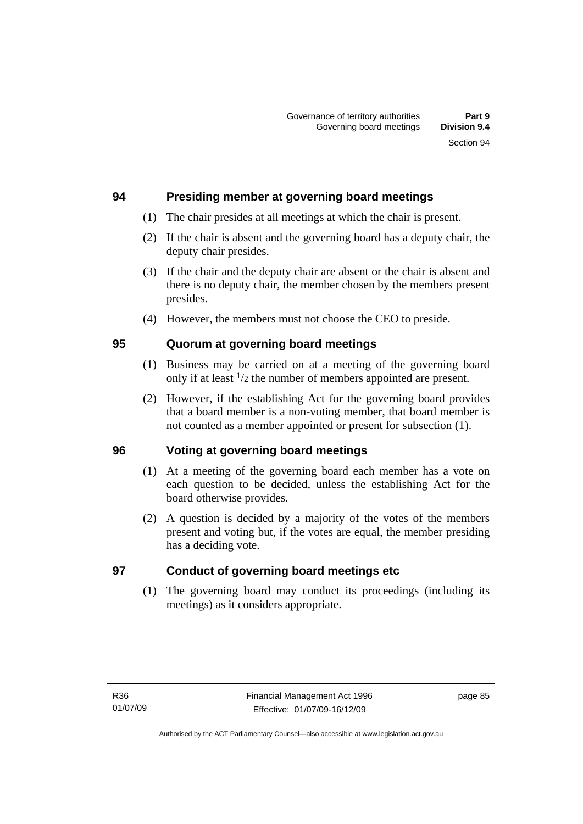#### **94 Presiding member at governing board meetings**

- (1) The chair presides at all meetings at which the chair is present.
- (2) If the chair is absent and the governing board has a deputy chair, the deputy chair presides.
- (3) If the chair and the deputy chair are absent or the chair is absent and there is no deputy chair, the member chosen by the members present presides.
- (4) However, the members must not choose the CEO to preside.

# **95 Quorum at governing board meetings**

- (1) Business may be carried on at a meeting of the governing board only if at least 1/2 the number of members appointed are present.
- (2) However, if the establishing Act for the governing board provides that a board member is a non-voting member, that board member is not counted as a member appointed or present for subsection (1).

# **96 Voting at governing board meetings**

- (1) At a meeting of the governing board each member has a vote on each question to be decided, unless the establishing Act for the board otherwise provides.
- (2) A question is decided by a majority of the votes of the members present and voting but, if the votes are equal, the member presiding has a deciding vote.

# **97 Conduct of governing board meetings etc**

 (1) The governing board may conduct its proceedings (including its meetings) as it considers appropriate.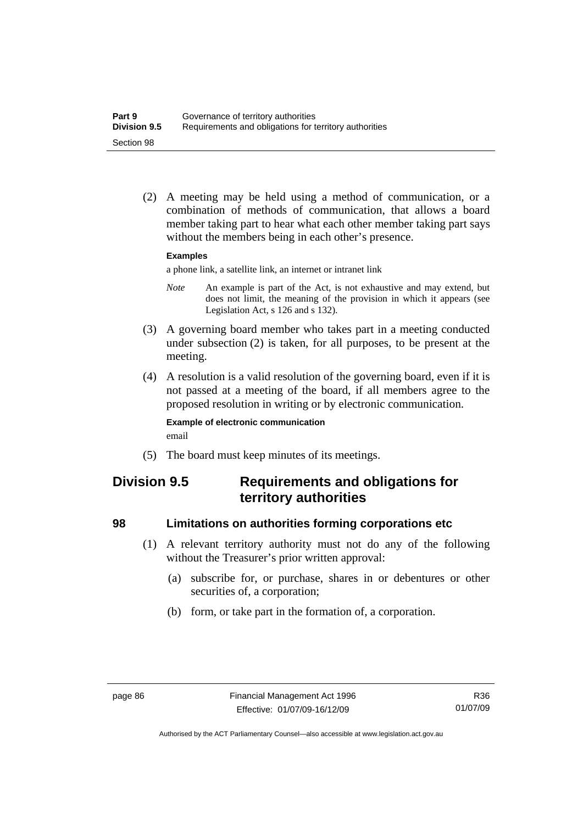(2) A meeting may be held using a method of communication, or a combination of methods of communication, that allows a board member taking part to hear what each other member taking part says without the members being in each other's presence.

#### **Examples**

a phone link, a satellite link, an internet or intranet link

- *Note* An example is part of the Act, is not exhaustive and may extend, but does not limit, the meaning of the provision in which it appears (see Legislation Act, s 126 and s 132).
- (3) A governing board member who takes part in a meeting conducted under subsection (2) is taken, for all purposes, to be present at the meeting.
- (4) A resolution is a valid resolution of the governing board, even if it is not passed at a meeting of the board, if all members agree to the proposed resolution in writing or by electronic communication.

#### **Example of electronic communication**  email

(5) The board must keep minutes of its meetings.

# **Division 9.5 Requirements and obligations for territory authorities**

#### **98 Limitations on authorities forming corporations etc**

- (1) A relevant territory authority must not do any of the following without the Treasurer's prior written approval:
	- (a) subscribe for, or purchase, shares in or debentures or other securities of, a corporation;
	- (b) form, or take part in the formation of, a corporation.

Authorised by the ACT Parliamentary Counsel—also accessible at www.legislation.act.gov.au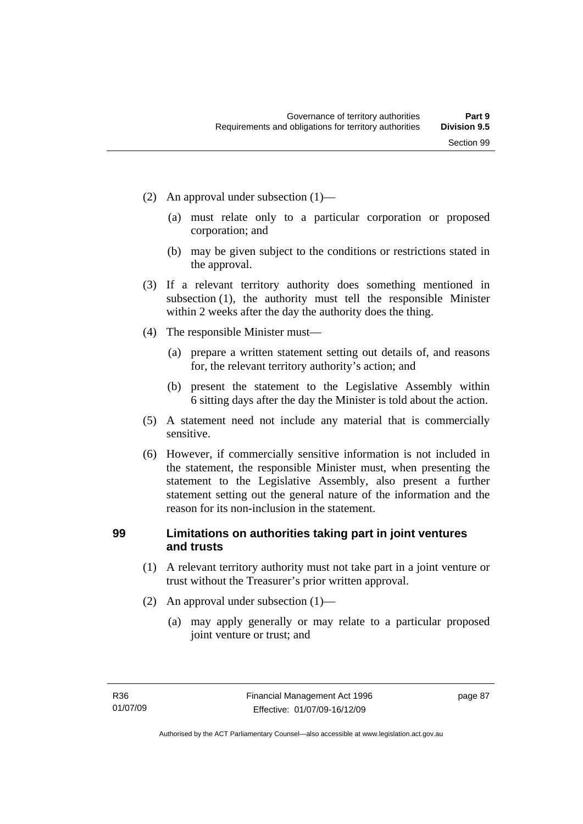- (2) An approval under subsection (1)—
	- (a) must relate only to a particular corporation or proposed corporation; and
	- (b) may be given subject to the conditions or restrictions stated in the approval.
- (3) If a relevant territory authority does something mentioned in subsection (1), the authority must tell the responsible Minister within 2 weeks after the day the authority does the thing.
- (4) The responsible Minister must—
	- (a) prepare a written statement setting out details of, and reasons for, the relevant territory authority's action; and
	- (b) present the statement to the Legislative Assembly within 6 sitting days after the day the Minister is told about the action.
- (5) A statement need not include any material that is commercially sensitive.
- (6) However, if commercially sensitive information is not included in the statement, the responsible Minister must, when presenting the statement to the Legislative Assembly, also present a further statement setting out the general nature of the information and the reason for its non-inclusion in the statement.

# **99 Limitations on authorities taking part in joint ventures and trusts**

- (1) A relevant territory authority must not take part in a joint venture or trust without the Treasurer's prior written approval.
- (2) An approval under subsection (1)—
	- (a) may apply generally or may relate to a particular proposed joint venture or trust; and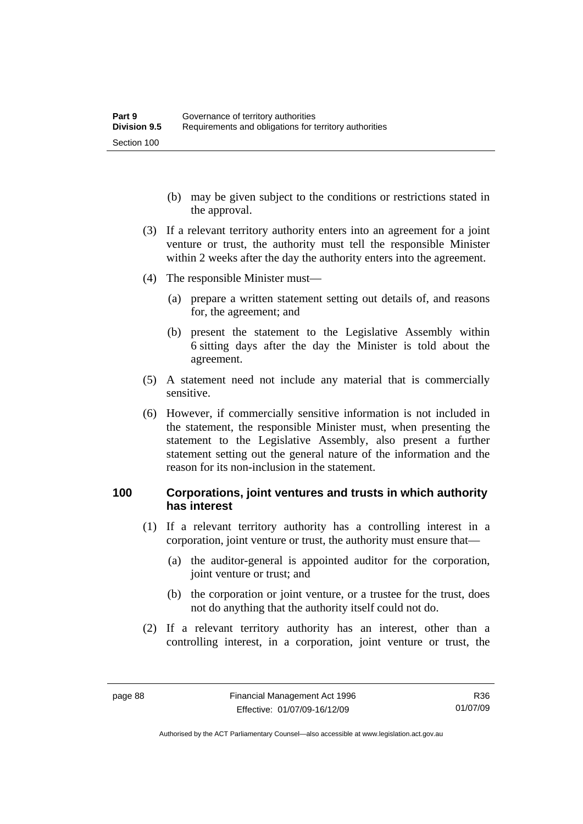- (b) may be given subject to the conditions or restrictions stated in the approval.
- (3) If a relevant territory authority enters into an agreement for a joint venture or trust, the authority must tell the responsible Minister within 2 weeks after the day the authority enters into the agreement.
- (4) The responsible Minister must—
	- (a) prepare a written statement setting out details of, and reasons for, the agreement; and
	- (b) present the statement to the Legislative Assembly within 6 sitting days after the day the Minister is told about the agreement.
- (5) A statement need not include any material that is commercially sensitive.
- (6) However, if commercially sensitive information is not included in the statement, the responsible Minister must, when presenting the statement to the Legislative Assembly, also present a further statement setting out the general nature of the information and the reason for its non-inclusion in the statement.

#### **100 Corporations, joint ventures and trusts in which authority has interest**

- (1) If a relevant territory authority has a controlling interest in a corporation, joint venture or trust, the authority must ensure that—
	- (a) the auditor-general is appointed auditor for the corporation, joint venture or trust; and
	- (b) the corporation or joint venture, or a trustee for the trust, does not do anything that the authority itself could not do.
- (2) If a relevant territory authority has an interest, other than a controlling interest, in a corporation, joint venture or trust, the

Authorised by the ACT Parliamentary Counsel—also accessible at www.legislation.act.gov.au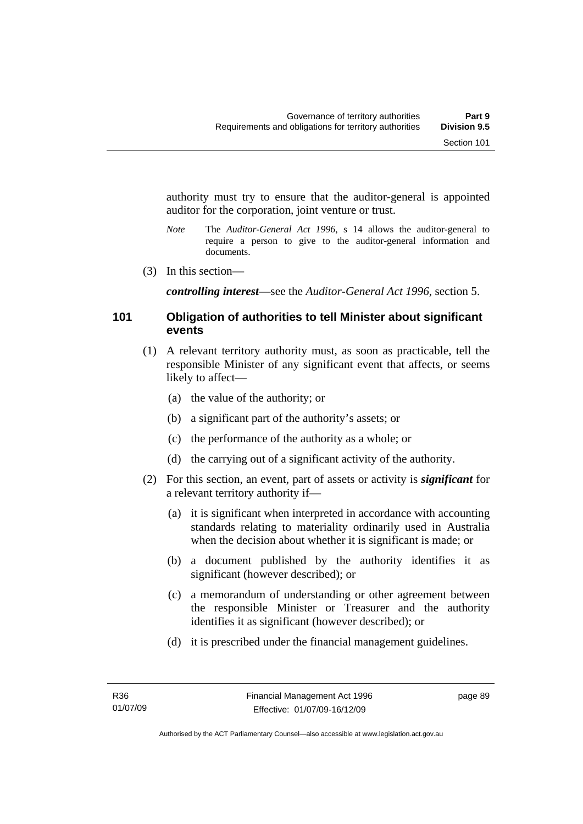authority must try to ensure that the auditor-general is appointed auditor for the corporation, joint venture or trust.

- *Note* The *Auditor-General Act 1996*, s 14 allows the auditor-general to require a person to give to the auditor-general information and documents.
- (3) In this section—

*controlling interest*—see the *Auditor-General Act 1996*, section 5.

#### **101 Obligation of authorities to tell Minister about significant events**

- (1) A relevant territory authority must, as soon as practicable, tell the responsible Minister of any significant event that affects, or seems likely to affect—
	- (a) the value of the authority; or
	- (b) a significant part of the authority's assets; or
	- (c) the performance of the authority as a whole; or
	- (d) the carrying out of a significant activity of the authority.
- (2) For this section, an event, part of assets or activity is *significant* for a relevant territory authority if—
	- (a) it is significant when interpreted in accordance with accounting standards relating to materiality ordinarily used in Australia when the decision about whether it is significant is made; or
	- (b) a document published by the authority identifies it as significant (however described); or
	- (c) a memorandum of understanding or other agreement between the responsible Minister or Treasurer and the authority identifies it as significant (however described); or
	- (d) it is prescribed under the financial management guidelines.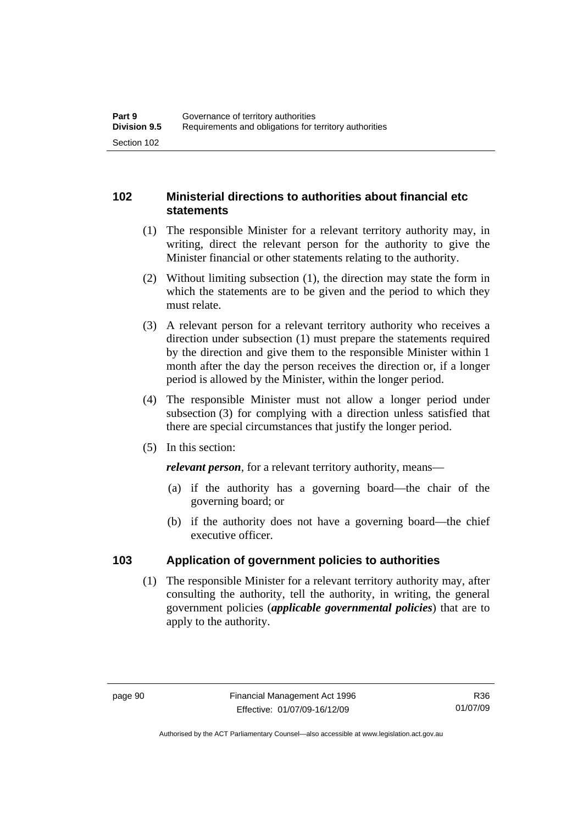# **102 Ministerial directions to authorities about financial etc statements**

- (1) The responsible Minister for a relevant territory authority may, in writing, direct the relevant person for the authority to give the Minister financial or other statements relating to the authority.
- (2) Without limiting subsection (1), the direction may state the form in which the statements are to be given and the period to which they must relate.
- (3) A relevant person for a relevant territory authority who receives a direction under subsection (1) must prepare the statements required by the direction and give them to the responsible Minister within 1 month after the day the person receives the direction or, if a longer period is allowed by the Minister, within the longer period.
- (4) The responsible Minister must not allow a longer period under subsection (3) for complying with a direction unless satisfied that there are special circumstances that justify the longer period.
- (5) In this section:

*relevant person*, for a relevant territory authority, means—

- (a) if the authority has a governing board—the chair of the governing board; or
- (b) if the authority does not have a governing board—the chief executive officer.

# **103 Application of government policies to authorities**

 (1) The responsible Minister for a relevant territory authority may, after consulting the authority, tell the authority, in writing, the general government policies (*applicable governmental policies*) that are to apply to the authority.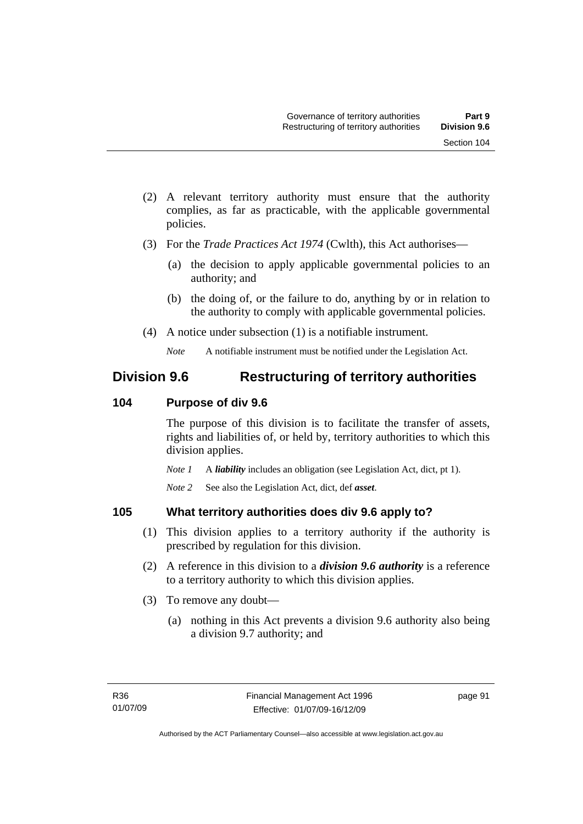- (2) A relevant territory authority must ensure that the authority complies, as far as practicable, with the applicable governmental policies.
- (3) For the *Trade Practices Act 1974* (Cwlth), this Act authorises—
	- (a) the decision to apply applicable governmental policies to an authority; and
	- (b) the doing of, or the failure to do, anything by or in relation to the authority to comply with applicable governmental policies.
- (4) A notice under subsection (1) is a notifiable instrument.

# **Division 9.6 Restructuring of territory authorities**

# **104 Purpose of div 9.6**

The purpose of this division is to facilitate the transfer of assets, rights and liabilities of, or held by, territory authorities to which this division applies.

*Note 1* A *liability* includes an obligation (see Legislation Act, dict, pt 1).

*Note 2* See also the Legislation Act, dict, def *asset*.

# **105 What territory authorities does div 9.6 apply to?**

- (1) This division applies to a territory authority if the authority is prescribed by regulation for this division.
- (2) A reference in this division to a *division 9.6 authority* is a reference to a territory authority to which this division applies.
- (3) To remove any doubt—
	- (a) nothing in this Act prevents a division 9.6 authority also being a division 9.7 authority; and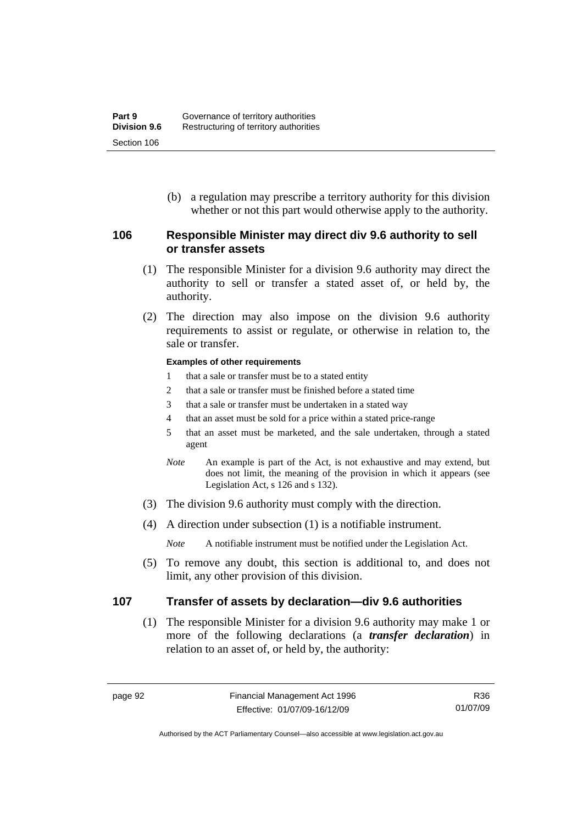(b) a regulation may prescribe a territory authority for this division whether or not this part would otherwise apply to the authority.

#### **106 Responsible Minister may direct div 9.6 authority to sell or transfer assets**

- (1) The responsible Minister for a division 9.6 authority may direct the authority to sell or transfer a stated asset of, or held by, the authority.
- (2) The direction may also impose on the division 9.6 authority requirements to assist or regulate, or otherwise in relation to, the sale or transfer.

#### **Examples of other requirements**

- 1 that a sale or transfer must be to a stated entity
- 2 that a sale or transfer must be finished before a stated time
- 3 that a sale or transfer must be undertaken in a stated way
- 4 that an asset must be sold for a price within a stated price-range
- 5 that an asset must be marketed, and the sale undertaken, through a stated agent
- *Note* An example is part of the Act, is not exhaustive and may extend, but does not limit, the meaning of the provision in which it appears (see Legislation Act, s 126 and s 132).
- (3) The division 9.6 authority must comply with the direction.
- (4) A direction under subsection (1) is a notifiable instrument.

*Note* A notifiable instrument must be notified under the Legislation Act.

 (5) To remove any doubt, this section is additional to, and does not limit, any other provision of this division.

#### **107 Transfer of assets by declaration—div 9.6 authorities**

 (1) The responsible Minister for a division 9.6 authority may make 1 or more of the following declarations (a *transfer declaration*) in relation to an asset of, or held by, the authority:

Authorised by the ACT Parliamentary Counsel—also accessible at www.legislation.act.gov.au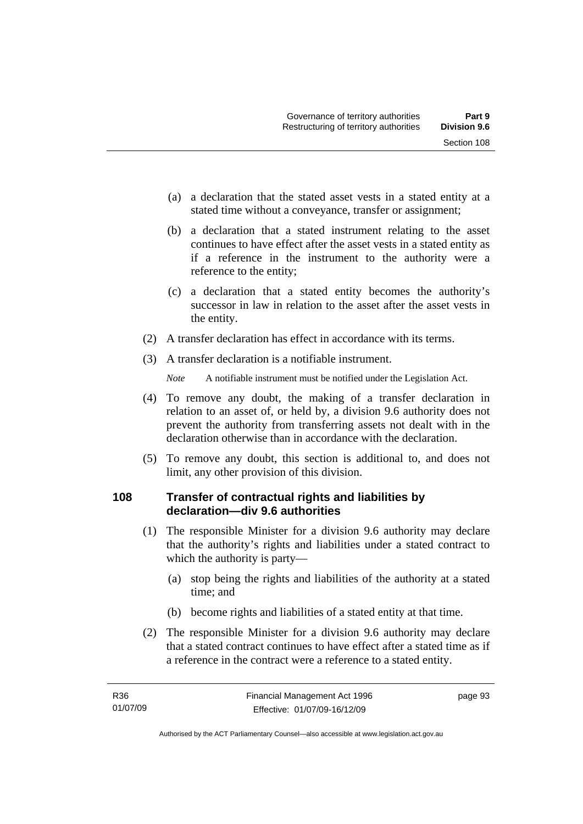- (a) a declaration that the stated asset vests in a stated entity at a stated time without a conveyance, transfer or assignment;
- (b) a declaration that a stated instrument relating to the asset continues to have effect after the asset vests in a stated entity as if a reference in the instrument to the authority were a reference to the entity;
- (c) a declaration that a stated entity becomes the authority's successor in law in relation to the asset after the asset vests in the entity.
- (2) A transfer declaration has effect in accordance with its terms.
- (3) A transfer declaration is a notifiable instrument.

- (4) To remove any doubt, the making of a transfer declaration in relation to an asset of, or held by, a division 9.6 authority does not prevent the authority from transferring assets not dealt with in the declaration otherwise than in accordance with the declaration.
- (5) To remove any doubt, this section is additional to, and does not limit, any other provision of this division.

# **108 Transfer of contractual rights and liabilities by declaration—div 9.6 authorities**

- (1) The responsible Minister for a division 9.6 authority may declare that the authority's rights and liabilities under a stated contract to which the authority is party—
	- (a) stop being the rights and liabilities of the authority at a stated time; and
	- (b) become rights and liabilities of a stated entity at that time.
- (2) The responsible Minister for a division 9.6 authority may declare that a stated contract continues to have effect after a stated time as if a reference in the contract were a reference to a stated entity.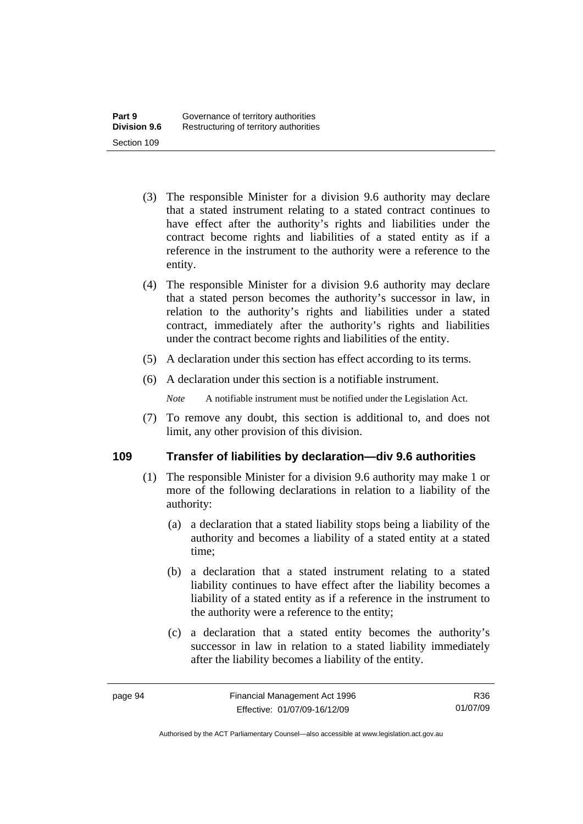- (3) The responsible Minister for a division 9.6 authority may declare that a stated instrument relating to a stated contract continues to have effect after the authority's rights and liabilities under the contract become rights and liabilities of a stated entity as if a reference in the instrument to the authority were a reference to the entity.
- (4) The responsible Minister for a division 9.6 authority may declare that a stated person becomes the authority's successor in law, in relation to the authority's rights and liabilities under a stated contract, immediately after the authority's rights and liabilities under the contract become rights and liabilities of the entity.
- (5) A declaration under this section has effect according to its terms.
- (6) A declaration under this section is a notifiable instrument.

 (7) To remove any doubt, this section is additional to, and does not limit, any other provision of this division.

#### **109 Transfer of liabilities by declaration—div 9.6 authorities**

- (1) The responsible Minister for a division 9.6 authority may make 1 or more of the following declarations in relation to a liability of the authority:
	- (a) a declaration that a stated liability stops being a liability of the authority and becomes a liability of a stated entity at a stated time;
	- (b) a declaration that a stated instrument relating to a stated liability continues to have effect after the liability becomes a liability of a stated entity as if a reference in the instrument to the authority were a reference to the entity;
	- (c) a declaration that a stated entity becomes the authority's successor in law in relation to a stated liability immediately after the liability becomes a liability of the entity.

R36 01/07/09

Authorised by the ACT Parliamentary Counsel—also accessible at www.legislation.act.gov.au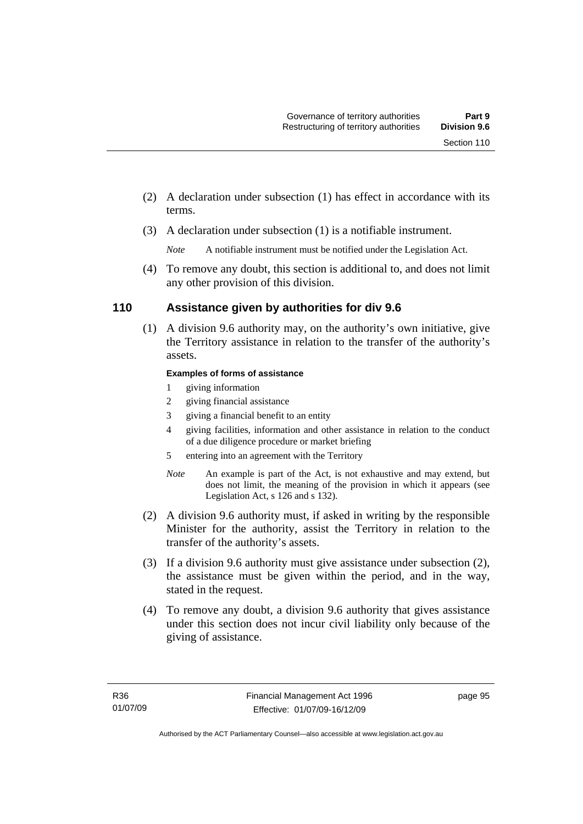- (2) A declaration under subsection (1) has effect in accordance with its terms.
- (3) A declaration under subsection (1) is a notifiable instrument.

 (4) To remove any doubt, this section is additional to, and does not limit any other provision of this division.

# **110 Assistance given by authorities for div 9.6**

 (1) A division 9.6 authority may, on the authority's own initiative, give the Territory assistance in relation to the transfer of the authority's assets.

#### **Examples of forms of assistance**

- 1 giving information
- 2 giving financial assistance
- 3 giving a financial benefit to an entity
- 4 giving facilities, information and other assistance in relation to the conduct of a due diligence procedure or market briefing
- 5 entering into an agreement with the Territory
- *Note* An example is part of the Act, is not exhaustive and may extend, but does not limit, the meaning of the provision in which it appears (see Legislation Act, s 126 and s 132).
- (2) A division 9.6 authority must, if asked in writing by the responsible Minister for the authority, assist the Territory in relation to the transfer of the authority's assets.
- (3) If a division 9.6 authority must give assistance under subsection (2), the assistance must be given within the period, and in the way, stated in the request.
- (4) To remove any doubt, a division 9.6 authority that gives assistance under this section does not incur civil liability only because of the giving of assistance.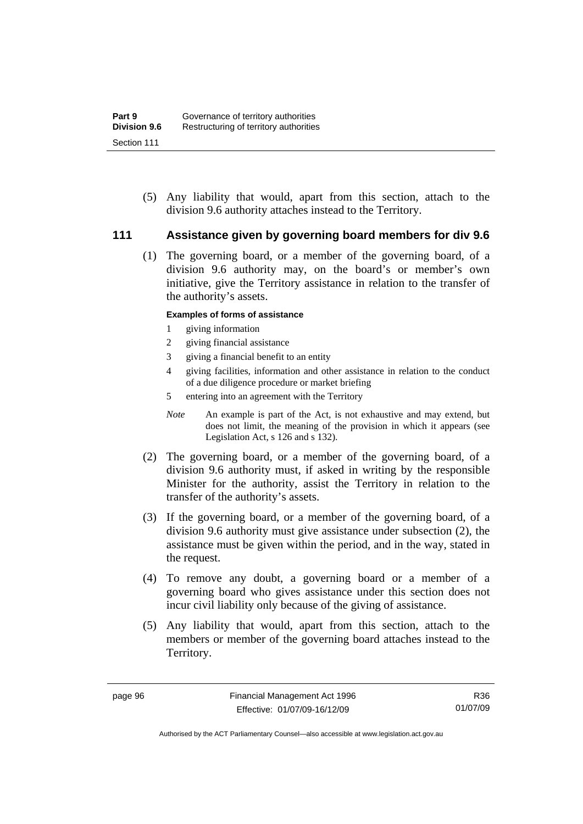(5) Any liability that would, apart from this section, attach to the division 9.6 authority attaches instead to the Territory.

#### **111 Assistance given by governing board members for div 9.6**

 (1) The governing board, or a member of the governing board, of a division 9.6 authority may, on the board's or member's own initiative, give the Territory assistance in relation to the transfer of the authority's assets.

#### **Examples of forms of assistance**

- 1 giving information
- 2 giving financial assistance
- 3 giving a financial benefit to an entity
- 4 giving facilities, information and other assistance in relation to the conduct of a due diligence procedure or market briefing
- 5 entering into an agreement with the Territory
- *Note* An example is part of the Act, is not exhaustive and may extend, but does not limit, the meaning of the provision in which it appears (see Legislation Act, s 126 and s 132).
- (2) The governing board, or a member of the governing board, of a division 9.6 authority must, if asked in writing by the responsible Minister for the authority, assist the Territory in relation to the transfer of the authority's assets.
- (3) If the governing board, or a member of the governing board, of a division 9.6 authority must give assistance under subsection (2), the assistance must be given within the period, and in the way, stated in the request.
- (4) To remove any doubt, a governing board or a member of a governing board who gives assistance under this section does not incur civil liability only because of the giving of assistance.
- (5) Any liability that would, apart from this section, attach to the members or member of the governing board attaches instead to the Territory.

Authorised by the ACT Parliamentary Counsel—also accessible at www.legislation.act.gov.au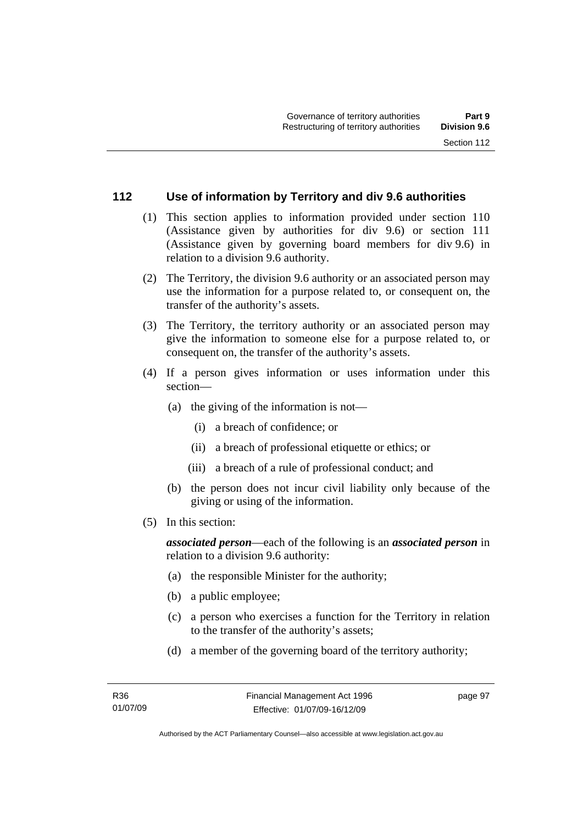#### **112 Use of information by Territory and div 9.6 authorities**

- (1) This section applies to information provided under section 110 (Assistance given by authorities for div 9.6) or section 111 (Assistance given by governing board members for div 9.6) in relation to a division 9.6 authority.
- (2) The Territory, the division 9.6 authority or an associated person may use the information for a purpose related to, or consequent on, the transfer of the authority's assets.
- (3) The Territory, the territory authority or an associated person may give the information to someone else for a purpose related to, or consequent on, the transfer of the authority's assets.
- (4) If a person gives information or uses information under this section—
	- (a) the giving of the information is not—
		- (i) a breach of confidence; or
		- (ii) a breach of professional etiquette or ethics; or
		- (iii) a breach of a rule of professional conduct; and
	- (b) the person does not incur civil liability only because of the giving or using of the information.
- (5) In this section:

*associated person*—each of the following is an *associated person* in relation to a division 9.6 authority:

- (a) the responsible Minister for the authority;
- (b) a public employee;
- (c) a person who exercises a function for the Territory in relation to the transfer of the authority's assets;
- (d) a member of the governing board of the territory authority;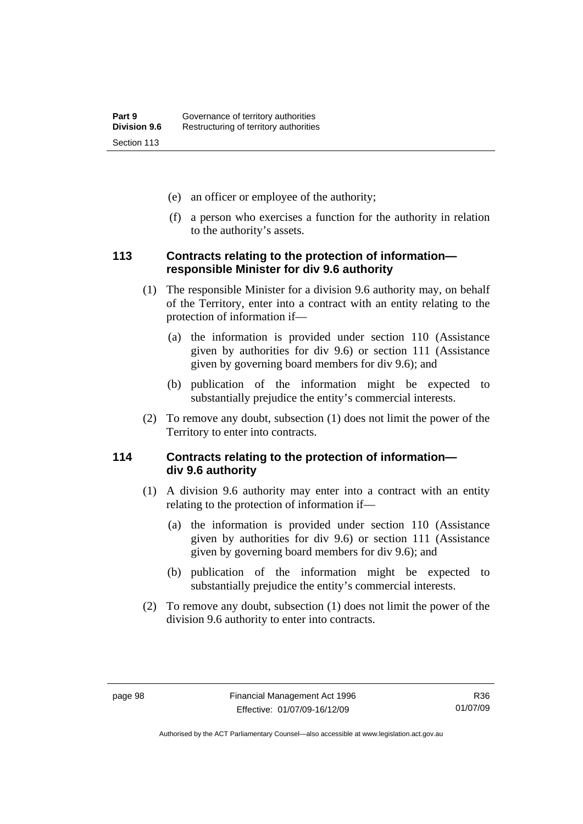- (e) an officer or employee of the authority;
- (f) a person who exercises a function for the authority in relation to the authority's assets.

#### **113 Contracts relating to the protection of information responsible Minister for div 9.6 authority**

- (1) The responsible Minister for a division 9.6 authority may, on behalf of the Territory, enter into a contract with an entity relating to the protection of information if—
	- (a) the information is provided under section 110 (Assistance given by authorities for div 9.6) or section 111 (Assistance given by governing board members for div 9.6); and
	- (b) publication of the information might be expected to substantially prejudice the entity's commercial interests.
- (2) To remove any doubt, subsection (1) does not limit the power of the Territory to enter into contracts.

# **114 Contracts relating to the protection of information div 9.6 authority**

- (1) A division 9.6 authority may enter into a contract with an entity relating to the protection of information if—
	- (a) the information is provided under section 110 (Assistance given by authorities for div 9.6) or section 111 (Assistance given by governing board members for div 9.6); and
	- (b) publication of the information might be expected to substantially prejudice the entity's commercial interests.
- (2) To remove any doubt, subsection (1) does not limit the power of the division 9.6 authority to enter into contracts.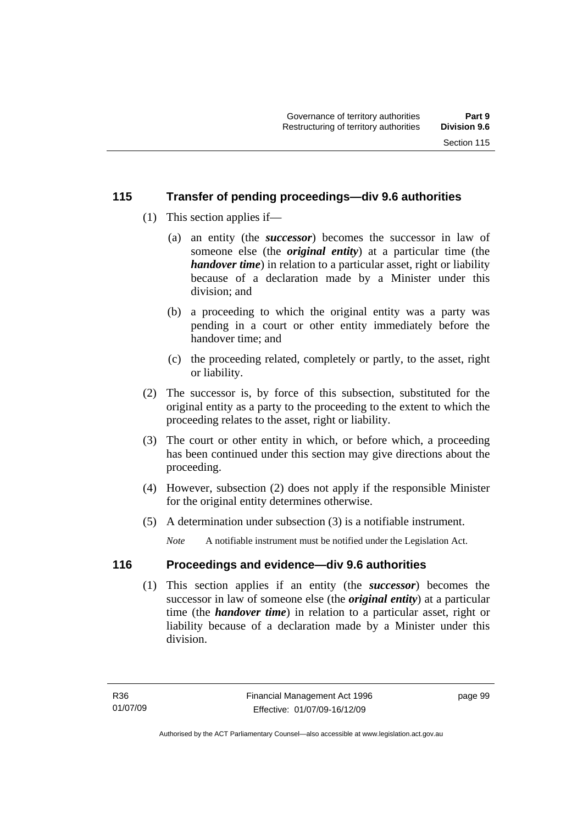## **115 Transfer of pending proceedings—div 9.6 authorities**

- (1) This section applies if—
	- (a) an entity (the *successor*) becomes the successor in law of someone else (the *original entity*) at a particular time (the *handover time*) in relation to a particular asset, right or liability because of a declaration made by a Minister under this division; and
	- (b) a proceeding to which the original entity was a party was pending in a court or other entity immediately before the handover time; and
	- (c) the proceeding related, completely or partly, to the asset, right or liability.
- (2) The successor is, by force of this subsection, substituted for the original entity as a party to the proceeding to the extent to which the proceeding relates to the asset, right or liability.
- (3) The court or other entity in which, or before which, a proceeding has been continued under this section may give directions about the proceeding.
- (4) However, subsection (2) does not apply if the responsible Minister for the original entity determines otherwise.
- (5) A determination under subsection (3) is a notifiable instrument.

*Note* A notifiable instrument must be notified under the Legislation Act.

## **116 Proceedings and evidence—div 9.6 authorities**

 (1) This section applies if an entity (the *successor*) becomes the successor in law of someone else (the *original entity*) at a particular time (the *handover time*) in relation to a particular asset, right or liability because of a declaration made by a Minister under this division.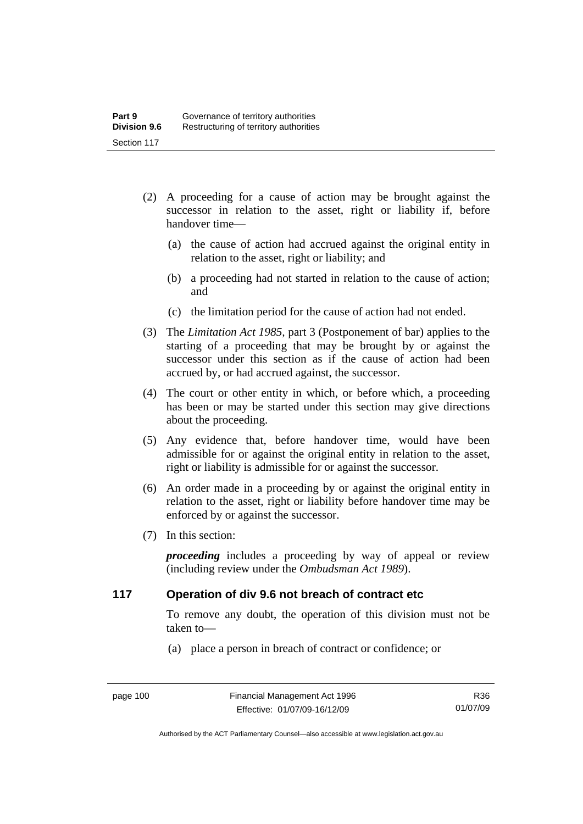- (2) A proceeding for a cause of action may be brought against the successor in relation to the asset, right or liability if, before handover time—
	- (a) the cause of action had accrued against the original entity in relation to the asset, right or liability; and
	- (b) a proceeding had not started in relation to the cause of action; and
	- (c) the limitation period for the cause of action had not ended.
- (3) The *Limitation Act 1985,* part 3 (Postponement of bar) applies to the starting of a proceeding that may be brought by or against the successor under this section as if the cause of action had been accrued by, or had accrued against, the successor.
- (4) The court or other entity in which, or before which, a proceeding has been or may be started under this section may give directions about the proceeding.
- (5) Any evidence that, before handover time, would have been admissible for or against the original entity in relation to the asset, right or liability is admissible for or against the successor.
- (6) An order made in a proceeding by or against the original entity in relation to the asset, right or liability before handover time may be enforced by or against the successor.
- (7) In this section:

*proceeding* includes a proceeding by way of appeal or review (including review under the *Ombudsman Act 1989*).

## **117 Operation of div 9.6 not breach of contract etc**

To remove any doubt, the operation of this division must not be taken to—

(a) place a person in breach of contract or confidence; or

R36 01/07/09

Authorised by the ACT Parliamentary Counsel—also accessible at www.legislation.act.gov.au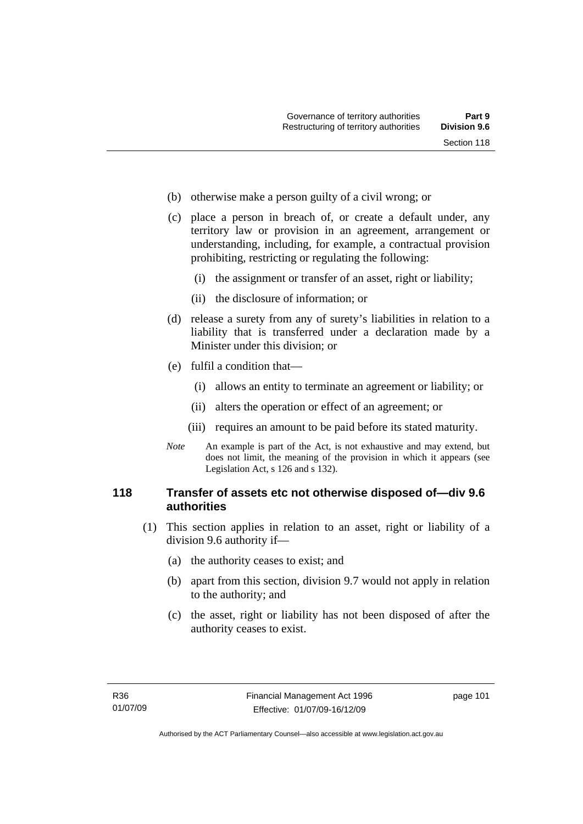- (b) otherwise make a person guilty of a civil wrong; or
- (c) place a person in breach of, or create a default under, any territory law or provision in an agreement, arrangement or understanding, including, for example, a contractual provision prohibiting, restricting or regulating the following:
	- (i) the assignment or transfer of an asset, right or liability;
	- (ii) the disclosure of information; or
- (d) release a surety from any of surety's liabilities in relation to a liability that is transferred under a declaration made by a Minister under this division; or
- (e) fulfil a condition that—
	- (i) allows an entity to terminate an agreement or liability; or
	- (ii) alters the operation or effect of an agreement; or
	- (iii) requires an amount to be paid before its stated maturity.
- *Note* An example is part of the Act, is not exhaustive and may extend, but does not limit, the meaning of the provision in which it appears (see Legislation Act, s 126 and s 132).

## **118 Transfer of assets etc not otherwise disposed of—div 9.6 authorities**

- (1) This section applies in relation to an asset, right or liability of a division 9.6 authority if—
	- (a) the authority ceases to exist; and
	- (b) apart from this section, division 9.7 would not apply in relation to the authority; and
	- (c) the asset, right or liability has not been disposed of after the authority ceases to exist.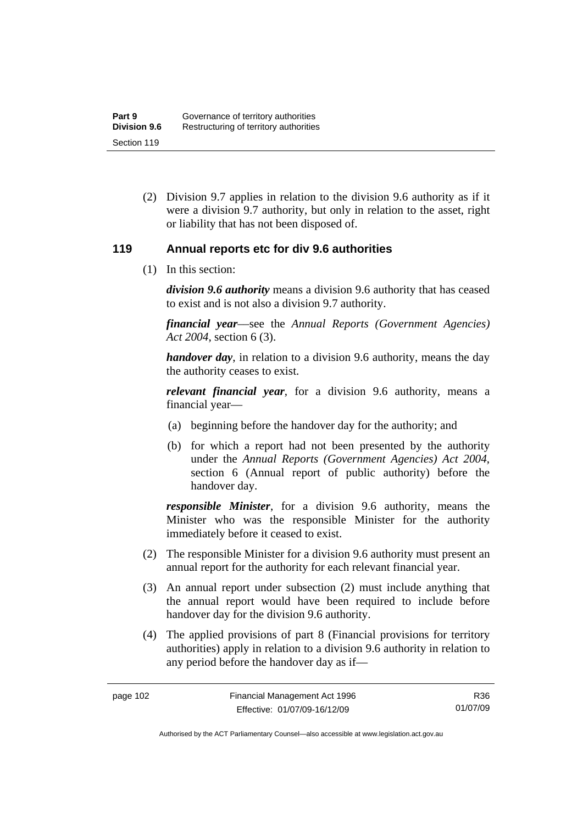(2) Division 9.7 applies in relation to the division 9.6 authority as if it were a division 9.7 authority, but only in relation to the asset, right or liability that has not been disposed of.

## **119 Annual reports etc for div 9.6 authorities**

(1) In this section:

*division 9.6 authority* means a division 9.6 authority that has ceased to exist and is not also a division 9.7 authority.

*financial year*––see the *Annual Reports (Government Agencies) Act 2004*, section 6 (3).

*handover day*, in relation to a division 9.6 authority, means the day the authority ceases to exist.

*relevant financial year*, for a division 9.6 authority, means a financial year—

- (a) beginning before the handover day for the authority; and
- (b) for which a report had not been presented by the authority under the *Annual Reports (Government Agencies) Act 2004*, section 6 (Annual report of public authority) before the handover day.

*responsible Minister*, for a division 9.6 authority, means the Minister who was the responsible Minister for the authority immediately before it ceased to exist.

- (2) The responsible Minister for a division 9.6 authority must present an annual report for the authority for each relevant financial year.
- (3) An annual report under subsection (2) must include anything that the annual report would have been required to include before handover day for the division 9.6 authority.
- (4) The applied provisions of part 8 (Financial provisions for territory authorities) apply in relation to a division 9.6 authority in relation to any period before the handover day as if—

R36 01/07/09

Authorised by the ACT Parliamentary Counsel—also accessible at www.legislation.act.gov.au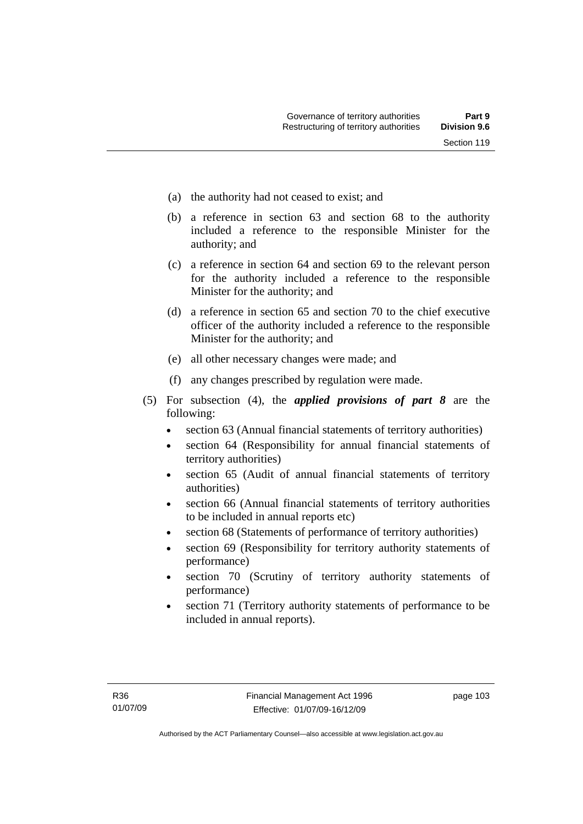- (a) the authority had not ceased to exist; and
- (b) a reference in section 63 and section 68 to the authority included a reference to the responsible Minister for the authority; and
- (c) a reference in section 64 and section 69 to the relevant person for the authority included a reference to the responsible Minister for the authority; and
- (d) a reference in section 65 and section 70 to the chief executive officer of the authority included a reference to the responsible Minister for the authority; and
- (e) all other necessary changes were made; and
- (f) any changes prescribed by regulation were made.
- (5) For subsection (4), the *applied provisions of part 8* are the following:
	- section 63 (Annual financial statements of territory authorities)
	- section 64 (Responsibility for annual financial statements of territory authorities)
	- section 65 (Audit of annual financial statements of territory authorities)
	- section 66 (Annual financial statements of territory authorities to be included in annual reports etc)
	- section 68 (Statements of performance of territory authorities)
	- section 69 (Responsibility for territory authority statements of performance)
	- section 70 (Scrutiny of territory authority statements of performance)
	- section 71 (Territory authority statements of performance to be included in annual reports).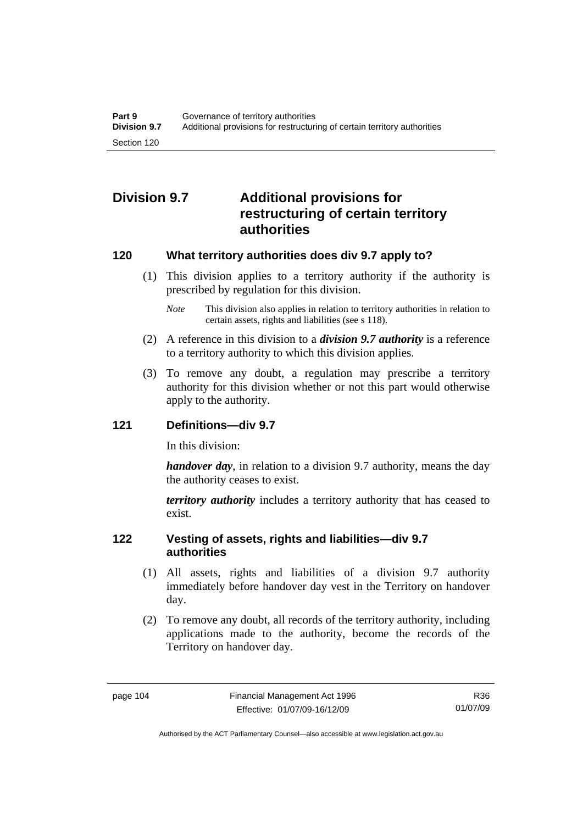# **Division 9.7 Additional provisions for restructuring of certain territory authorities**

## **120 What territory authorities does div 9.7 apply to?**

- (1) This division applies to a territory authority if the authority is prescribed by regulation for this division.
	- *Note* This division also applies in relation to territory authorities in relation to certain assets, rights and liabilities (see s 118).
- (2) A reference in this division to a *division 9.7 authority* is a reference to a territory authority to which this division applies.
- (3) To remove any doubt, a regulation may prescribe a territory authority for this division whether or not this part would otherwise apply to the authority.

## **121 Definitions—div 9.7**

In this division:

*handover day*, in relation to a division 9.7 authority, means the day the authority ceases to exist.

*territory authority* includes a territory authority that has ceased to exist.

## **122 Vesting of assets, rights and liabilities—div 9.7 authorities**

- (1) All assets, rights and liabilities of a division 9.7 authority immediately before handover day vest in the Territory on handover day.
- (2) To remove any doubt, all records of the territory authority, including applications made to the authority, become the records of the Territory on handover day.

R36 01/07/09

Authorised by the ACT Parliamentary Counsel—also accessible at www.legislation.act.gov.au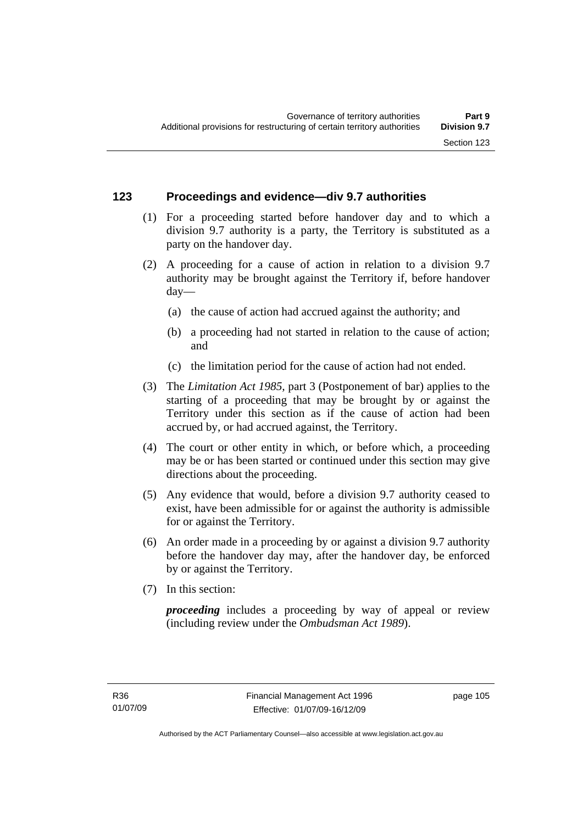## **123 Proceedings and evidence—div 9.7 authorities**

- (1) For a proceeding started before handover day and to which a division 9.7 authority is a party, the Territory is substituted as a party on the handover day.
- (2) A proceeding for a cause of action in relation to a division 9.7 authority may be brought against the Territory if, before handover day—
	- (a) the cause of action had accrued against the authority; and
	- (b) a proceeding had not started in relation to the cause of action; and
	- (c) the limitation period for the cause of action had not ended.
- (3) The *Limitation Act 1985,* part 3 (Postponement of bar) applies to the starting of a proceeding that may be brought by or against the Territory under this section as if the cause of action had been accrued by, or had accrued against, the Territory.
- (4) The court or other entity in which, or before which, a proceeding may be or has been started or continued under this section may give directions about the proceeding.
- (5) Any evidence that would, before a division 9.7 authority ceased to exist, have been admissible for or against the authority is admissible for or against the Territory.
- (6) An order made in a proceeding by or against a division 9.7 authority before the handover day may, after the handover day, be enforced by or against the Territory.
- (7) In this section:

*proceeding* includes a proceeding by way of appeal or review (including review under the *Ombudsman Act 1989*).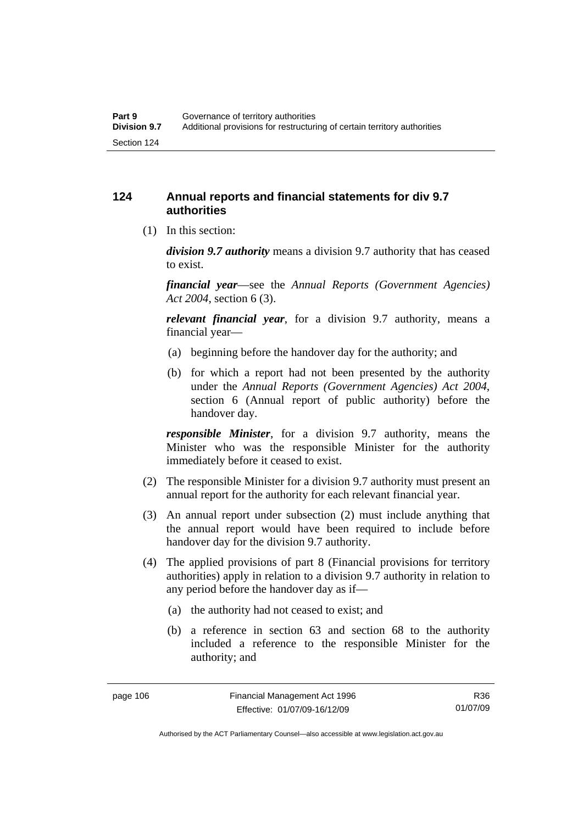## **124 Annual reports and financial statements for div 9.7 authorities**

(1) In this section:

*division 9.7 authority* means a division 9.7 authority that has ceased to exist.

*financial year*––see the *Annual Reports (Government Agencies) Act 2004*, section 6 (3).

*relevant financial year*, for a division 9.7 authority, means a financial year—

- (a) beginning before the handover day for the authority; and
- (b) for which a report had not been presented by the authority under the *Annual Reports (Government Agencies) Act 2004*, section 6 (Annual report of public authority) before the handover day.

*responsible Minister*, for a division 9.7 authority, means the Minister who was the responsible Minister for the authority immediately before it ceased to exist.

- (2) The responsible Minister for a division 9.7 authority must present an annual report for the authority for each relevant financial year.
- (3) An annual report under subsection (2) must include anything that the annual report would have been required to include before handover day for the division 9.7 authority.
- (4) The applied provisions of part 8 (Financial provisions for territory authorities) apply in relation to a division 9.7 authority in relation to any period before the handover day as if—
	- (a) the authority had not ceased to exist; and
	- (b) a reference in section 63 and section 68 to the authority included a reference to the responsible Minister for the authority; and

R36 01/07/09

Authorised by the ACT Parliamentary Counsel—also accessible at www.legislation.act.gov.au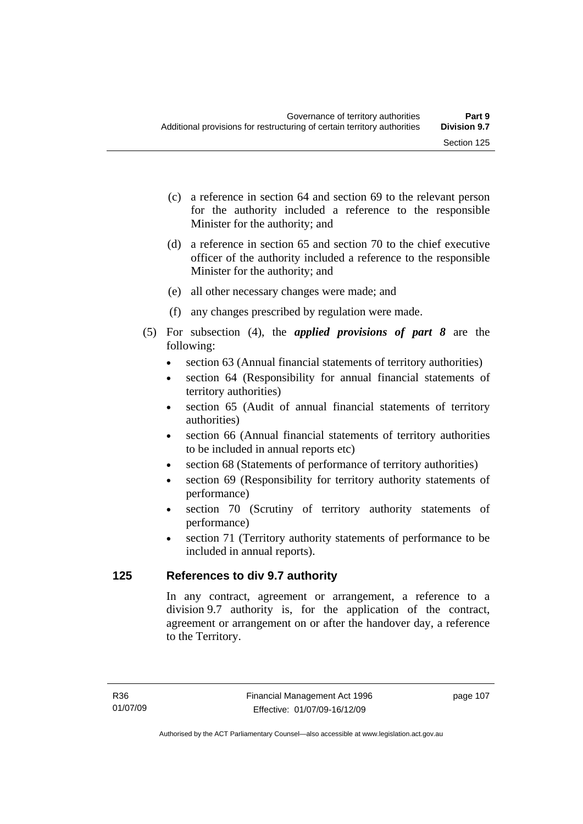- (c) a reference in section 64 and section 69 to the relevant person for the authority included a reference to the responsible Minister for the authority; and
- (d) a reference in section 65 and section 70 to the chief executive officer of the authority included a reference to the responsible Minister for the authority; and
- (e) all other necessary changes were made; and
- (f) any changes prescribed by regulation were made.
- (5) For subsection (4), the *applied provisions of part 8* are the following:
	- section 63 (Annual financial statements of territory authorities)
	- section 64 (Responsibility for annual financial statements of territory authorities)
	- section 65 (Audit of annual financial statements of territory authorities)
	- section 66 (Annual financial statements of territory authorities to be included in annual reports etc)
	- section 68 (Statements of performance of territory authorities)
	- section 69 (Responsibility for territory authority statements of performance)
	- section 70 (Scrutiny of territory authority statements of performance)
	- section 71 (Territory authority statements of performance to be included in annual reports).

## **125 References to div 9.7 authority**

In any contract, agreement or arrangement, a reference to a division 9.7 authority is, for the application of the contract, agreement or arrangement on or after the handover day, a reference to the Territory.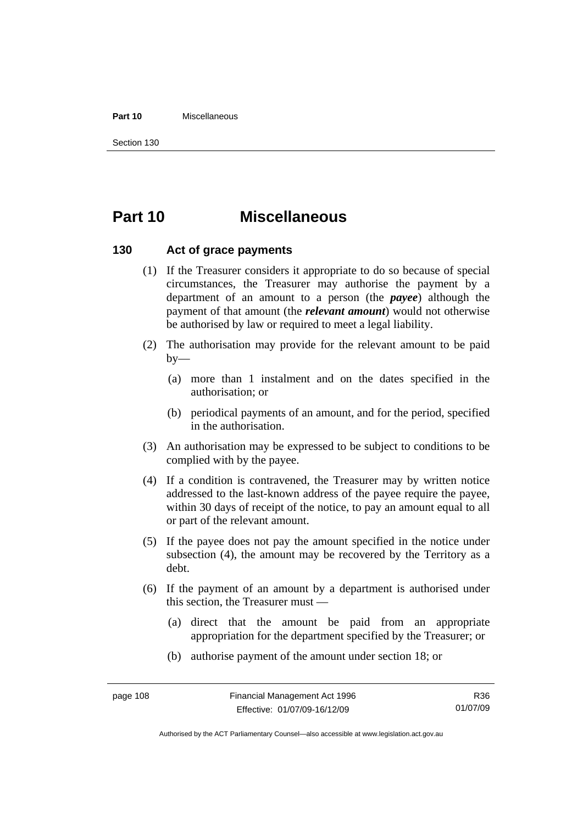#### **Part 10** Miscellaneous

Section 130

# **Part 10 Miscellaneous**

#### **130 Act of grace payments**

- (1) If the Treasurer considers it appropriate to do so because of special circumstances, the Treasurer may authorise the payment by a department of an amount to a person (the *payee*) although the payment of that amount (the *relevant amount*) would not otherwise be authorised by law or required to meet a legal liability.
- (2) The authorisation may provide for the relevant amount to be paid  $by-$ 
	- (a) more than 1 instalment and on the dates specified in the authorisation; or
	- (b) periodical payments of an amount, and for the period, specified in the authorisation.
- (3) An authorisation may be expressed to be subject to conditions to be complied with by the payee.
- (4) If a condition is contravened, the Treasurer may by written notice addressed to the last-known address of the payee require the payee, within 30 days of receipt of the notice, to pay an amount equal to all or part of the relevant amount.
- (5) If the payee does not pay the amount specified in the notice under subsection (4), the amount may be recovered by the Territory as a debt.
- (6) If the payment of an amount by a department is authorised under this section, the Treasurer must —
	- (a) direct that the amount be paid from an appropriate appropriation for the department specified by the Treasurer; or
	- (b) authorise payment of the amount under section 18; or

R36 01/07/09

Authorised by the ACT Parliamentary Counsel—also accessible at www.legislation.act.gov.au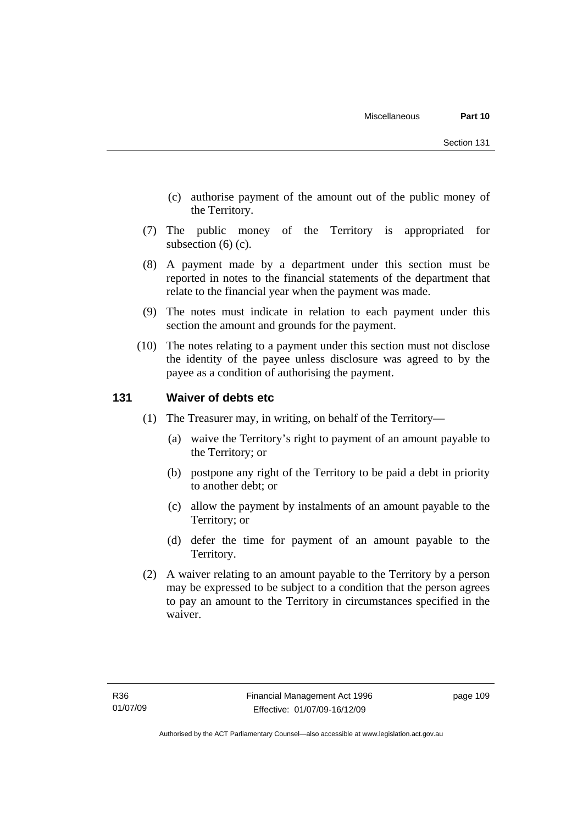- (c) authorise payment of the amount out of the public money of the Territory.
- (7) The public money of the Territory is appropriated for subsection (6) (c).
- (8) A payment made by a department under this section must be reported in notes to the financial statements of the department that relate to the financial year when the payment was made.
- (9) The notes must indicate in relation to each payment under this section the amount and grounds for the payment.
- (10) The notes relating to a payment under this section must not disclose the identity of the payee unless disclosure was agreed to by the payee as a condition of authorising the payment.

## **131 Waiver of debts etc**

- (1) The Treasurer may, in writing, on behalf of the Territory—
	- (a) waive the Territory's right to payment of an amount payable to the Territory; or
	- (b) postpone any right of the Territory to be paid a debt in priority to another debt; or
	- (c) allow the payment by instalments of an amount payable to the Territory; or
	- (d) defer the time for payment of an amount payable to the Territory.
- (2) A waiver relating to an amount payable to the Territory by a person may be expressed to be subject to a condition that the person agrees to pay an amount to the Territory in circumstances specified in the waiver.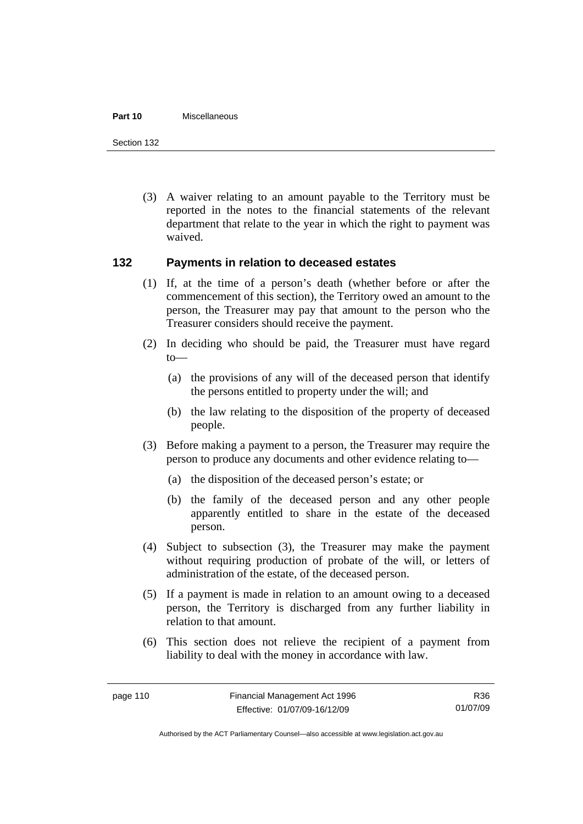#### **Part 10** Miscellaneous

Section 132

 (3) A waiver relating to an amount payable to the Territory must be reported in the notes to the financial statements of the relevant department that relate to the year in which the right to payment was waived.

## **132 Payments in relation to deceased estates**

- (1) If, at the time of a person's death (whether before or after the commencement of this section), the Territory owed an amount to the person, the Treasurer may pay that amount to the person who the Treasurer considers should receive the payment.
- (2) In deciding who should be paid, the Treasurer must have regard to—
	- (a) the provisions of any will of the deceased person that identify the persons entitled to property under the will; and
	- (b) the law relating to the disposition of the property of deceased people.
- (3) Before making a payment to a person, the Treasurer may require the person to produce any documents and other evidence relating to—
	- (a) the disposition of the deceased person's estate; or
	- (b) the family of the deceased person and any other people apparently entitled to share in the estate of the deceased person.
- (4) Subject to subsection (3), the Treasurer may make the payment without requiring production of probate of the will, or letters of administration of the estate, of the deceased person.
- (5) If a payment is made in relation to an amount owing to a deceased person, the Territory is discharged from any further liability in relation to that amount.
- (6) This section does not relieve the recipient of a payment from liability to deal with the money in accordance with law.

R36 01/07/09

Authorised by the ACT Parliamentary Counsel—also accessible at www.legislation.act.gov.au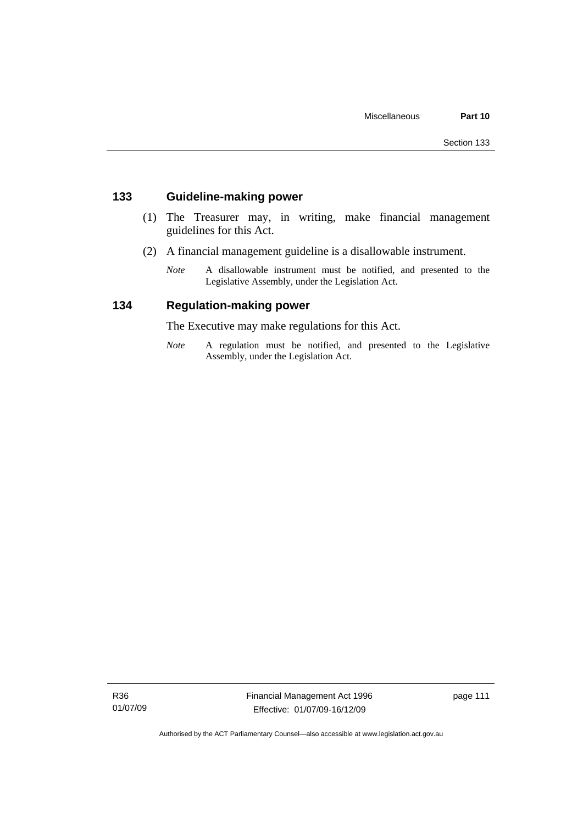## **133 Guideline-making power**

- (1) The Treasurer may, in writing, make financial management guidelines for this Act.
- (2) A financial management guideline is a disallowable instrument.
	- *Note* A disallowable instrument must be notified, and presented to the Legislative Assembly, under the Legislation Act.

## **134 Regulation-making power**

The Executive may make regulations for this Act.

*Note* A regulation must be notified, and presented to the Legislative Assembly, under the Legislation Act.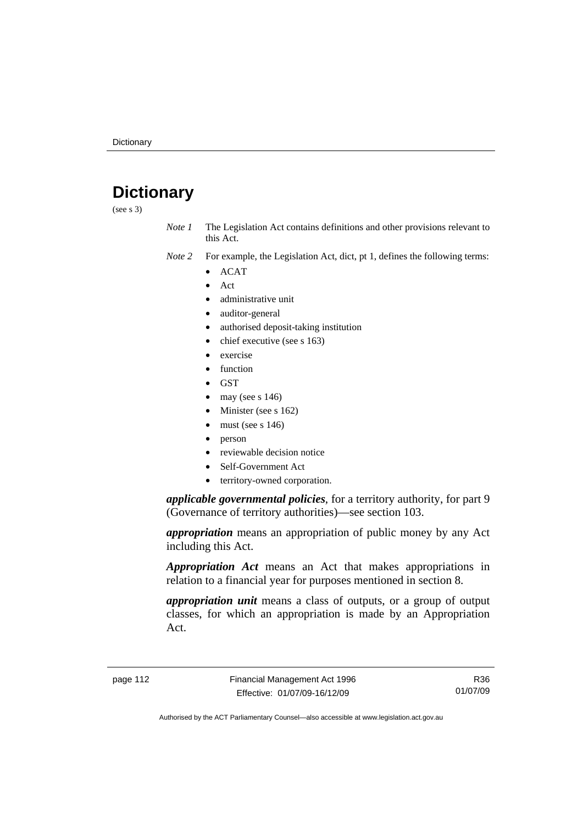# **Dictionary**

(see s 3)

*Note 1* The Legislation Act contains definitions and other provisions relevant to this Act.

- *Note 2* For example, the Legislation Act, dict, pt 1, defines the following terms:
	- ACAT
		- Act
	- administrative unit
	- auditor-general
	- authorised deposit-taking institution
	- chief executive (see s 163)
	- exercise
	- function
	- GST
	- may (see s  $146$ )
	- Minister (see s 162)
	- must (see s  $146$ )
	- person
	- reviewable decision notice
	- Self-Government Act
	- territory-owned corporation.

*applicable governmental policies*, for a territory authority, for part 9 (Governance of territory authorities)—see section 103.

*appropriation* means an appropriation of public money by any Act including this Act.

*Appropriation Act* means an Act that makes appropriations in relation to a financial year for purposes mentioned in section 8.

*appropriation unit* means a class of outputs, or a group of output classes, for which an appropriation is made by an Appropriation Act.

R36 01/07/09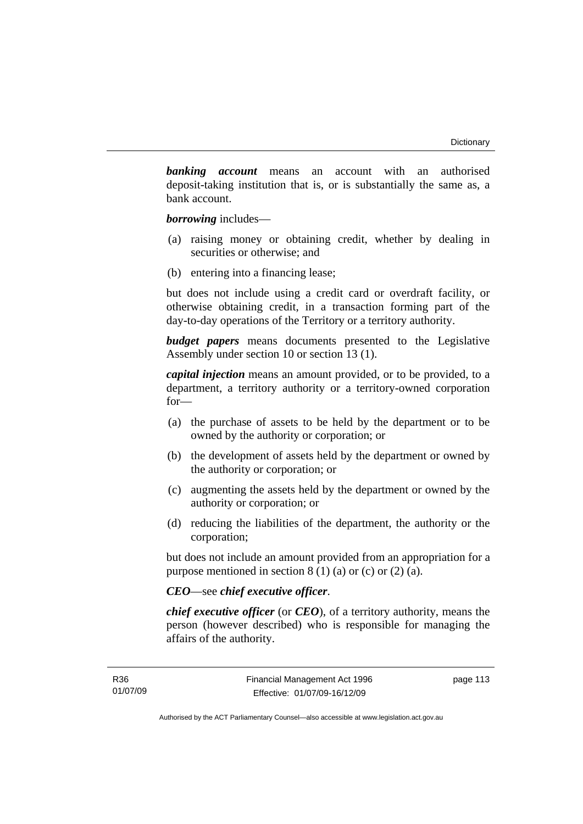*banking account* means an account with an authorised deposit-taking institution that is, or is substantially the same as, a bank account.

*borrowing* includes—

- (a) raising money or obtaining credit, whether by dealing in securities or otherwise; and
- (b) entering into a financing lease;

but does not include using a credit card or overdraft facility, or otherwise obtaining credit, in a transaction forming part of the day-to-day operations of the Territory or a territory authority.

*budget papers* means documents presented to the Legislative Assembly under section 10 or section 13 (1).

*capital injection* means an amount provided, or to be provided, to a department, a territory authority or a territory-owned corporation for—

- (a) the purchase of assets to be held by the department or to be owned by the authority or corporation; or
- (b) the development of assets held by the department or owned by the authority or corporation; or
- (c) augmenting the assets held by the department or owned by the authority or corporation; or
- (d) reducing the liabilities of the department, the authority or the corporation;

but does not include an amount provided from an appropriation for a purpose mentioned in section  $8(1)(a)$  or (c) or  $(2)(a)$ .

## *CEO*—see *chief executive officer*.

*chief executive officer* (or *CEO*), of a territory authority, means the person (however described) who is responsible for managing the affairs of the authority.

page 113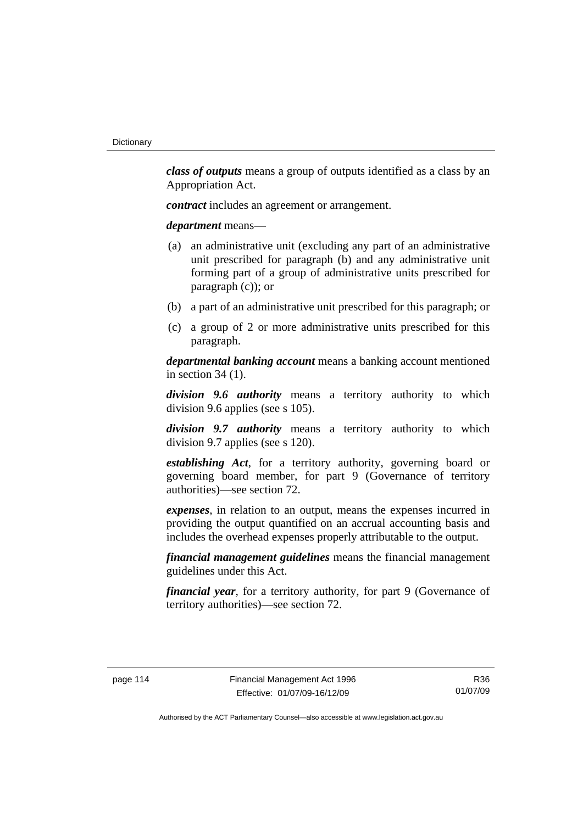*class of outputs* means a group of outputs identified as a class by an Appropriation Act.

*contract* includes an agreement or arrangement.

*department* means—

- (a) an administrative unit (excluding any part of an administrative unit prescribed for paragraph (b) and any administrative unit forming part of a group of administrative units prescribed for paragraph (c)); or
- (b) a part of an administrative unit prescribed for this paragraph; or
- (c) a group of 2 or more administrative units prescribed for this paragraph.

*departmental banking account* means a banking account mentioned in section 34 (1).

*division 9.6 authority* means a territory authority to which division 9.6 applies (see s 105).

*division 9.7 authority* means a territory authority to which division 9.7 applies (see s 120).

*establishing Act*, for a territory authority, governing board or governing board member, for part 9 (Governance of territory authorities)—see section 72.

*expenses*, in relation to an output, means the expenses incurred in providing the output quantified on an accrual accounting basis and includes the overhead expenses properly attributable to the output.

*financial management guidelines* means the financial management guidelines under this Act.

*financial year*, for a territory authority, for part 9 (Governance of territory authorities)—see section 72.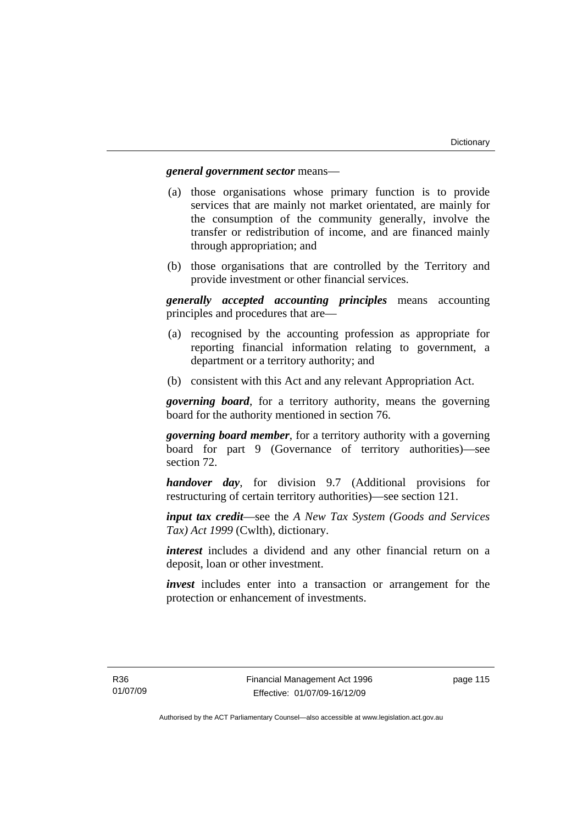#### *general government sector* means—

- (a) those organisations whose primary function is to provide services that are mainly not market orientated, are mainly for the consumption of the community generally, involve the transfer or redistribution of income, and are financed mainly through appropriation; and
- (b) those organisations that are controlled by the Territory and provide investment or other financial services.

*generally accepted accounting principles* means accounting principles and procedures that are—

- (a) recognised by the accounting profession as appropriate for reporting financial information relating to government, a department or a territory authority; and
- (b) consistent with this Act and any relevant Appropriation Act.

*governing board*, for a territory authority, means the governing board for the authority mentioned in section 76.

*governing board member*, for a territory authority with a governing board for part 9 (Governance of territory authorities)—see section 72.

*handover day*, for division 9.7 (Additional provisions for restructuring of certain territory authorities)—see section 121.

*input tax credit*—see the *A New Tax System (Goods and Services Tax) Act 1999* (Cwlth), dictionary.

*interest* includes a dividend and any other financial return on a deposit, loan or other investment.

*invest* includes enter into a transaction or arrangement for the protection or enhancement of investments.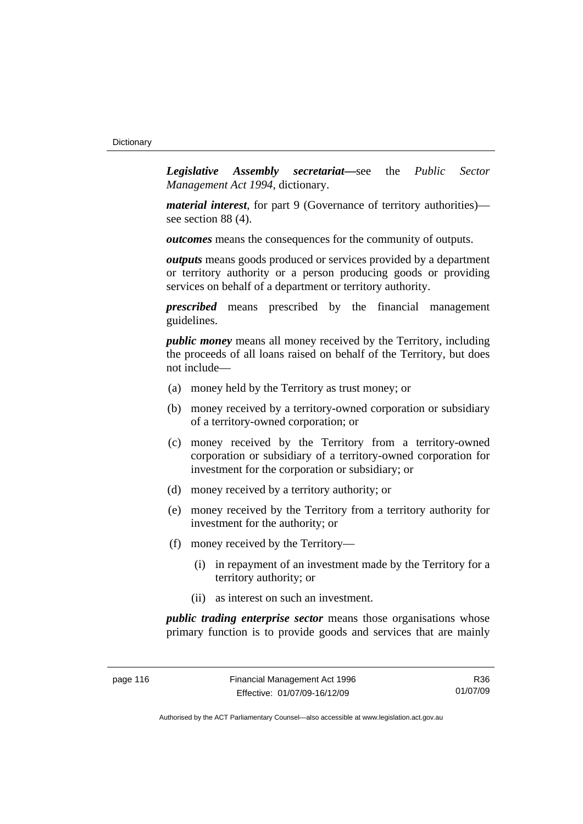*Legislative Assembly secretariat***—**see the *Public Sector Management Act 1994*, dictionary.

*material interest*, for part 9 (Governance of territory authorities) see section 88 (4).

*outcomes* means the consequences for the community of outputs.

*outputs* means goods produced or services provided by a department or territory authority or a person producing goods or providing services on behalf of a department or territory authority.

*prescribed* means prescribed by the financial management guidelines.

*public money* means all money received by the Territory, including the proceeds of all loans raised on behalf of the Territory, but does not include—

- (a) money held by the Territory as trust money; or
- (b) money received by a territory-owned corporation or subsidiary of a territory-owned corporation; or
- (c) money received by the Territory from a territory-owned corporation or subsidiary of a territory-owned corporation for investment for the corporation or subsidiary; or
- (d) money received by a territory authority; or
- (e) money received by the Territory from a territory authority for investment for the authority; or
- (f) money received by the Territory—
	- (i) in repayment of an investment made by the Territory for a territory authority; or
	- (ii) as interest on such an investment.

*public trading enterprise sector* means those organisations whose primary function is to provide goods and services that are mainly

R36 01/07/09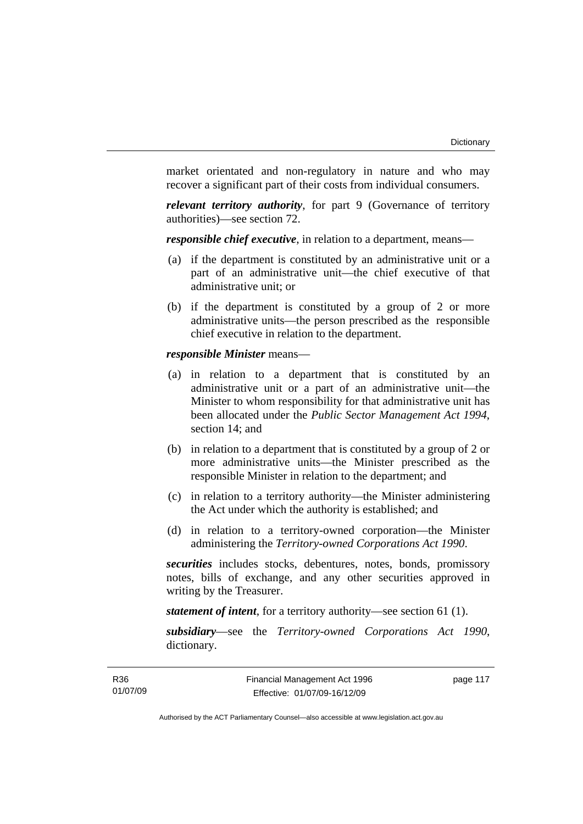market orientated and non-regulatory in nature and who may recover a significant part of their costs from individual consumers.

*relevant territory authority*, for part 9 (Governance of territory authorities)—see section 72.

*responsible chief executive*, in relation to a department, means—

- (a) if the department is constituted by an administrative unit or a part of an administrative unit—the chief executive of that administrative unit; or
- (b) if the department is constituted by a group of 2 or more administrative units—the person prescribed as the responsible chief executive in relation to the department.

*responsible Minister* means—

- (a) in relation to a department that is constituted by an administrative unit or a part of an administrative unit—the Minister to whom responsibility for that administrative unit has been allocated under the *Public Sector Management Act 1994*, section 14; and
- (b) in relation to a department that is constituted by a group of 2 or more administrative units—the Minister prescribed as the responsible Minister in relation to the department; and
- (c) in relation to a territory authority—the Minister administering the Act under which the authority is established; and
- (d) in relation to a territory-owned corporation—the Minister administering the *Territory-owned Corporations Act 1990*.

*securities* includes stocks, debentures, notes, bonds, promissory notes, bills of exchange, and any other securities approved in writing by the Treasurer.

*statement of intent*, for a territory authority—see section 61 (1).

*subsidiary*—see the *Territory-owned Corporations Act 1990*, dictionary.

page 117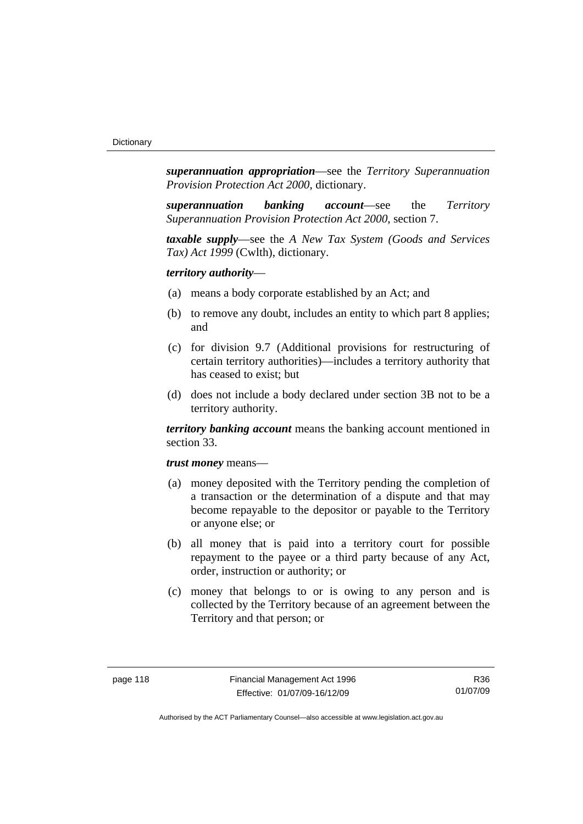*superannuation appropriation*—see the *Territory Superannuation Provision Protection Act 2000*, dictionary.

*superannuation banking account*—see the *Territory Superannuation Provision Protection Act 2000*, section 7.

*taxable supply*—see the *A New Tax System (Goods and Services Tax) Act 1999* (Cwlth), dictionary.

#### *territory authority*—

- (a) means a body corporate established by an Act; and
- (b) to remove any doubt, includes an entity to which part 8 applies; and
- (c) for division 9.7 (Additional provisions for restructuring of certain territory authorities)—includes a territory authority that has ceased to exist; but
- (d) does not include a body declared under section 3B not to be a territory authority.

*territory banking account* means the banking account mentioned in section 33.

#### *trust money* means—

- (a) money deposited with the Territory pending the completion of a transaction or the determination of a dispute and that may become repayable to the depositor or payable to the Territory or anyone else; or
- (b) all money that is paid into a territory court for possible repayment to the payee or a third party because of any Act, order, instruction or authority; or
- (c) money that belongs to or is owing to any person and is collected by the Territory because of an agreement between the Territory and that person; or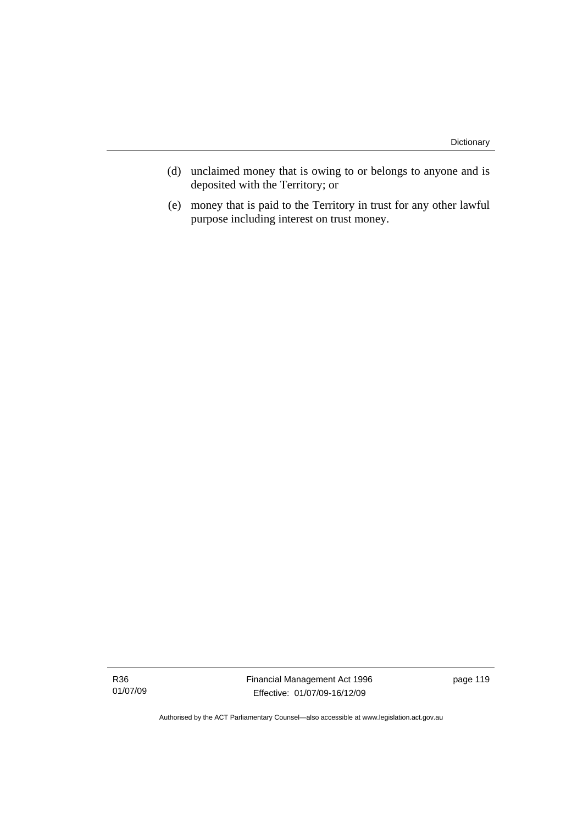- (d) unclaimed money that is owing to or belongs to anyone and is deposited with the Territory; or
- (e) money that is paid to the Territory in trust for any other lawful purpose including interest on trust money.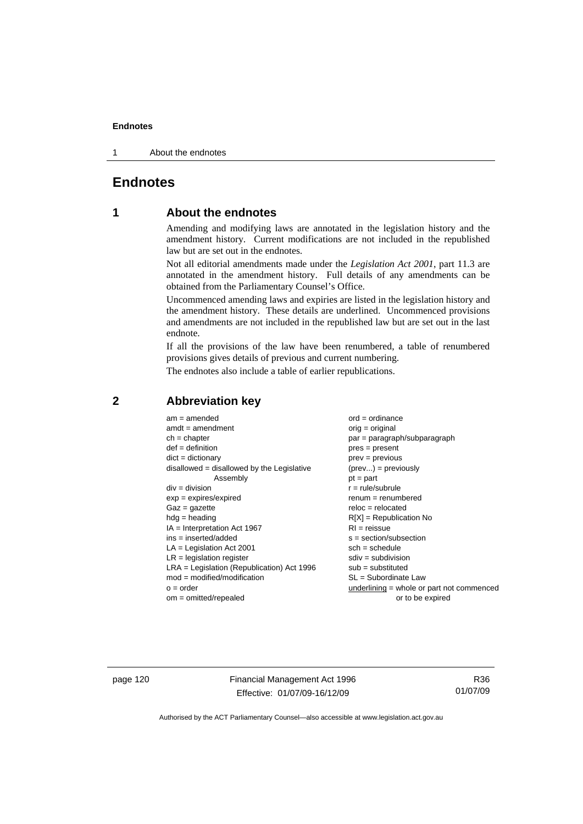1 About the endnotes

## **Endnotes**

## **1 About the endnotes**

Amending and modifying laws are annotated in the legislation history and the amendment history. Current modifications are not included in the republished law but are set out in the endnotes.

Not all editorial amendments made under the *Legislation Act 2001*, part 11.3 are annotated in the amendment history. Full details of any amendments can be obtained from the Parliamentary Counsel's Office.

Uncommenced amending laws and expiries are listed in the legislation history and the amendment history. These details are underlined. Uncommenced provisions and amendments are not included in the republished law but are set out in the last endnote.

If all the provisions of the law have been renumbered, a table of renumbered provisions gives details of previous and current numbering.

The endnotes also include a table of earlier republications.

| $am = amended$                               | $ord = ordinance$                         |
|----------------------------------------------|-------------------------------------------|
| $amdt = amendment$                           | orig = original                           |
| $ch = chapter$                               | par = paragraph/subparagraph              |
| $def = definition$                           | $pres = present$                          |
| $dict = dictionary$                          | $prev = previous$                         |
| $disallowed = disallowed by the Legislative$ | $(\text{prev}) = \text{previously}$       |
| Assembly                                     | $pt = part$                               |
| $div = division$                             | $r = rule/subrule$                        |
| $exp = expires/expired$                      | $renum = renumbered$                      |
| $Gaz = gazette$                              | $reloc = relocated$                       |
| $hdg =$ heading                              | $R[X]$ = Republication No                 |
| $IA = Interpretation Act 1967$               | $RI = reissue$                            |
| $ins = inserted/added$                       | $s = section/subsection$                  |
| $LA =$ Legislation Act 2001                  | $sch = schedule$                          |
| $LR =$ legislation register                  | $sdiv = subdivision$                      |
| $LRA =$ Legislation (Republication) Act 1996 | $sub = substituted$                       |
| $mod = modified/modification$                | SL = Subordinate Law                      |
| $o = order$                                  | underlining = whole or part not commenced |
| $om = omitted/repealed$                      | or to be expired                          |
|                                              |                                           |

## **2 Abbreviation key**

page 120 Financial Management Act 1996 Effective: 01/07/09-16/12/09

R36 01/07/09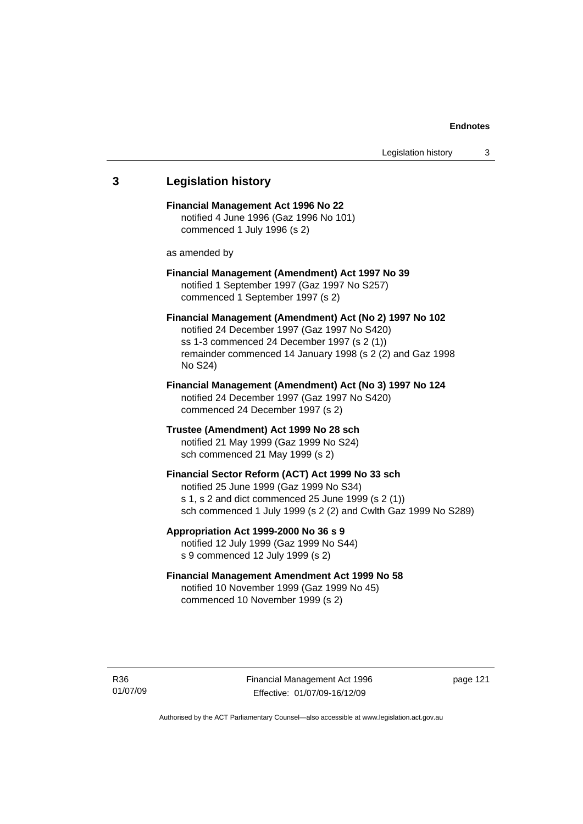# **3 Legislation history Financial Management Act 1996 No 22**  notified 4 June 1996 (Gaz 1996 No 101) commenced 1 July 1996 (s 2) as amended by **Financial Management (Amendment) Act 1997 No 39**  notified 1 September 1997 (Gaz 1997 No S257) commenced 1 September 1997 (s 2) **Financial Management (Amendment) Act (No 2) 1997 No 102**  notified 24 December 1997 (Gaz 1997 No S420) ss 1-3 commenced 24 December 1997 (s 2 (1)) remainder commenced 14 January 1998 (s 2 (2) and Gaz 1998 No S24) **Financial Management (Amendment) Act (No 3) 1997 No 124**  notified 24 December 1997 (Gaz 1997 No S420) commenced 24 December 1997 (s 2) **Trustee (Amendment) Act 1999 No 28 sch**  notified 21 May 1999 (Gaz 1999 No S24) sch commenced 21 May 1999 (s 2) **Financial Sector Reform (ACT) Act 1999 No 33 sch**  notified 25 June 1999 (Gaz 1999 No S34) s 1, s 2 and dict commenced 25 June 1999 (s 2 (1)) sch commenced 1 July 1999 (s 2 (2) and Cwlth Gaz 1999 No S289) **Appropriation Act 1999-2000 No 36 s 9**  notified 12 July 1999 (Gaz 1999 No S44) s 9 commenced 12 July 1999 (s 2) **Financial Management Amendment Act 1999 No 58**  notified 10 November 1999 (Gaz 1999 No 45) commenced 10 November 1999 (s 2)

Financial Management Act 1996 Effective: 01/07/09-16/12/09

page 121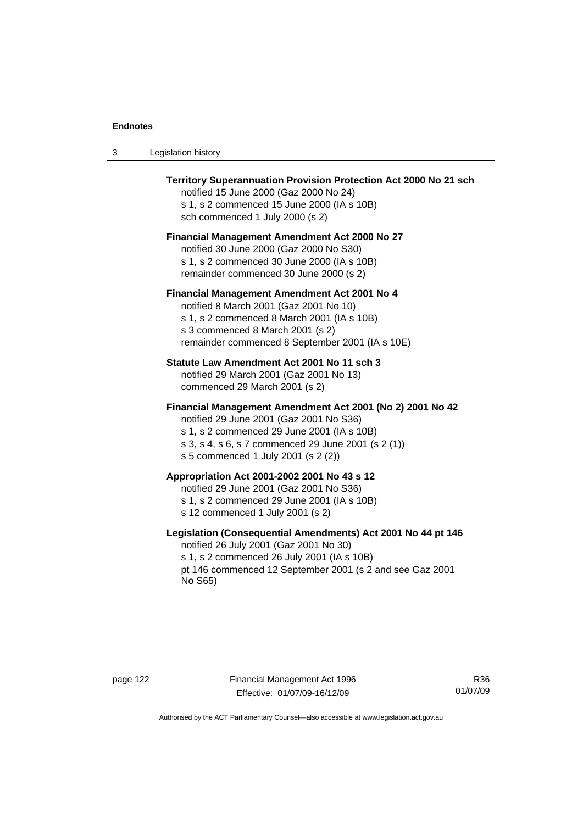| Legislation history<br>-3 |  |
|---------------------------|--|
|---------------------------|--|

| <b>Territory Superannuation Provision Protection Act 2000 No 21 sch</b><br>notified 15 June 2000 (Gaz 2000 No 24)<br>s 1, s 2 commenced 15 June 2000 (IA s 10B)<br>sch commenced 1 July 2000 (s 2)                                               |
|--------------------------------------------------------------------------------------------------------------------------------------------------------------------------------------------------------------------------------------------------|
| <b>Financial Management Amendment Act 2000 No 27</b><br>notified 30 June 2000 (Gaz 2000 No S30)<br>s 1, s 2 commenced 30 June 2000 (IA s 10B)<br>remainder commenced 30 June 2000 (s 2)                                                          |
| <b>Financial Management Amendment Act 2001 No 4</b><br>notified 8 March 2001 (Gaz 2001 No 10)<br>s 1, s 2 commenced 8 March 2001 (IA s 10B)<br>s 3 commenced 8 March 2001 (s 2)<br>remainder commenced 8 September 2001 (IA s 10E)               |
| Statute Law Amendment Act 2001 No 11 sch 3<br>notified 29 March 2001 (Gaz 2001 No 13)<br>commenced 29 March 2001 (s 2)                                                                                                                           |
| Financial Management Amendment Act 2001 (No 2) 2001 No 42<br>notified 29 June 2001 (Gaz 2001 No S36)<br>s 1, s 2 commenced 29 June 2001 (IA s 10B)<br>s 3, s 4, s 6, s 7 commenced 29 June 2001 (s 2 (1))<br>s 5 commenced 1 July 2001 (s 2 (2)) |
| Appropriation Act 2001-2002 2001 No 43 s 12<br>notified 29 June 2001 (Gaz 2001 No S36)<br>s 1, s 2 commenced 29 June 2001 (IA s 10B)<br>s 12 commenced 1 July 2001 (s 2)                                                                         |
| Legislation (Consequential Amendments) Act 2001 No 44 pt 146<br>notified 26 July 2001 (Gaz 2001 No 30)<br>s 1, s 2 commenced 26 July 2001 (IA s 10B)<br>pt 146 commenced 12 September 2001 (s 2 and see Gaz 2001<br>No S65)                      |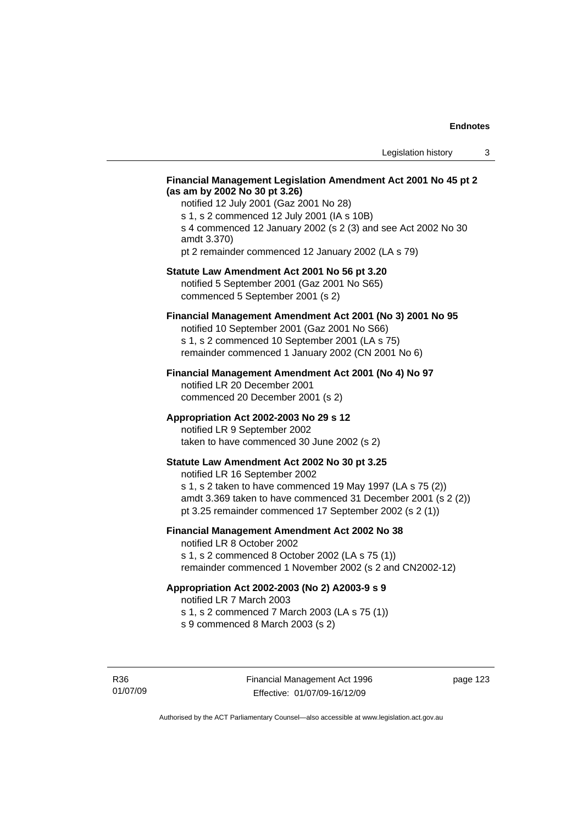#### **Financial Management Legislation Amendment Act 2001 No 45 pt 2 (as am by 2002 No 30 pt 3.26)**

notified 12 July 2001 (Gaz 2001 No 28) s 1, s 2 commenced 12 July 2001 (IA s 10B) s 4 commenced 12 January 2002 (s 2 (3) and see Act 2002 No 30 amdt 3.370) pt 2 remainder commenced 12 January 2002 (LA s 79)

#### **Statute Law Amendment Act 2001 No 56 pt 3.20**

notified 5 September 2001 (Gaz 2001 No S65) commenced 5 September 2001 (s 2)

## **Financial Management Amendment Act 2001 (No 3) 2001 No 95**

notified 10 September 2001 (Gaz 2001 No S66) s 1, s 2 commenced 10 September 2001 (LA s 75) remainder commenced 1 January 2002 (CN 2001 No 6)

#### **Financial Management Amendment Act 2001 (No 4) No 97**

notified LR 20 December 2001 commenced 20 December 2001 (s 2)

#### **Appropriation Act 2002-2003 No 29 s 12**

notified LR 9 September 2002 taken to have commenced 30 June 2002 (s 2)

#### **Statute Law Amendment Act 2002 No 30 pt 3.25**

notified LR 16 September 2002 s 1, s 2 taken to have commenced 19 May 1997 (LA s 75 (2)) amdt 3.369 taken to have commenced 31 December 2001 (s 2 (2)) pt 3.25 remainder commenced 17 September 2002 (s 2 (1))

#### **Financial Management Amendment Act 2002 No 38**

notified LR 8 October 2002 s 1, s 2 commenced 8 October 2002 (LA s 75 (1)) remainder commenced 1 November 2002 (s 2 and CN2002-12)

#### **Appropriation Act 2002-2003 (No 2) A2003-9 s 9**

notified LR 7 March 2003

s 1, s 2 commenced 7 March 2003 (LA s 75 (1))

s 9 commenced 8 March 2003 (s 2)

R36 01/07/09 page 123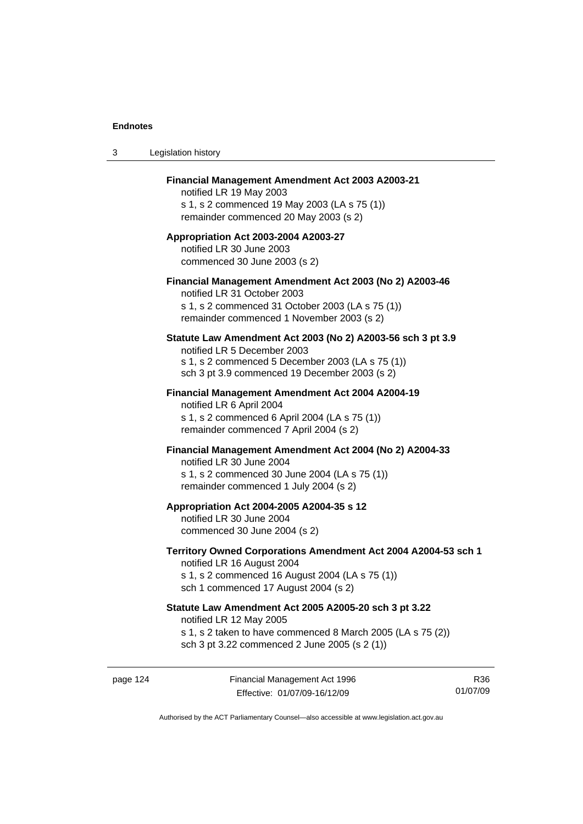| 3 | Legislation history                                                                                                                                                                              |
|---|--------------------------------------------------------------------------------------------------------------------------------------------------------------------------------------------------|
|   | Financial Management Amendment Act 2003 A2003-21<br>notified LR 19 May 2003<br>s 1, s 2 commenced 19 May 2003 (LA s 75 (1))<br>remainder commenced 20 May 2003 (s 2)                             |
|   | Appropriation Act 2003-2004 A2003-27<br>notified LR 30 June 2003<br>commenced 30 June 2003 (s 2)                                                                                                 |
|   | Financial Management Amendment Act 2003 (No 2) A2003-46<br>notified LR 31 October 2003<br>s 1, s 2 commenced 31 October 2003 (LA s 75 (1))<br>remainder commenced 1 November 2003 (s 2)          |
|   | Statute Law Amendment Act 2003 (No 2) A2003-56 sch 3 pt 3.9<br>notified LR 5 December 2003<br>s 1, s 2 commenced 5 December 2003 (LA s 75 (1))<br>sch 3 pt 3.9 commenced 19 December 2003 (s 2)  |
|   | Financial Management Amendment Act 2004 A2004-19<br>notified LR 6 April 2004<br>s 1, s 2 commenced 6 April 2004 (LA s 75 (1))<br>remainder commenced 7 April 2004 (s 2)                          |
|   | Financial Management Amendment Act 2004 (No 2) A2004-33<br>notified LR 30 June 2004<br>s 1, s 2 commenced 30 June 2004 (LA s 75 (1))<br>remainder commenced 1 July 2004 (s 2)                    |
|   | Appropriation Act 2004-2005 A2004-35 s 12<br>notified LR 30 June 2004<br>commenced 30 June 2004 (s 2)                                                                                            |
|   | Territory Owned Corporations Amendment Act 2004 A2004-53 sch 1<br>notified LR 16 August 2004<br>s 1, s 2 commenced 16 August 2004 (LA s 75 (1))<br>sch 1 commenced 17 August 2004 (s 2)          |
|   | Statute Law Amendment Act 2005 A2005-20 sch 3 pt 3.22<br>notified LR 12 May 2005<br>s 1, s 2 taken to have commenced 8 March 2005 (LA s 75 (2))<br>sch 3 pt 3.22 commenced 2 June 2005 (s 2 (1)) |
|   |                                                                                                                                                                                                  |

page 124 Financial Management Act 1996 Effective: 01/07/09-16/12/09

R36 01/07/09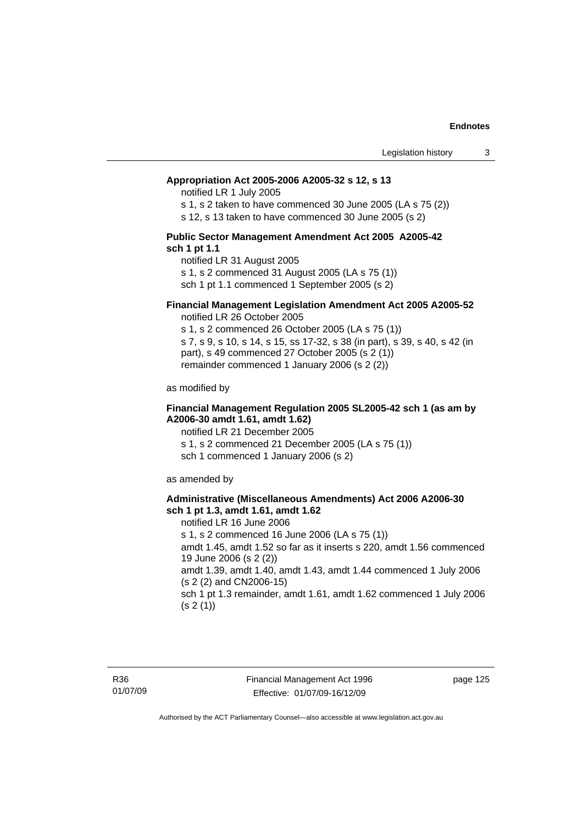#### **Appropriation Act 2005-2006 A2005-32 s 12, s 13**

notified LR 1 July 2005

s 1, s 2 taken to have commenced 30 June 2005 (LA s 75 (2))

s 12, s 13 taken to have commenced 30 June 2005 (s 2)

#### **Public Sector Management Amendment Act 2005 A2005-42 sch 1 pt 1.1**

notified LR 31 August 2005 s 1, s 2 commenced 31 August 2005 (LA s 75 (1)) sch 1 pt 1.1 commenced 1 September 2005 (s 2)

#### **Financial Management Legislation Amendment Act 2005 A2005-52**

notified LR 26 October 2005

s 1, s 2 commenced 26 October 2005 (LA s 75 (1)) s 7, s 9, s 10, s 14, s 15, ss 17-32, s 38 (in part), s 39, s 40, s 42 (in part), s 49 commenced 27 October 2005 (s 2 (1)) remainder commenced 1 January 2006 (s 2 (2))

as modified by

#### **Financial Management Regulation 2005 SL2005-42 sch 1 (as am by A2006-30 amdt 1.61, amdt 1.62)**

notified LR 21 December 2005 s 1, s 2 commenced 21 December 2005 (LA s 75 (1)) sch 1 commenced 1 January 2006 (s 2)

as amended by

#### **Administrative (Miscellaneous Amendments) Act 2006 A2006-30 sch 1 pt 1.3, amdt 1.61, amdt 1.62**

notified LR 16 June 2006 s 1, s 2 commenced 16 June 2006 (LA s 75 (1)) amdt 1.45, amdt 1.52 so far as it inserts s 220, amdt 1.56 commenced 19 June 2006 (s 2 (2)) amdt 1.39, amdt 1.40, amdt 1.43, amdt 1.44 commenced 1 July 2006 (s 2 (2) and CN2006-15) sch 1 pt 1.3 remainder, amdt 1.61, amdt 1.62 commenced 1 July 2006  $(s 2(1))$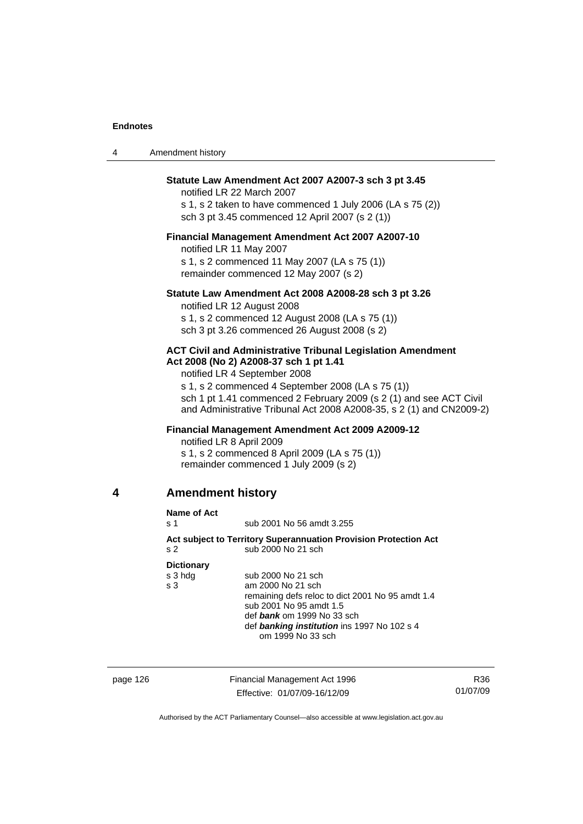4 American American Structure

| 4 | Amendment history                                                       |                                                                                                                                                                                                                                                                                                                                                 |
|---|-------------------------------------------------------------------------|-------------------------------------------------------------------------------------------------------------------------------------------------------------------------------------------------------------------------------------------------------------------------------------------------------------------------------------------------|
|   |                                                                         | Statute Law Amendment Act 2007 A2007-3 sch 3 pt 3.45<br>notified LR 22 March 2007<br>s 1, s 2 taken to have commenced 1 July 2006 (LA s 75 (2))<br>sch 3 pt 3.45 commenced 12 April 2007 (s 2 (1))                                                                                                                                              |
|   | notified LR 11 May 2007                                                 | Financial Management Amendment Act 2007 A2007-10<br>s 1, s 2 commenced 11 May 2007 (LA s 75 (1))<br>remainder commenced 12 May 2007 (s 2)                                                                                                                                                                                                       |
|   |                                                                         | Statute Law Amendment Act 2008 A2008-28 sch 3 pt 3.26<br>notified LR 12 August 2008<br>s 1, s 2 commenced 12 August 2008 (LA s 75 (1))<br>sch 3 pt 3.26 commenced 26 August 2008 (s 2)                                                                                                                                                          |
|   |                                                                         | <b>ACT Civil and Administrative Tribunal Legislation Amendment</b><br>Act 2008 (No 2) A2008-37 sch 1 pt 1.41<br>notified LR 4 September 2008<br>s 1, s 2 commenced 4 September 2008 (LA s 75 (1))<br>sch 1 pt 1.41 commenced 2 February 2009 (s 2 (1) and see ACT Civil<br>and Administrative Tribunal Act 2008 A2008-35, s 2 (1) and CN2009-2) |
|   | notified LR 8 April 2009                                                | <b>Financial Management Amendment Act 2009 A2009-12</b><br>s 1, s 2 commenced 8 April 2009 (LA s 75 (1))<br>remainder commenced 1 July 2009 (s 2)                                                                                                                                                                                               |
| 4 | <b>Amendment history</b>                                                |                                                                                                                                                                                                                                                                                                                                                 |
|   | <b>Name of Act</b><br>s 1<br>s 2<br><b>Dictionary</b><br>s 3 hdg<br>s 3 | sub 2001 No 56 amdt 3.255<br>Act subject to Territory Superannuation Provision Protection Act<br>sub 2000 No 21 sch<br>sub 2000 No 21 sch<br>am 2000 No 21 sch<br>remaining defs reloc to dict 2001 No 95 amdt 1.4<br>sub 2001 No 95 amdt 1.5<br>def bank om 1999 No 33 sch<br>def banking institution ins 1997 No 102 s 4<br>om 1999 No 33 sch |
|   |                                                                         |                                                                                                                                                                                                                                                                                                                                                 |

page 126 Financial Management Act 1996 Effective: 01/07/09-16/12/09

R36 01/07/09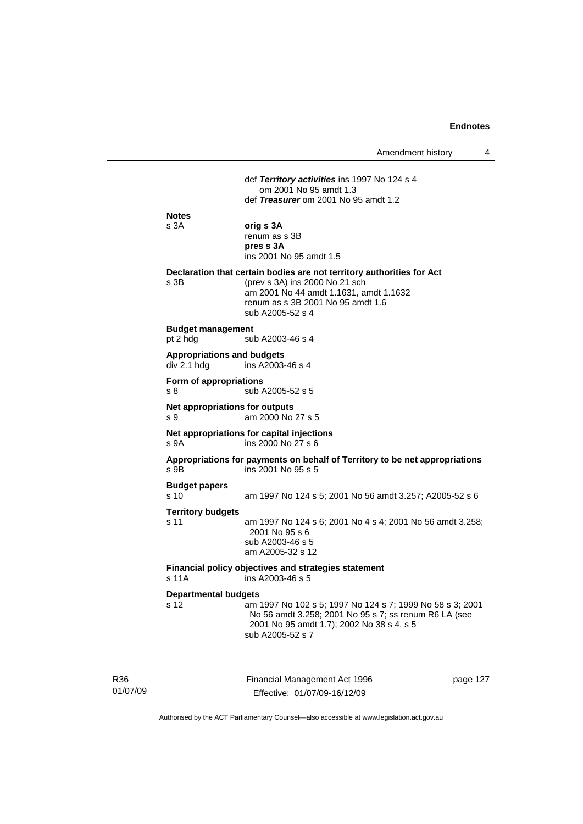|                                                  | Amendment history                                                                                                                                                                                          | 4 |
|--------------------------------------------------|------------------------------------------------------------------------------------------------------------------------------------------------------------------------------------------------------------|---|
|                                                  | def Territory activities ins 1997 No 124 s 4<br>om 2001 No 95 amdt 1.3<br>def Treasurer om 2001 No 95 amdt 1.2                                                                                             |   |
| <b>Notes</b><br>s 3A                             | orig s 3A<br>renum as s 3B<br>pres s 3A<br>ins 2001 No 95 amdt 1.5                                                                                                                                         |   |
| s 3B                                             | Declaration that certain bodies are not territory authorities for Act<br>(prev s 3A) ins 2000 No 21 sch<br>am 2001 No 44 amdt 1.1631, amdt 1.1632<br>renum as s 3B 2001 No 95 amdt 1.6<br>sub A2005-52 s 4 |   |
| <b>Budget management</b><br>pt 2 hdg             | sub A2003-46 s 4                                                                                                                                                                                           |   |
| <b>Appropriations and budgets</b><br>div 2.1 hdg | ins A2003-46 s 4                                                                                                                                                                                           |   |
| Form of appropriations<br>s 8                    | sub A2005-52 s 5                                                                                                                                                                                           |   |
| Net appropriations for outputs<br>s 9            | am 2000 No 27 s 5                                                                                                                                                                                          |   |
| s 9A                                             | Net appropriations for capital injections<br>ins 2000 No 27 s 6                                                                                                                                            |   |
| s 9B                                             | Appropriations for payments on behalf of Territory to be net appropriations<br>ins 2001 No 95 s 5                                                                                                          |   |
| <b>Budget papers</b><br>s 10                     | am 1997 No 124 s 5; 2001 No 56 amdt 3.257; A2005-52 s 6                                                                                                                                                    |   |
| <b>Territory budgets</b><br>s 11                 | am 1997 No 124 s 6; 2001 No 4 s 4; 2001 No 56 amdt 3.258;<br>2001 No 95 s 6<br>sub A2003-46 s 5<br>am A2005-32 s 12                                                                                        |   |
| s 11A                                            | Financial policy objectives and strategies statement<br>ins A2003-46 s 5                                                                                                                                   |   |
| <b>Departmental budgets</b><br>s 12              | am 1997 No 102 s 5; 1997 No 124 s 7; 1999 No 58 s 3; 2001<br>No 56 amdt 3.258; 2001 No 95 s 7; ss renum R6 LA (see<br>2001 No 95 amdt 1.7); 2002 No 38 s 4, s 5<br>sub A2005-52 s 7                        |   |

R36 01/07/09 Financial Management Act 1996 Effective: 01/07/09-16/12/09

page 127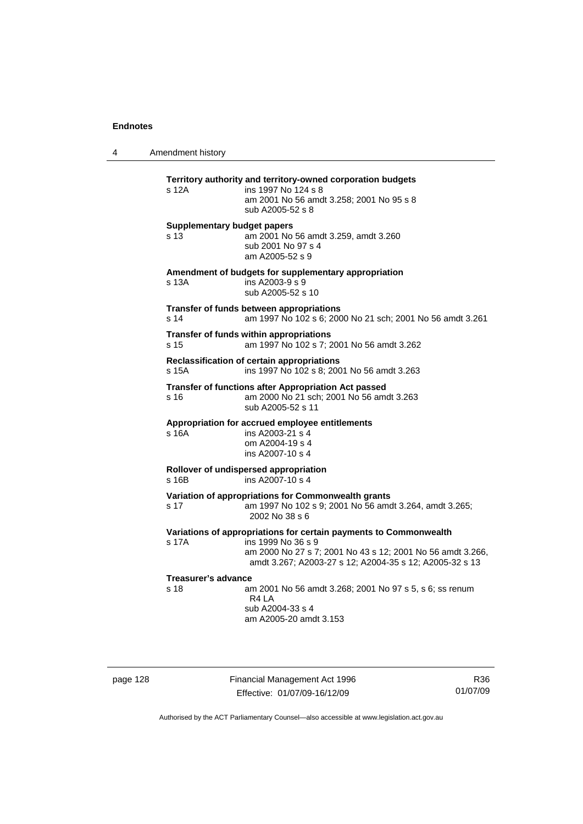4 Amendment history

| s 12A                              | Territory authority and territory-owned corporation budgets<br>ins 1997 No 124 s 8   |
|------------------------------------|--------------------------------------------------------------------------------------|
|                                    | am 2001 No 56 amdt 3.258; 2001 No 95 s 8                                             |
|                                    | sub A2005-52 s 8                                                                     |
| <b>Supplementary budget papers</b> |                                                                                      |
| s <sub>13</sub>                    | am 2001 No 56 amdt 3.259, amdt 3.260<br>sub 2001 No 97 s 4                           |
|                                    | am A2005-52 s 9                                                                      |
|                                    | Amendment of budgets for supplementary appropriation                                 |
| s 13A                              | ins A2003-9 s 9                                                                      |
|                                    | sub A2005-52 s 10                                                                    |
| s 14                               | Transfer of funds between appropriations                                             |
|                                    | am 1997 No 102 s 6; 2000 No 21 sch; 2001 No 56 amdt 3.261                            |
| s 15                               | Transfer of funds within appropriations<br>am 1997 No 102 s 7; 2001 No 56 amdt 3.262 |
|                                    | Reclassification of certain appropriations                                           |
| s 15A                              | ins 1997 No 102 s 8; 2001 No 56 amdt 3.263                                           |
|                                    | <b>Transfer of functions after Appropriation Act passed</b>                          |
| s 16                               | am 2000 No 21 sch; 2001 No 56 amdt 3.263                                             |
|                                    | sub A2005-52 s 11                                                                    |
| s 16A                              | Appropriation for accrued employee entitlements<br>ins A2003-21 s 4                  |
|                                    | om A2004-19 s 4                                                                      |
|                                    | ins A2007-10 s 4                                                                     |
|                                    | Rollover of undispersed appropriation                                                |
| s 16B                              | ins A2007-10 s 4                                                                     |
|                                    | Variation of appropriations for Commonwealth grants                                  |
| s 17                               | am 1997 No 102 s 9; 2001 No 56 amdt 3.264, amdt 3.265;<br>2002 No 38 s 6             |
|                                    | Variations of appropriations for certain payments to Commonwealth                    |
| s 17A                              | ins 1999 No 36 s 9                                                                   |
|                                    | am 2000 No 27 s 7; 2001 No 43 s 12; 2001 No 56 amdt 3.266,                           |
|                                    | amdt 3.267; A2003-27 s 12; A2004-35 s 12; A2005-32 s 13                              |
| Treasurer's advance                |                                                                                      |
| s <sub>18</sub>                    | am 2001 No 56 amdt 3.268; 2001 No 97 s 5, s 6; ss renum<br>R4 LA                     |
|                                    | sub A2004-33 s 4                                                                     |
|                                    | am A2005-20 amdt 3.153                                                               |
|                                    |                                                                                      |

page 128 Financial Management Act 1996 Effective: 01/07/09-16/12/09

R36 01/07/09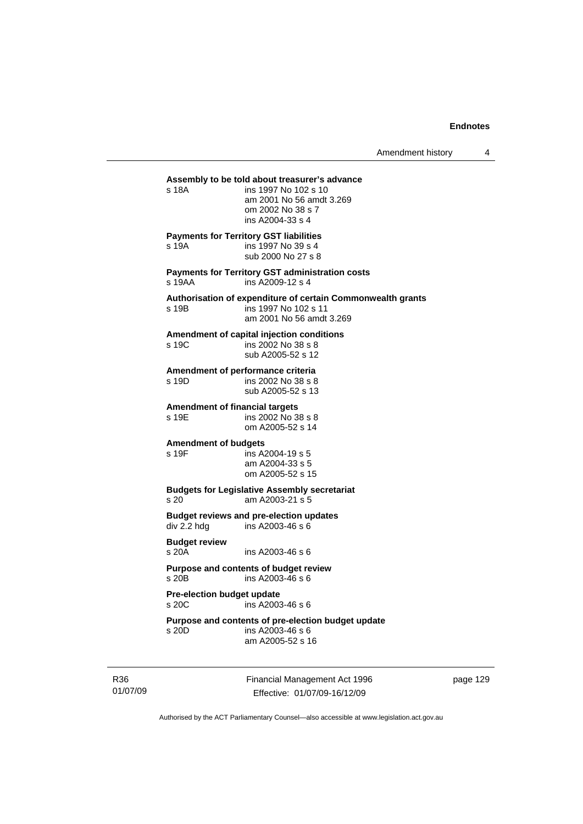#### **Assembly to be told about treasurer's advance**

s 18A ins 1997 No 102 s 10 am 2001 No 56 amdt 3.269 om 2002 No 38 s 7 ins A2004-33 s 4 **Payments for Territory GST liabilities** s 19A ins 1997 No 39 s 4 sub 2000 No 27 s 8 **Payments for Territory GST administration costs**  s 19AA ins A2009-12 s 4 **Authorisation of expenditure of certain Commonwealth grants**  ins 1997 No 102 s 11 am 2001 No 56 amdt 3.269 **Amendment of capital injection conditions**  s 19C ins 2002 No 38 s 8 sub A2005-52 s 12 **Amendment of performance criteria**  s 19D ins 2002 No 38 s 8 sub A2005-52 s 13 **Amendment of financial targets**  s 19E ins 2002 No 38 s 8 om A2005-52 s 14 **Amendment of budgets**  s 19F ins A2004-19 s 5 am A2004-33 s 5 om A2005-52 s 15 **Budgets for Legislative Assembly secretariat**  s 20 am A2003-21 s 5 **Budget reviews and pre-election updates**   $div 2.2$  hdg ins A2003-46 s 6 **Budget review**  ins A2003-46 s 6 **Purpose and contents of budget review**  s 20B ins A2003-46 s 6 **Pre-election budget update**  s 20C ins A2003-46 s 6 **Purpose and contents of pre-election budget update**  s 20D ins A2003-46 s 6

am A2005-52 s 16

R36 01/07/09 Financial Management Act 1996 Effective: 01/07/09-16/12/09

page 129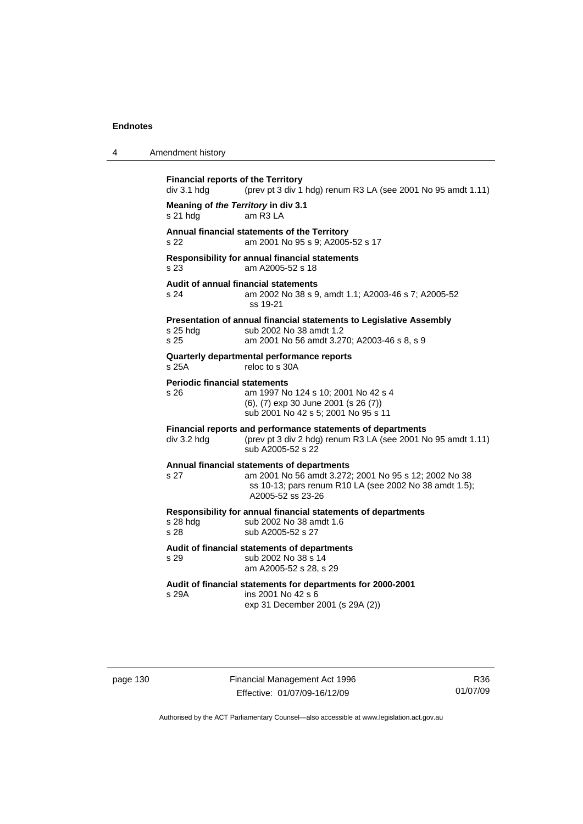| 4 | Amendment history                                        |                                                                                                                                                                                    |
|---|----------------------------------------------------------|------------------------------------------------------------------------------------------------------------------------------------------------------------------------------------|
|   | <b>Financial reports of the Territory</b><br>div 3.1 hdg | (prev pt 3 div 1 hdg) renum R3 LA (see 2001 No 95 amdt 1.11)                                                                                                                       |
|   | Meaning of the Territory in div 3.1<br>s 21 hdg          | am R3 LA                                                                                                                                                                           |
|   | s 22                                                     | Annual financial statements of the Territory<br>am 2001 No 95 s 9; A2005-52 s 17                                                                                                   |
|   | s 23                                                     | Responsibility for annual financial statements<br>am A2005-52 s 18                                                                                                                 |
|   | <b>Audit of annual financial statements</b><br>s 24      | am 2002 No 38 s 9, amdt 1.1; A2003-46 s 7; A2005-52<br>ss 19-21                                                                                                                    |
|   | $s$ 25 hdg<br>s 25                                       | Presentation of annual financial statements to Legislative Assembly<br>sub 2002 No 38 amdt 1.2<br>am 2001 No 56 amdt 3.270; A2003-46 s 8, s 9                                      |
|   | s 25A                                                    | Quarterly departmental performance reports<br>reloc to s 30A                                                                                                                       |
|   | <b>Periodic financial statements</b><br>s 26             | am 1997 No 124 s 10; 2001 No 42 s 4<br>(6), (7) exp 30 June 2001 (s 26 (7))<br>sub 2001 No 42 s 5; 2001 No 95 s 11                                                                 |
|   | div 3.2 hdg                                              | Financial reports and performance statements of departments<br>(prev pt 3 div 2 hdg) renum R3 LA (see 2001 No 95 amdt 1.11)<br>sub A2005-52 s 22                                   |
|   | s 27                                                     | Annual financial statements of departments<br>am 2001 No 56 amdt 3.272; 2001 No 95 s 12; 2002 No 38<br>ss 10-13; pars renum R10 LA (see 2002 No 38 amdt 1.5);<br>A2005-52 ss 23-26 |
|   | s 28 hdg<br>s 28                                         | Responsibility for annual financial statements of departments<br>sub 2002 No 38 amdt 1.6<br>sub A2005-52 s 27                                                                      |
|   | s 29                                                     | Audit of financial statements of departments<br>sub 2002 No 38 s 14<br>am A2005-52 s 28, s 29                                                                                      |
|   | s 29A                                                    | Audit of financial statements for departments for 2000-2001<br>ins 2001 No 42 s 6<br>exp 31 December 2001 (s 29A (2))                                                              |

page 130 Financial Management Act 1996 Effective: 01/07/09-16/12/09

R36 01/07/09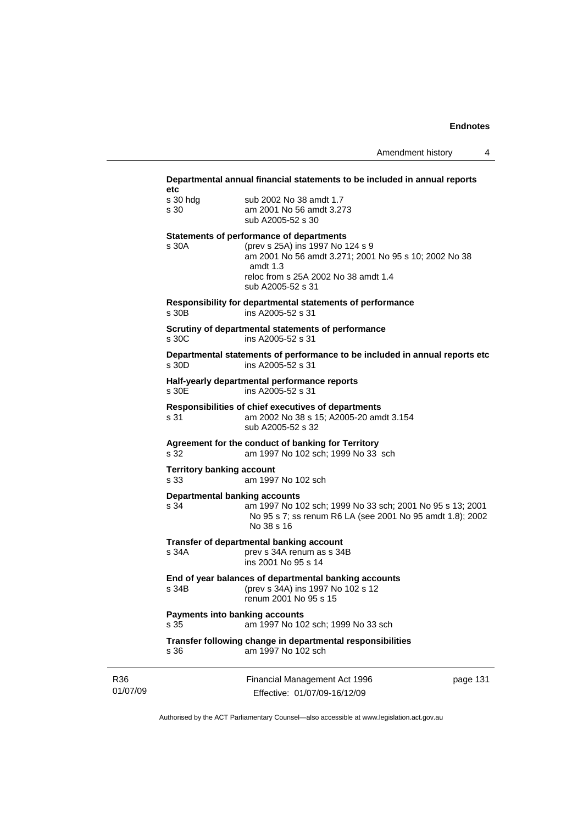#### **Departmental annual financial statements to be included in annual reports etc**

| շւշ      |                          |
|----------|--------------------------|
| s 30 hdg | sub 2002 No 38 amdt 1.7  |
| s 30     | am 2001 No 56 amdt 3.273 |
|          | sub A2005-52 s 30        |

#### **Statements of performance of departments**

s 30A (prev s 25A) ins 1997 No 124 s 9 am 2001 No 56 amdt 3.271; 2001 No 95 s 10; 2002 No 38 amdt 1.3 reloc from s 25A 2002 No 38 amdt 1.4 sub A2005-52 s 31

**Responsibility for departmental statements of performance**  s 30B ins A2005-52 s 31

#### **Scrutiny of departmental statements of performance**  s 30C ins A2005-52 s 31

**Departmental statements of performance to be included in annual reports etc**  s 30D ins A2005-52 s 31

# **Half-yearly departmental performance reports**

ins A2005-52 s 31

#### **Responsibilities of chief executives of departments**  s 31 am 2002 No 38 s 15; A2005-20 amdt 3.154 sub A2005-52 s 32

## **Agreement for the conduct of banking for Territory**

s 32 am 1997 No 102 sch; 1999 No 33 sch

#### **Territory banking account**

s 33 am 1997 No 102 sch

#### **Departmental banking accounts**

s 34 am 1997 No 102 sch; 1999 No 33 sch; 2001 No 95 s 13; 2001 No 95 s 7; ss renum R6 LA (see 2001 No 95 amdt 1.8); 2002 No 38 s 16

# **Transfer of departmental banking account**

prev s 34A renum as s 34B ins 2001 No 95 s 14

#### **End of year balances of departmental banking accounts** s 34B (prev s 34A) ins 1997 No 102 s 12

renum 2001 No 95 s 15

#### **Payments into banking accounts**

s 35 am 1997 No 102 sch; 1999 No 33 sch

#### **Transfer following change in departmental responsibilities** s 36 am 1997 No 102 sch

| R36      |
|----------|
| 01/07/09 |

Financial Management Act 1996 Effective: 01/07/09-16/12/09

page 131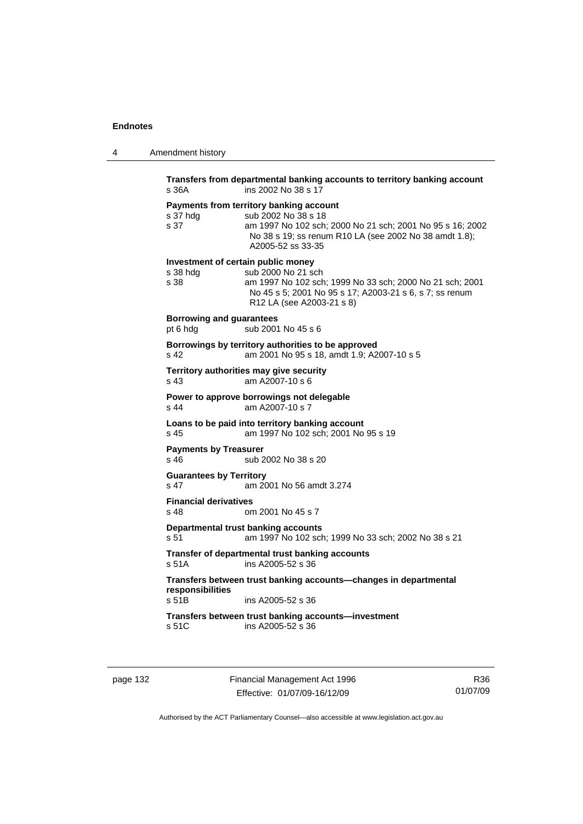| $\boldsymbol{\Lambda}$ | Amendment history |  |
|------------------------|-------------------|--|
|------------------------|-------------------|--|

| s 36A                                       | Transfers from departmental banking accounts to territory banking account<br>ins 2002 No 38 s 17                                                                                                             |
|---------------------------------------------|--------------------------------------------------------------------------------------------------------------------------------------------------------------------------------------------------------------|
| s 37 hdg<br>s 37                            | Payments from territory banking account<br>sub 2002 No 38 s 18<br>am 1997 No 102 sch; 2000 No 21 sch; 2001 No 95 s 16; 2002<br>No 38 s 19; ss renum R10 LA (see 2002 No 38 amdt 1.8);<br>A2005-52 ss 33-35   |
| s 38 hdg<br>s 38                            | Investment of certain public money<br>sub 2000 No 21 sch<br>am 1997 No 102 sch; 1999 No 33 sch; 2000 No 21 sch; 2001<br>No 45 s 5; 2001 No 95 s 17; A2003-21 s 6, s 7; ss renum<br>R12 LA (see A2003-21 s 8) |
| <b>Borrowing and guarantees</b><br>pt 6 hdg | sub 2001 No 45 s 6                                                                                                                                                                                           |
| s 42                                        | Borrowings by territory authorities to be approved<br>am 2001 No 95 s 18, amdt 1.9; A2007-10 s 5                                                                                                             |
| s 43                                        | Territory authorities may give security<br>am A2007-10 s 6                                                                                                                                                   |
| s 44                                        | Power to approve borrowings not delegable<br>am A2007-10 s 7                                                                                                                                                 |
| s 45                                        | Loans to be paid into territory banking account<br>am 1997 No 102 sch; 2001 No 95 s 19                                                                                                                       |
| <b>Payments by Treasurer</b><br>s 46        | sub 2002 No 38 s 20                                                                                                                                                                                          |
| <b>Guarantees by Territory</b><br>s 47      | am 2001 No 56 amdt 3.274                                                                                                                                                                                     |
| <b>Financial derivatives</b><br>s 48        | om 2001 No 45 s 7                                                                                                                                                                                            |
| s 51                                        | Departmental trust banking accounts<br>am 1997 No 102 sch; 1999 No 33 sch; 2002 No 38 s 21                                                                                                                   |
| s 51A                                       | Transfer of departmental trust banking accounts<br>ins A2005-52 s 36                                                                                                                                         |
| responsibilities                            | Transfers between trust banking accounts-changes in departmental                                                                                                                                             |
| s 51B                                       | ins A2005-52 s 36                                                                                                                                                                                            |
| s 51C                                       | Transfers between trust banking accounts-investment<br>ins A2005-52 s 36                                                                                                                                     |
|                                             |                                                                                                                                                                                                              |

page 132 Financial Management Act 1996 Effective: 01/07/09-16/12/09

R36 01/07/09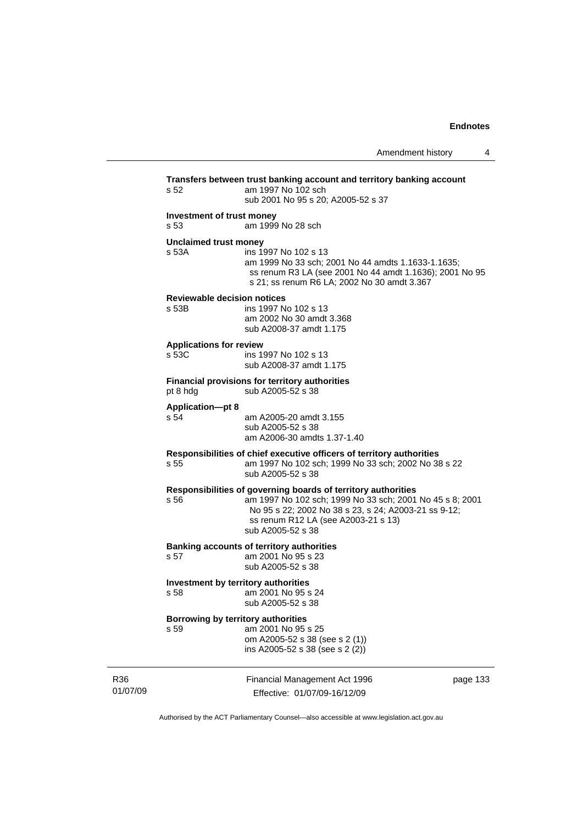|                 | s 52                                                                                                                                                                                                                                                  | Transfers between trust banking account and territory banking account<br>am 1997 No 102 sch<br>sub 2001 No 95 s 20; A2005-52 s 37                                                    |          |
|-----------------|-------------------------------------------------------------------------------------------------------------------------------------------------------------------------------------------------------------------------------------------------------|--------------------------------------------------------------------------------------------------------------------------------------------------------------------------------------|----------|
|                 | Investment of trust money<br>am 1999 No 28 sch<br>s 53                                                                                                                                                                                                |                                                                                                                                                                                      |          |
|                 | <b>Unclaimed trust money</b><br>s 53A                                                                                                                                                                                                                 | ins 1997 No 102 s 13<br>am 1999 No 33 sch; 2001 No 44 amdts 1.1633-1.1635;<br>ss renum R3 LA (see 2001 No 44 amdt 1.1636); 2001 No 95<br>s 21; ss renum R6 LA; 2002 No 30 amdt 3.367 |          |
|                 | <b>Reviewable decision notices</b><br>s 53B                                                                                                                                                                                                           | ins 1997 No 102 s 13<br>am 2002 No 30 amdt 3.368<br>sub A2008-37 amdt 1.175                                                                                                          |          |
|                 | <b>Applications for review</b><br>s 53C                                                                                                                                                                                                               | ins 1997 No 102 s 13<br>sub A2008-37 amdt 1.175                                                                                                                                      |          |
|                 | pt 8 hdg                                                                                                                                                                                                                                              | <b>Financial provisions for territory authorities</b><br>sub A2005-52 s 38                                                                                                           |          |
|                 | <b>Application-pt 8</b><br>s 54                                                                                                                                                                                                                       | am A2005-20 amdt 3.155<br>sub A2005-52 s 38<br>am A2006-30 amdts 1.37-1.40                                                                                                           |          |
|                 | s 55                                                                                                                                                                                                                                                  | Responsibilities of chief executive officers of territory authorities<br>am 1997 No 102 sch; 1999 No 33 sch; 2002 No 38 s 22<br>sub A2005-52 s 38                                    |          |
|                 | Responsibilities of governing boards of territory authorities<br>s 56<br>am 1997 No 102 sch; 1999 No 33 sch; 2001 No 45 s 8; 2001<br>No 95 s 22; 2002 No 38 s 23, s 24; A2003-21 ss 9-12;<br>ss renum R12 LA (see A2003-21 s 13)<br>sub A2005-52 s 38 |                                                                                                                                                                                      |          |
|                 | s 57                                                                                                                                                                                                                                                  | <b>Banking accounts of territory authorities</b><br>am 2001 No 95 s 23<br>sub A2005-52 s 38                                                                                          |          |
|                 | Investment by territory authorities<br>s 58<br>am 2001 No 95 s 24<br>sub A2005-52 s 38                                                                                                                                                                |                                                                                                                                                                                      |          |
|                 | Borrowing by territory authorities<br>s 59                                                                                                                                                                                                            | am 2001 No 95 s 25<br>om A2005-52 s 38 (see s 2 (1))<br>ins A2005-52 s 38 (see s 2 (2))                                                                                              |          |
| R36<br>01/07/09 |                                                                                                                                                                                                                                                       | Financial Management Act 1996<br>Effective: 01/07/09-16/12/09                                                                                                                        | page 133 |

Authorised by the ACT Parliamentary Counsel—also accessible at www.legislation.act.gov.au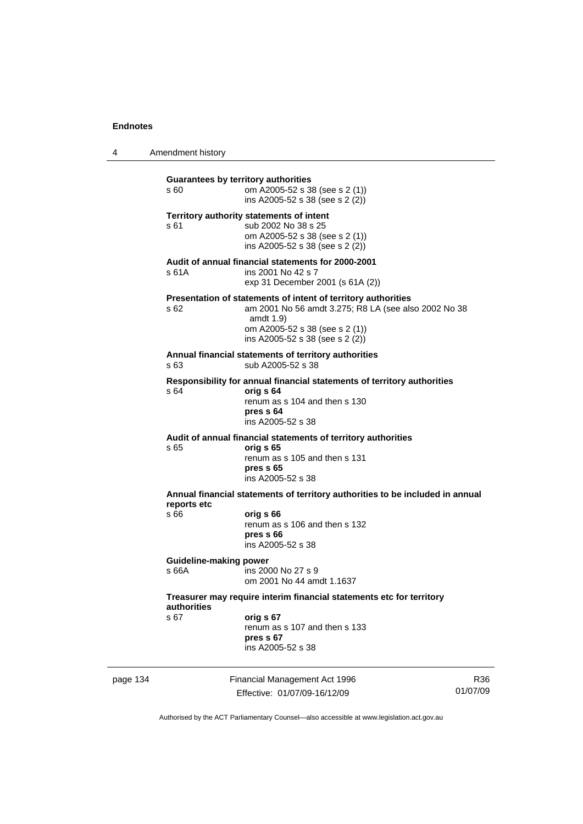4 Amendment history

**Guarantees by territory authorities**  s 60 om A2005-52 s 38 (see s 2 (1)) ins A2005-52 s 38 (see s 2 (2)) **Territory authority statements of intent**  s 61 sub 2002 No 38 s 25 om A2005-52 s 38 (see s 2 (1)) ins A2005-52 s 38 (see s 2 (2)) **Audit of annual financial statements for 2000-2001**  s 61A ins 2001 No 42 s 7 exp 31 December 2001 (s 61A (2)) **Presentation of statements of intent of territory authorities**  s 62 am 2001 No 56 amdt 3.275; R8 LA (see also 2002 No 38 amdt 1.9) om A2005-52 s 38 (see s 2 (1)) ins A2005-52 s 38 (see s 2 (2)) **Annual financial statements of territory authorities**  s 63 sub A2005-52 s 38 **Responsibility for annual financial statements of territory authorities**  s 64 **orig s 64** renum as s 104 and then s 130 **pres s 64**  ins A2005-52 s 38 **Audit of annual financial statements of territory authorities**  s 65 **orig s 65**  renum as s 105 and then s 131 **pres s 65**  ins A2005-52 s 38 **Annual financial statements of territory authorities to be included in annual reports etc**  s 66 **orig s 66**  renum as s 106 and then s 132 **pres s 66**  ins A2005-52 s 38 **Guideline-making power**  s 66A ins 2000 No 27 s 9 om 2001 No 44 amdt 1.1637 **Treasurer may require interim financial statements etc for territory authorities** s 67 **orig s 67**  renum as s 107 and then s 133 **pres s 67**  ins A2005-52 s 38

page 134 Financial Management Act 1996 Effective: 01/07/09-16/12/09 R36 01/07/09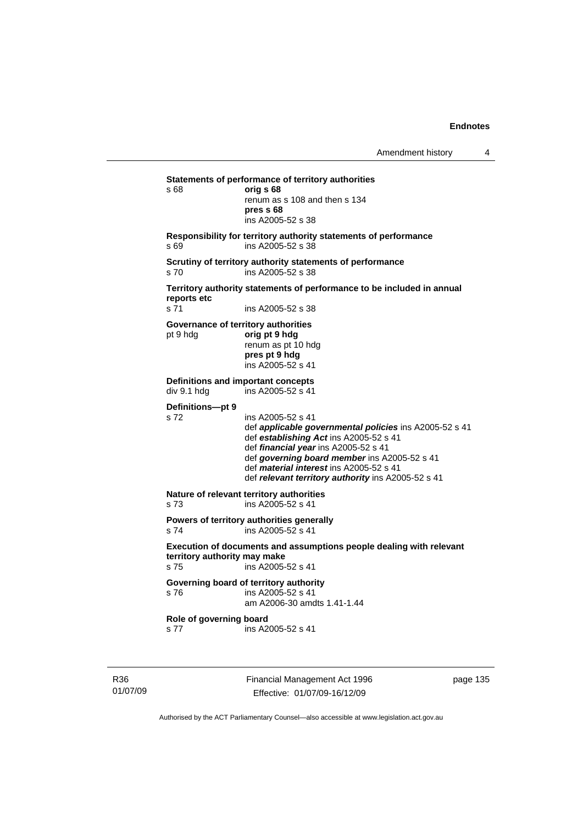**Statements of performance of territory authorities**  s 68 **orig s 68**  renum as s 108 and then s 134 **pres s 68**  ins A2005-52 s 38 **Responsibility for territory authority statements of performance**  s 69 ins A2005-52 s 38 **Scrutiny of territory authority statements of performance**  s 70 ins A2005-52 s 38 **Territory authority statements of performance to be included in annual reports etc**  s 71 ins A2005-52 s 38 **Governance of territory authorities**  pt 9 hdg **orig pt 9 hdg**  renum as pt 10 hdg **pres pt 9 hdg**  ins A2005-52 s 41 **Definitions and important concepts**<br>div 9.1 hdg ins A2005-52 s 41 .<br>ins A2005-52 s 41 **Definitions—pt 9**  s 72 ins A2005-52 s 41 def *applicable governmental policies* ins A2005-52 s 41 def *establishing Act* ins A2005-52 s 41 def *financial year* ins A2005-52 s 41 def *governing board member* ins A2005-52 s 41 def *material interest* ins A2005-52 s 41 def *relevant territory authority* ins A2005-52 s 41 **Nature of relevant territory authorities**  s 73 ins A2005-52 s 41 **Powers of territory authorities generally**  s 74 ins A2005-52 s 41 **Execution of documents and assumptions people dealing with relevant territory authority may make**  s 75 ins A2005-52 s 41 **Governing board of territory authority**  s 76 ins A2005-52 s 41 am A2006-30 amdts 1.41-1.44 **Role of governing board**  s 77 ins A2005-52 s 41

R36 01/07/09 Financial Management Act 1996 Effective: 01/07/09-16/12/09

page 135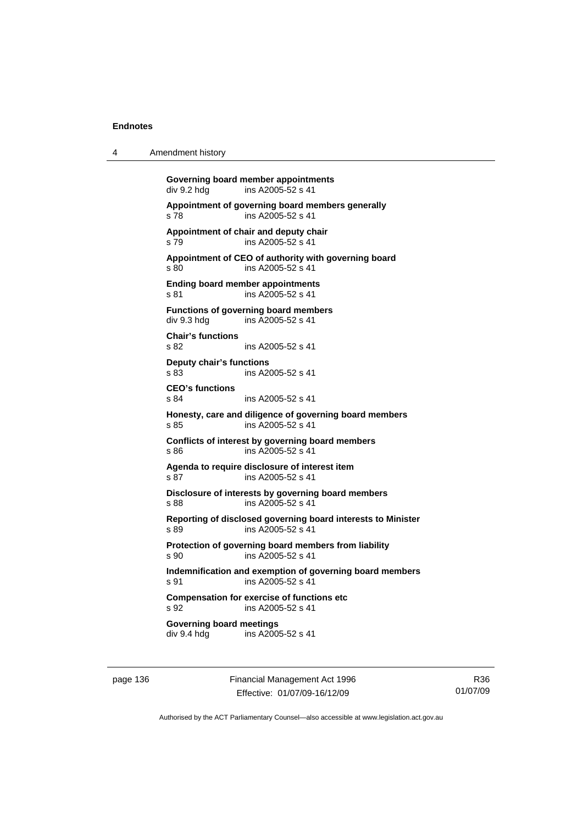4 Amendment history

**Governing board member appointments<br>
div 9.2 hdg<br>
ins A2005-52 s 41** ins A2005-52 s 41 **Appointment of governing board members generally**  s 78 ins A2005-52 s 41 **Appointment of chair and deputy chair**  s 79 ins A2005-52 s 41 **Appointment of CEO of authority with governing board**  s 80 ins A2005-52 s 41 **Ending board member appointments**  s 81 ins A2005-52 s 41 **Functions of governing board members**  div 9.3 hdg ins A2005-52 s 41 **Chair's functions**  s 82 ins A2005-52 s 41 **Deputy chair's functions**  s 83 ins A2005-52 s 41 **CEO's functions**  s 84 ins A2005-52 s 41 **Honesty, care and diligence of governing board members**  s 85 ins A2005-52 s 41 **Conflicts of interest by governing board members**  s 86 ins A2005-52 s 41 **Agenda to require disclosure of interest item**  s 87 ins A2005-52 s 41 **Disclosure of interests by governing board members**  s 88 ins A2005-52 s 41 **Reporting of disclosed governing board interests to Minister**  s 89 ins A2005-52 s 41 **Protection of governing board members from liability**  s 90 ins A2005-52 s 41 **Indemnification and exemption of governing board members**  s 91 ins A2005-52 s 41 **Compensation for exercise of functions etc**  s 92 ins A2005-52 s 41 **Governing board meetings**  div 9.4 hdg ins A2005-52 s 41

page 136 Financial Management Act 1996 Effective: 01/07/09-16/12/09

R36 01/07/09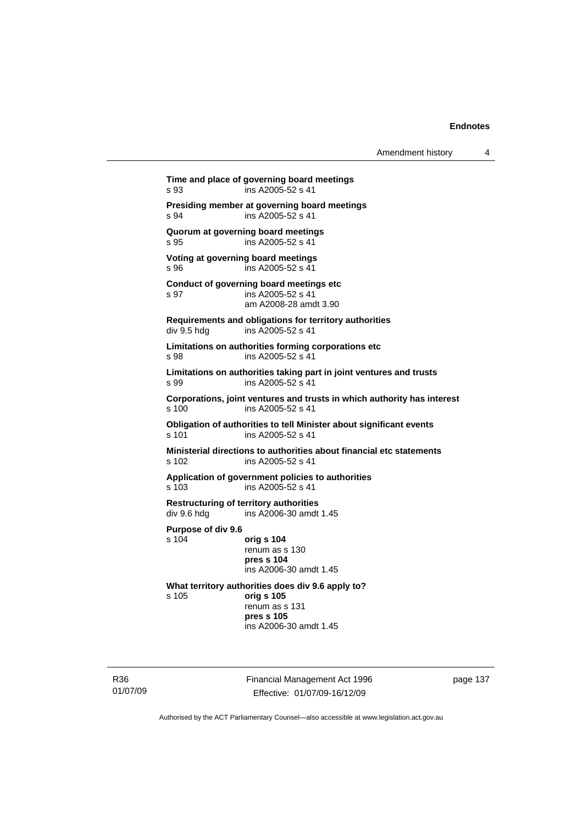**Time and place of governing board meetings**  s 93 ins A2005-52 s 41 **Presiding member at governing board meetings**  s 94 ins A2005-52 s 41 **Quorum at governing board meetings**  s 95 ins A2005-52 s 41 **Voting at governing board meetings**  s 96 ins A2005-52 s 41 **Conduct of governing board meetings etc**  s 97 ins A2005-52 s 41 am A2008-28 amdt 3.90 **Requirements and obligations for territory authorities**  div 9.5 hdg ins A2005-52 s 41 **Limitations on authorities forming corporations etc**  s 98 ins A2005-52 s 41 **Limitations on authorities taking part in joint ventures and trusts**  s 99 ins A2005-52 s 41 **Corporations, joint ventures and trusts in which authority has interest**  s 100 ins A2005-52 s 41 **Obligation of authorities to tell Minister about significant events**<br>s 101 ins A2005-52 s 41 ins A2005-52 s 41 **Ministerial directions to authorities about financial etc statements**  s 102 ins A2005-52 s 41 **Application of government policies to authorities**  s 103 ins A2005-52 s 41 **Restructuring of territory authorities**  div 9.6 hdg ins A2006-30 amdt 1.45 **Purpose of div 9.6**  s 104 **orig s 104** renum as s 130 **pres s 104**  ins A2006-30 amdt 1.45 **What territory authorities does div 9.6 apply to?**  s 105 **orig s 105** renum as s 131 **pres s 105**  ins A2006-30 amdt 1.45

R36 01/07/09 Financial Management Act 1996 Effective: 01/07/09-16/12/09

page 137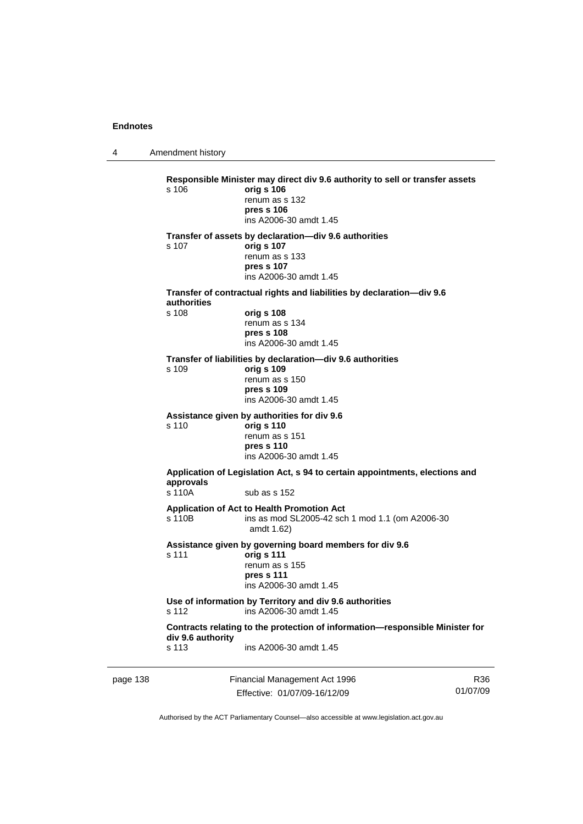4 Amendment history

|          | s 106                                                                                      | Responsible Minister may direct div 9.6 authority to sell or transfer assets<br>orig s 106<br>renum as s 132<br>pres s 106<br>ins A2006-30 amdt 1.45 |     |
|----------|--------------------------------------------------------------------------------------------|------------------------------------------------------------------------------------------------------------------------------------------------------|-----|
|          | s 107                                                                                      | Transfer of assets by declaration-div 9.6 authorities<br>orig s 107<br>renum as s 133<br>pres s 107<br>ins A2006-30 amdt 1.45                        |     |
|          | Transfer of contractual rights and liabilities by declaration-div 9.6                      |                                                                                                                                                      |     |
|          | authorities<br>s 108                                                                       | orig s 108<br>renum as s 134<br>pres s 108<br>ins A2006-30 amdt 1.45                                                                                 |     |
|          | s 109                                                                                      | Transfer of liabilities by declaration-div 9.6 authorities<br>orig s 109<br>renum as s 150<br>pres s 109<br>ins A2006-30 amdt 1.45                   |     |
|          | s 110                                                                                      | Assistance given by authorities for div 9.6<br>orig s 110<br>renum as s 151<br>pres s 110<br>ins A2006-30 amdt 1.45                                  |     |
|          | approvals<br>s 110A                                                                        | Application of Legislation Act, s 94 to certain appointments, elections and<br>sub as s 152                                                          |     |
|          | s 110B                                                                                     | Application of Act to Health Promotion Act<br>ins as mod SL2005-42 sch 1 mod 1.1 (om A2006-30<br>amdt 1.62)                                          |     |
|          | s 111                                                                                      | Assistance given by governing board members for div 9.6<br>orig s 111<br>renum as s 155<br>pres s 111<br>ins A2006-30 amdt 1.45                      |     |
|          | Use of information by Territory and div 9.6 authorities<br>s 112<br>ins A2006-30 amdt 1.45 |                                                                                                                                                      |     |
|          |                                                                                            | Contracts relating to the protection of information-responsible Minister for                                                                         |     |
|          | div 9.6 authority<br>s 113                                                                 | ins A2006-30 amdt 1.45                                                                                                                               |     |
| page 138 |                                                                                            | Financial Management Act 1996                                                                                                                        | R36 |

Effective: 01/07/09-16/12/09

Authorised by the ACT Parliamentary Counsel—also accessible at www.legislation.act.gov.au

01/07/09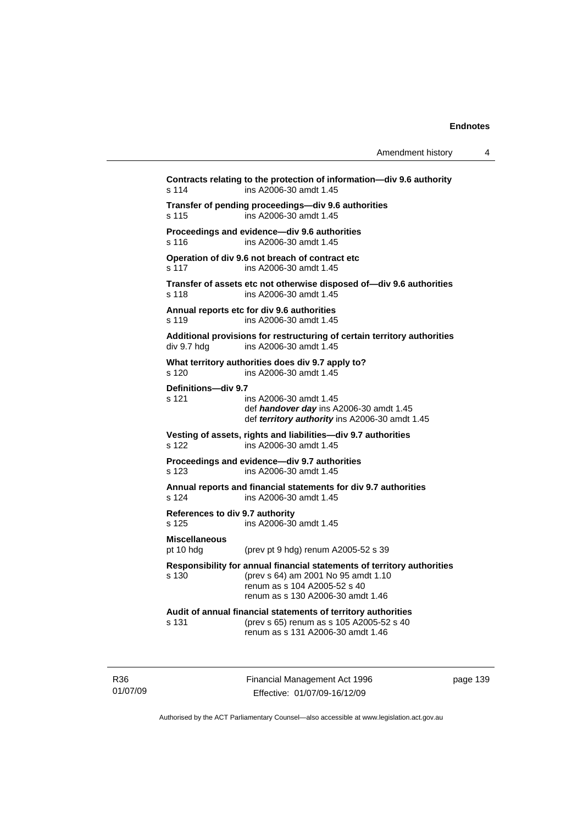| Amendment history |  |
|-------------------|--|
|-------------------|--|

**Contracts relating to the protection of information—div 9.6 authority**  s 114 ins A2006-30 amdt 1.45 **Transfer of pending proceedings—div 9.6 authorities**  s 115 ins A2006-30 amdt 1.45 **Proceedings and evidence—div 9.6 authorities**  s 116 ins A2006-30 amdt 1.45 **Operation of div 9.6 not breach of contract etc**  s 117 ins A2006-30 amdt 1.45 **Transfer of assets etc not otherwise disposed of—div 9.6 authorities**  s 118 ins A2006-30 amdt 1.45 **Annual reports etc for div 9.6 authorities**  s 119 ins A2006-30 amdt 1.45 **Additional provisions for restructuring of certain territory authorities**  div 9.7 hdg ins A2006-30 amdt 1.45 **What territory authorities does div 9.7 apply to?**  s 120 ins A2006-30 amdt 1.45 **Definitions—div 9.7**  s 121 ins A2006-30 amdt 1.45 def *handover day* ins A2006-30 amdt 1.45 def *territory authority* ins A2006-30 amdt 1.45 **Vesting of assets, rights and liabilities—div 9.7 authorities**  s 122 ins A2006-30 amdt 1.45 **Proceedings and evidence—div 9.7 authorities**  s 123 ins A2006-30 amdt 1.45 **Annual reports and financial statements for div 9.7 authorities**  s 124 ins A2006-30 amdt 1.45 **References to div 9.7 authority**  s 125 ins A2006-30 amdt 1.45 **Miscellaneous**  pt 10 hdg (prev pt 9 hdg) renum A2005-52 s 39 **Responsibility for annual financial statements of territory authorities**  s 130 (prev s 64) am 2001 No 95 amdt 1.10 renum as s 104 A2005-52 s 40 renum as s 130 A2006-30 amdt 1.46 **Audit of annual financial statements of territory authorities**  s 131 (prev s 65) renum as s 105 A2005-52 s 40 renum as s 131 A2006-30 amdt 1.46

R36 01/07/09 Financial Management Act 1996 Effective: 01/07/09-16/12/09

page 139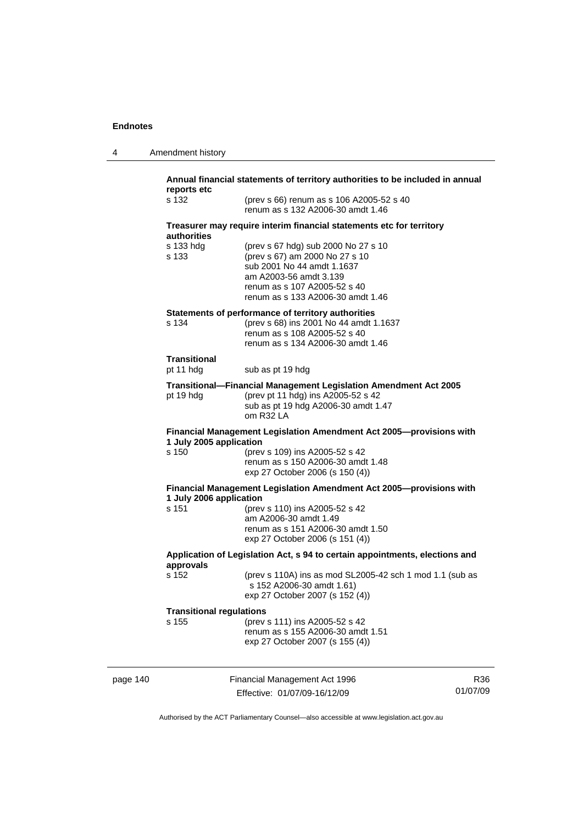|  | Amendment history |
|--|-------------------|
|--|-------------------|

| s 132                                                 | (prev s 66) renum as s 106 A2005-52 s 40                                                                                                                                                                                                         |
|-------------------------------------------------------|--------------------------------------------------------------------------------------------------------------------------------------------------------------------------------------------------------------------------------------------------|
|                                                       | renum as s 132 A2006-30 amdt 1.46                                                                                                                                                                                                                |
| <b>authorities</b>                                    | Treasurer may require interim financial statements etc for territory                                                                                                                                                                             |
| s 133 hda<br>s 133                                    | (prev s 67 hdg) sub 2000 No 27 s 10<br>(prev s 67) am 2000 No 27 s 10<br>sub 2001 No 44 amdt 1.1637<br>am A2003-56 amdt 3.139<br>renum as s 107 A2005-52 s 40<br>renum as s 133 A2006-30 amdt 1.46                                               |
| s 134                                                 | Statements of performance of territory authorities<br>(prev s 68) ins 2001 No 44 amdt 1.1637<br>renum as s 108 A2005-52 s 40<br>renum as s 134 A2006-30 amdt 1.46                                                                                |
| <b>Transitional</b><br>pt 11 hdg                      | sub as pt 19 hdg                                                                                                                                                                                                                                 |
|                                                       | Transitional-Financial Management Legislation Amendment Act 2005                                                                                                                                                                                 |
| pt 19 hdg                                             | (prev pt 11 hdg) ins A2005-52 s 42<br>sub as pt 19 hdg A2006-30 amdt 1.47<br>om R32 LA                                                                                                                                                           |
| 1 July 2005 application                               | Financial Management Legislation Amendment Act 2005-provisions with                                                                                                                                                                              |
|                                                       |                                                                                                                                                                                                                                                  |
|                                                       | (prev s 109) ins A2005-52 s 42<br>renum as s 150 A2006-30 amdt 1.48<br>exp 27 October 2006 (s 150 (4))                                                                                                                                           |
|                                                       |                                                                                                                                                                                                                                                  |
| s 150<br>1 July 2006 application<br>s 151             | (prev s 110) ins A2005-52 s 42<br>am A2006-30 amdt 1.49<br>renum as s 151 A2006-30 amdt 1.50<br>exp 27 October 2006 (s 151 (4))                                                                                                                  |
|                                                       |                                                                                                                                                                                                                                                  |
| s 152                                                 | s 152 A2006-30 amdt 1.61)<br>exp 27 October 2007 (s 152 (4))                                                                                                                                                                                     |
| approvals<br><b>Transitional regulations</b><br>s 155 | Financial Management Legislation Amendment Act 2005-provisions with<br>Application of Legislation Act, s 94 to certain appointments, elections and<br>(prev s 110A) ins as mod SL2005-42 sch 1 mod 1.1 (sub as<br>(prev s 111) ins A2005-52 s 42 |

page 140 Financial Management Act 1996 Effective: 01/07/09-16/12/09

R36 01/07/09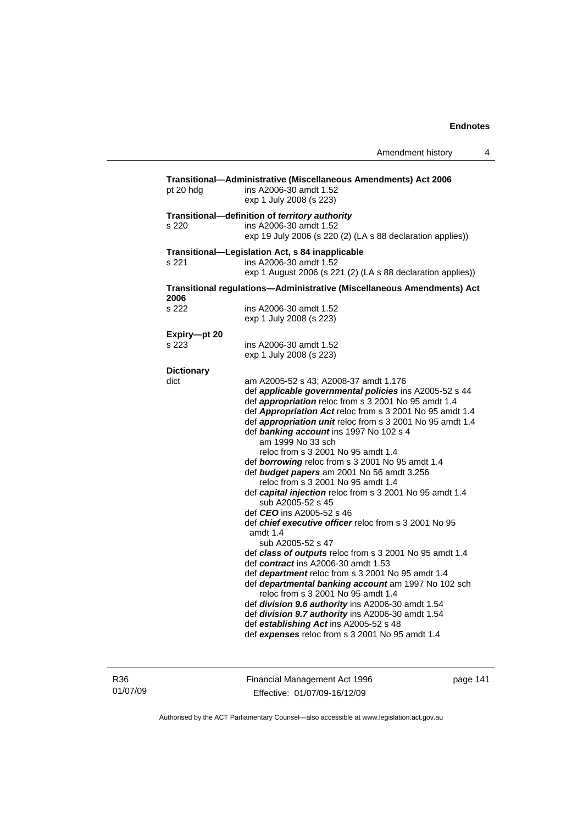| Transitional-Administrative (Miscellaneous Amendments) Act 2006<br>ins A2006-30 amdt 1.52<br>exp 1 July 2008 (s 223)                                                                                                                                                                                                                                                                                                                                                                                                                                                                                                                                                                                                                                                                                                                                                                                                                                                                                                                                                                                                                                                                                     |
|----------------------------------------------------------------------------------------------------------------------------------------------------------------------------------------------------------------------------------------------------------------------------------------------------------------------------------------------------------------------------------------------------------------------------------------------------------------------------------------------------------------------------------------------------------------------------------------------------------------------------------------------------------------------------------------------------------------------------------------------------------------------------------------------------------------------------------------------------------------------------------------------------------------------------------------------------------------------------------------------------------------------------------------------------------------------------------------------------------------------------------------------------------------------------------------------------------|
| Transitional-definition of territory authority<br>ins A2006-30 amdt 1.52<br>exp 19 July 2006 (s 220 (2) (LA s 88 declaration applies))                                                                                                                                                                                                                                                                                                                                                                                                                                                                                                                                                                                                                                                                                                                                                                                                                                                                                                                                                                                                                                                                   |
| Transitional-Legislation Act, s 84 inapplicable                                                                                                                                                                                                                                                                                                                                                                                                                                                                                                                                                                                                                                                                                                                                                                                                                                                                                                                                                                                                                                                                                                                                                          |
| ins A2006-30 amdt 1.52<br>exp 1 August 2006 (s 221 (2) (LA s 88 declaration applies))                                                                                                                                                                                                                                                                                                                                                                                                                                                                                                                                                                                                                                                                                                                                                                                                                                                                                                                                                                                                                                                                                                                    |
| Transitional regulations-Administrative (Miscellaneous Amendments) Act                                                                                                                                                                                                                                                                                                                                                                                                                                                                                                                                                                                                                                                                                                                                                                                                                                                                                                                                                                                                                                                                                                                                   |
| ins A2006-30 amdt 1.52<br>exp 1 July 2008 (s 223)                                                                                                                                                                                                                                                                                                                                                                                                                                                                                                                                                                                                                                                                                                                                                                                                                                                                                                                                                                                                                                                                                                                                                        |
|                                                                                                                                                                                                                                                                                                                                                                                                                                                                                                                                                                                                                                                                                                                                                                                                                                                                                                                                                                                                                                                                                                                                                                                                          |
| ins A2006-30 amdt 1.52<br>exp 1 July 2008 (s 223)                                                                                                                                                                                                                                                                                                                                                                                                                                                                                                                                                                                                                                                                                                                                                                                                                                                                                                                                                                                                                                                                                                                                                        |
|                                                                                                                                                                                                                                                                                                                                                                                                                                                                                                                                                                                                                                                                                                                                                                                                                                                                                                                                                                                                                                                                                                                                                                                                          |
| am A2005-52 s 43; A2008-37 amdt 1.176<br>def applicable governmental policies ins A2005-52 s 44<br>def appropriation reloc from s 3 2001 No 95 amdt 1.4<br>def Appropriation Act reloc from s 3 2001 No 95 amdt 1.4<br>def appropriation unit reloc from s 3 2001 No 95 amdt 1.4<br>def banking account ins 1997 No 102 s 4<br>am 1999 No 33 sch<br>reloc from s 3 2001 No 95 amdt 1.4<br>def borrowing reloc from s 3 2001 No 95 amdt 1.4<br>def budget papers am 2001 No 56 amdt 3.256<br>reloc from s 3 2001 No 95 amdt 1.4<br>def capital injection reloc from s 3 2001 No 95 amdt 1.4<br>sub A2005-52 s 45<br>def <b>CEO</b> ins A2005-52 s 46<br>def chief executive officer reloc from s 3 2001 No 95<br>amdt 1.4<br>sub A2005-52 s 47<br>def class of outputs reloc from s 3 2001 No 95 amdt 1.4<br>def contract ins A2006-30 amdt 1.53<br>def department reloc from s 3 2001 No 95 amdt 1.4<br>def departmental banking account am 1997 No 102 sch<br>reloc from s 3 2001 No 95 amdt 1.4<br>def division 9.6 authority ins A2006-30 amdt 1.54<br>def division 9.7 authority ins A2006-30 amdt 1.54<br>def establishing Act ins A2005-52 s 48<br>def expenses reloc from s 3 2001 No 95 amdt 1.4 |
|                                                                                                                                                                                                                                                                                                                                                                                                                                                                                                                                                                                                                                                                                                                                                                                                                                                                                                                                                                                                                                                                                                                                                                                                          |

R36 01/07/09 Financial Management Act 1996 Effective: 01/07/09-16/12/09

page 141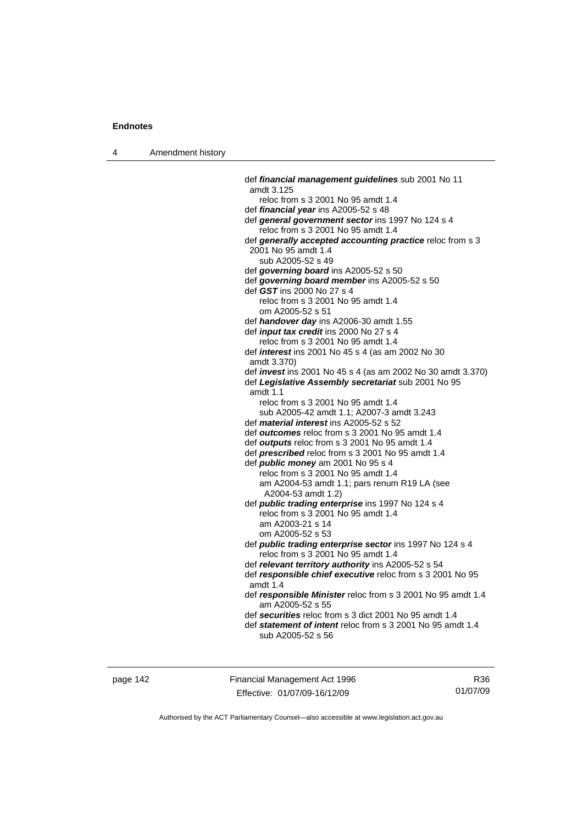4 Amendment history

 def *financial management guidelines* sub 2001 No 11 amdt 3.125 reloc from s 3 2001 No 95 amdt 1.4 def *financial year* ins A2005-52 s 48 def *general government sector* ins 1997 No 124 s 4 reloc from s 3 2001 No 95 amdt 1.4 def *generally accepted accounting practice* reloc from s 3 2001 No 95 amdt 1.4 sub A2005-52 s 49 def *governing board* ins A2005-52 s 50 def *governing board member* ins A2005-52 s 50 def *GST* ins 2000 No 27 s 4 reloc from s 3 2001 No 95 amdt 1.4 om A2005-52 s 51 def *handover day* ins A2006-30 amdt 1.55 def *input tax credit* ins 2000 No 27 s 4 reloc from s 3 2001 No 95 amdt 1.4 def *interest* ins 2001 No 45 s 4 (as am 2002 No 30 amdt 3.370) def *invest* ins 2001 No 45 s 4 (as am 2002 No 30 amdt 3.370) def *Legislative Assembly secretariat* sub 2001 No 95 amdt 1.1 reloc from s 3 2001 No 95 amdt 1.4 sub A2005-42 amdt 1.1; A2007-3 amdt 3.243 def *material interest* ins A2005-52 s 52 def *outcomes* reloc from s 3 2001 No 95 amdt 1.4 def *outputs* reloc from s 3 2001 No 95 amdt 1.4 def *prescribed* reloc from s 3 2001 No 95 amdt 1.4 def *public money* am 2001 No 95 s 4 reloc from s 3 2001 No 95 amdt 1.4 am A2004-53 amdt 1.1; pars renum R19 LA (see A2004-53 amdt 1.2) def *public trading enterprise* ins 1997 No 124 s 4 reloc from s 3 2001 No 95 amdt 1.4 am A2003-21 s 14 om A2005-52 s 53 def *public trading enterprise sector* ins 1997 No 124 s 4 reloc from s 3 2001 No 95 amdt 1.4 def *relevant territory authority* ins A2005-52 s 54 def *responsible chief executive* reloc from s 3 2001 No 95 amdt 1.4 def *responsible Minister* reloc from s 3 2001 No 95 amdt 1.4 am A2005-52 s 55 def *securities* reloc from s 3 dict 2001 No 95 amdt 1.4 def *statement of intent* reloc from s 3 2001 No 95 amdt 1.4 sub A2005-52 s 56

page 142 Financial Management Act 1996 Effective: 01/07/09-16/12/09

R36 01/07/09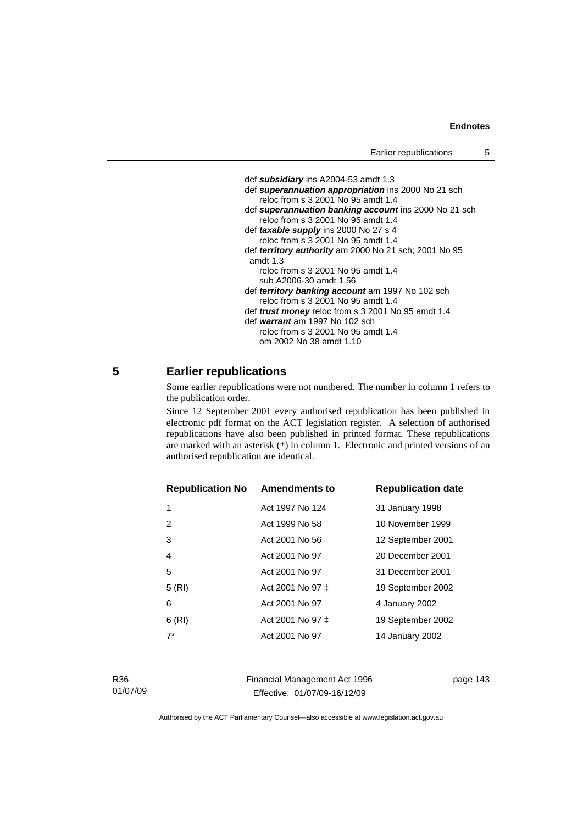```
 def subsidiary ins A2004-53 amdt 1.3 
 def superannuation appropriation ins 2000 No 21 sch 
    reloc from s 3 2001 No 95 amdt 1.4 
 def superannuation banking account ins 2000 No 21 sch 
    reloc from s 3 2001 No 95 amdt 1.4 
 def taxable supply ins 2000 No 27 s 4 
    reloc from s 3 2001 No 95 amdt 1.4 
 def territory authority am 2000 No 21 sch; 2001 No 95 
 amdt 1.3 
    reloc from s 3 2001 No 95 amdt 1.4 
    sub A2006-30 amdt 1.56 
 def territory banking account am 1997 No 102 sch 
    reloc from s 3 2001 No 95 amdt 1.4 
 def trust money reloc from s 3 2001 No 95 amdt 1.4 
 def warrant am 1997 No 102 sch 
    reloc from s 3 2001 No 95 amdt 1.4 
    om 2002 No 38 amdt 1.10
```
# **5 Earlier republications**

Some earlier republications were not numbered. The number in column 1 refers to the publication order.

Since 12 September 2001 every authorised republication has been published in electronic pdf format on the ACT legislation register. A selection of authorised republications have also been published in printed format. These republications are marked with an asterisk (\*) in column 1. Electronic and printed versions of an authorised republication are identical.

| <b>Republication No</b> | <b>Amendments to</b> | <b>Republication date</b> |
|-------------------------|----------------------|---------------------------|
| 1                       | Act 1997 No 124      | 31 January 1998           |
| 2                       | Act 1999 No 58       | 10 November 1999          |
| 3                       | Act 2001 No 56       | 12 September 2001         |
| 4                       | Act 2001 No 97       | 20 December 2001          |
| 5                       | Act 2001 No 97       | 31 December 2001          |
| 5(RI)                   | Act 2001 No 97 ‡     | 19 September 2002         |
| 6                       | Act 2001 No 97       | 4 January 2002            |
| 6(RI)                   | Act 2001 No 97 ‡     | 19 September 2002         |
| $7*$                    | Act 2001 No 97       | 14 January 2002           |
|                         |                      |                           |

R36 01/07/09 Financial Management Act 1996 Effective: 01/07/09-16/12/09

page 143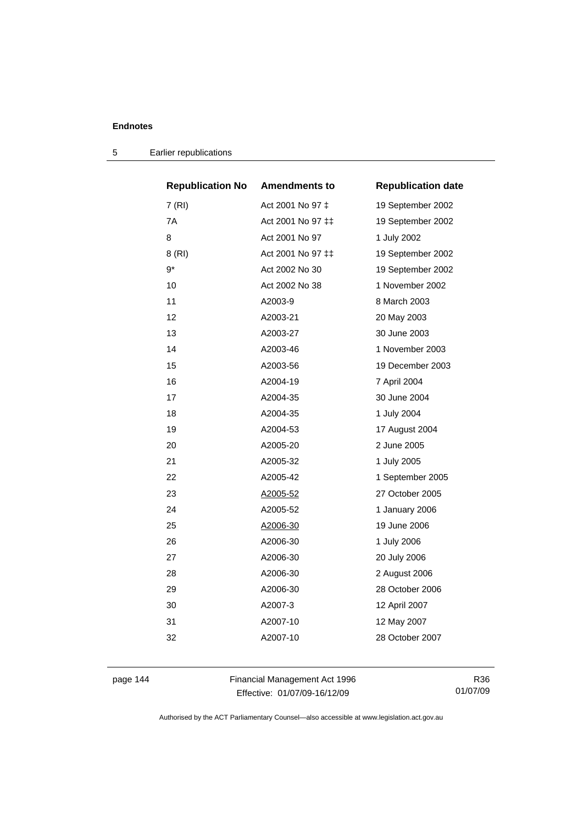| <b>Republication No</b> | <b>Amendments to</b> | <b>Republication date</b> |
|-------------------------|----------------------|---------------------------|
| 7(RI)                   | Act 2001 No 97 ‡     | 19 September 2002         |
| 7A                      | Act 2001 No 97 ‡‡    | 19 September 2002         |
| 8                       | Act 2001 No 97       | 1 July 2002               |
| 8 (RI)                  | Act 2001 No 97 ‡‡    | 19 September 2002         |
| 9*                      | Act 2002 No 30       | 19 September 2002         |
| 10                      | Act 2002 No 38       | 1 November 2002           |
| 11                      | A2003-9              | 8 March 2003              |
| 12                      | A2003-21             | 20 May 2003               |
| 13                      | A2003-27             | 30 June 2003              |
| 14                      | A2003-46             | 1 November 2003           |
| 15                      | A2003-56             | 19 December 2003          |
| 16                      | A2004-19             | 7 April 2004              |
| 17                      | A2004-35             | 30 June 2004              |
| 18                      | A2004-35             | 1 July 2004               |
| 19                      | A2004-53             | 17 August 2004            |
| 20                      | A2005-20             | 2 June 2005               |
| 21                      | A2005-32             | 1 July 2005               |
| 22                      | A2005-42             | 1 September 2005          |
| 23                      | A2005-52             | 27 October 2005           |
| 24                      | A2005-52             | 1 January 2006            |
| 25                      | A2006-30             | 19 June 2006              |
| 26                      | A2006-30             | 1 July 2006               |
| 27                      | A2006-30             | 20 July 2006              |
| 28                      | A2006-30             | 2 August 2006             |
| 29                      | A2006-30             | 28 October 2006           |
| 30                      | A2007-3              | 12 April 2007             |
| 31                      | A2007-10             | 12 May 2007               |
| 32                      | A2007-10             | 28 October 2007           |
|                         |                      |                           |

5 Earlier republications

page 144 Financial Management Act 1996 Effective: 01/07/09-16/12/09

R36 01/07/09